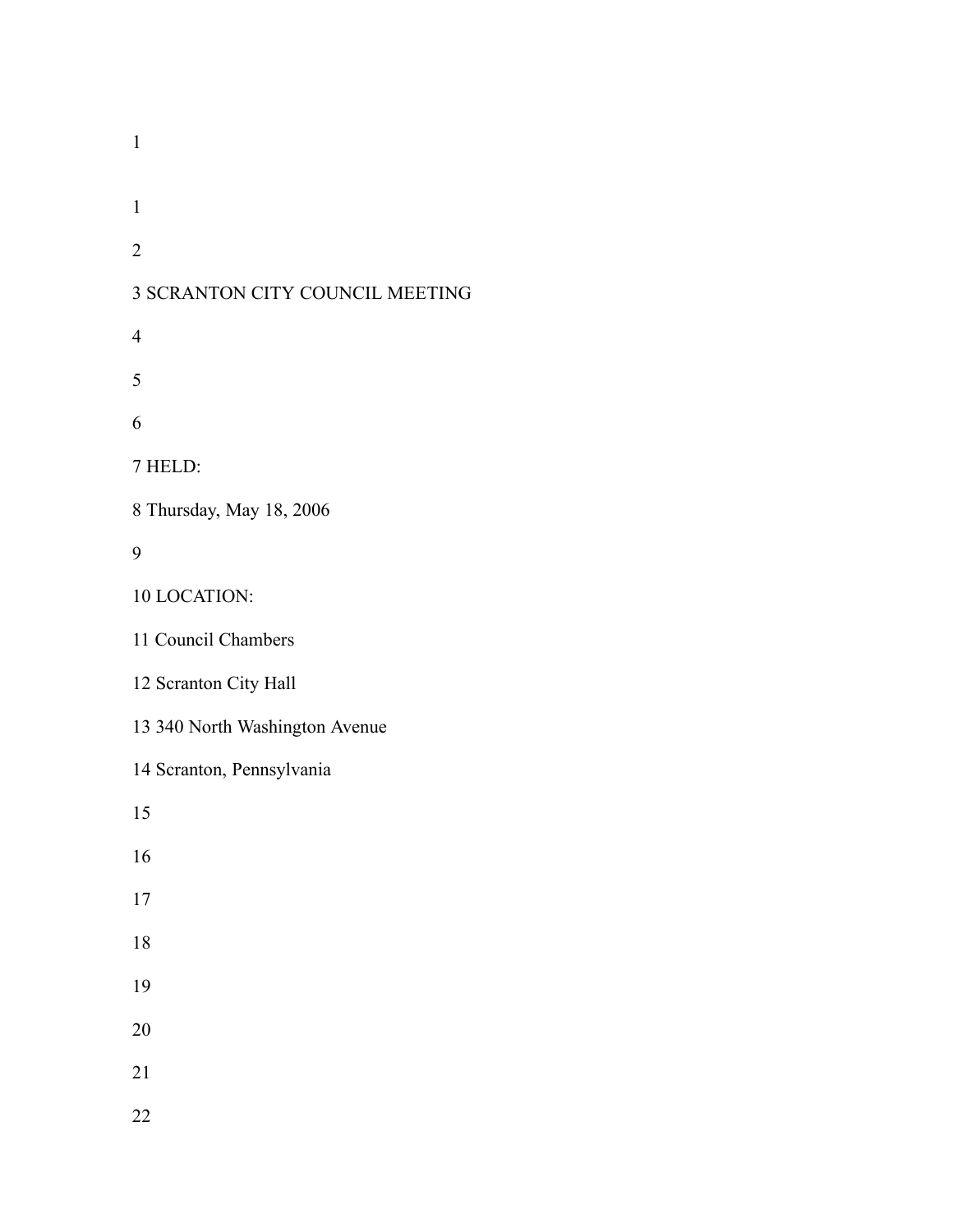SCRANTON CITY COUNCIL MEETING HELD: Thursday, May 18, 2006 LOCATION: Council Chambers Scranton City Hall 340 North Washington Avenue Scranton, Pennsylvania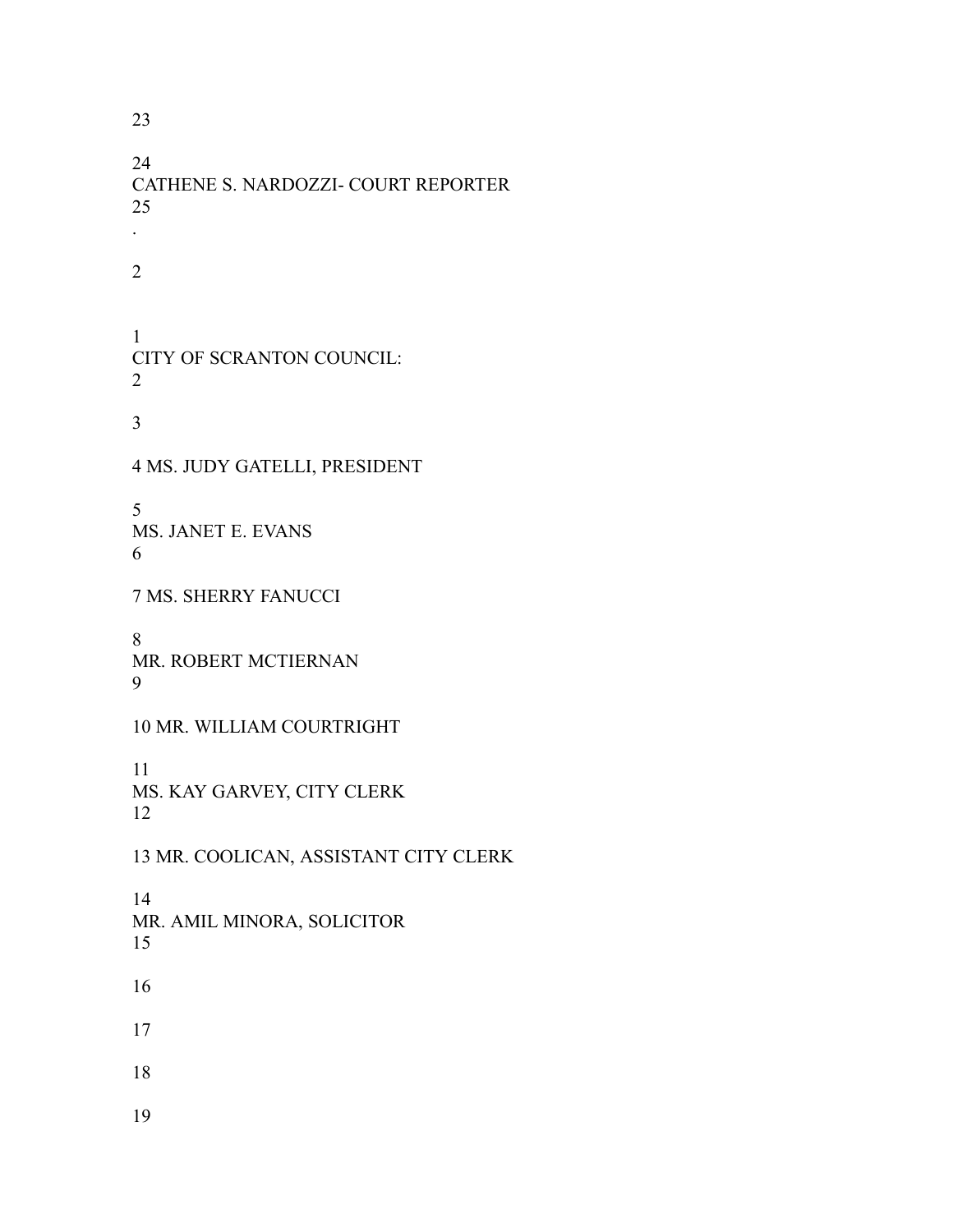CATHENE S. NARDOZZI- COURT REPORTER . CITY OF SCRANTON COUNCIL: MS. JUDY GATELLI, PRESIDENT MS. JANET E. EVANS MS. SHERRY FANUCCI MR. ROBERT MCTIERNAN MR. WILLIAM COURTRIGHT MS. KAY GARVEY, CITY CLERK MR. COOLICAN, ASSISTANT CITY CLERK MR. AMIL MINORA, SOLICITOR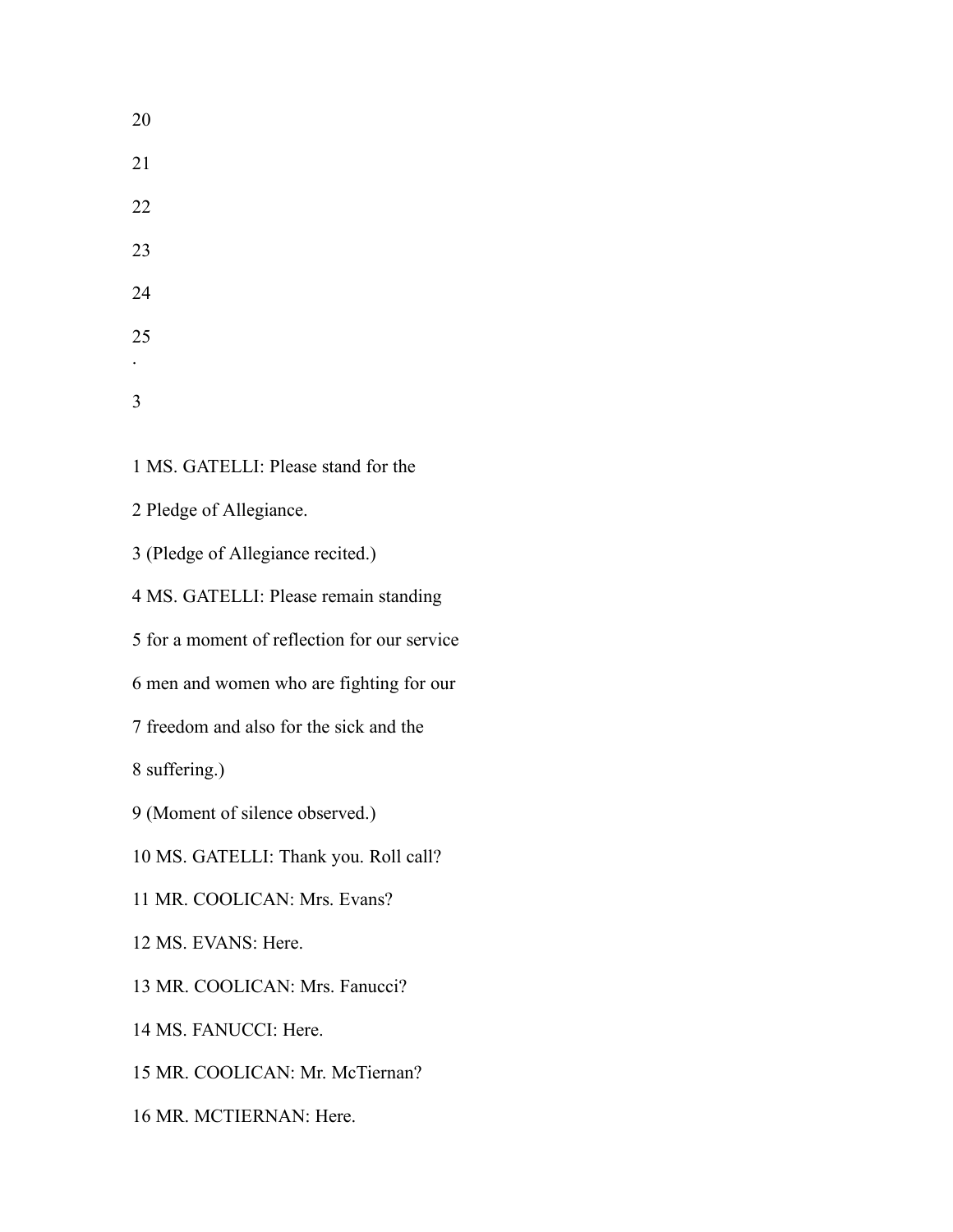MS. GATELLI: Please stand for the

Pledge of Allegiance.

(Pledge of Allegiance recited.)

MS. GATELLI: Please remain standing

for a moment of reflection for our service

men and women who are fighting for our

freedom and also for the sick and the

suffering.)

(Moment of silence observed.)

MS. GATELLI: Thank you. Roll call?

MR. COOLICAN: Mrs. Evans?

MS. EVANS: Here.

MR. COOLICAN: Mrs. Fanucci?

MS. FANUCCI: Here.

MR. COOLICAN: Mr. McTiernan?

MR. MCTIERNAN: Here.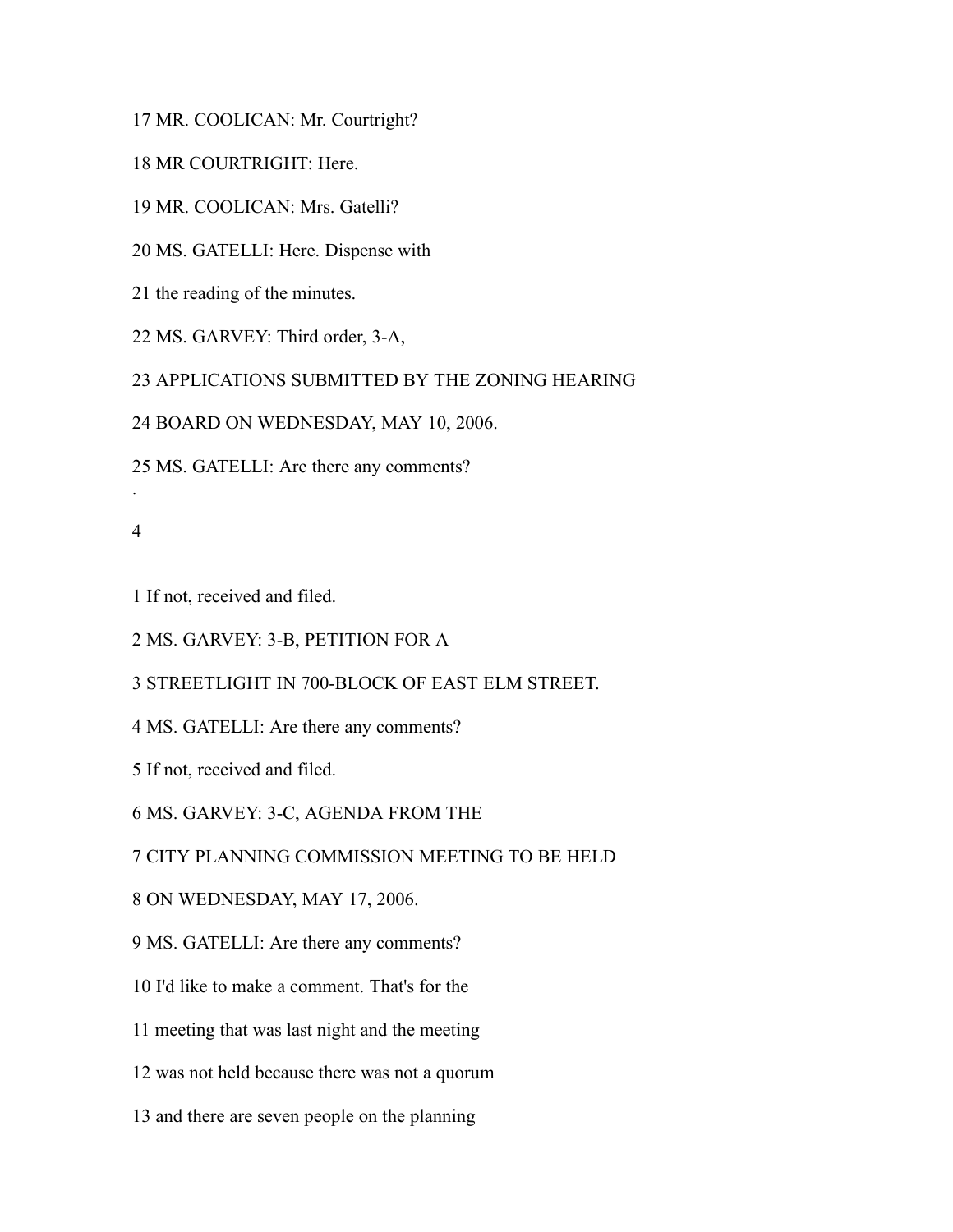MR. COOLICAN: Mr. Courtright?

MR COURTRIGHT: Here.

MR. COOLICAN: Mrs. Gatelli?

MS. GATELLI: Here. Dispense with

the reading of the minutes.

MS. GARVEY: Third order, 3-A,

APPLICATIONS SUBMITTED BY THE ZONING HEARING

BOARD ON WEDNESDAY, MAY 10, 2006.

MS. GATELLI: Are there any comments?

.

If not, received and filed.

MS. GARVEY: 3-B, PETITION FOR A

STREETLIGHT IN 700-BLOCK OF EAST ELM STREET.

MS. GATELLI: Are there any comments?

If not, received and filed.

MS. GARVEY: 3-C, AGENDA FROM THE

CITY PLANNING COMMISSION MEETING TO BE HELD

ON WEDNESDAY, MAY 17, 2006.

MS. GATELLI: Are there any comments?

I'd like to make a comment. That's for the

meeting that was last night and the meeting

was not held because there was not a quorum

and there are seven people on the planning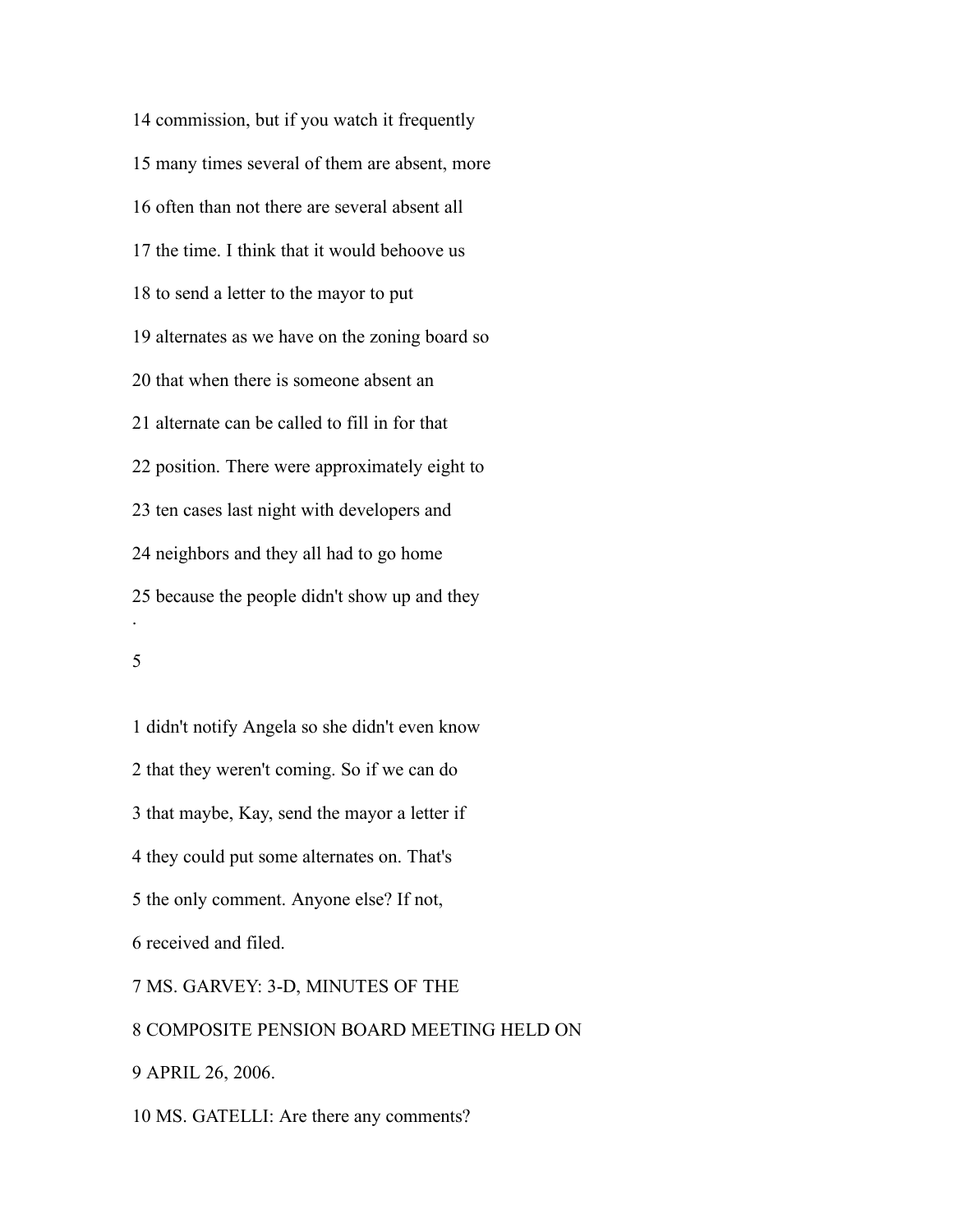commission, but if you watch it frequently many times several of them are absent, more often than not there are several absent all the time. I think that it would behoove us to send a letter to the mayor to put alternates as we have on the zoning board so that when there is someone absent an alternate can be called to fill in for that position. There were approximately eight to ten cases last night with developers and neighbors and they all had to go home because the people didn't show up and they .

 didn't notify Angela so she didn't even know that they weren't coming. So if we can do that maybe, Kay, send the mayor a letter if they could put some alternates on. That's the only comment. Anyone else? If not, received and filed. MS. GARVEY: 3-D, MINUTES OF THE COMPOSITE PENSION BOARD MEETING HELD ON APRIL 26, 2006.

MS. GATELLI: Are there any comments?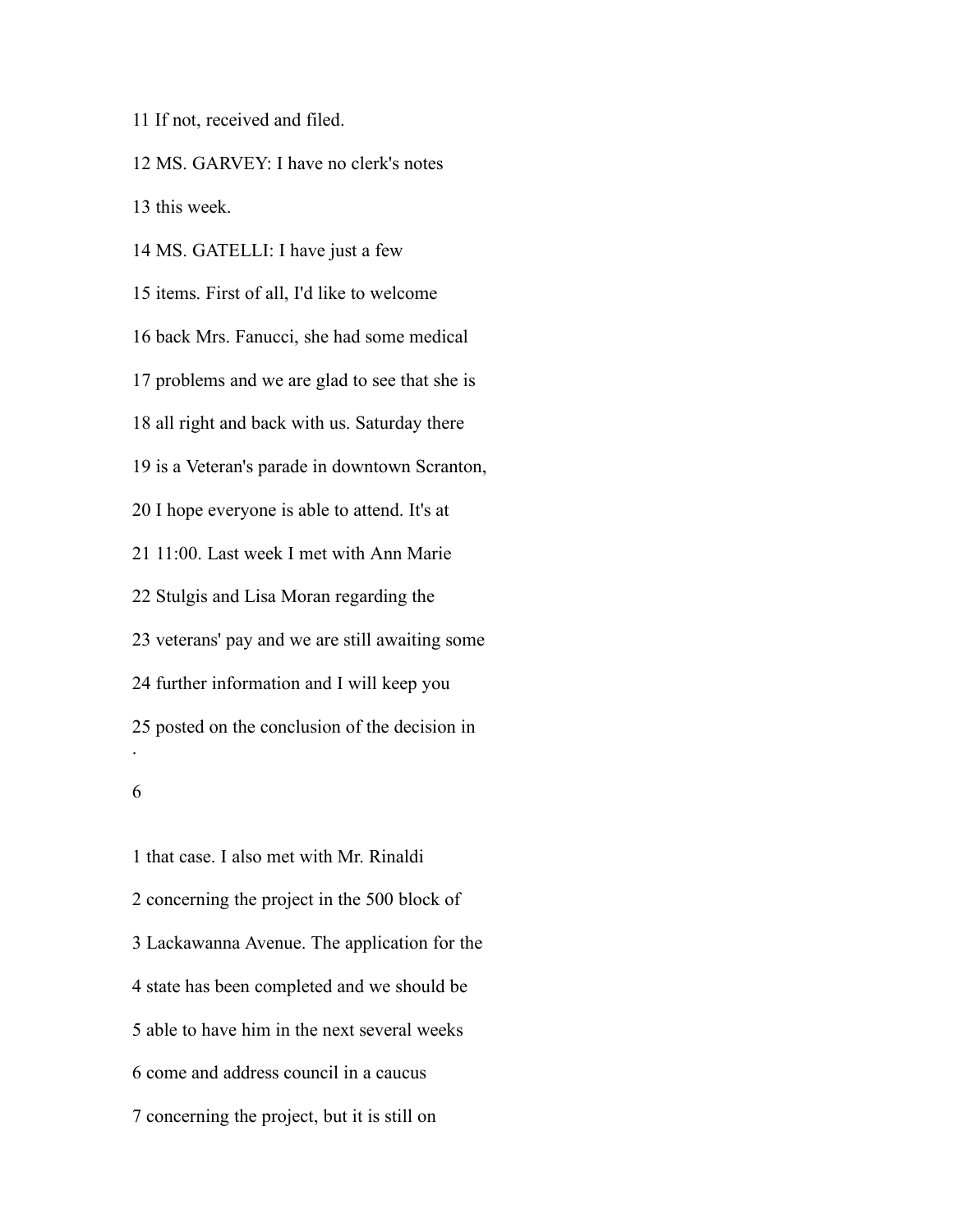If not, received and filed.

 MS. GARVEY: I have no clerk's notes this week.

 MS. GATELLI: I have just a few items. First of all, I'd like to welcome back Mrs. Fanucci, she had some medical problems and we are glad to see that she is all right and back with us. Saturday there is a Veteran's parade in downtown Scranton, I hope everyone is able to attend. It's at 11:00. Last week I met with Ann Marie Stulgis and Lisa Moran regarding the veterans' pay and we are still awaiting some further information and I will keep you posted on the conclusion of the decision in .

 that case. I also met with Mr. Rinaldi concerning the project in the 500 block of Lackawanna Avenue. The application for the state has been completed and we should be able to have him in the next several weeks come and address council in a caucus concerning the project, but it is still on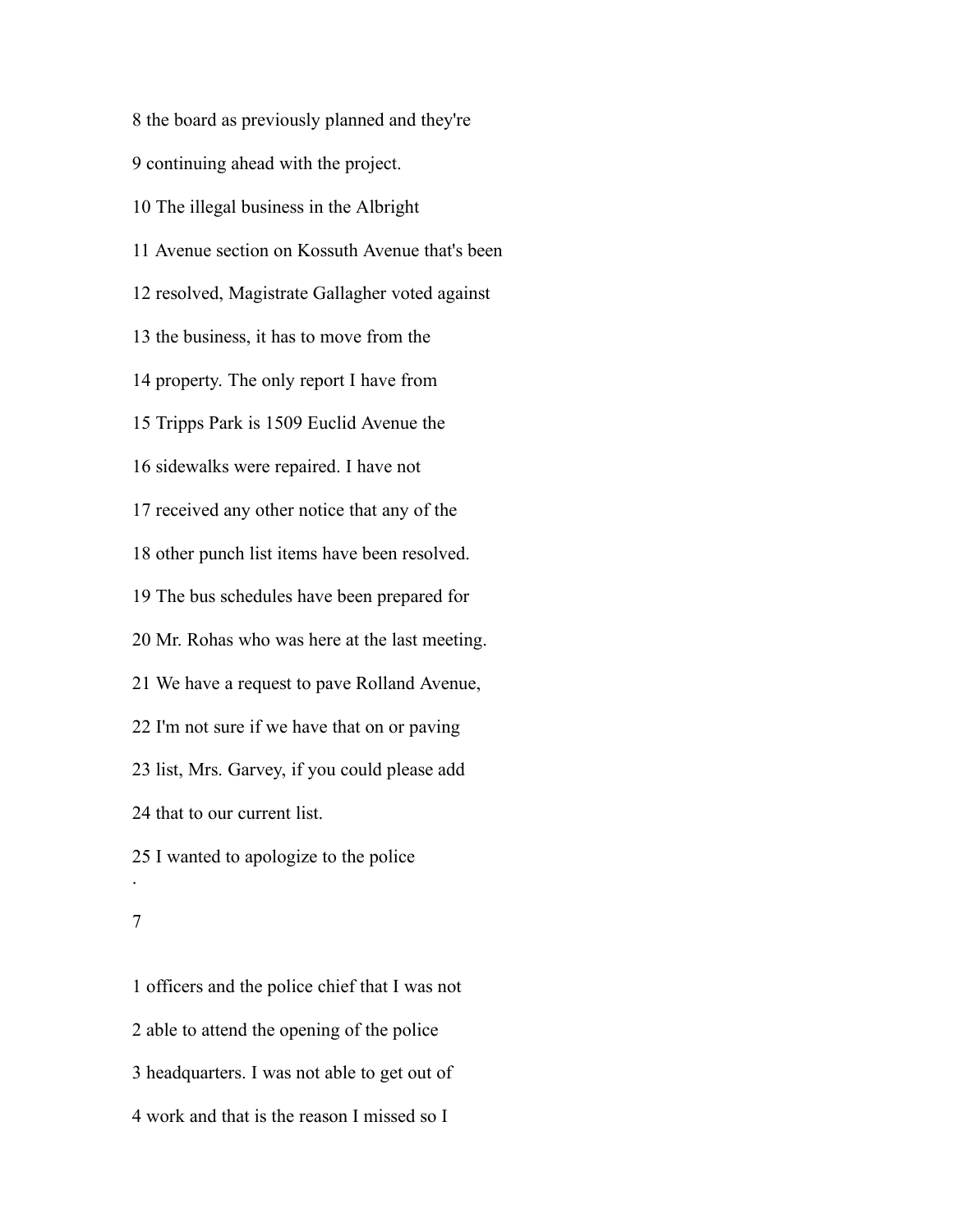the board as previously planned and they're continuing ahead with the project. The illegal business in the Albright Avenue section on Kossuth Avenue that's been resolved, Magistrate Gallagher voted against the business, it has to move from the property. The only report I have from Tripps Park is 1509 Euclid Avenue the sidewalks were repaired. I have not received any other notice that any of the other punch list items have been resolved. The bus schedules have been prepared for Mr. Rohas who was here at the last meeting. We have a request to pave Rolland Avenue, I'm not sure if we have that on or paving list, Mrs. Garvey, if you could please add that to our current list. I wanted to apologize to the police .

 officers and the police chief that I was not able to attend the opening of the police headquarters. I was not able to get out of work and that is the reason I missed so I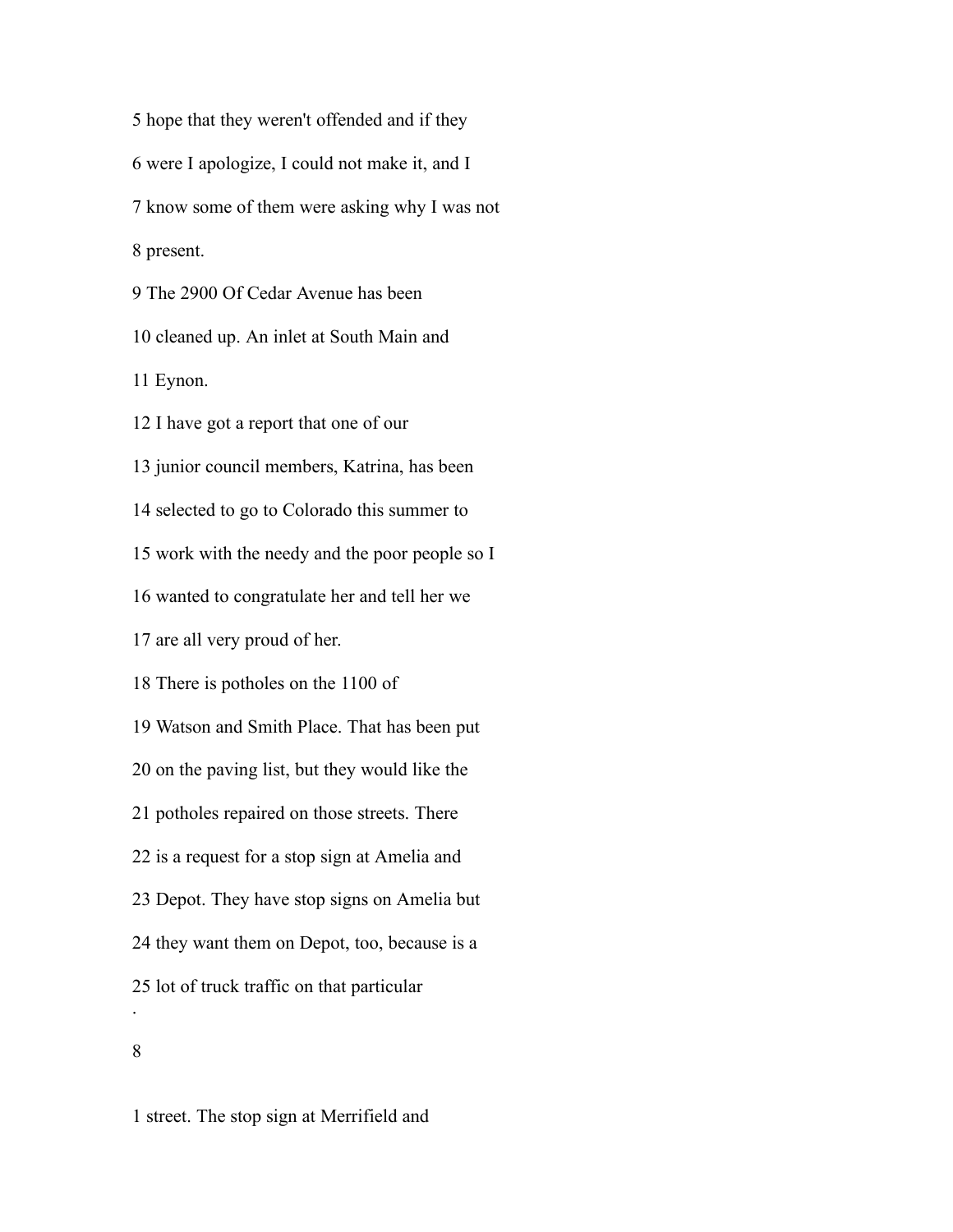hope that they weren't offended and if they were I apologize, I could not make it, and I know some of them were asking why I was not present. The 2900 Of Cedar Avenue has been cleaned up. An inlet at South Main and Eynon. I have got a report that one of our junior council members, Katrina, has been selected to go to Colorado this summer to work with the needy and the poor people so I wanted to congratulate her and tell her we are all very proud of her. There is potholes on the 1100 of Watson and Smith Place. That has been put on the paving list, but they would like the potholes repaired on those streets. There is a request for a stop sign at Amelia and Depot. They have stop signs on Amelia but they want them on Depot, too, because is a lot of truck traffic on that particular .

street. The stop sign at Merrifield and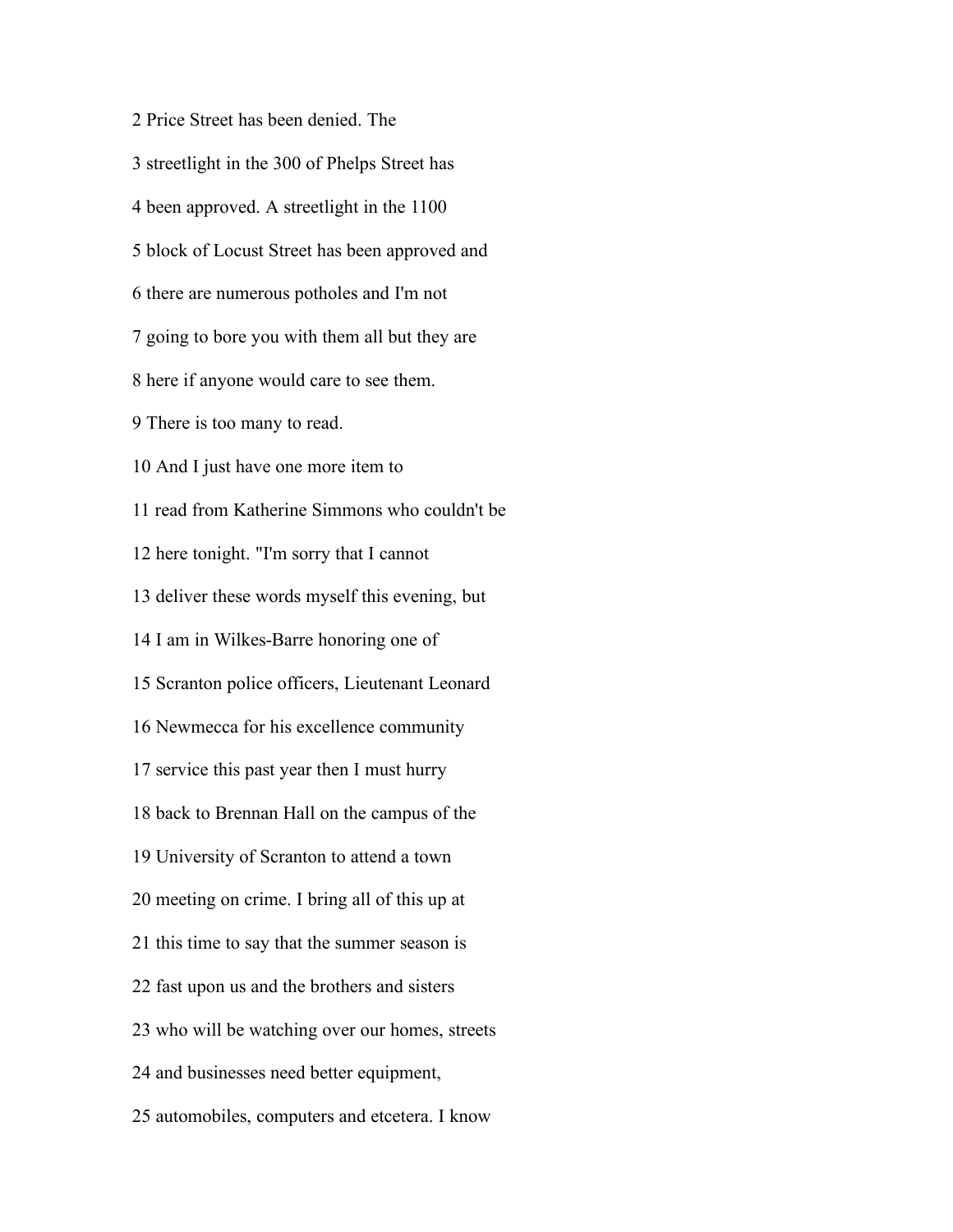Price Street has been denied. The streetlight in the 300 of Phelps Street has been approved. A streetlight in the 1100 block of Locust Street has been approved and there are numerous potholes and I'm not going to bore you with them all but they are here if anyone would care to see them. There is too many to read. And I just have one more item to read from Katherine Simmons who couldn't be here tonight. "I'm sorry that I cannot deliver these words myself this evening, but I am in Wilkes-Barre honoring one of Scranton police officers, Lieutenant Leonard Newmecca for his excellence community service this past year then I must hurry back to Brennan Hall on the campus of the University of Scranton to attend a town meeting on crime. I bring all of this up at this time to say that the summer season is fast upon us and the brothers and sisters who will be watching over our homes, streets and businesses need better equipment, automobiles, computers and etcetera. I know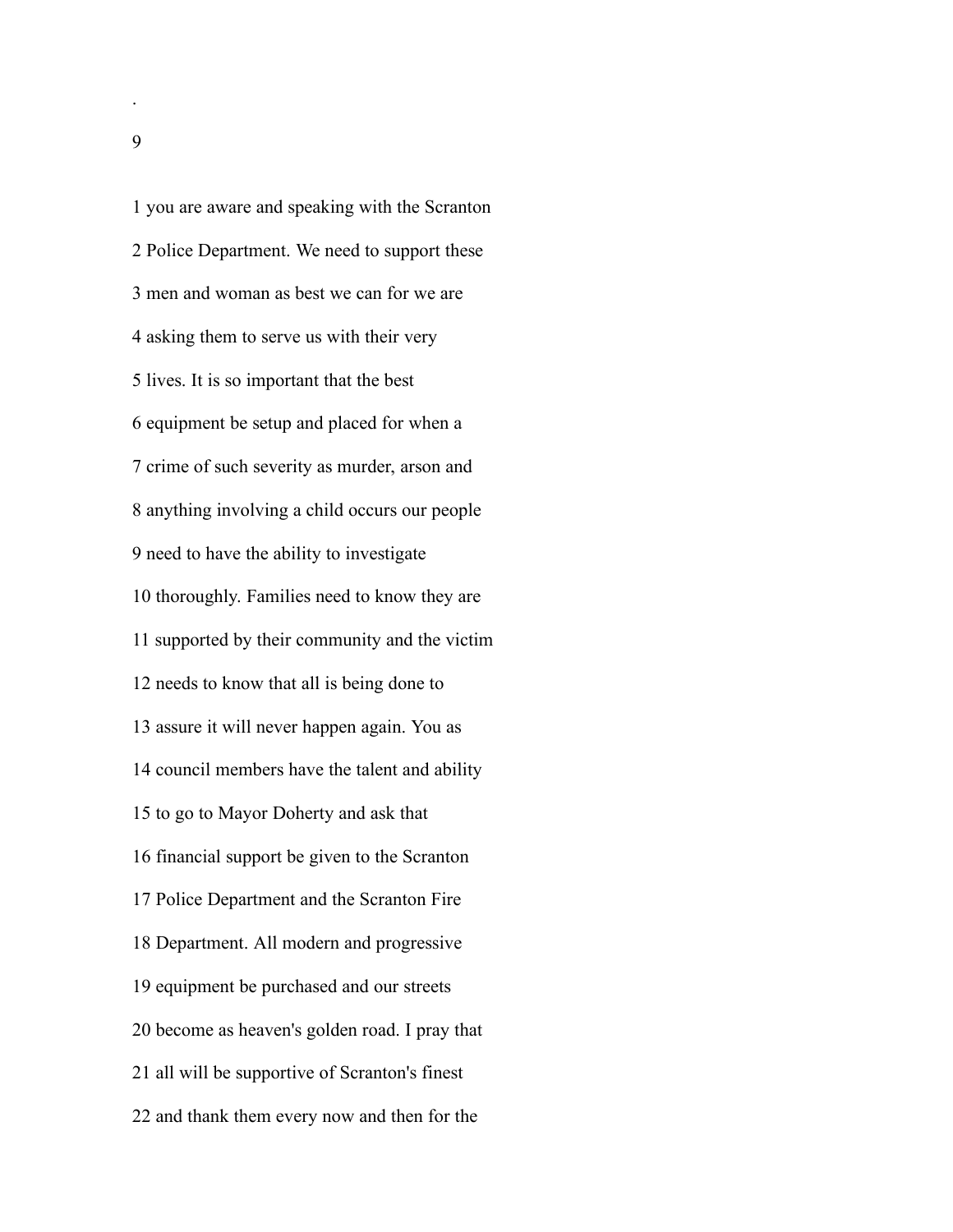you are aware and speaking with the Scranton Police Department. We need to support these men and woman as best we can for we are asking them to serve us with their very lives. It is so important that the best equipment be setup and placed for when a crime of such severity as murder, arson and anything involving a child occurs our people need to have the ability to investigate thoroughly. Families need to know they are supported by their community and the victim needs to know that all is being done to assure it will never happen again. You as council members have the talent and ability to go to Mayor Doherty and ask that financial support be given to the Scranton Police Department and the Scranton Fire Department. All modern and progressive equipment be purchased and our streets become as heaven's golden road. I pray that all will be supportive of Scranton's finest and thank them every now and then for the

.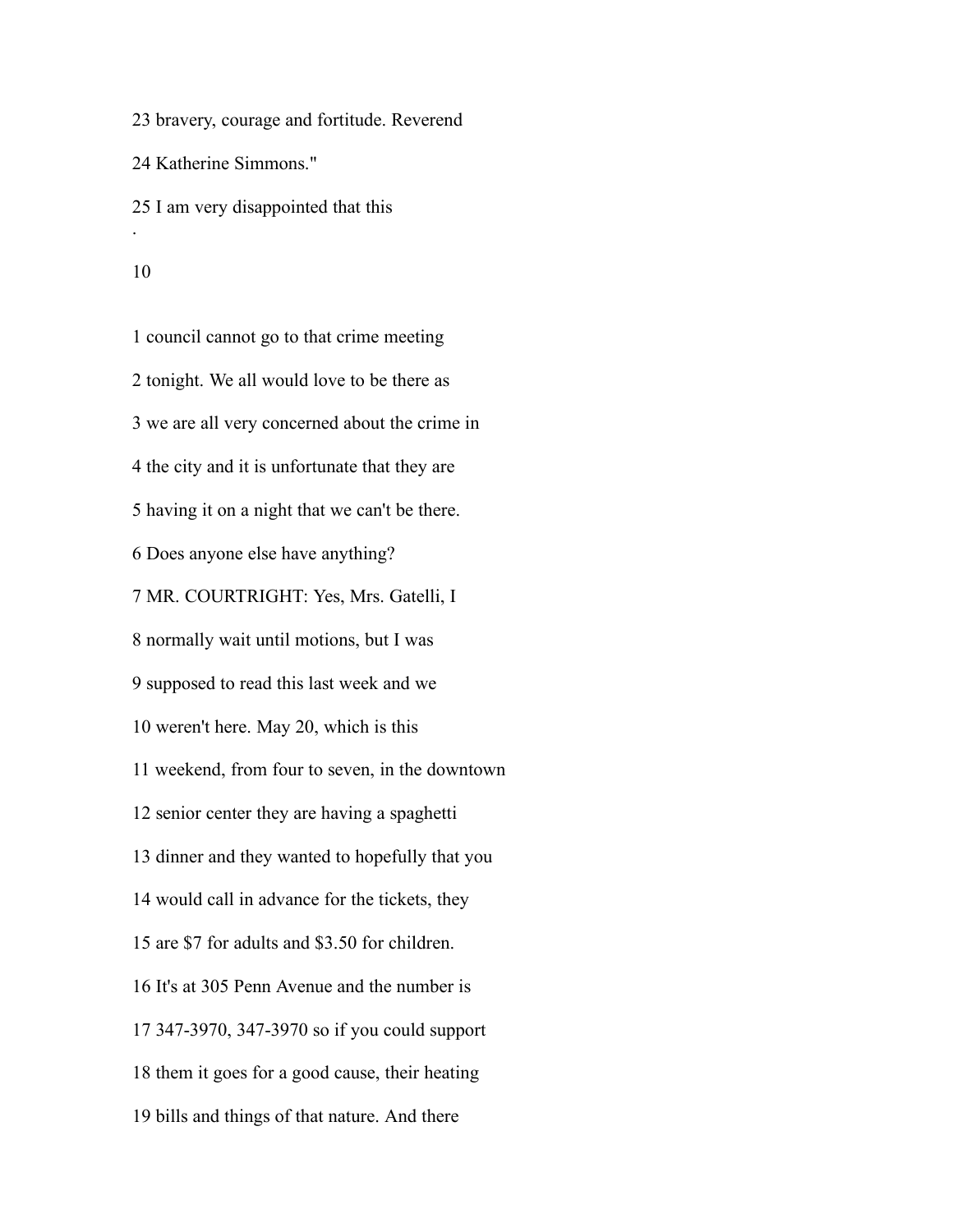bravery, courage and fortitude. Reverend Katherine Simmons." I am very disappointed that this .

 council cannot go to that crime meeting tonight. We all would love to be there as we are all very concerned about the crime in the city and it is unfortunate that they are having it on a night that we can't be there. Does anyone else have anything? MR. COURTRIGHT: Yes, Mrs. Gatelli, I normally wait until motions, but I was supposed to read this last week and we weren't here. May 20, which is this weekend, from four to seven, in the downtown senior center they are having a spaghetti dinner and they wanted to hopefully that you would call in advance for the tickets, they are \$7 for adults and \$3.50 for children. It's at 305 Penn Avenue and the number is 347-3970, 347-3970 so if you could support them it goes for a good cause, their heating bills and things of that nature. And there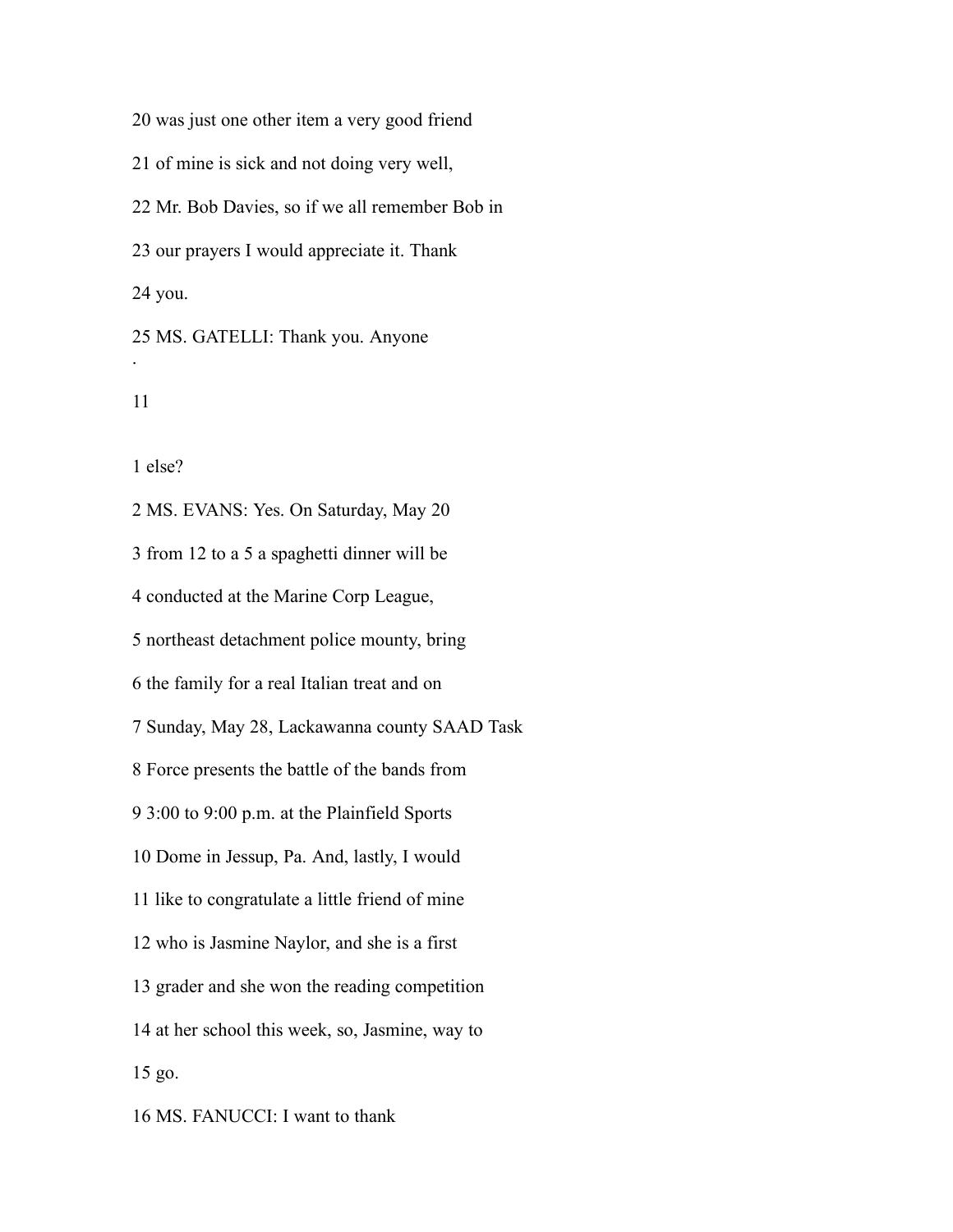was just one other item a very good friend of mine is sick and not doing very well, Mr. Bob Davies, so if we all remember Bob in our prayers I would appreciate it. Thank you. MS. GATELLI: Thank you. Anyone .

else?

 MS. EVANS: Yes. On Saturday, May 20 from 12 to a 5 a spaghetti dinner will be conducted at the Marine Corp League, northeast detachment police mounty, bring the family for a real Italian treat and on Sunday, May 28, Lackawanna county SAAD Task Force presents the battle of the bands from 3:00 to 9:00 p.m. at the Plainfield Sports Dome in Jessup, Pa. And, lastly, I would like to congratulate a little friend of mine who is Jasmine Naylor, and she is a first grader and she won the reading competition at her school this week, so, Jasmine, way to go.

MS. FANUCCI: I want to thank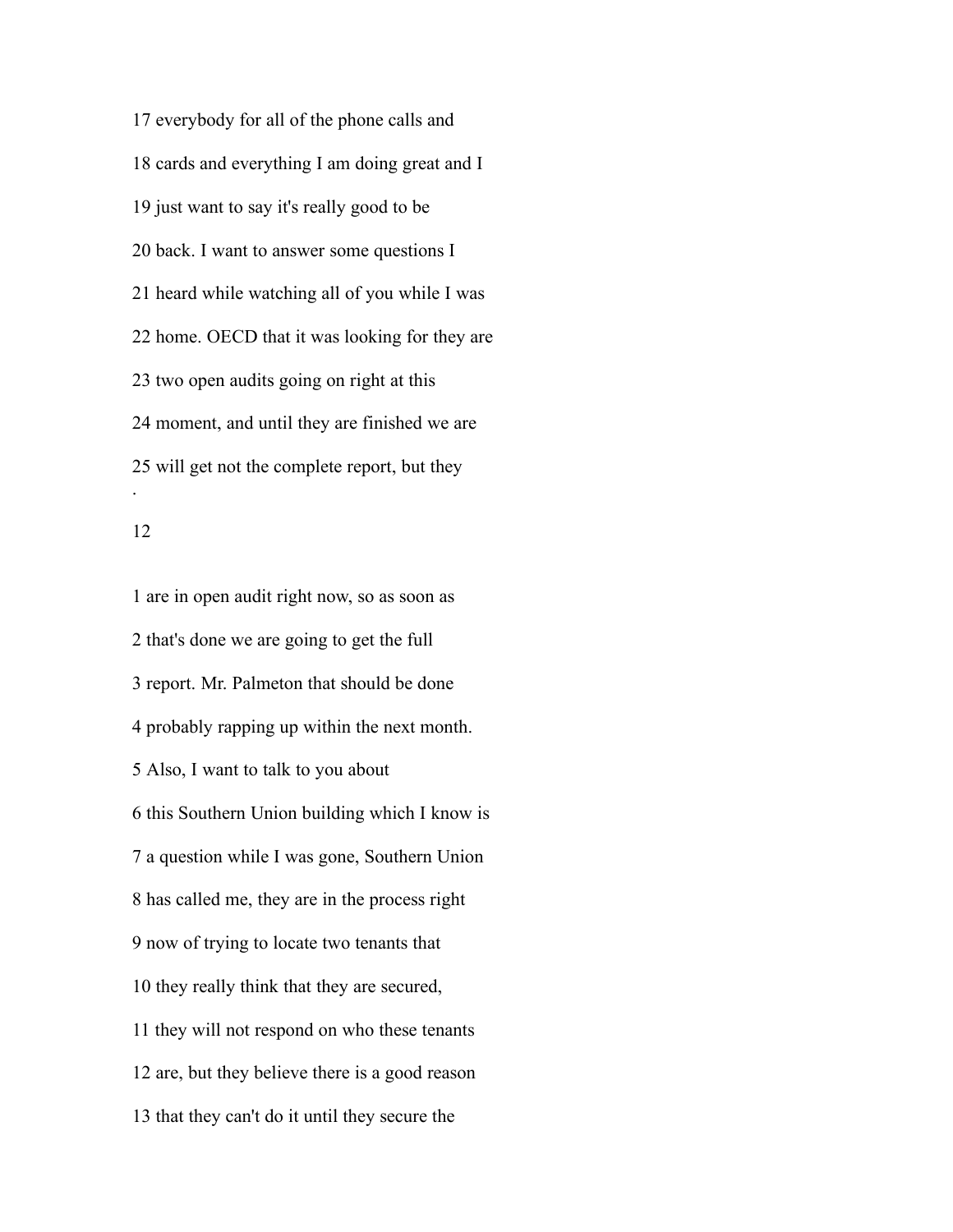everybody for all of the phone calls and cards and everything I am doing great and I just want to say it's really good to be back. I want to answer some questions I heard while watching all of you while I was home. OECD that it was looking for they are two open audits going on right at this moment, and until they are finished we are will get not the complete report, but they .

 are in open audit right now, so as soon as that's done we are going to get the full report. Mr. Palmeton that should be done probably rapping up within the next month. Also, I want to talk to you about this Southern Union building which I know is a question while I was gone, Southern Union has called me, they are in the process right now of trying to locate two tenants that they really think that they are secured, they will not respond on who these tenants are, but they believe there is a good reason that they can't do it until they secure the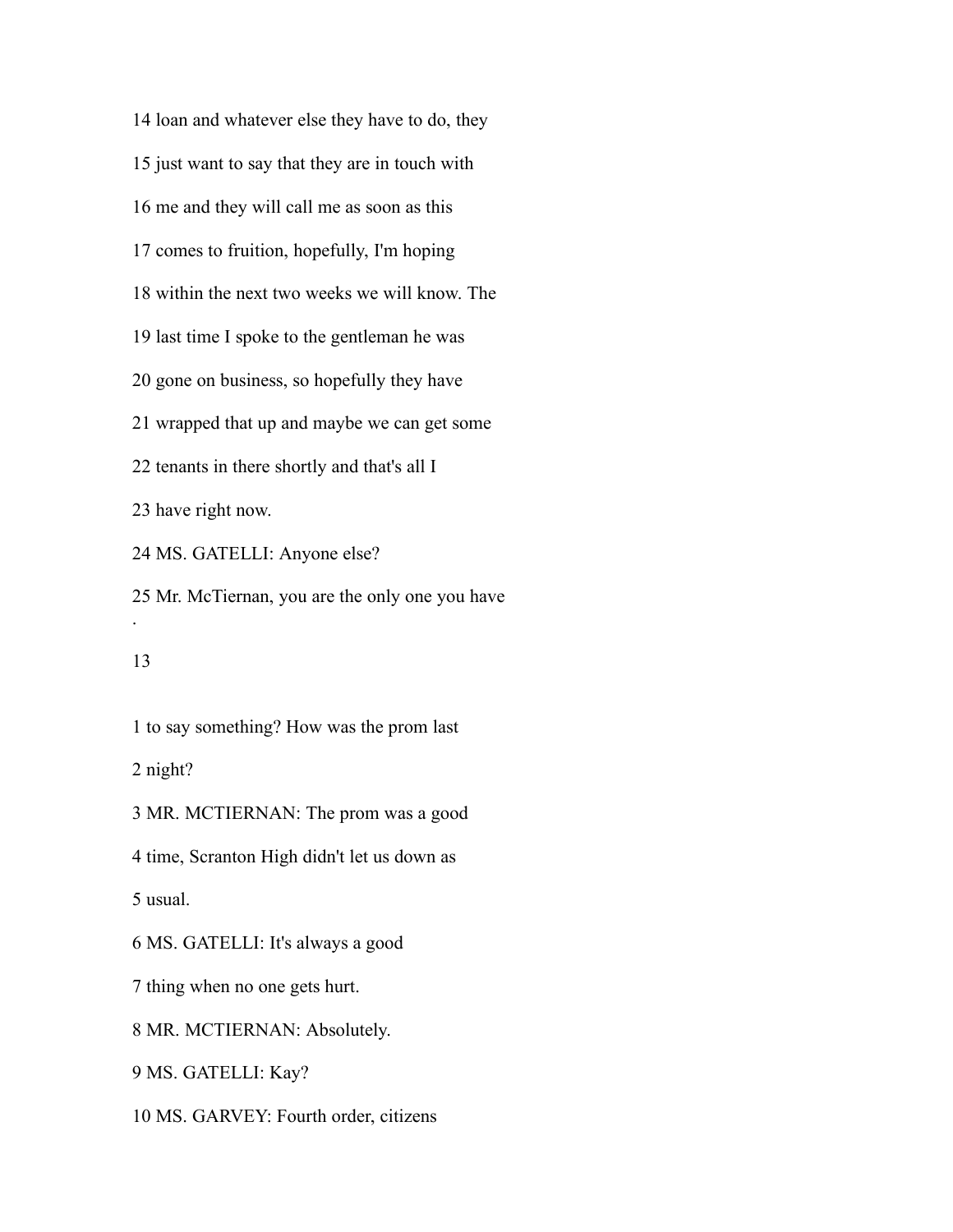loan and whatever else they have to do, they just want to say that they are in touch with me and they will call me as soon as this comes to fruition, hopefully, I'm hoping within the next two weeks we will know. The last time I spoke to the gentleman he was gone on business, so hopefully they have wrapped that up and maybe we can get some tenants in there shortly and that's all I have right now. MS. GATELLI: Anyone else? Mr. McTiernan, you are the only one you have . to say something? How was the prom last night? MR. MCTIERNAN: The prom was a good

time, Scranton High didn't let us down as

usual.

MS. GATELLI: It's always a good

thing when no one gets hurt.

MR. MCTIERNAN: Absolutely.

MS. GATELLI: Kay?

MS. GARVEY: Fourth order, citizens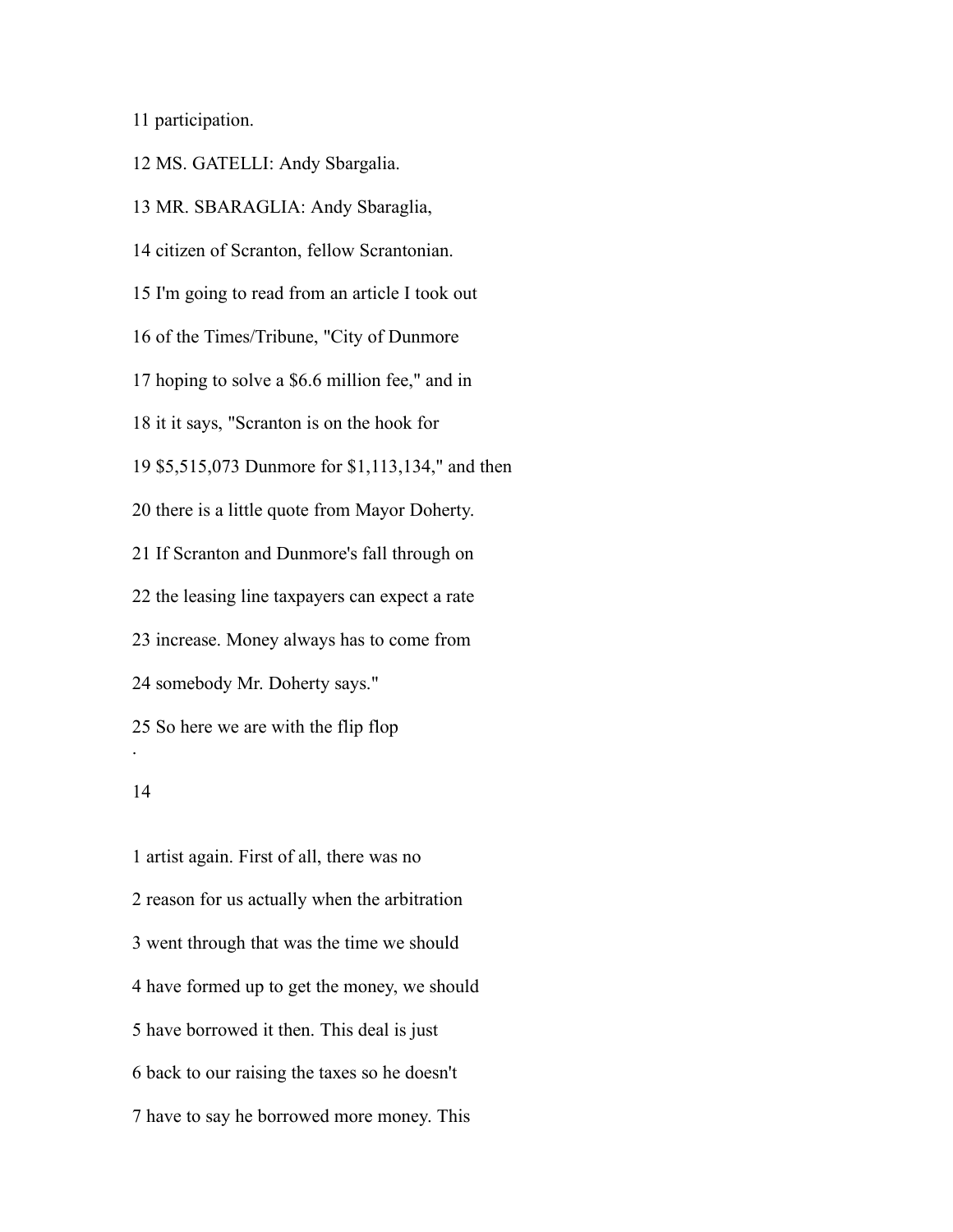participation.

MS. GATELLI: Andy Sbargalia.

 MR. SBARAGLIA: Andy Sbaraglia, citizen of Scranton, fellow Scrantonian. I'm going to read from an article I took out of the Times/Tribune, "City of Dunmore hoping to solve a \$6.6 million fee," and in it it says, "Scranton is on the hook for \$5,515,073 Dunmore for \$1,113,134," and then there is a little quote from Mayor Doherty. If Scranton and Dunmore's fall through on the leasing line taxpayers can expect a rate increase. Money always has to come from somebody Mr. Doherty says." So here we are with the flip flop .

 artist again. First of all, there was no reason for us actually when the arbitration went through that was the time we should have formed up to get the money, we should have borrowed it then. This deal is just back to our raising the taxes so he doesn't have to say he borrowed more money. This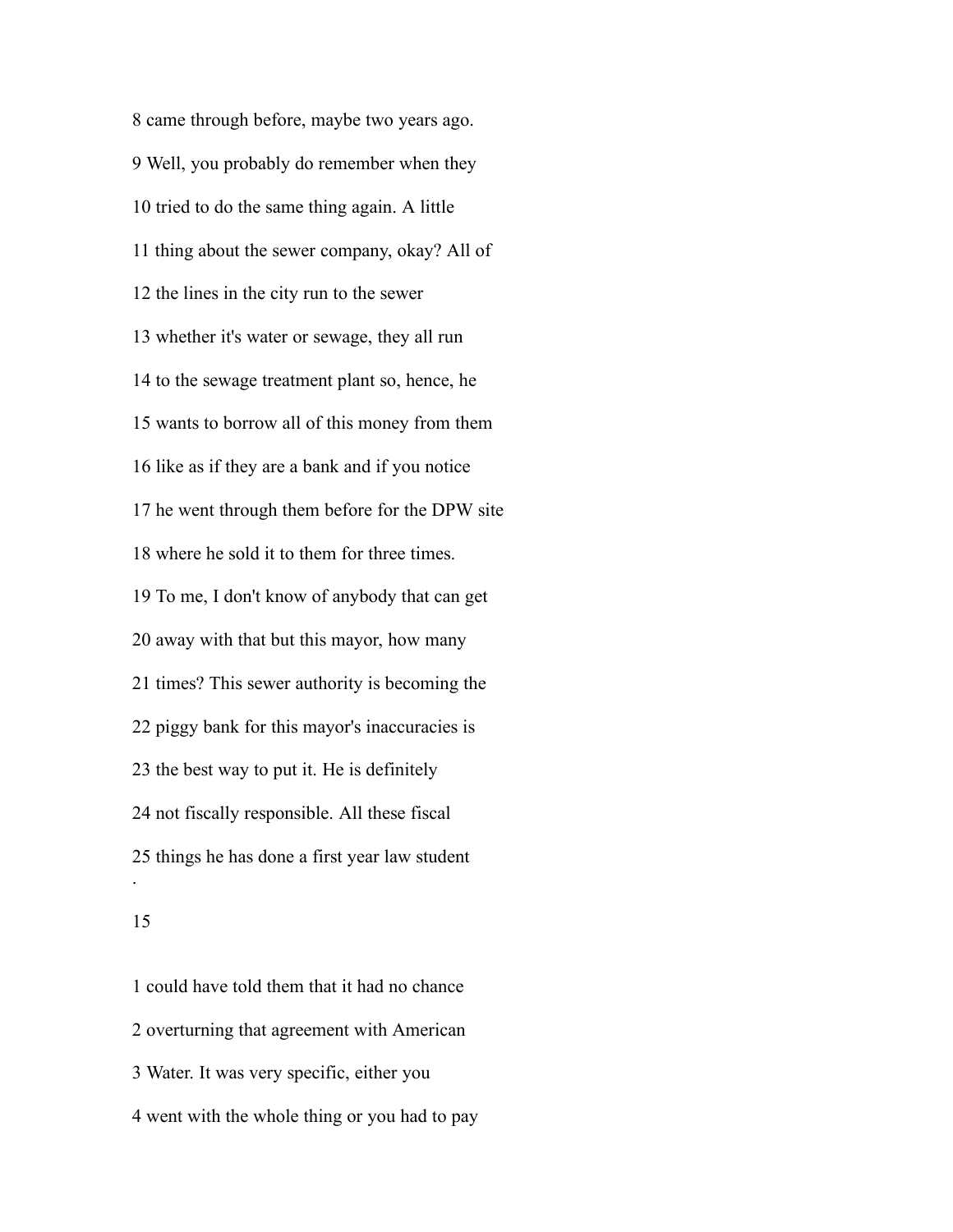came through before, maybe two years ago. Well, you probably do remember when they tried to do the same thing again. A little thing about the sewer company, okay? All of the lines in the city run to the sewer whether it's water or sewage, they all run to the sewage treatment plant so, hence, he wants to borrow all of this money from them like as if they are a bank and if you notice he went through them before for the DPW site where he sold it to them for three times. To me, I don't know of anybody that can get away with that but this mayor, how many times? This sewer authority is becoming the piggy bank for this mayor's inaccuracies is the best way to put it. He is definitely not fiscally responsible. All these fiscal things he has done a first year law student .

 could have told them that it had no chance overturning that agreement with American Water. It was very specific, either you went with the whole thing or you had to pay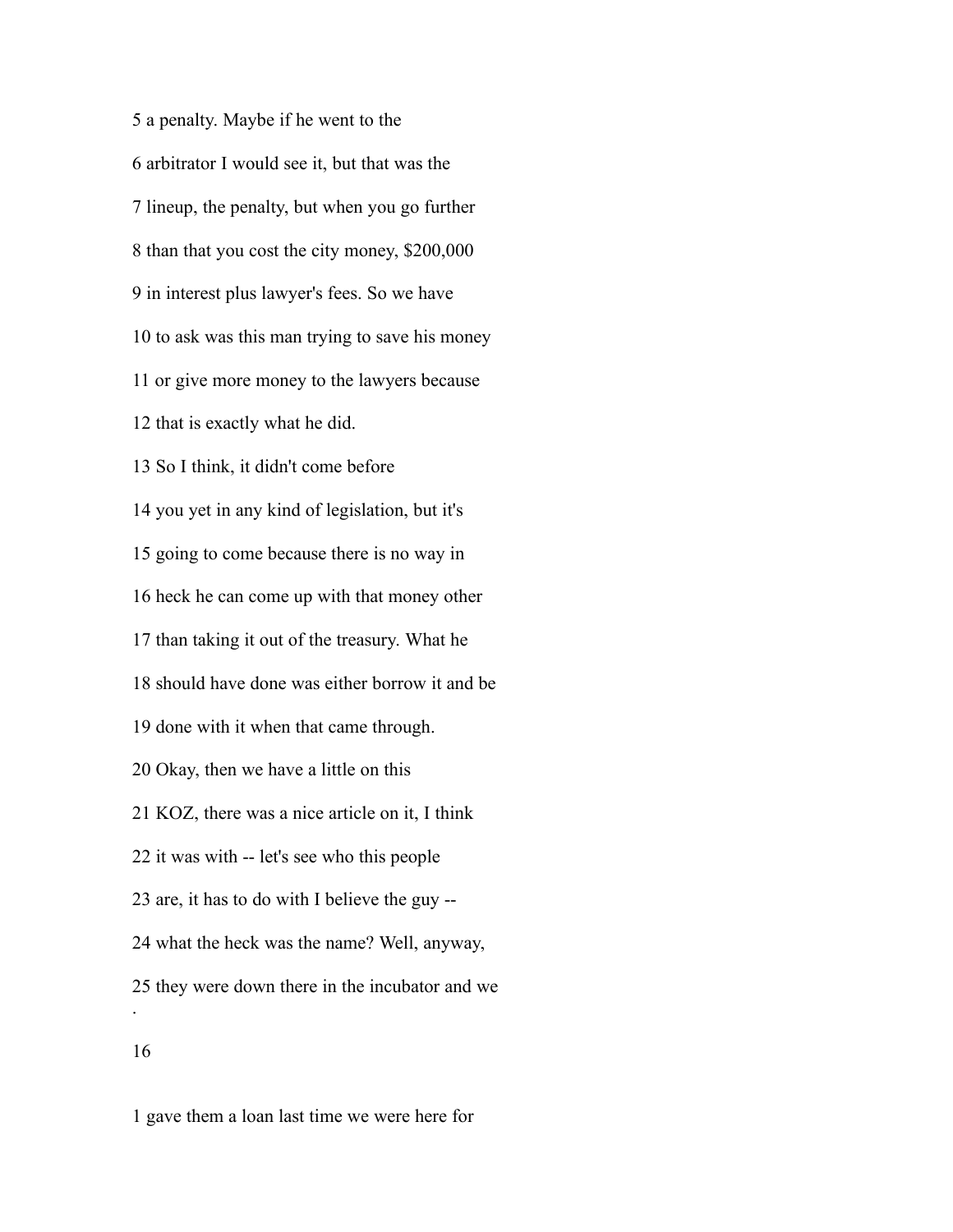a penalty. Maybe if he went to the arbitrator I would see it, but that was the lineup, the penalty, but when you go further than that you cost the city money, \$200,000 in interest plus lawyer's fees. So we have to ask was this man trying to save his money or give more money to the lawyers because that is exactly what he did. So I think, it didn't come before you yet in any kind of legislation, but it's going to come because there is no way in heck he can come up with that money other than taking it out of the treasury. What he should have done was either borrow it and be done with it when that came through. Okay, then we have a little on this KOZ, there was a nice article on it, I think it was with -- let's see who this people are, it has to do with I believe the guy -- what the heck was the name? Well, anyway, they were down there in the incubator and we . 

gave them a loan last time we were here for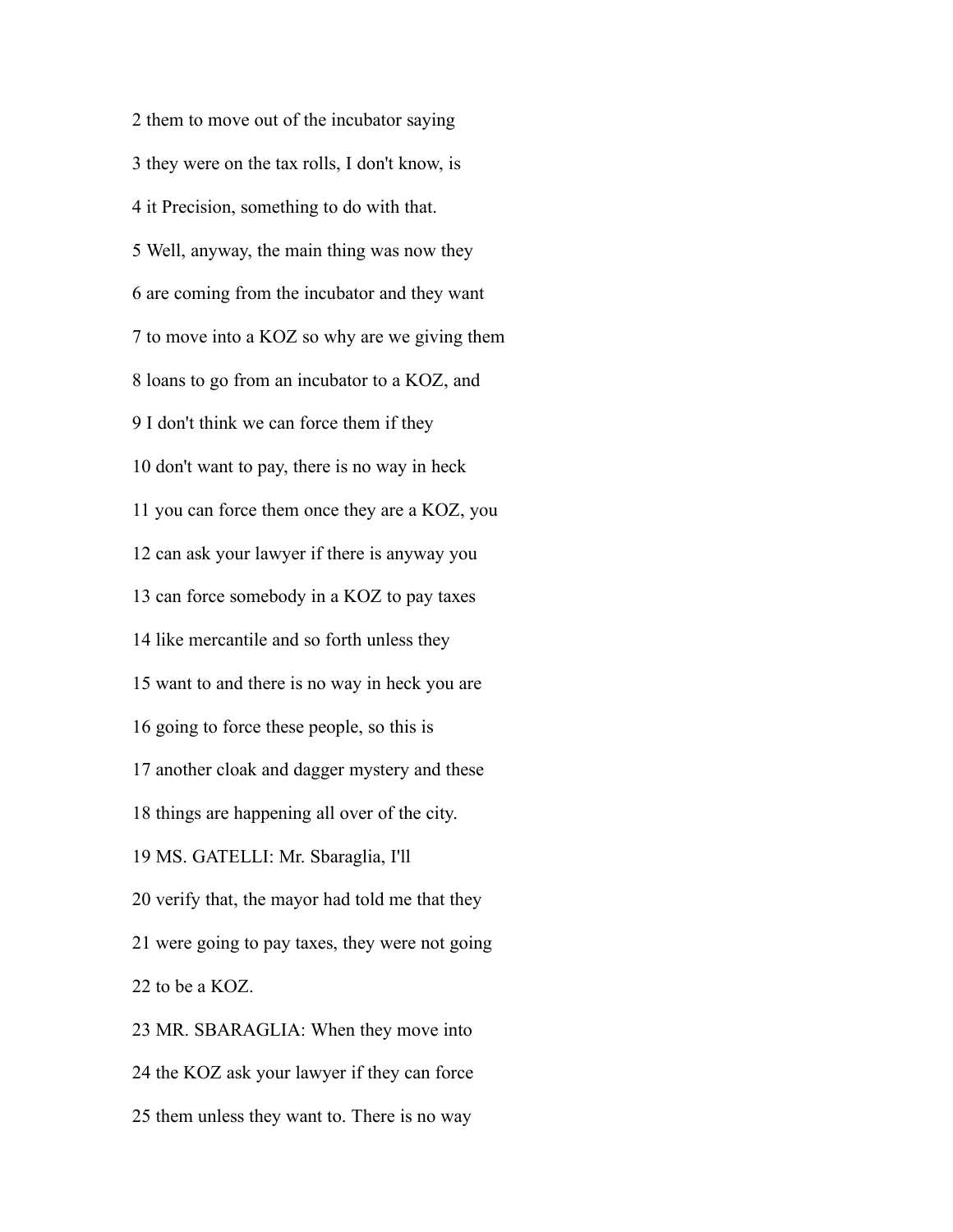them to move out of the incubator saying they were on the tax rolls, I don't know, is it Precision, something to do with that. Well, anyway, the main thing was now they are coming from the incubator and they want to move into a KOZ so why are we giving them loans to go from an incubator to a KOZ, and I don't think we can force them if they don't want to pay, there is no way in heck you can force them once they are a KOZ, you can ask your lawyer if there is anyway you can force somebody in a KOZ to pay taxes like mercantile and so forth unless they want to and there is no way in heck you are going to force these people, so this is another cloak and dagger mystery and these things are happening all over of the city. MS. GATELLI: Mr. Sbaraglia, I'll verify that, the mayor had told me that they were going to pay taxes, they were not going to be a KOZ. MR. SBARAGLIA: When they move into the KOZ ask your lawyer if they can force

them unless they want to. There is no way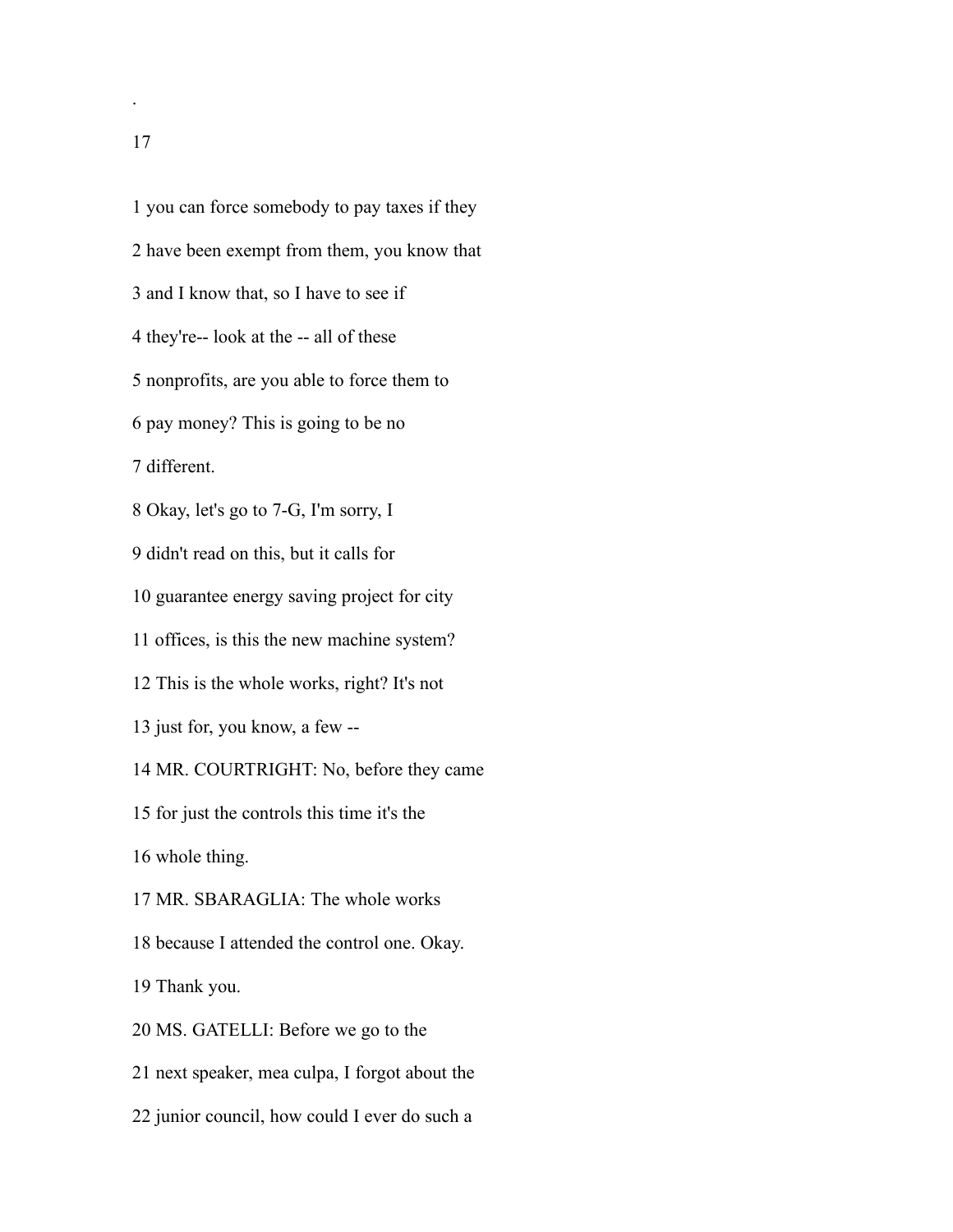you can force somebody to pay taxes if they have been exempt from them, you know that and I know that, so I have to see if they're-- look at the -- all of these nonprofits, are you able to force them to pay money? This is going to be no different. Okay, let's go to 7-G, I'm sorry, I didn't read on this, but it calls for guarantee energy saving project for city offices, is this the new machine system? This is the whole works, right? It's not just for, you know, a few -- MR. COURTRIGHT: No, before they came for just the controls this time it's the whole thing. MR. SBARAGLIA: The whole works because I attended the control one. Okay. Thank you. MS. GATELLI: Before we go to the next speaker, mea culpa, I forgot about the

junior council, how could I ever do such a

.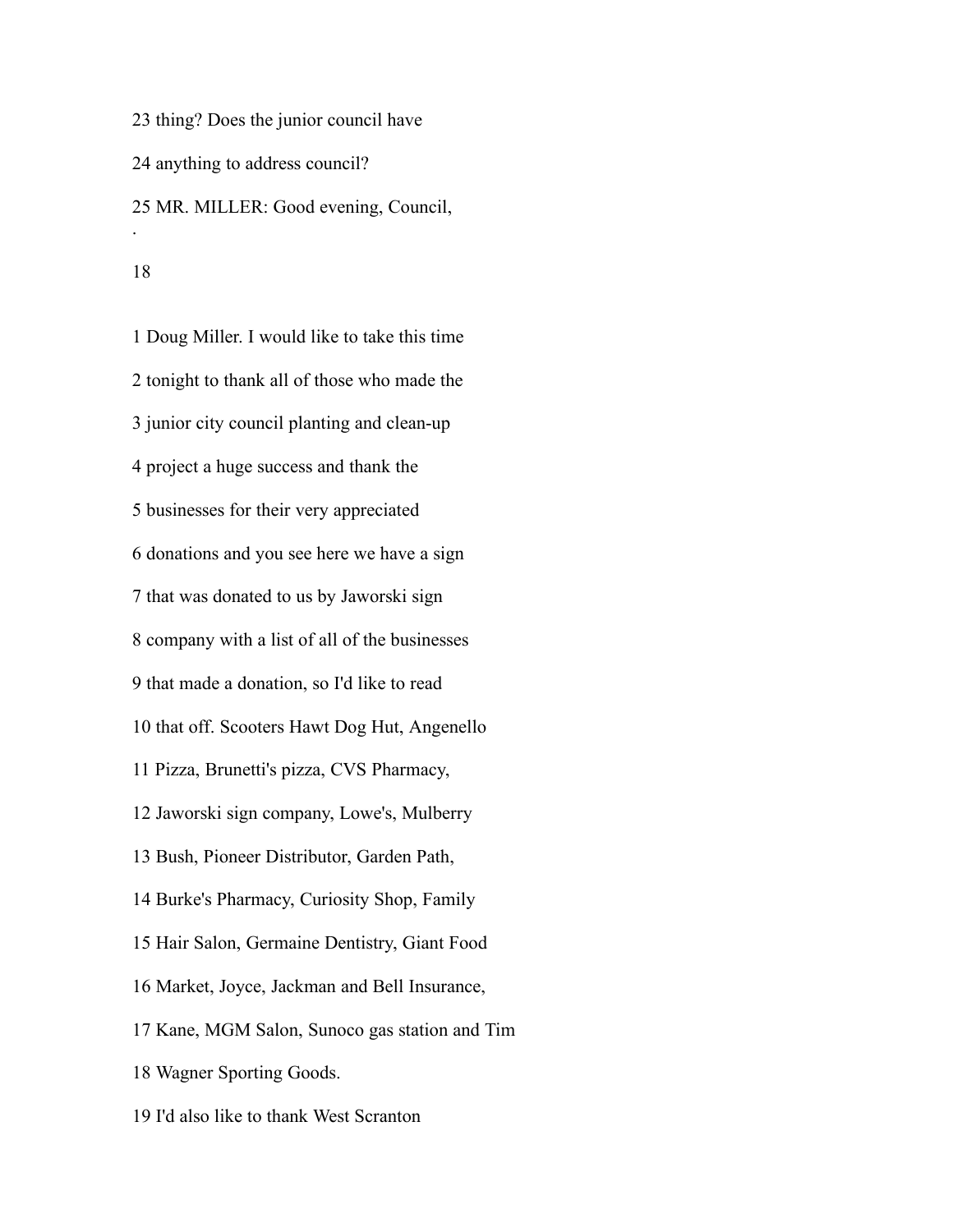thing? Does the junior council have anything to address council? MR. MILLER: Good evening, Council, .

 Doug Miller. I would like to take this time tonight to thank all of those who made the junior city council planting and clean-up project a huge success and thank the businesses for their very appreciated donations and you see here we have a sign that was donated to us by Jaworski sign company with a list of all of the businesses that made a donation, so I'd like to read that off. Scooters Hawt Dog Hut, Angenello Pizza, Brunetti's pizza, CVS Pharmacy, Jaworski sign company, Lowe's, Mulberry Bush, Pioneer Distributor, Garden Path, Burke's Pharmacy, Curiosity Shop, Family Hair Salon, Germaine Dentistry, Giant Food Market, Joyce, Jackman and Bell Insurance, Kane, MGM Salon, Sunoco gas station and Tim Wagner Sporting Goods.

I'd also like to thank West Scranton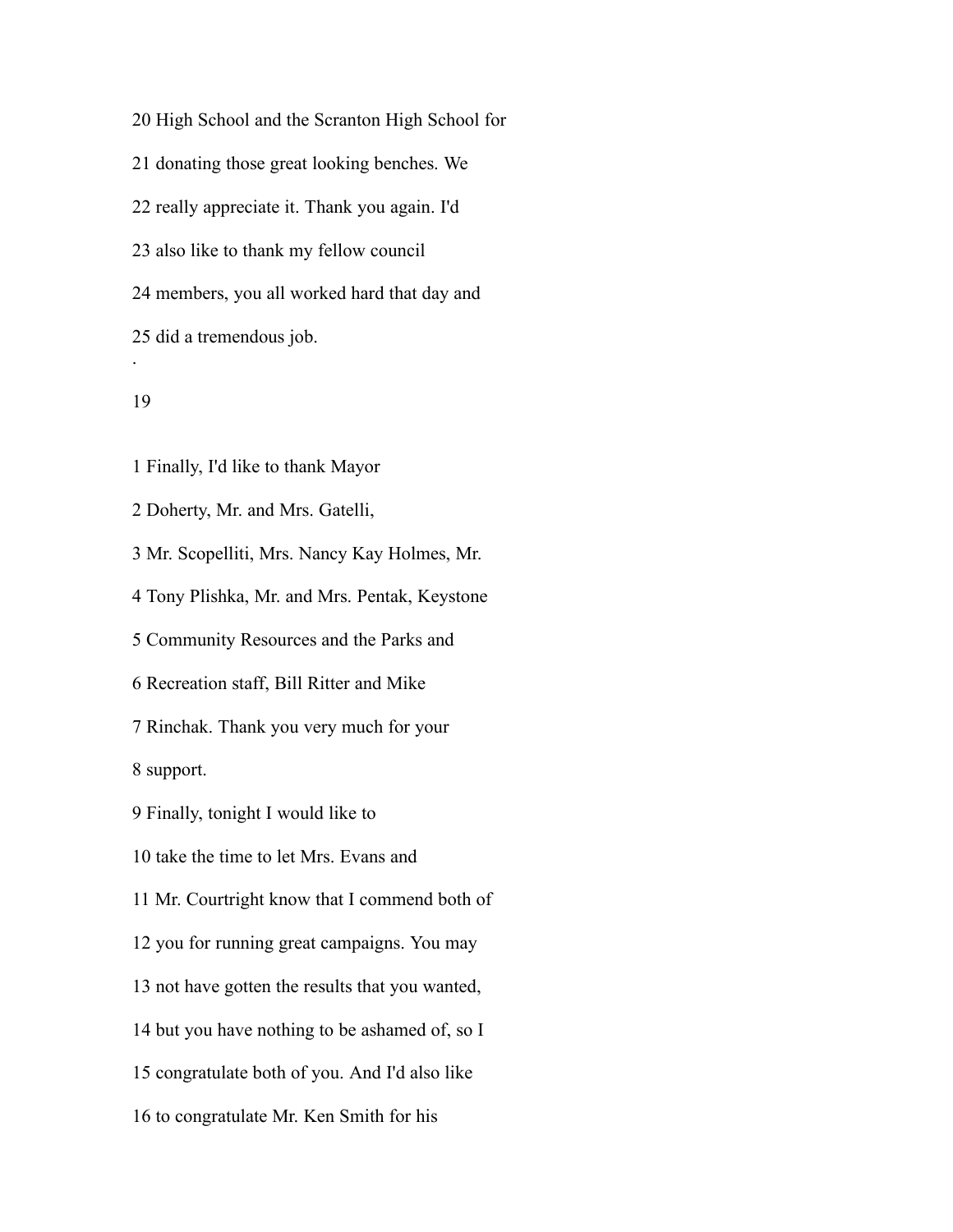High School and the Scranton High School for donating those great looking benches. We really appreciate it. Thank you again. I'd also like to thank my fellow council members, you all worked hard that day and did a tremendous job. .

# 

Finally, I'd like to thank Mayor

Doherty, Mr. and Mrs. Gatelli,

Mr. Scopelliti, Mrs. Nancy Kay Holmes, Mr.

Tony Plishka, Mr. and Mrs. Pentak, Keystone

Community Resources and the Parks and

Recreation staff, Bill Ritter and Mike

Rinchak. Thank you very much for your

support.

Finally, tonight I would like to

take the time to let Mrs. Evans and

Mr. Courtright know that I commend both of

you for running great campaigns. You may

not have gotten the results that you wanted,

but you have nothing to be ashamed of, so I

congratulate both of you. And I'd also like

to congratulate Mr. Ken Smith for his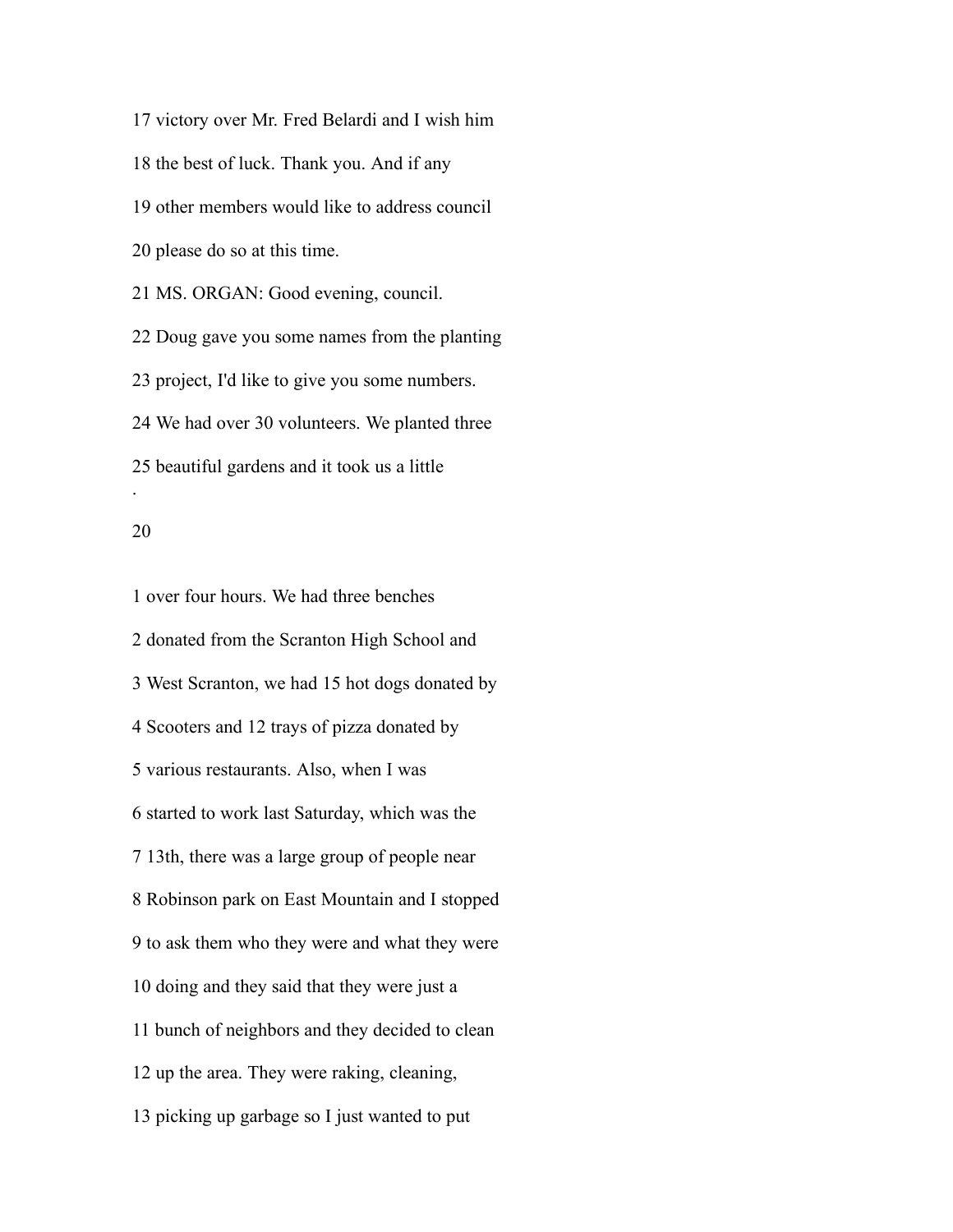victory over Mr. Fred Belardi and I wish him the best of luck. Thank you. And if any other members would like to address council please do so at this time. MS. ORGAN: Good evening, council. Doug gave you some names from the planting project, I'd like to give you some numbers. We had over 30 volunteers. We planted three beautiful gardens and it took us a little .

#### 

 over four hours. We had three benches donated from the Scranton High School and West Scranton, we had 15 hot dogs donated by Scooters and 12 trays of pizza donated by various restaurants. Also, when I was started to work last Saturday, which was the 13th, there was a large group of people near Robinson park on East Mountain and I stopped to ask them who they were and what they were doing and they said that they were just a bunch of neighbors and they decided to clean up the area. They were raking, cleaning, picking up garbage so I just wanted to put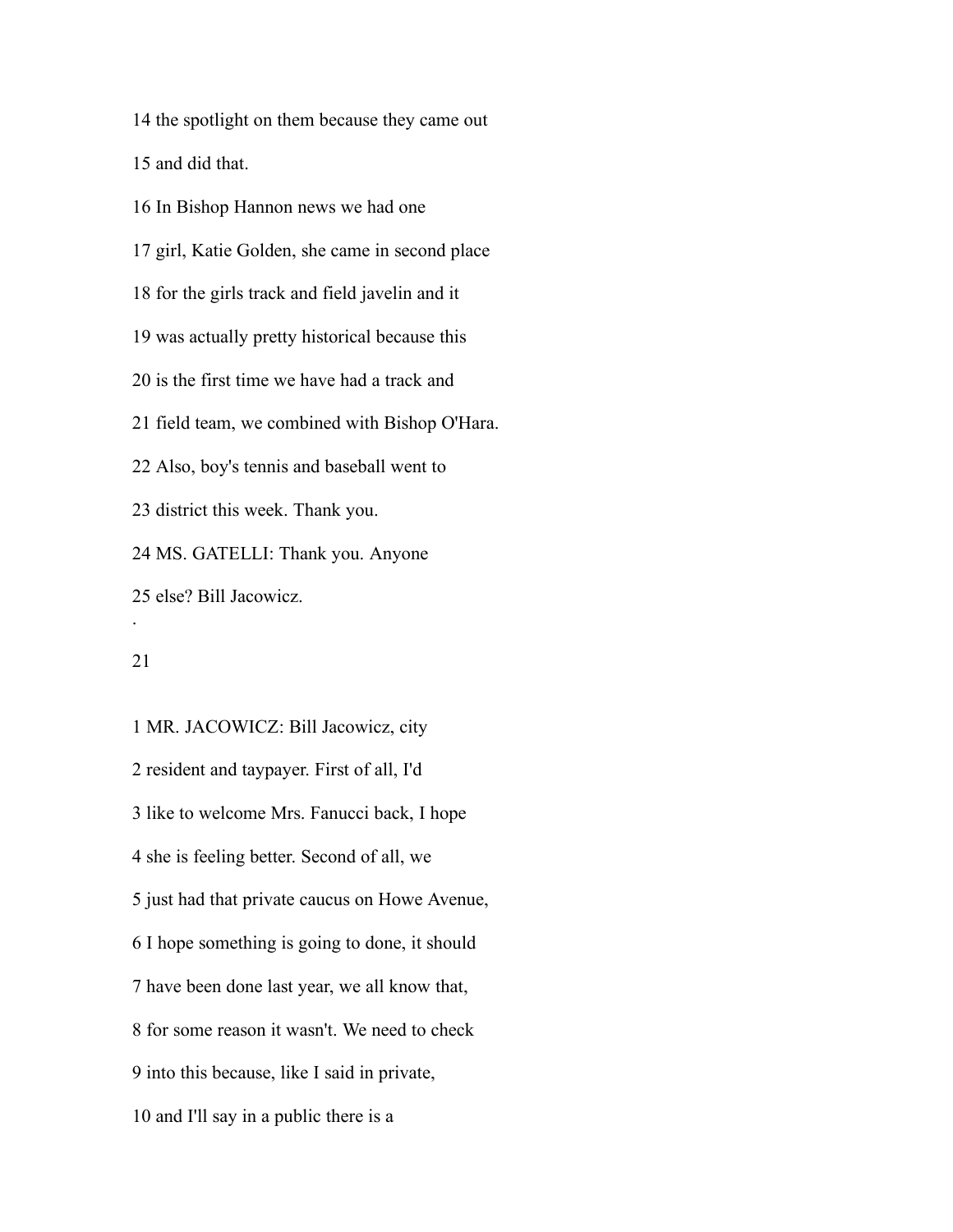the spotlight on them because they came out

and did that.

 In Bishop Hannon news we had one girl, Katie Golden, she came in second place for the girls track and field javelin and it was actually pretty historical because this is the first time we have had a track and field team, we combined with Bishop O'Hara. Also, boy's tennis and baseball went to district this week. Thank you. MS. GATELLI: Thank you. Anyone else? Bill Jacowicz. .

 MR. JACOWICZ: Bill Jacowicz, city resident and taypayer. First of all, I'd like to welcome Mrs. Fanucci back, I hope she is feeling better. Second of all, we just had that private caucus on Howe Avenue, I hope something is going to done, it should have been done last year, we all know that, for some reason it wasn't. We need to check into this because, like I said in private, and I'll say in a public there is a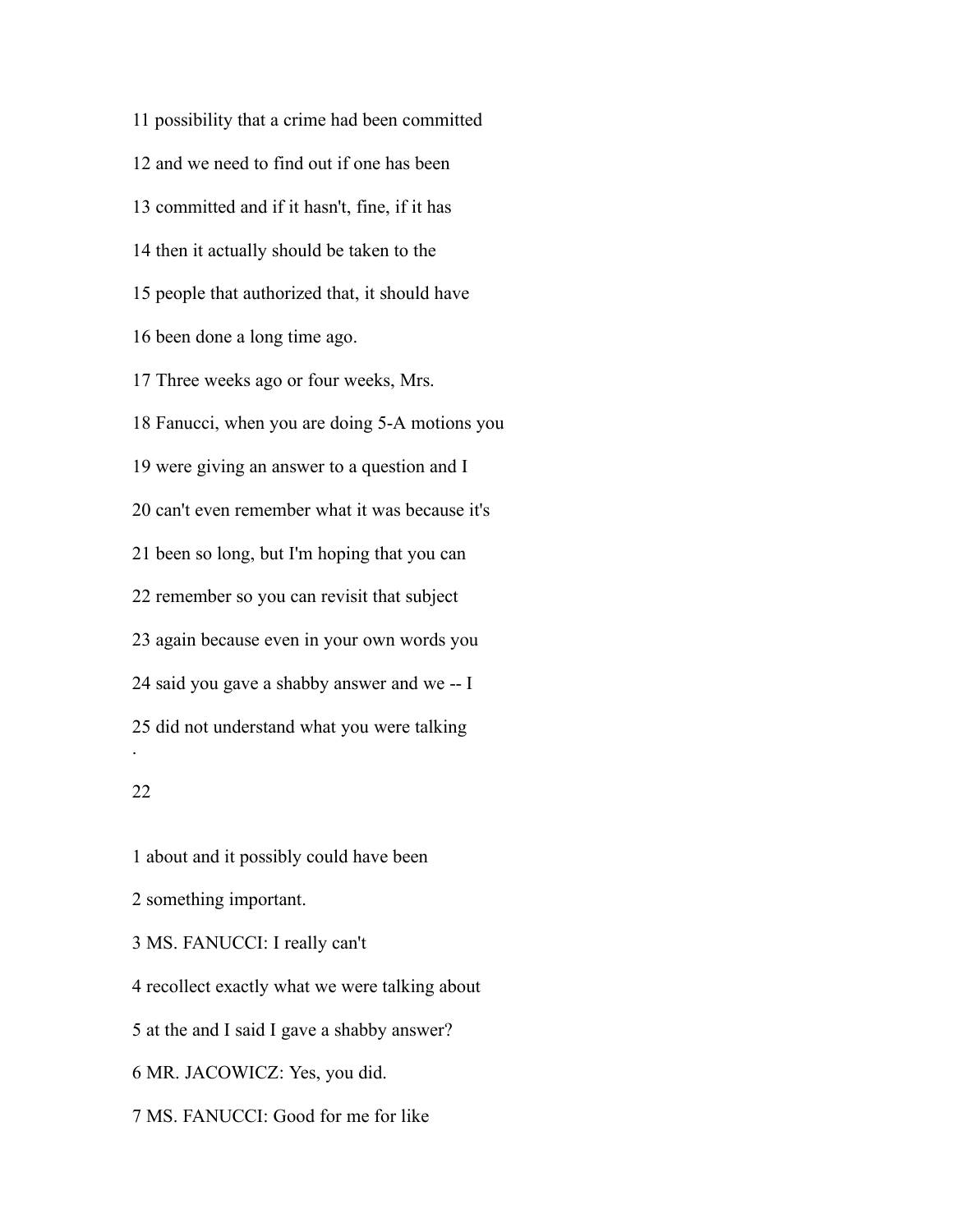possibility that a crime had been committed and we need to find out if one has been committed and if it hasn't, fine, if it has then it actually should be taken to the people that authorized that, it should have been done a long time ago. Three weeks ago or four weeks, Mrs. Fanucci, when you are doing 5-A motions you were giving an answer to a question and I can't even remember what it was because it's been so long, but I'm hoping that you can remember so you can revisit that subject again because even in your own words you said you gave a shabby answer and we -- I did not understand what you were talking .

# 

 about and it possibly could have been something important. MS. FANUCCI: I really can't recollect exactly what we were talking about at the and I said I gave a shabby answer? MR. JACOWICZ: Yes, you did. MS. FANUCCI: Good for me for like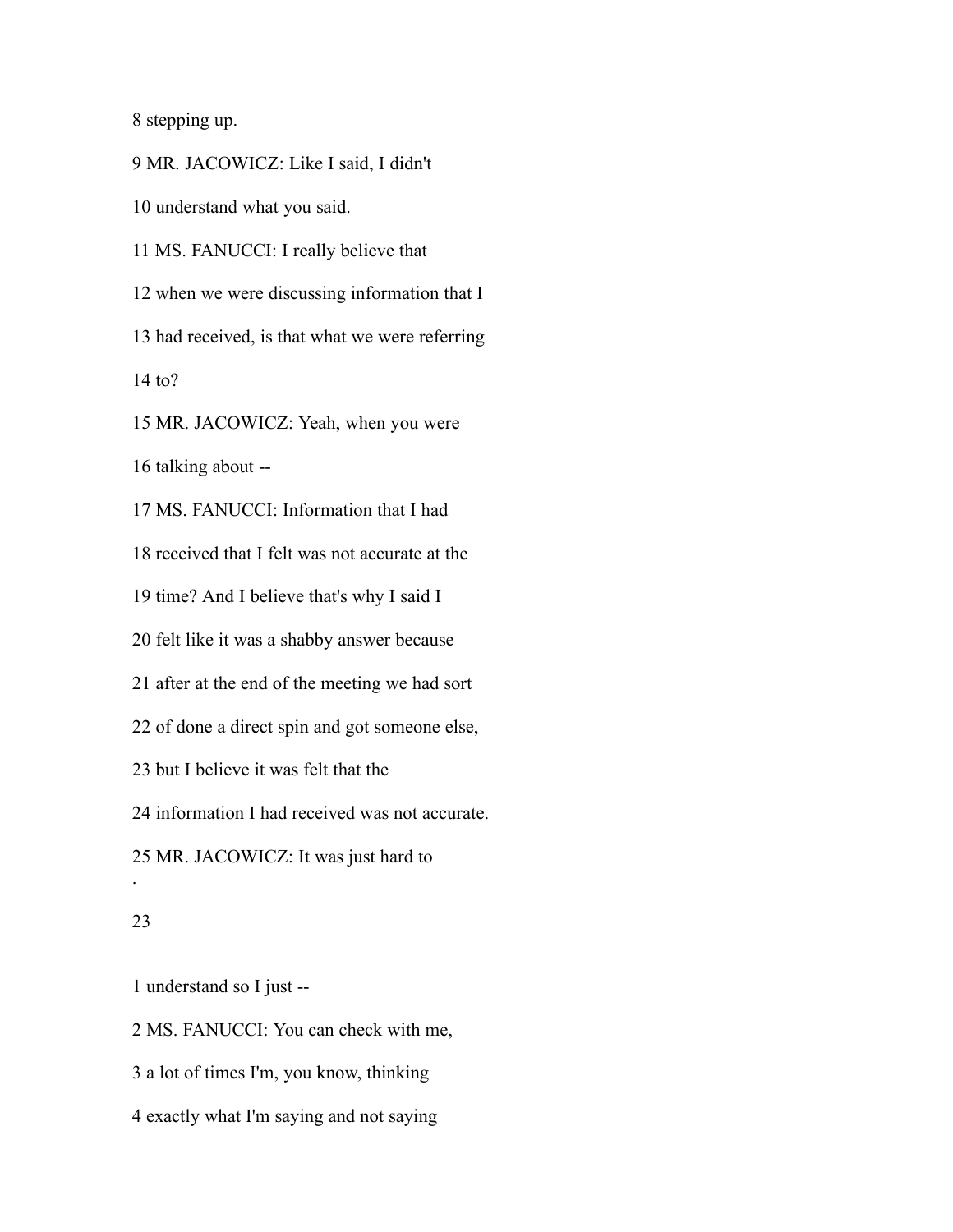stepping up.

 MR. JACOWICZ: Like I said, I didn't understand what you said. MS. FANUCCI: I really believe that when we were discussing information that I had received, is that what we were referring to? MR. JACOWICZ: Yeah, when you were talking about -- MS. FANUCCI: Information that I had received that I felt was not accurate at the time? And I believe that's why I said I felt like it was a shabby answer because after at the end of the meeting we had sort of done a direct spin and got someone else, but I believe it was felt that the information I had received was not accurate. MR. JACOWICZ: It was just hard to .

### 

understand so I just --

MS. FANUCCI: You can check with me,

a lot of times I'm, you know, thinking

exactly what I'm saying and not saying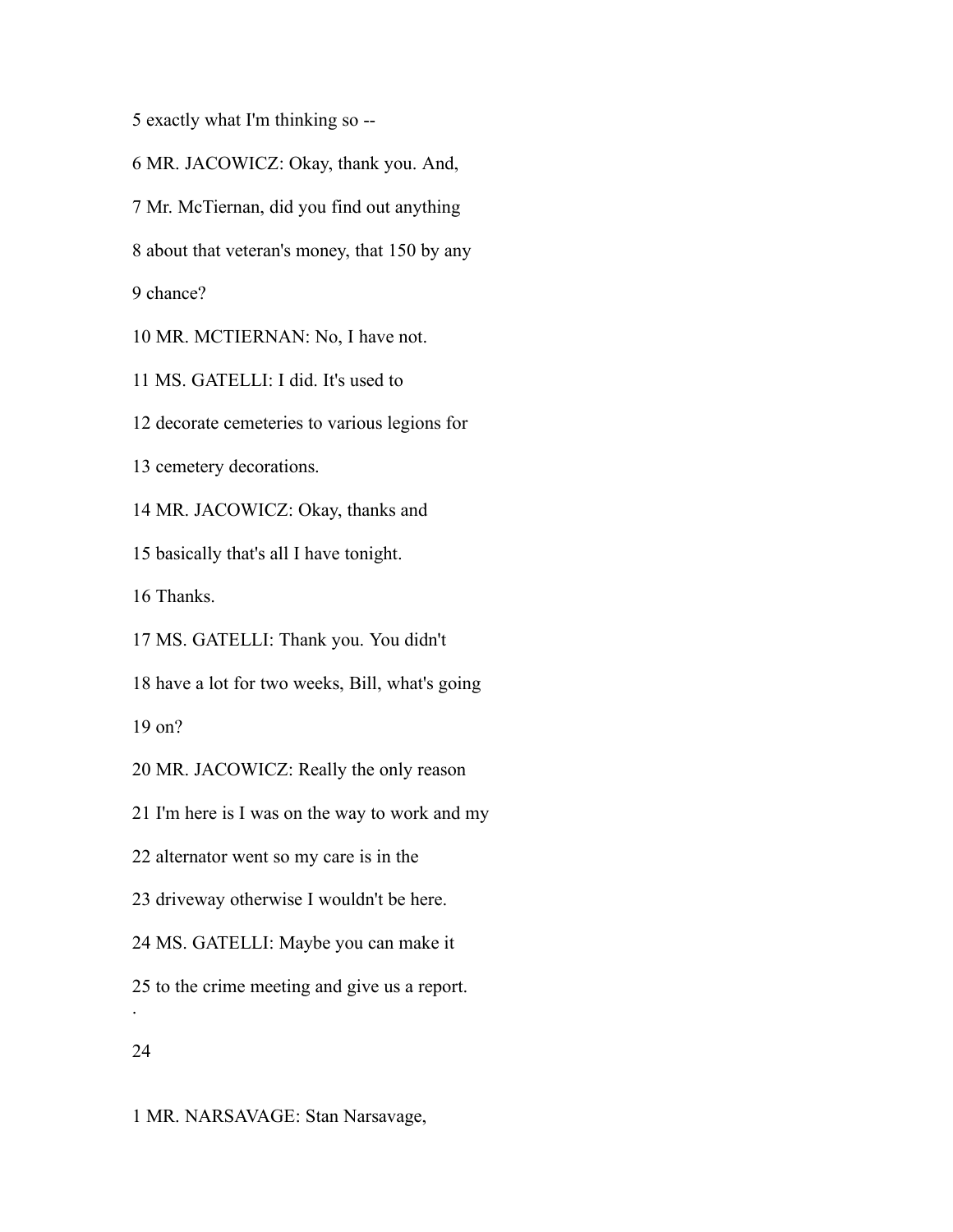exactly what I'm thinking so --

 MR. JACOWICZ: Okay, thank you. And, Mr. McTiernan, did you find out anything about that veteran's money, that 150 by any chance? MR. MCTIERNAN: No, I have not.

MS. GATELLI: I did. It's used to

decorate cemeteries to various legions for

cemetery decorations.

MR. JACOWICZ: Okay, thanks and

basically that's all I have tonight.

Thanks.

MS. GATELLI: Thank you. You didn't

have a lot for two weeks, Bill, what's going

on?

MR. JACOWICZ: Really the only reason

I'm here is I was on the way to work and my

alternator went so my care is in the

driveway otherwise I wouldn't be here.

MS. GATELLI: Maybe you can make it

to the crime meeting and give us a report.

## 

.

MR. NARSAVAGE: Stan Narsavage,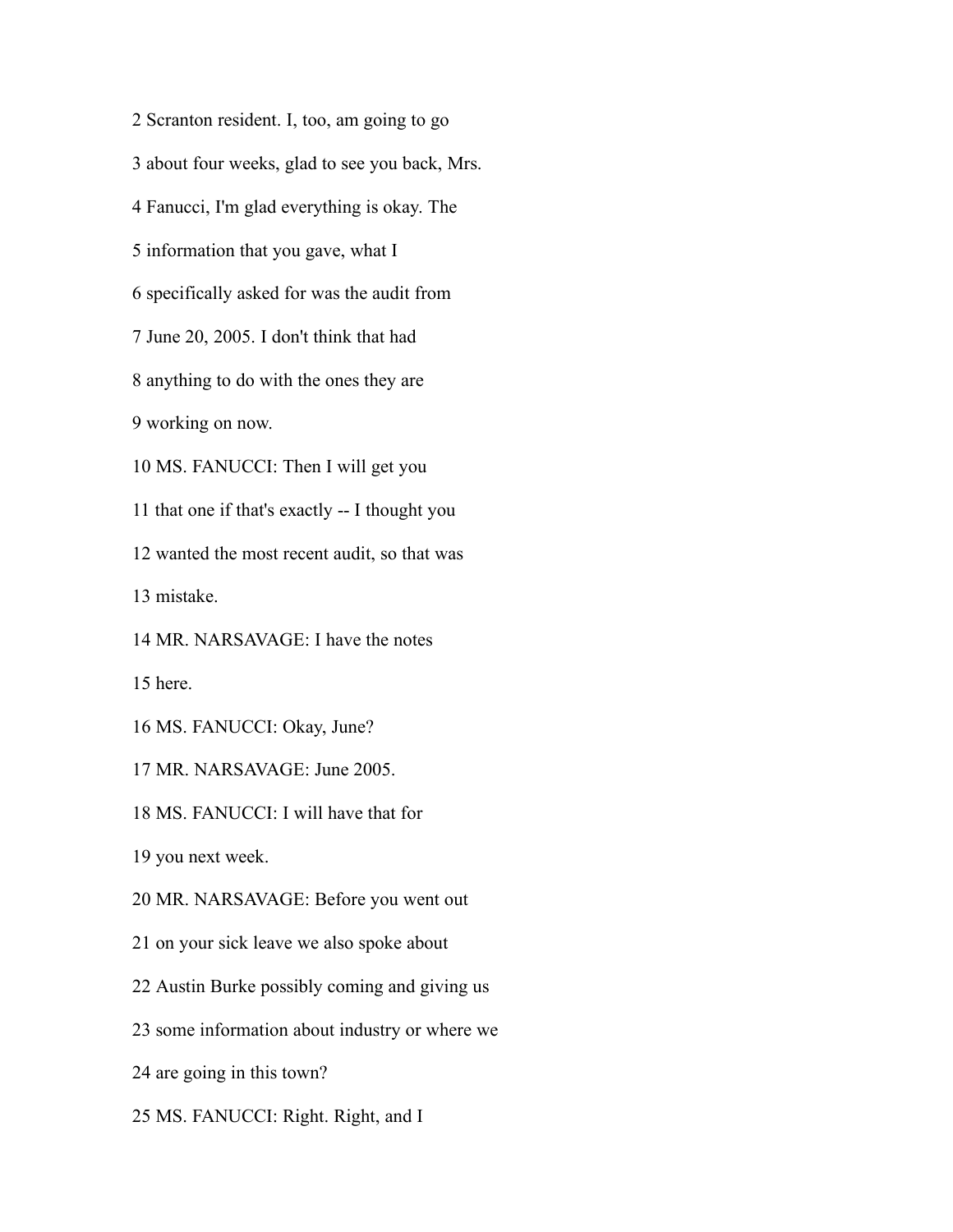Scranton resident. I, too, am going to go about four weeks, glad to see you back, Mrs. Fanucci, I'm glad everything is okay. The information that you gave, what I specifically asked for was the audit from June 20, 2005. I don't think that had anything to do with the ones they are working on now. MS. FANUCCI: Then I will get you that one if that's exactly -- I thought you wanted the most recent audit, so that was mistake. MR. NARSAVAGE: I have the notes here. MS. FANUCCI: Okay, June? MR. NARSAVAGE: June 2005. MS. FANUCCI: I will have that for you next week. MR. NARSAVAGE: Before you went out on your sick leave we also spoke about Austin Burke possibly coming and giving us some information about industry or where we are going in this town? MS. FANUCCI: Right. Right, and I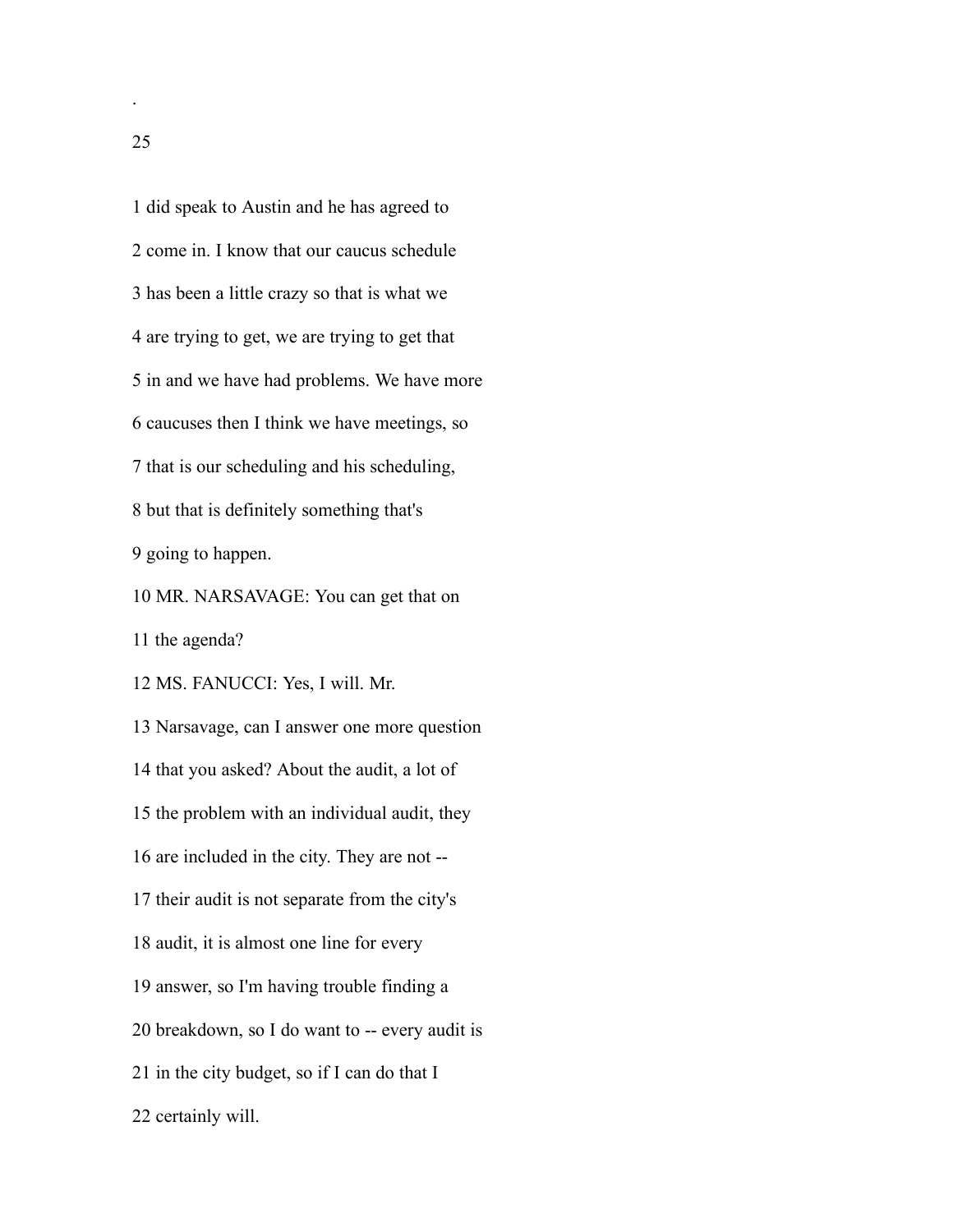did speak to Austin and he has agreed to come in. I know that our caucus schedule has been a little crazy so that is what we are trying to get, we are trying to get that in and we have had problems. We have more caucuses then I think we have meetings, so that is our scheduling and his scheduling, but that is definitely something that's going to happen. MR. NARSAVAGE: You can get that on the agenda? MS. FANUCCI: Yes, I will. Mr. Narsavage, can I answer one more question that you asked? About the audit, a lot of the problem with an individual audit, they are included in the city. They are not -- their audit is not separate from the city's audit, it is almost one line for every answer, so I'm having trouble finding a breakdown, so I do want to -- every audit is in the city budget, so if I can do that I certainly will.

.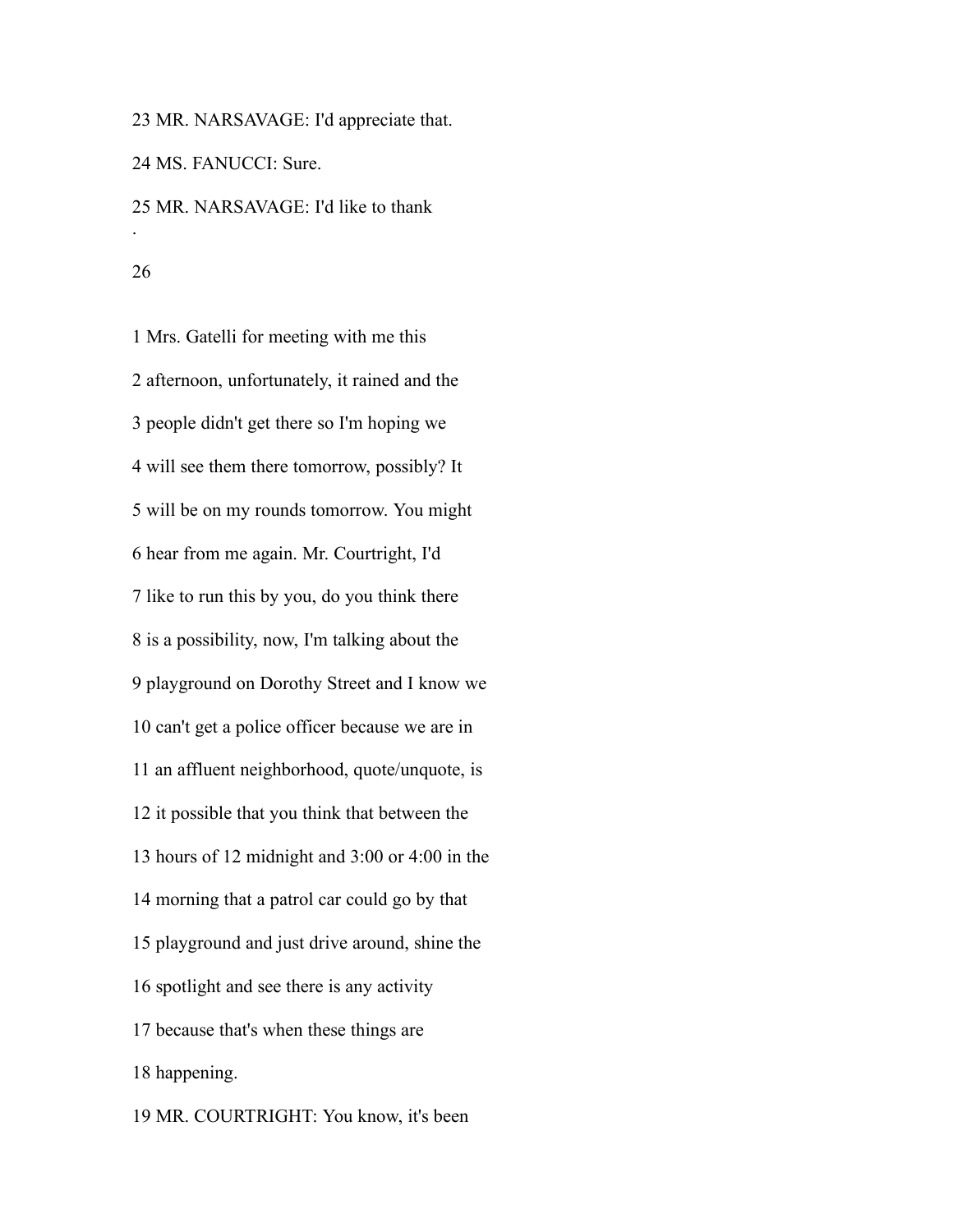MR. NARSAVAGE: I'd appreciate that.

MS. FANUCCI: Sure.

 MR. NARSAVAGE: I'd like to thank .

 Mrs. Gatelli for meeting with me this afternoon, unfortunately, it rained and the people didn't get there so I'm hoping we will see them there tomorrow, possibly? It will be on my rounds tomorrow. You might hear from me again. Mr. Courtright, I'd like to run this by you, do you think there is a possibility, now, I'm talking about the playground on Dorothy Street and I know we can't get a police officer because we are in an affluent neighborhood, quote/unquote, is it possible that you think that between the hours of 12 midnight and 3:00 or 4:00 in the morning that a patrol car could go by that playground and just drive around, shine the spotlight and see there is any activity because that's when these things are happening.

MR. COURTRIGHT: You know, it's been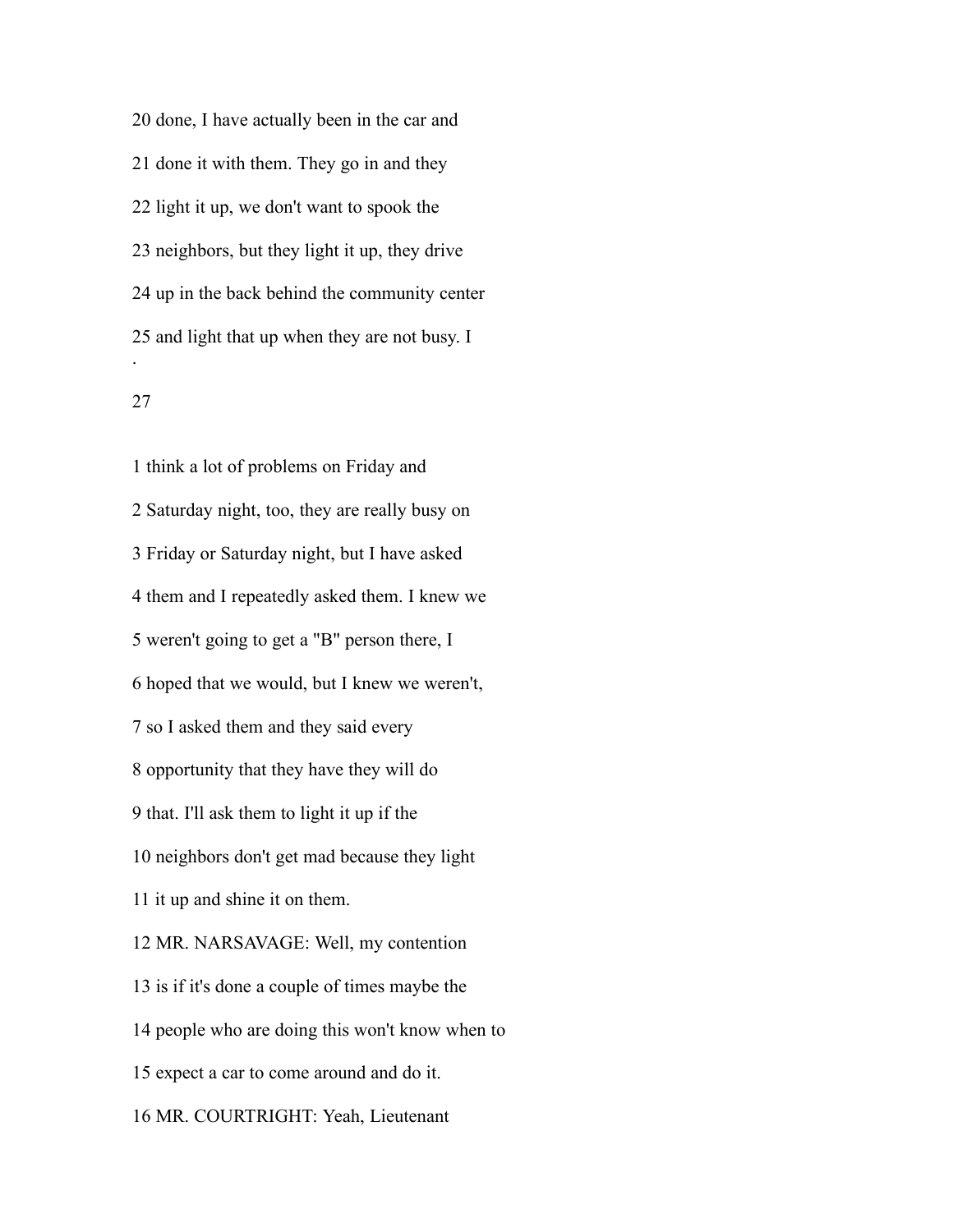done, I have actually been in the car and done it with them. They go in and they light it up, we don't want to spook the neighbors, but they light it up, they drive up in the back behind the community center and light that up when they are not busy. I .

## 

 think a lot of problems on Friday and Saturday night, too, they are really busy on Friday or Saturday night, but I have asked them and I repeatedly asked them. I knew we weren't going to get a "B" person there, I hoped that we would, but I knew we weren't, so I asked them and they said every opportunity that they have they will do that. I'll ask them to light it up if the neighbors don't get mad because they light it up and shine it on them. MR. NARSAVAGE: Well, my contention is if it's done a couple of times maybe the people who are doing this won't know when to expect a car to come around and do it. MR. COURTRIGHT: Yeah, Lieutenant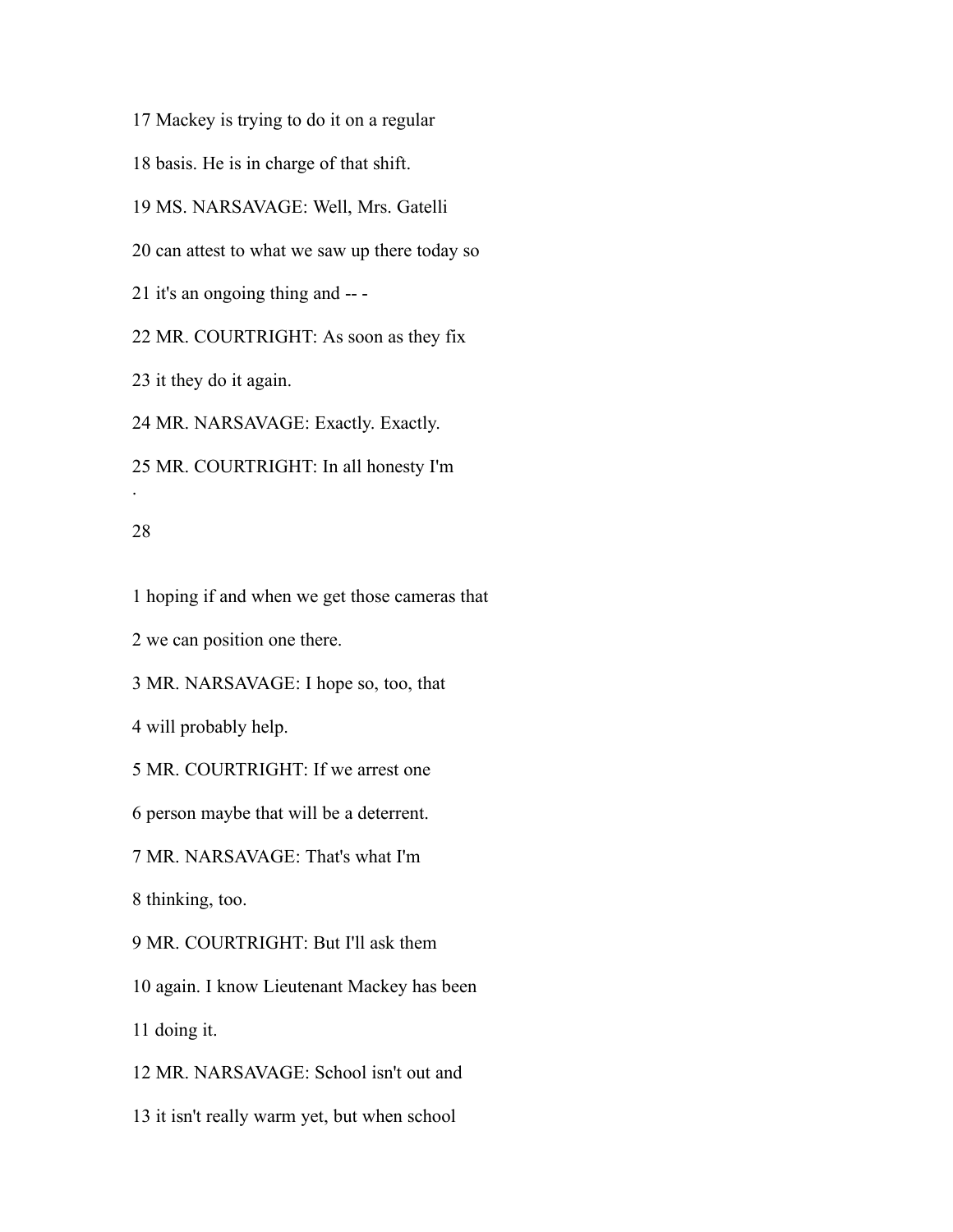Mackey is trying to do it on a regular basis. He is in charge of that shift. MS. NARSAVAGE: Well, Mrs. Gatelli can attest to what we saw up there today so it's an ongoing thing and -- - MR. COURTRIGHT: As soon as they fix it they do it again. MR. NARSAVAGE: Exactly. Exactly.

MR. COURTRIGHT: In all honesty I'm

#### 

.

hoping if and when we get those cameras that

we can position one there.

MR. NARSAVAGE: I hope so, too, that

will probably help.

MR. COURTRIGHT: If we arrest one

person maybe that will be a deterrent.

MR. NARSAVAGE: That's what I'm

thinking, too.

MR. COURTRIGHT: But I'll ask them

again. I know Lieutenant Mackey has been

doing it.

MR. NARSAVAGE: School isn't out and

it isn't really warm yet, but when school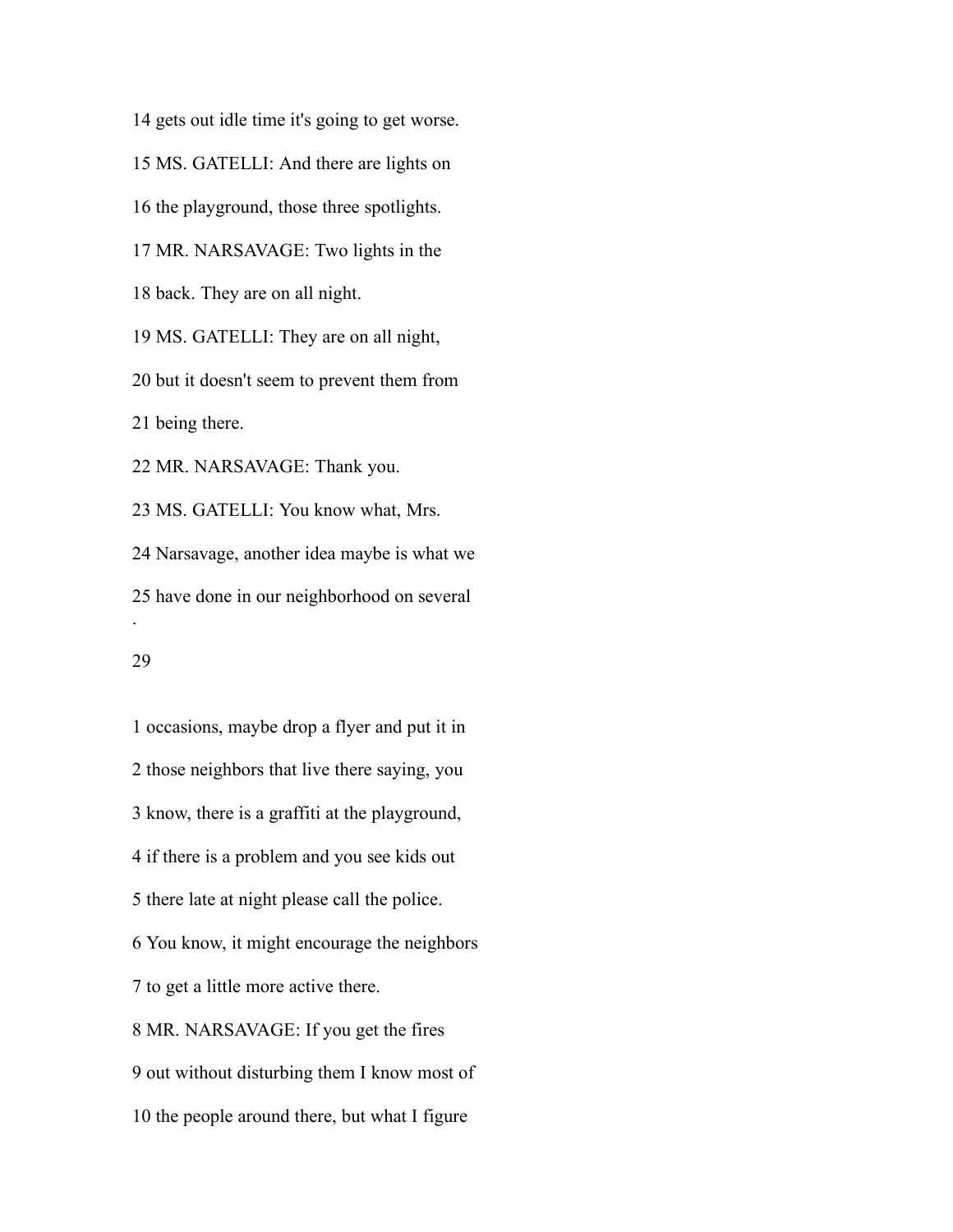gets out idle time it's going to get worse. MS. GATELLI: And there are lights on the playground, those three spotlights. MR. NARSAVAGE: Two lights in the back. They are on all night. MS. GATELLI: They are on all night, but it doesn't seem to prevent them from being there. MR. NARSAVAGE: Thank you. MS. GATELLI: You know what, Mrs. Narsavage, another idea maybe is what we have done in our neighborhood on several . 

 occasions, maybe drop a flyer and put it in those neighbors that live there saying, you know, there is a graffiti at the playground, if there is a problem and you see kids out there late at night please call the police. You know, it might encourage the neighbors to get a little more active there. MR. NARSAVAGE: If you get the fires out without disturbing them I know most of the people around there, but what I figure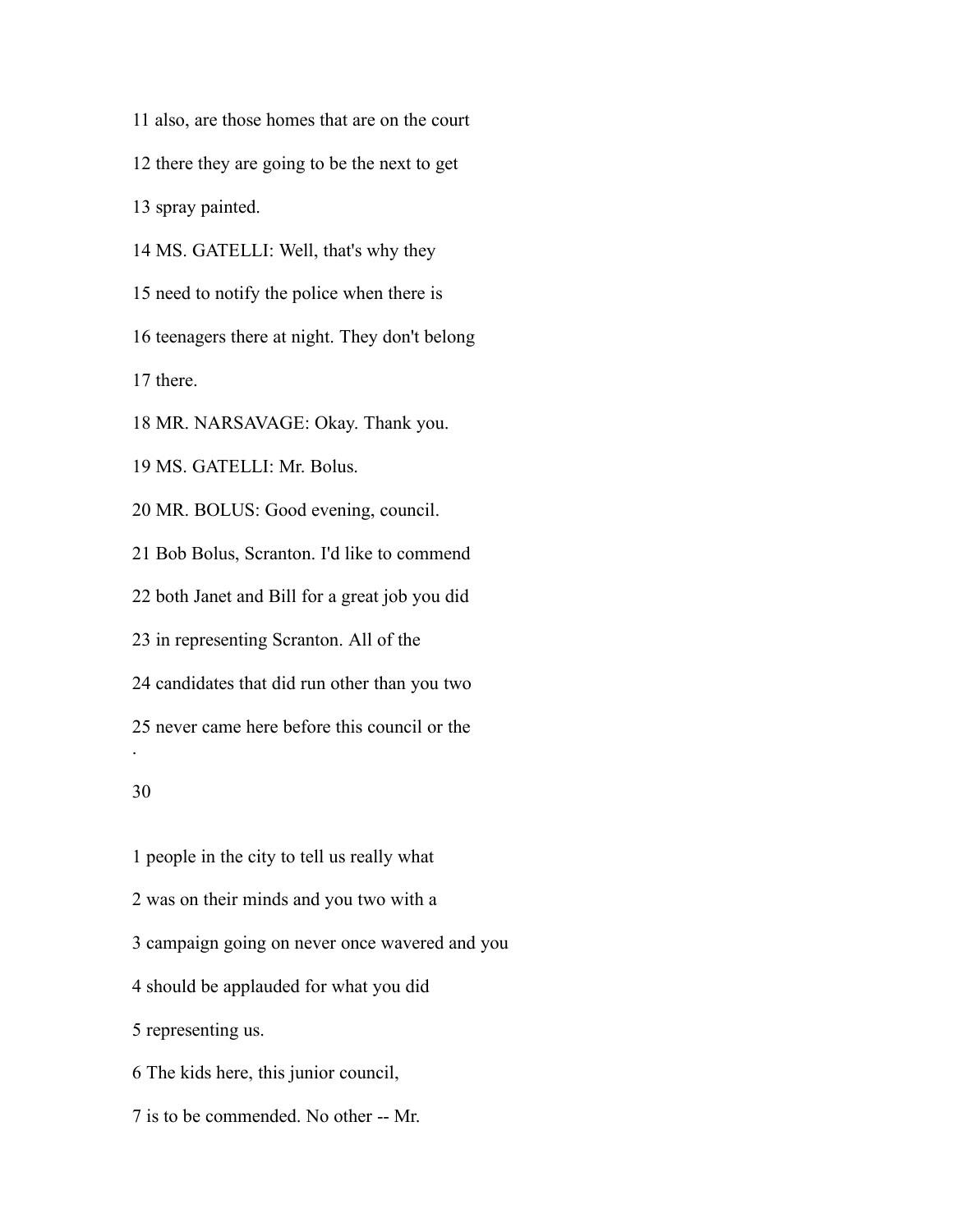also, are those homes that are on the court there they are going to be the next to get spray painted. MS. GATELLI: Well, that's why they need to notify the police when there is teenagers there at night. They don't belong there. MR. NARSAVAGE: Okay. Thank you. MS. GATELLI: Mr. Bolus. MR. BOLUS: Good evening, council. Bob Bolus, Scranton. I'd like to commend both Janet and Bill for a great job you did

in representing Scranton. All of the

candidates that did run other than you two

never came here before this council or the

## 

.

 people in the city to tell us really what was on their minds and you two with a campaign going on never once wavered and you should be applauded for what you did representing us. The kids here, this junior council, is to be commended. No other -- Mr.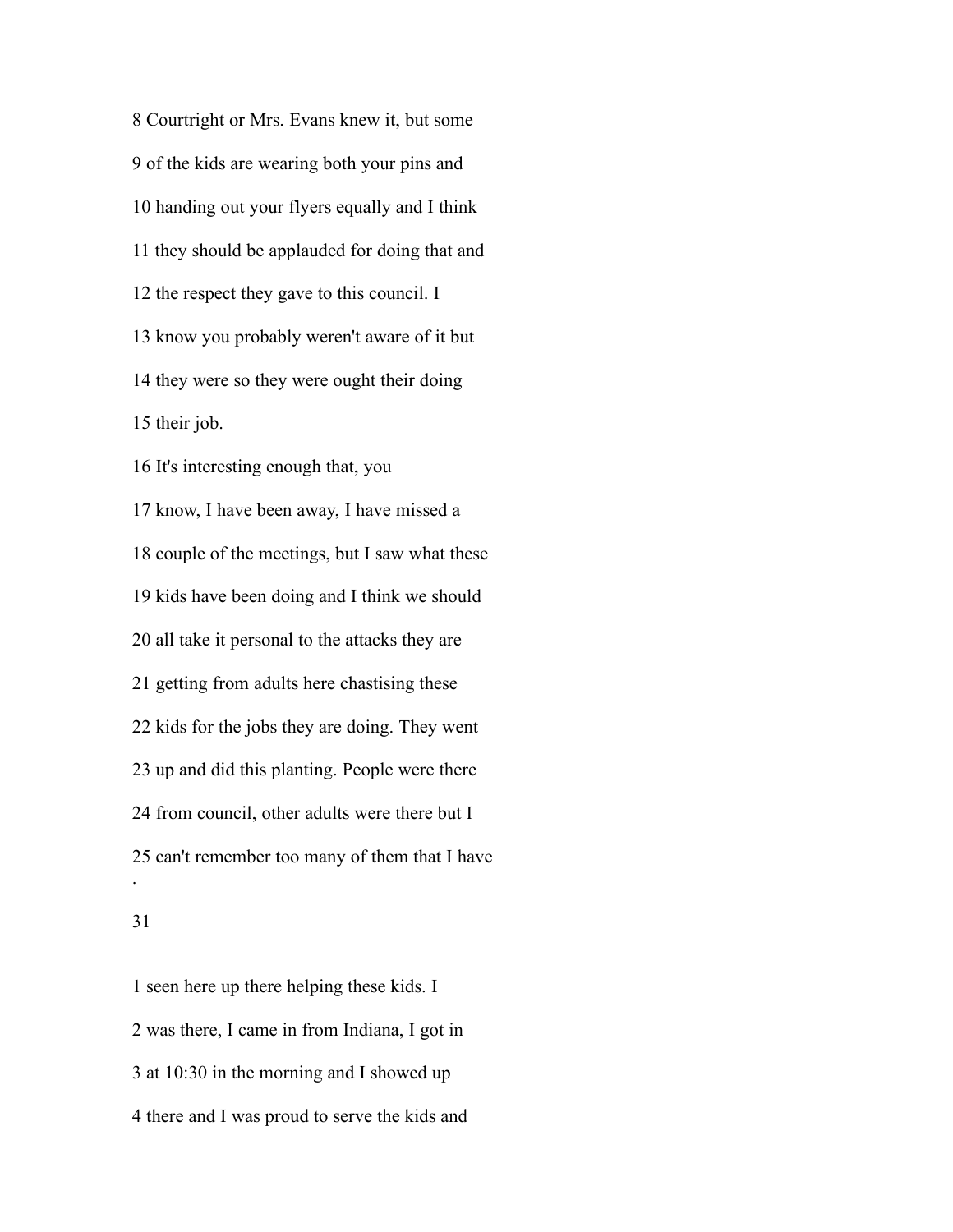Courtright or Mrs. Evans knew it, but some of the kids are wearing both your pins and handing out your flyers equally and I think they should be applauded for doing that and the respect they gave to this council. I know you probably weren't aware of it but they were so they were ought their doing their job. It's interesting enough that, you know, I have been away, I have missed a couple of the meetings, but I saw what these kids have been doing and I think we should all take it personal to the attacks they are getting from adults here chastising these kids for the jobs they are doing. They went up and did this planting. People were there from council, other adults were there but I can't remember too many of them that I have .

 seen here up there helping these kids. I was there, I came in from Indiana, I got in at 10:30 in the morning and I showed up there and I was proud to serve the kids and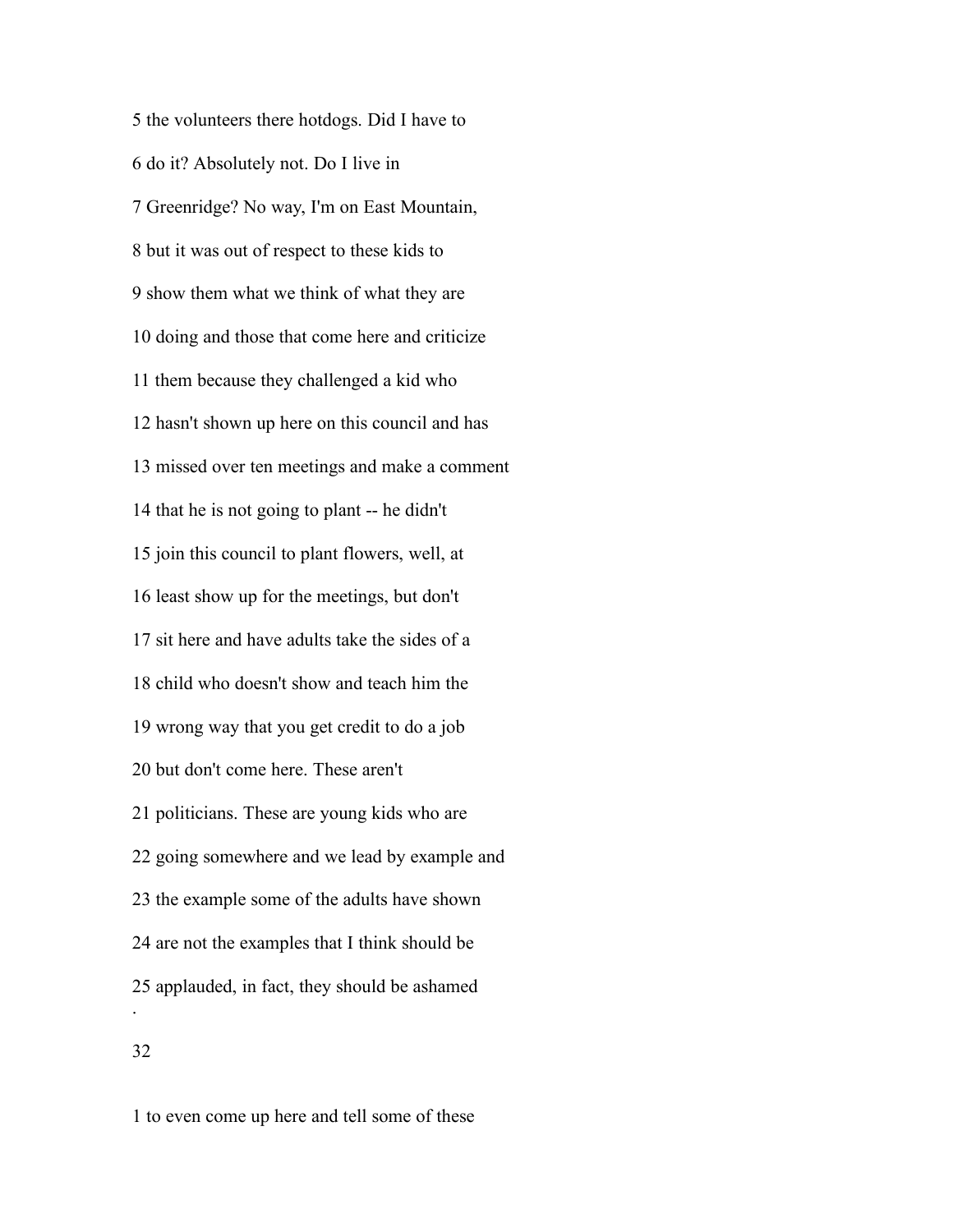the volunteers there hotdogs. Did I have to do it? Absolutely not. Do I live in Greenridge? No way, I'm on East Mountain, but it was out of respect to these kids to show them what we think of what they are doing and those that come here and criticize them because they challenged a kid who hasn't shown up here on this council and has missed over ten meetings and make a comment that he is not going to plant -- he didn't join this council to plant flowers, well, at least show up for the meetings, but don't sit here and have adults take the sides of a child who doesn't show and teach him the wrong way that you get credit to do a job but don't come here. These aren't politicians. These are young kids who are going somewhere and we lead by example and the example some of the adults have shown are not the examples that I think should be applauded, in fact, they should be ashamed . 

to even come up here and tell some of these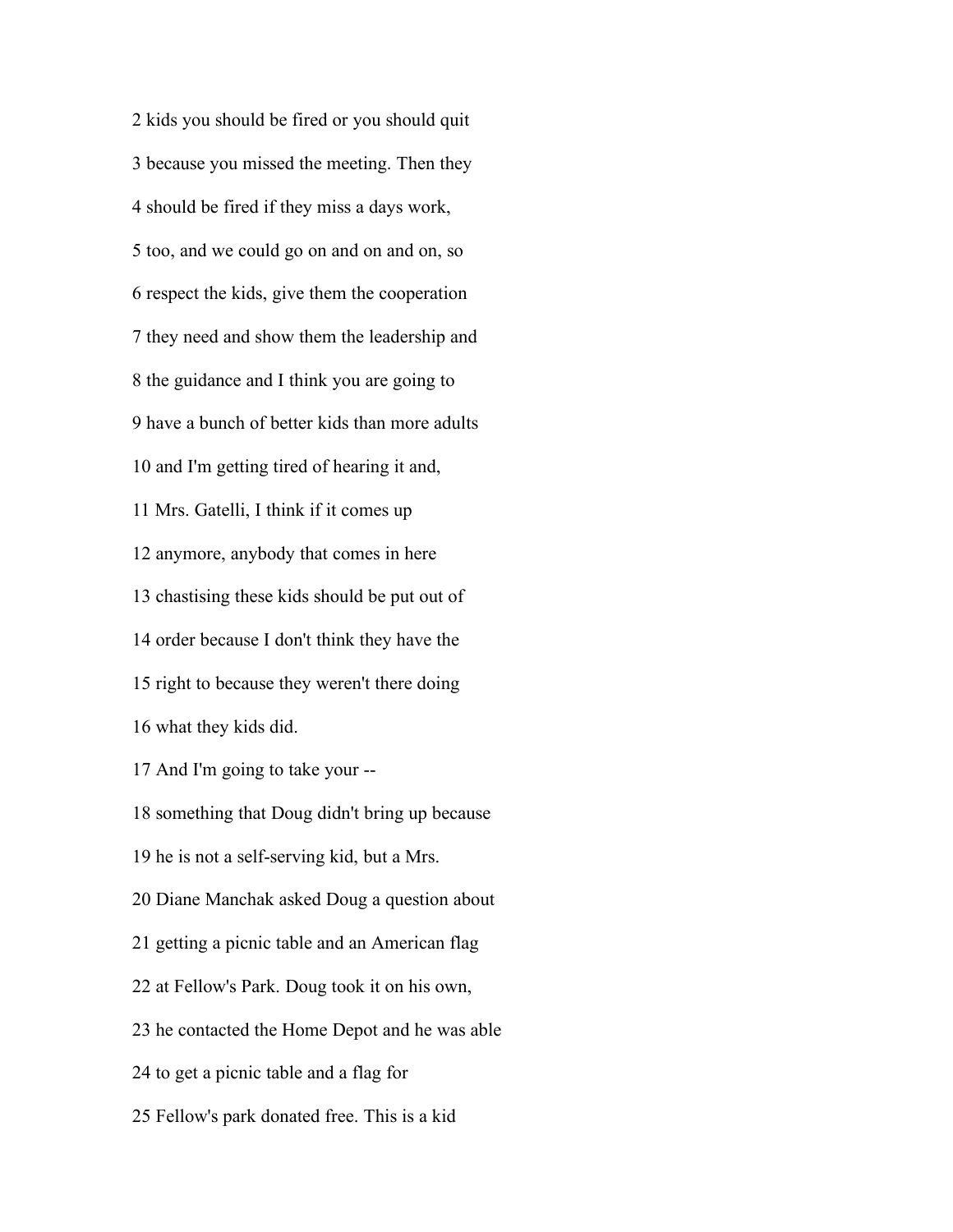kids you should be fired or you should quit because you missed the meeting. Then they should be fired if they miss a days work, too, and we could go on and on and on, so respect the kids, give them the cooperation they need and show them the leadership and the guidance and I think you are going to have a bunch of better kids than more adults and I'm getting tired of hearing it and, Mrs. Gatelli, I think if it comes up anymore, anybody that comes in here chastising these kids should be put out of order because I don't think they have the right to because they weren't there doing what they kids did. And I'm going to take your -- something that Doug didn't bring up because he is not a self-serving kid, but a Mrs. Diane Manchak asked Doug a question about getting a picnic table and an American flag at Fellow's Park. Doug took it on his own, he contacted the Home Depot and he was able to get a picnic table and a flag for Fellow's park donated free. This is a kid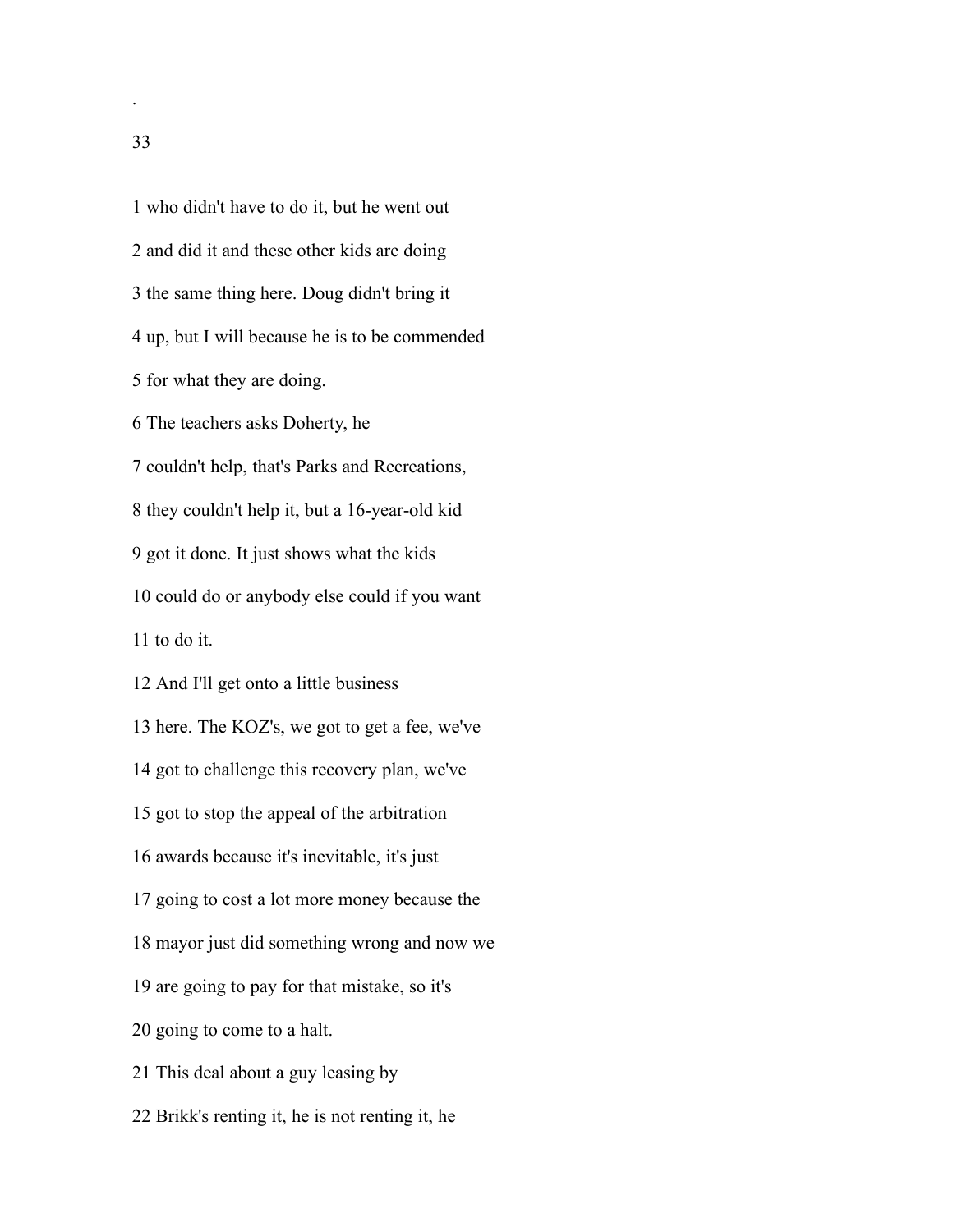who didn't have to do it, but he went out and did it and these other kids are doing the same thing here. Doug didn't bring it up, but I will because he is to be commended for what they are doing. The teachers asks Doherty, he couldn't help, that's Parks and Recreations, they couldn't help it, but a 16-year-old kid got it done. It just shows what the kids could do or anybody else could if you want to do it. And I'll get onto a little business here. The KOZ's, we got to get a fee, we've got to challenge this recovery plan, we've got to stop the appeal of the arbitration awards because it's inevitable, it's just going to cost a lot more money because the mayor just did something wrong and now we are going to pay for that mistake, so it's going to come to a halt. This deal about a guy leasing by Brikk's renting it, he is not renting it, he

.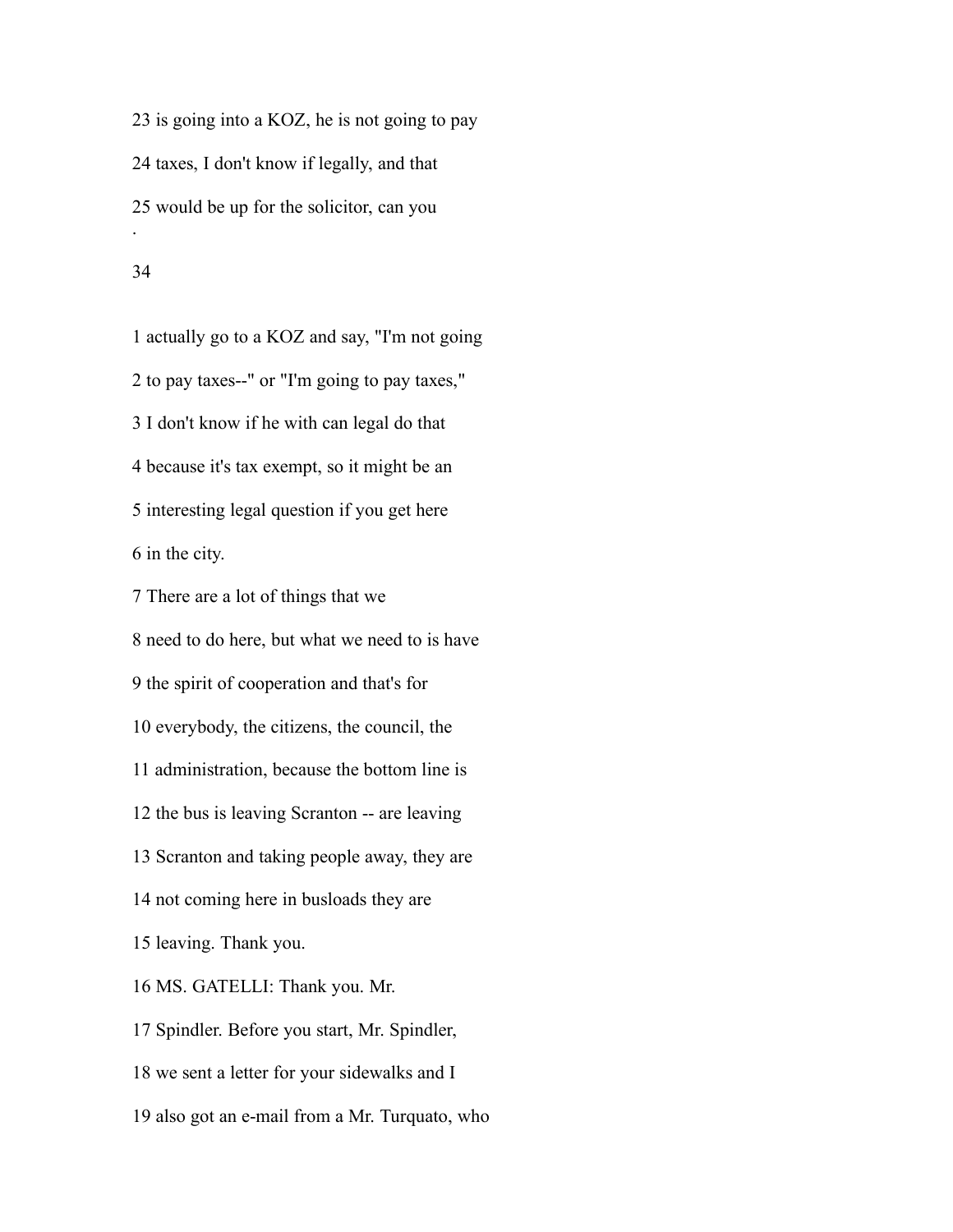is going into a KOZ, he is not going to pay taxes, I don't know if legally, and that would be up for the solicitor, can you .

### 

 actually go to a KOZ and say, "I'm not going to pay taxes--" or "I'm going to pay taxes," I don't know if he with can legal do that because it's tax exempt, so it might be an interesting legal question if you get here in the city.

 There are a lot of things that we need to do here, but what we need to is have the spirit of cooperation and that's for everybody, the citizens, the council, the administration, because the bottom line is the bus is leaving Scranton -- are leaving Scranton and taking people away, they are not coming here in busloads they are leaving. Thank you. MS. GATELLI: Thank you. Mr. Spindler. Before you start, Mr. Spindler, we sent a letter for your sidewalks and I also got an e-mail from a Mr. Turquato, who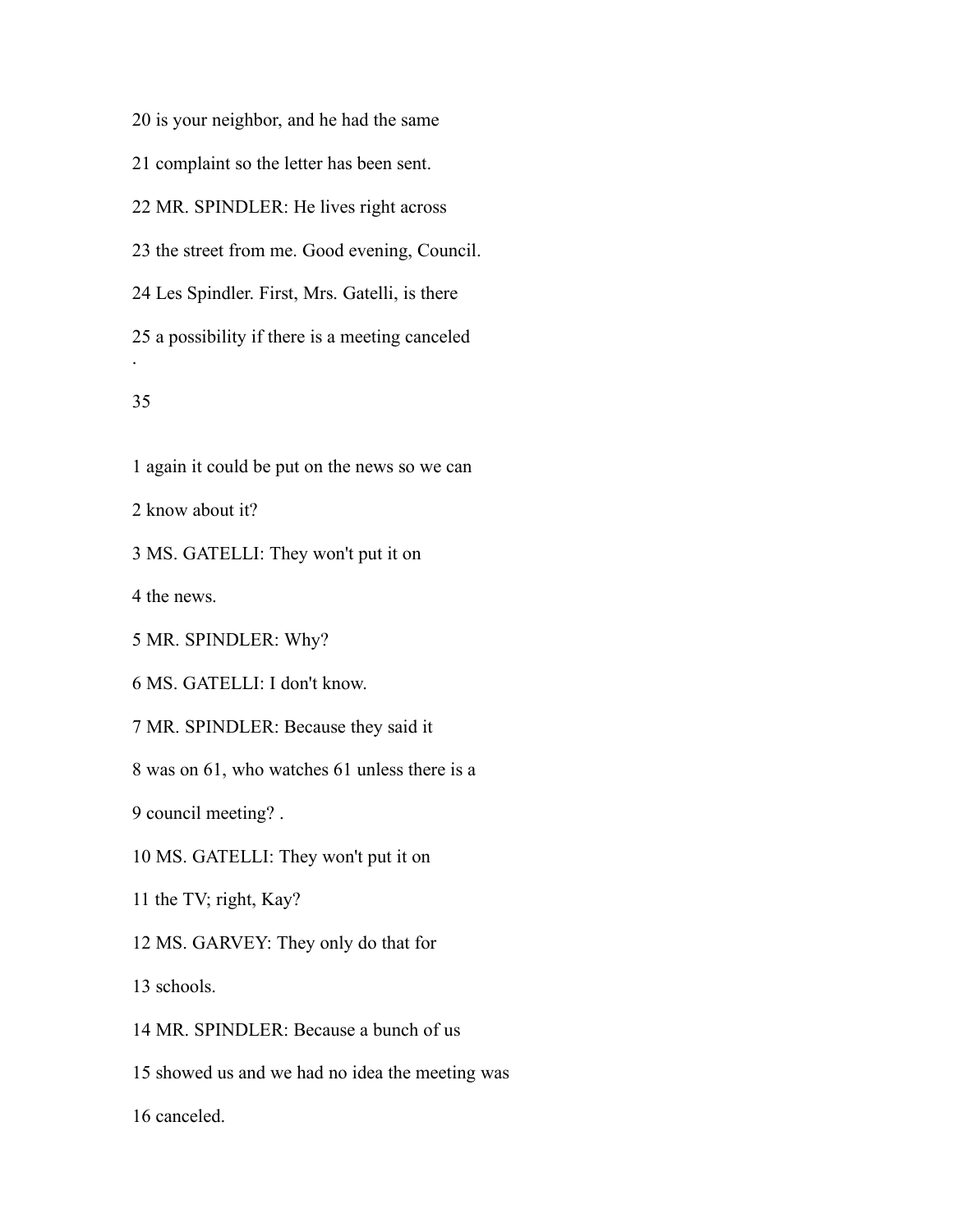is your neighbor, and he had the same

complaint so the letter has been sent.

MR. SPINDLER: He lives right across

the street from me. Good evening, Council.

Les Spindler. First, Mrs. Gatelli, is there

 a possibility if there is a meeting canceled .

## 

again it could be put on the news so we can

know about it?

MS. GATELLI: They won't put it on

the news.

MR. SPINDLER: Why?

MS. GATELLI: I don't know.

MR. SPINDLER: Because they said it

was on 61, who watches 61 unless there is a

council meeting? .

MS. GATELLI: They won't put it on

the TV; right, Kay?

MS. GARVEY: They only do that for

schools.

MR. SPINDLER: Because a bunch of us

showed us and we had no idea the meeting was

canceled.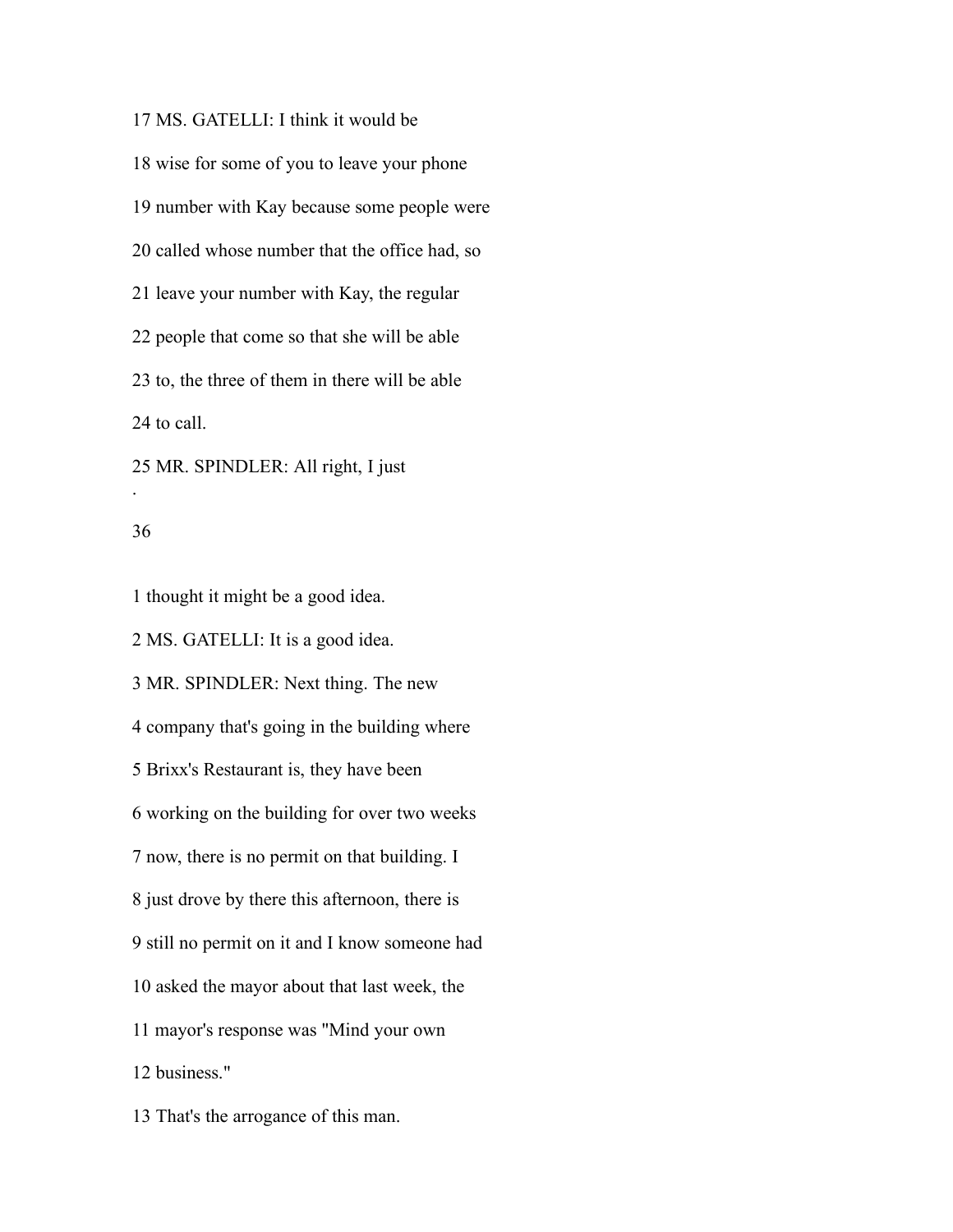MS. GATELLI: I think it would be wise for some of you to leave your phone number with Kay because some people were called whose number that the office had, so leave your number with Kay, the regular people that come so that she will be able to, the three of them in there will be able to call. MR. SPINDLER: All right, I just .

### 

thought it might be a good idea.

MS. GATELLI: It is a good idea.

 MR. SPINDLER: Next thing. The new company that's going in the building where Brixx's Restaurant is, they have been working on the building for over two weeks now, there is no permit on that building. I just drove by there this afternoon, there is still no permit on it and I know someone had asked the mayor about that last week, the mayor's response was "Mind your own business."

That's the arrogance of this man.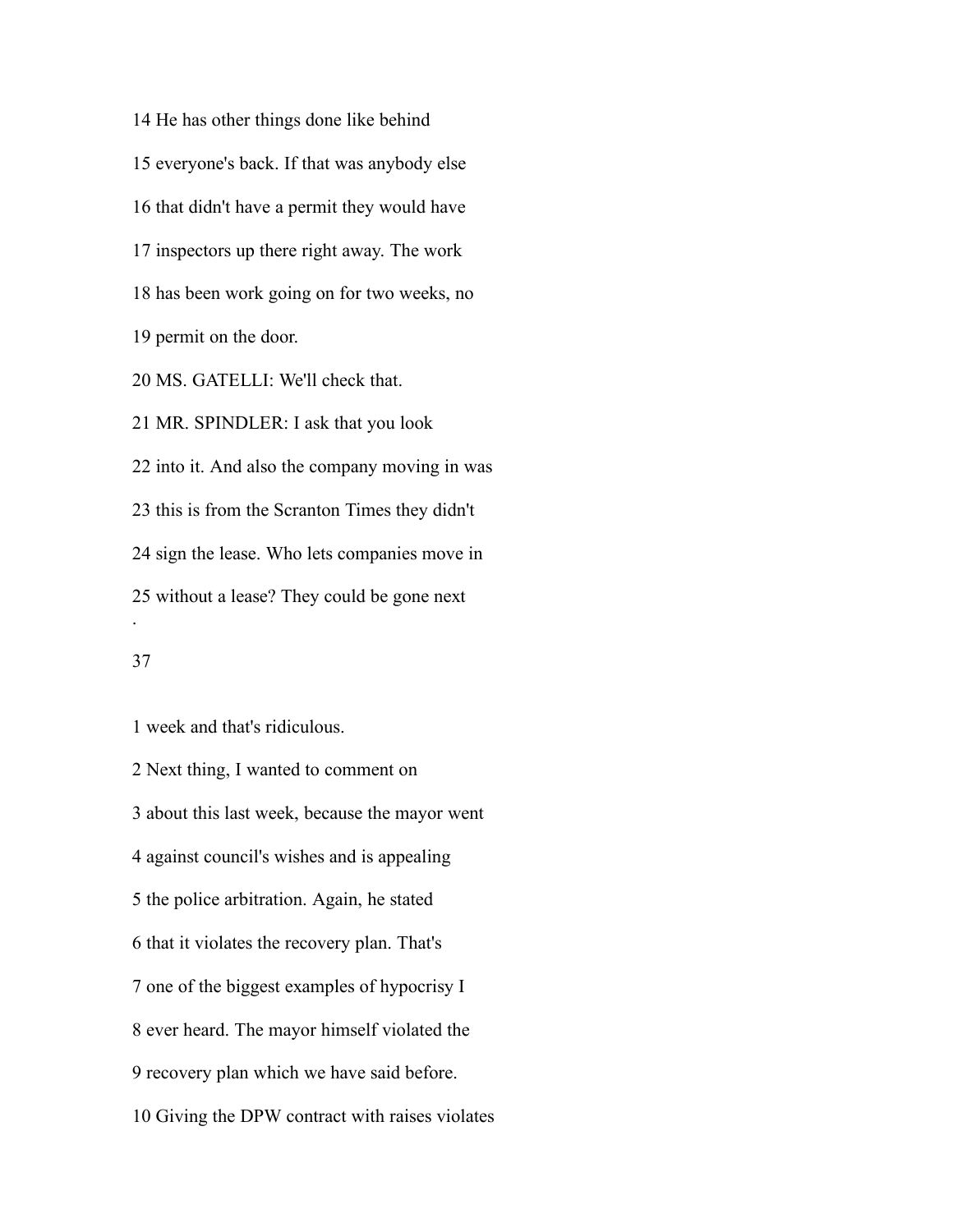He has other things done like behind everyone's back. If that was anybody else that didn't have a permit they would have inspectors up there right away. The work has been work going on for two weeks, no permit on the door. MS. GATELLI: We'll check that. MR. SPINDLER: I ask that you look into it. And also the company moving in was this is from the Scranton Times they didn't sign the lease. Who lets companies move in without a lease? They could be gone next .

# 

week and that's ridiculous.

 Next thing, I wanted to comment on about this last week, because the mayor went against council's wishes and is appealing the police arbitration. Again, he stated that it violates the recovery plan. That's one of the biggest examples of hypocrisy I ever heard. The mayor himself violated the recovery plan which we have said before. Giving the DPW contract with raises violates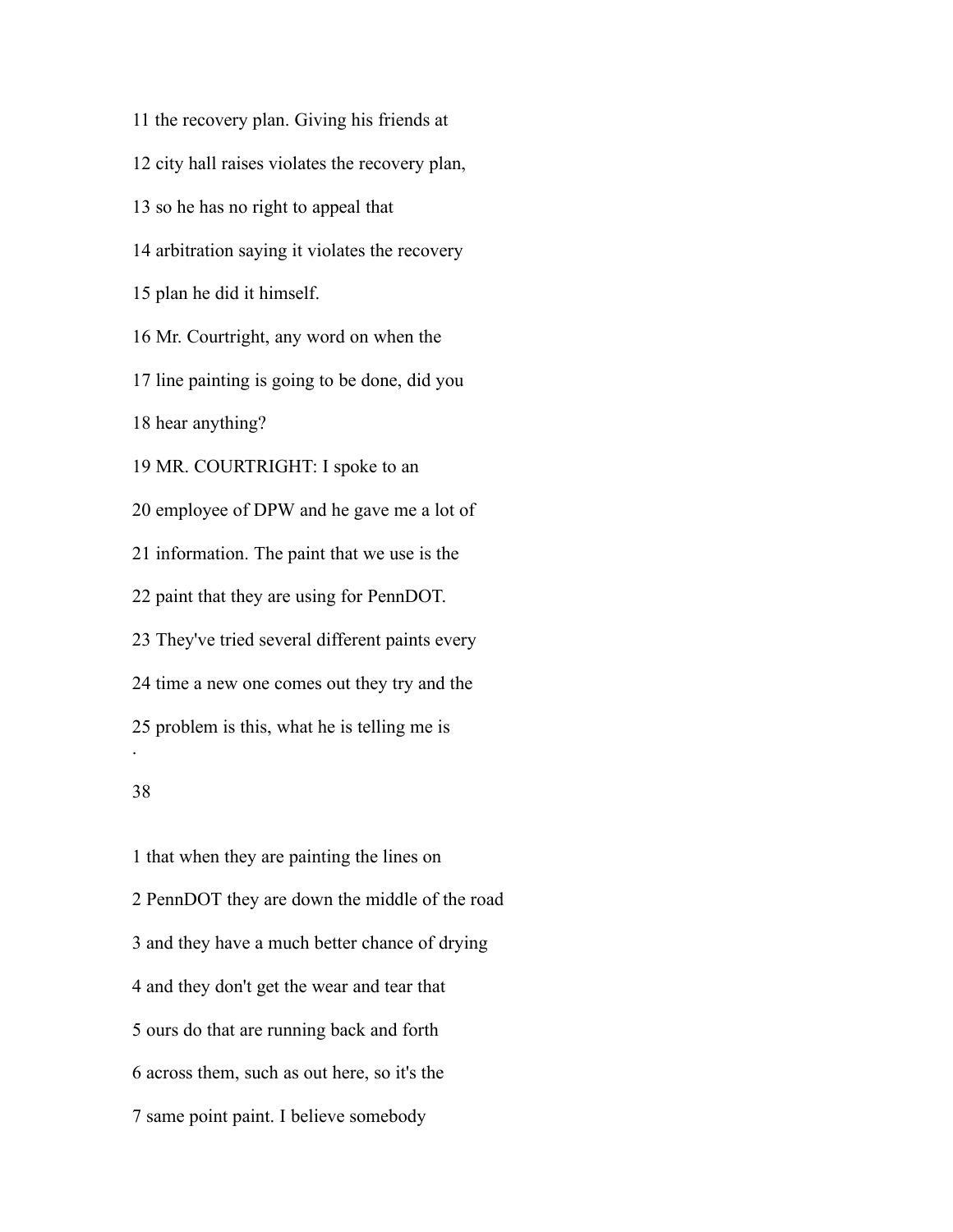the recovery plan. Giving his friends at city hall raises violates the recovery plan, so he has no right to appeal that arbitration saying it violates the recovery plan he did it himself. Mr. Courtright, any word on when the line painting is going to be done, did you hear anything? MR. COURTRIGHT: I spoke to an employee of DPW and he gave me a lot of information. The paint that we use is the paint that they are using for PennDOT. They've tried several different paints every time a new one comes out they try and the problem is this, what he is telling me is . 

 that when they are painting the lines on PennDOT they are down the middle of the road and they have a much better chance of drying and they don't get the wear and tear that ours do that are running back and forth across them, such as out here, so it's the same point paint. I believe somebody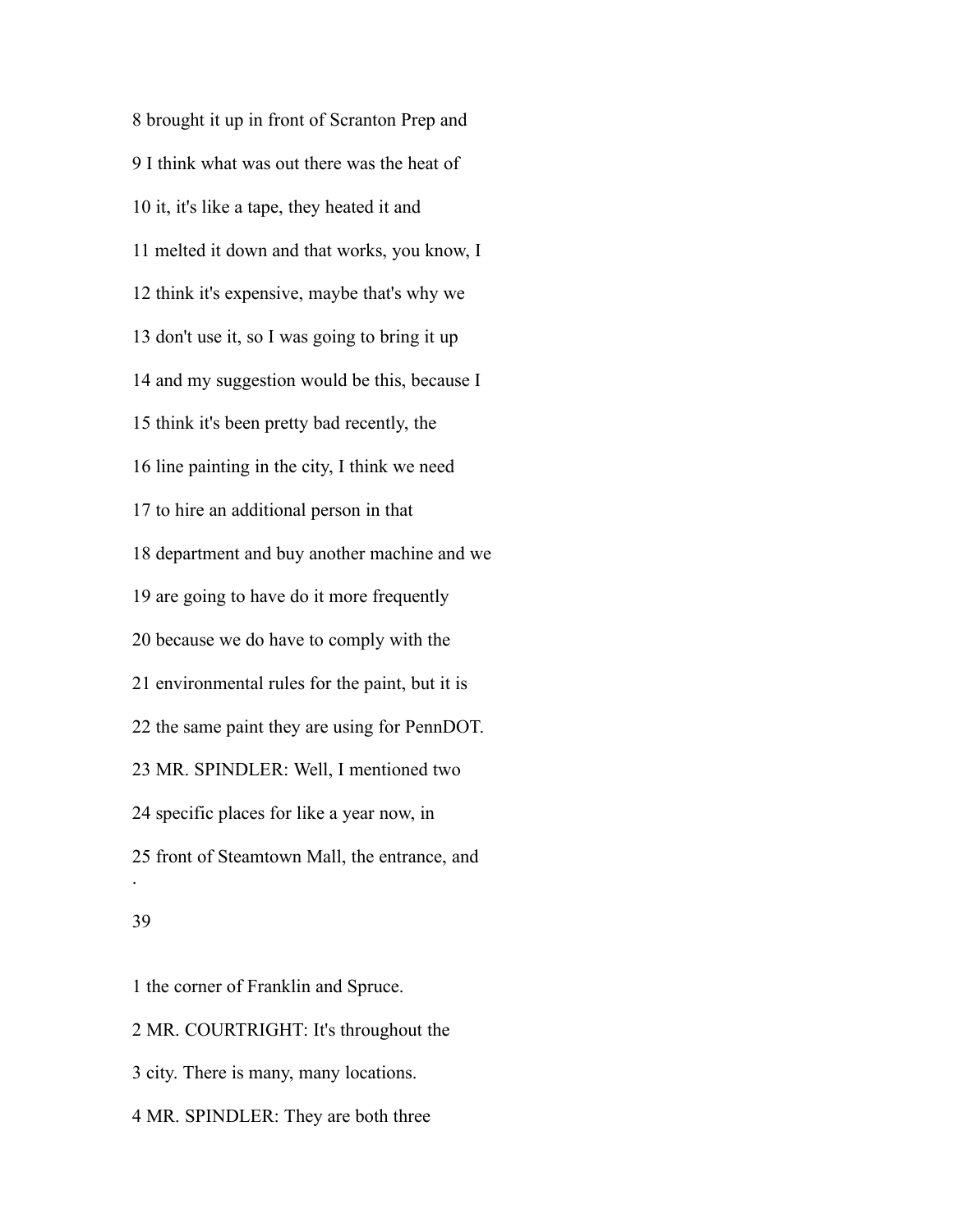brought it up in front of Scranton Prep and I think what was out there was the heat of it, it's like a tape, they heated it and melted it down and that works, you know, I think it's expensive, maybe that's why we don't use it, so I was going to bring it up and my suggestion would be this, because I think it's been pretty bad recently, the line painting in the city, I think we need to hire an additional person in that department and buy another machine and we are going to have do it more frequently because we do have to comply with the environmental rules for the paint, but it is the same paint they are using for PennDOT. MR. SPINDLER: Well, I mentioned two specific places for like a year now, in front of Steamtown Mall, the entrance, and .

### 

the corner of Franklin and Spruce.

MR. COURTRIGHT: It's throughout the

city. There is many, many locations.

MR. SPINDLER: They are both three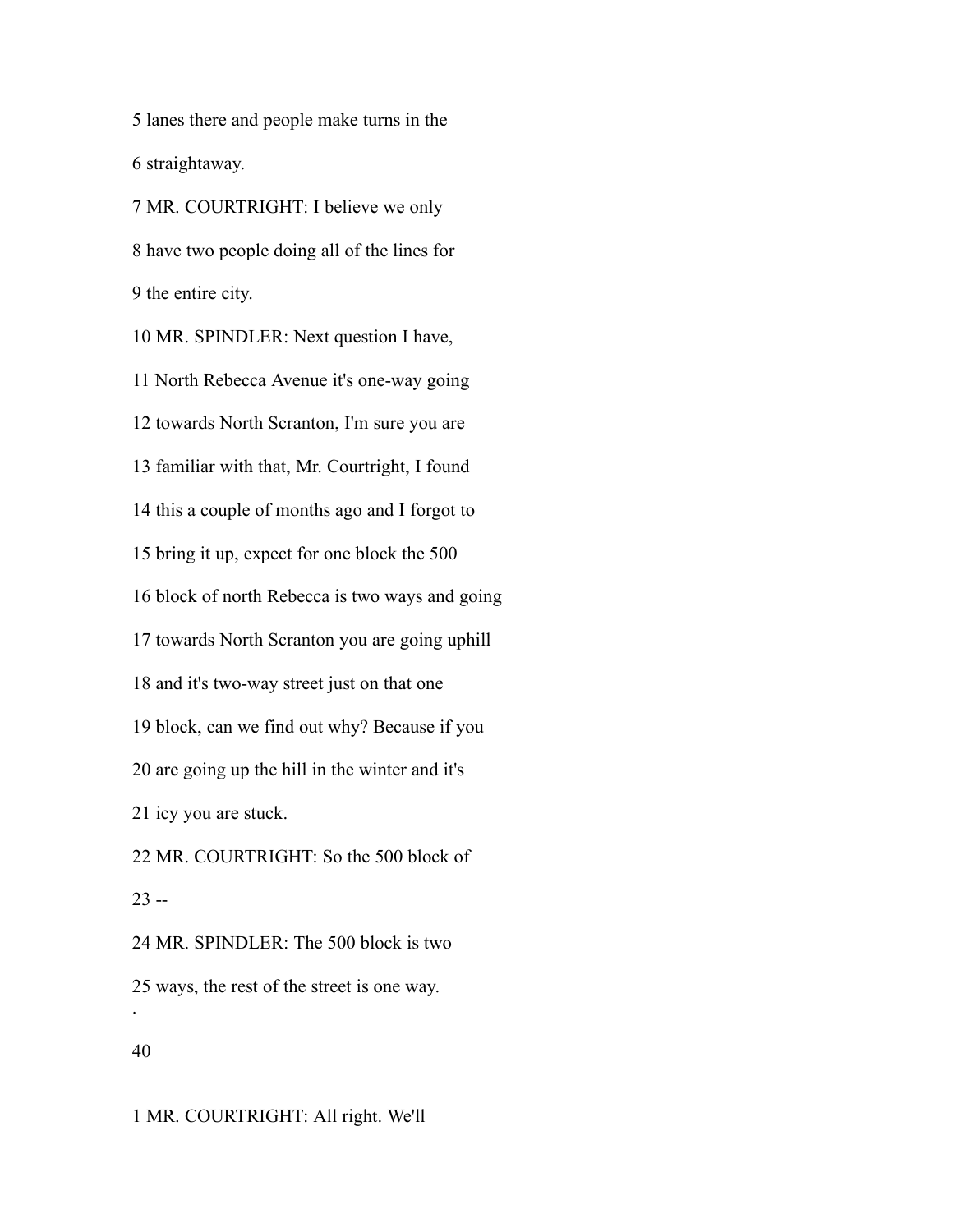lanes there and people make turns in the straightaway.

 MR. COURTRIGHT: I believe we only have two people doing all of the lines for the entire city.

 MR. SPINDLER: Next question I have, North Rebecca Avenue it's one-way going towards North Scranton, I'm sure you are familiar with that, Mr. Courtright, I found this a couple of months ago and I forgot to bring it up, expect for one block the 500 block of north Rebecca is two ways and going towards North Scranton you are going uphill and it's two-way street just on that one block, can we find out why? Because if you are going up the hill in the winter and it's icy you are stuck. MR. COURTRIGHT: So the 500 block of  $23 -$  MR. SPINDLER: The 500 block is two ways, the rest of the street is one way. .

MR. COURTRIGHT: All right. We'll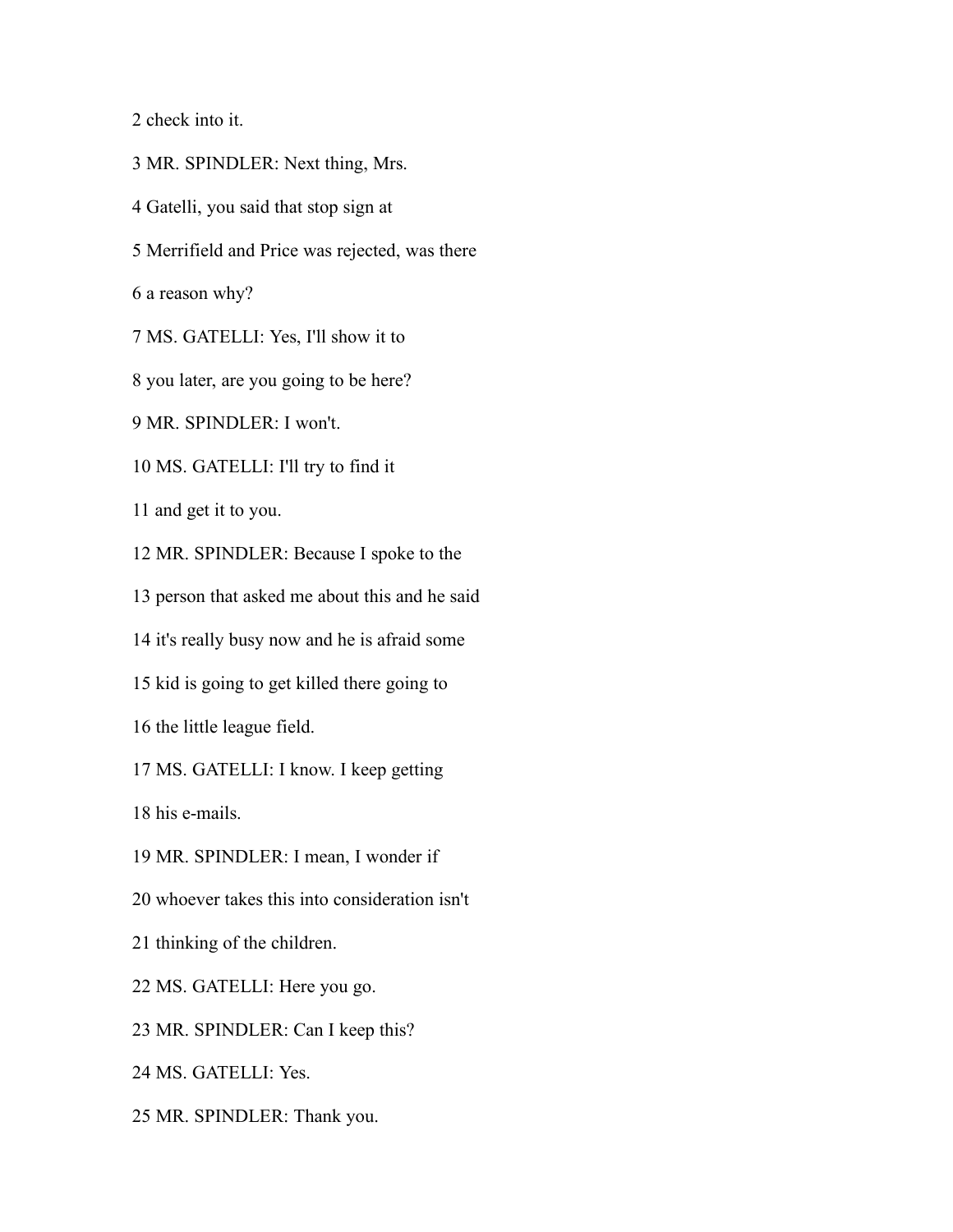check into it.

MR. SPINDLER: Next thing, Mrs.

Gatelli, you said that stop sign at

Merrifield and Price was rejected, was there

a reason why?

MS. GATELLI: Yes, I'll show it to

you later, are you going to be here?

MR. SPINDLER: I won't.

MS. GATELLI: I'll try to find it

and get it to you.

MR. SPINDLER: Because I spoke to the

person that asked me about this and he said

it's really busy now and he is afraid some

kid is going to get killed there going to

the little league field.

MS. GATELLI: I know. I keep getting

his e-mails.

MR. SPINDLER: I mean, I wonder if

whoever takes this into consideration isn't

thinking of the children.

MS. GATELLI: Here you go.

MR. SPINDLER: Can I keep this?

MS. GATELLI: Yes.

MR. SPINDLER: Thank you.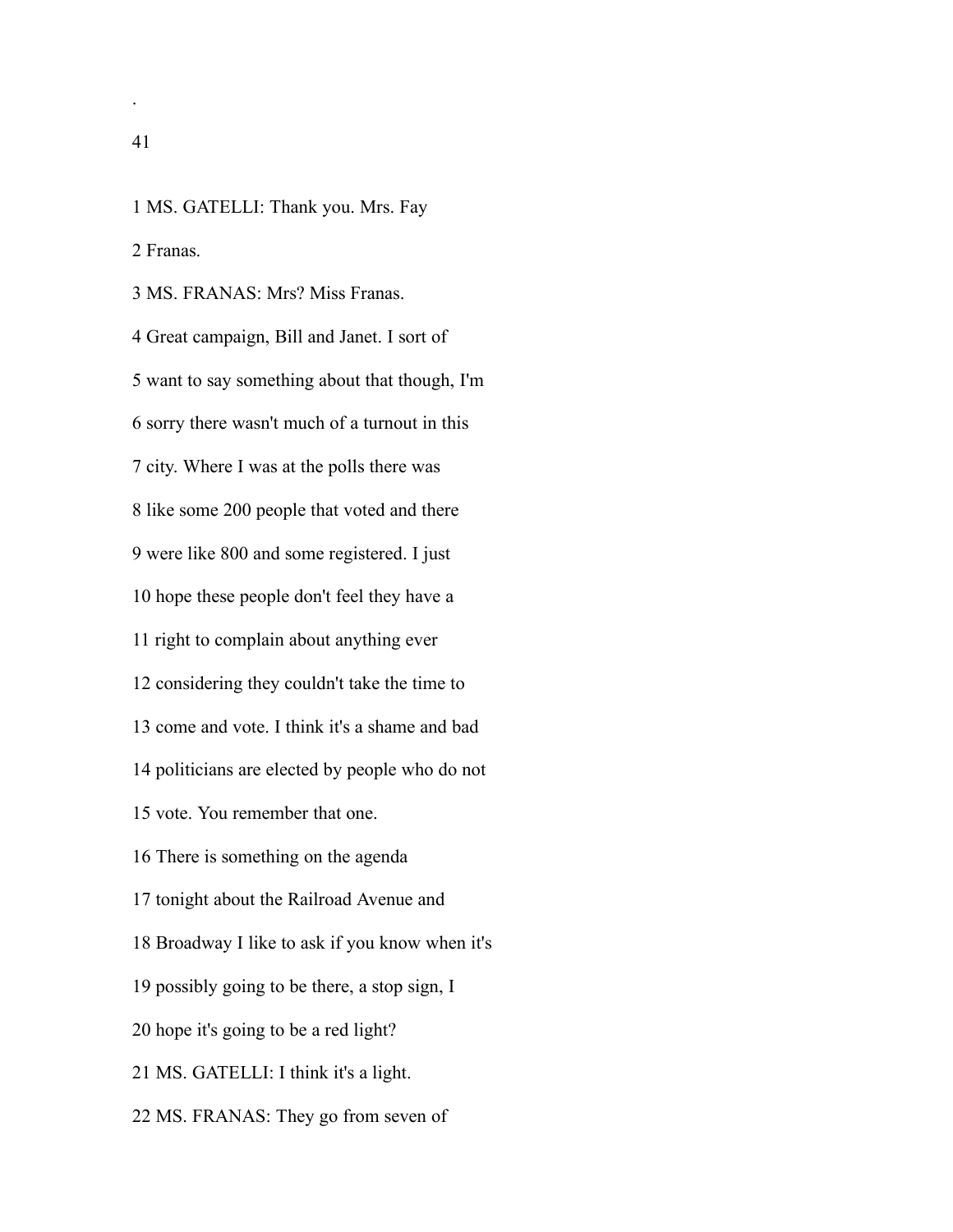.

 Franas. MS. FRANAS: Mrs? Miss Franas. Great campaign, Bill and Janet. I sort of want to say something about that though, I'm sorry there wasn't much of a turnout in this city. Where I was at the polls there was like some 200 people that voted and there were like 800 and some registered. I just hope these people don't feel they have a right to complain about anything ever considering they couldn't take the time to come and vote. I think it's a shame and bad politicians are elected by people who do not vote. You remember that one. There is something on the agenda tonight about the Railroad Avenue and Broadway I like to ask if you know when it's possibly going to be there, a stop sign, I hope it's going to be a red light? MS. GATELLI: I think it's a light. MS. FRANAS: They go from seven of

MS. GATELLI: Thank you. Mrs. Fay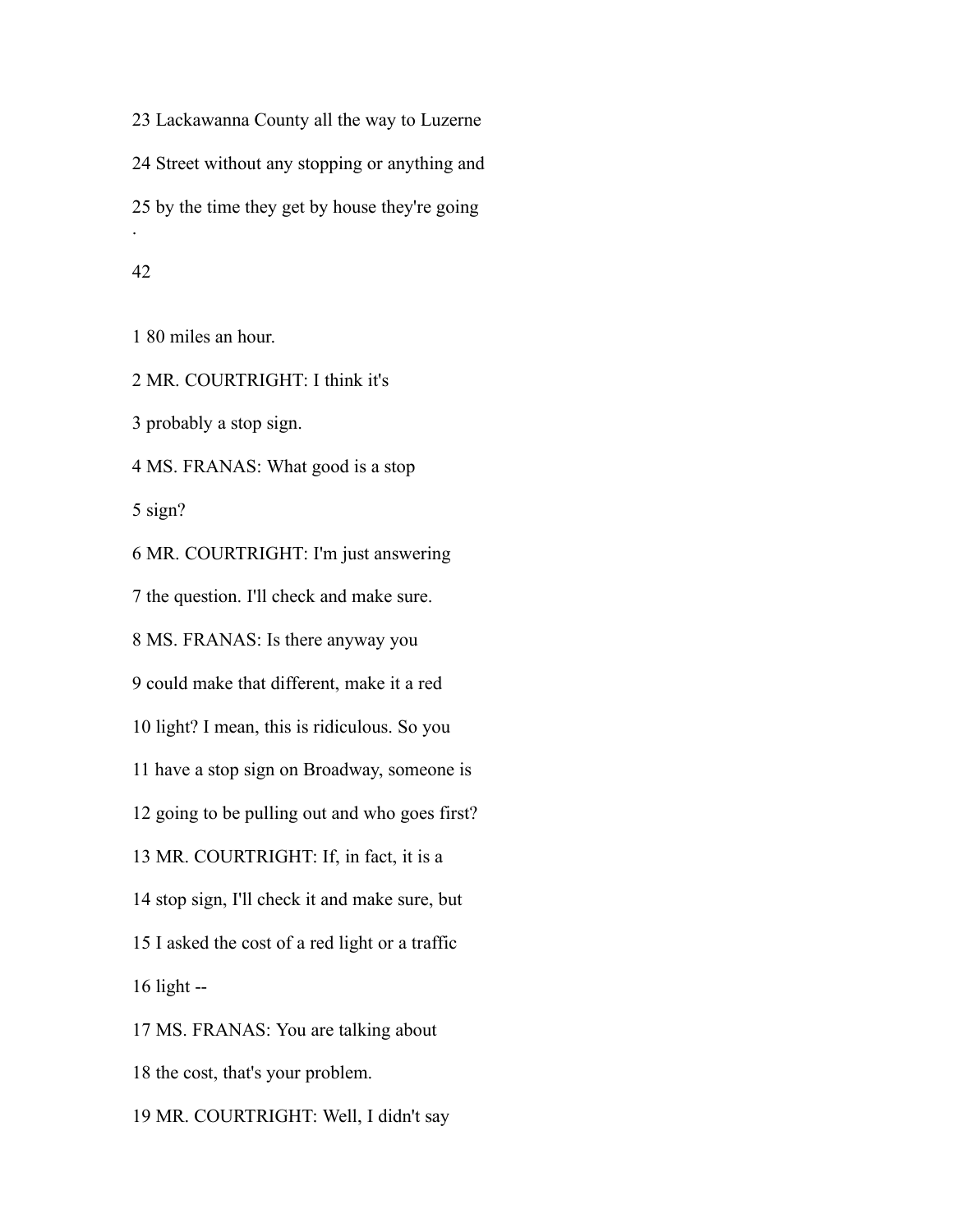Lackawanna County all the way to Luzerne Street without any stopping or anything and by the time they get by house they're going .

## 

80 miles an hour.

MR. COURTRIGHT: I think it's

probably a stop sign.

MS. FRANAS: What good is a stop

sign?

 MR. COURTRIGHT: I'm just answering the question. I'll check and make sure. MS. FRANAS: Is there anyway you could make that different, make it a red light? I mean, this is ridiculous. So you have a stop sign on Broadway, someone is going to be pulling out and who goes first? MR. COURTRIGHT: If, in fact, it is a stop sign, I'll check it and make sure, but I asked the cost of a red light or a traffic light -- MS. FRANAS: You are talking about the cost, that's your problem. MR. COURTRIGHT: Well, I didn't say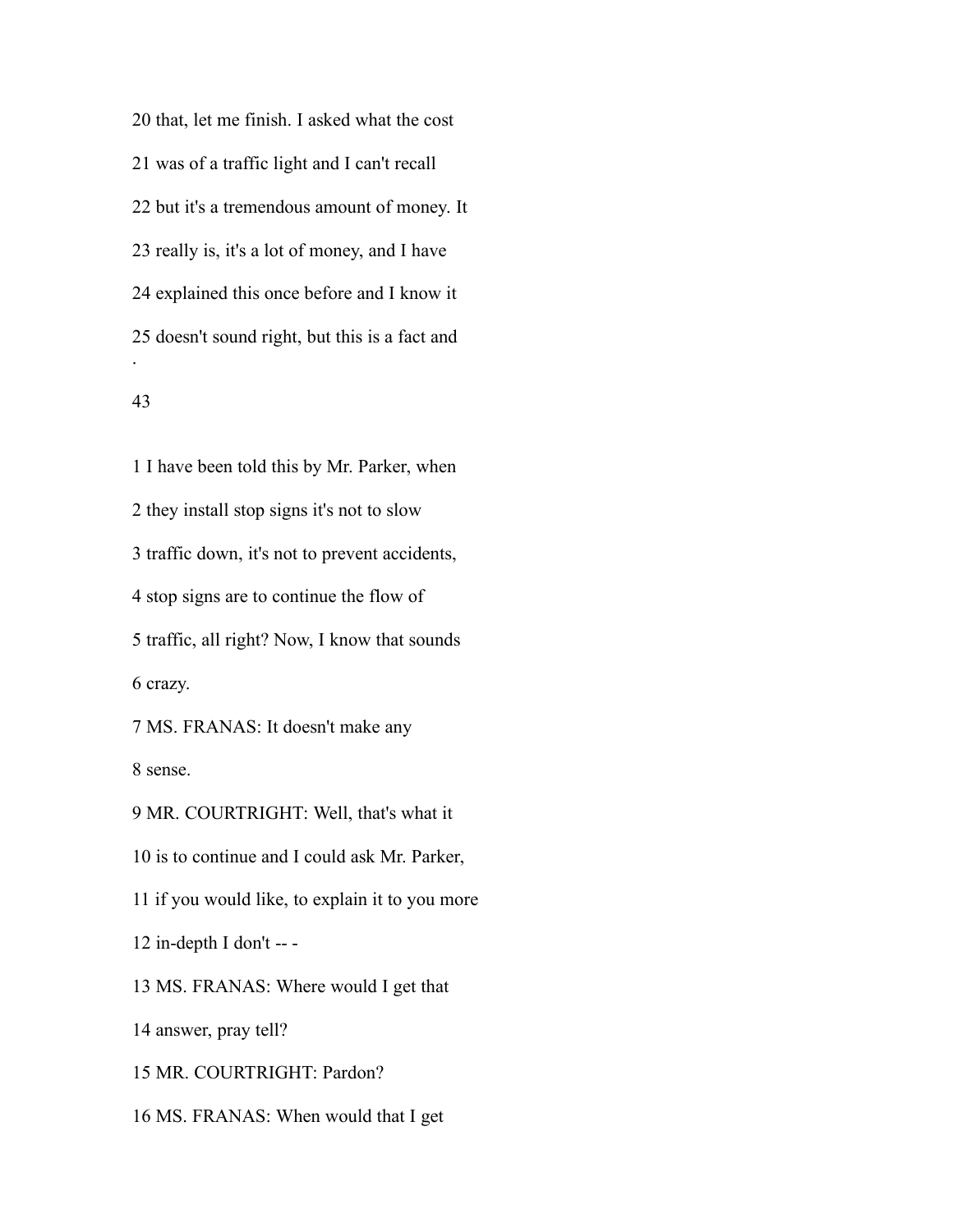that, let me finish. I asked what the cost was of a traffic light and I can't recall but it's a tremendous amount of money. It really is, it's a lot of money, and I have explained this once before and I know it doesn't sound right, but this is a fact and .

# 

 I have been told this by Mr. Parker, when they install stop signs it's not to slow traffic down, it's not to prevent accidents, stop signs are to continue the flow of traffic, all right? Now, I know that sounds crazy. MS. FRANAS: It doesn't make any

sense.

 MR. COURTRIGHT: Well, that's what it is to continue and I could ask Mr. Parker, if you would like, to explain it to you more in-depth I don't -- - MS. FRANAS: Where would I get that answer, pray tell? MR. COURTRIGHT: Pardon? MS. FRANAS: When would that I get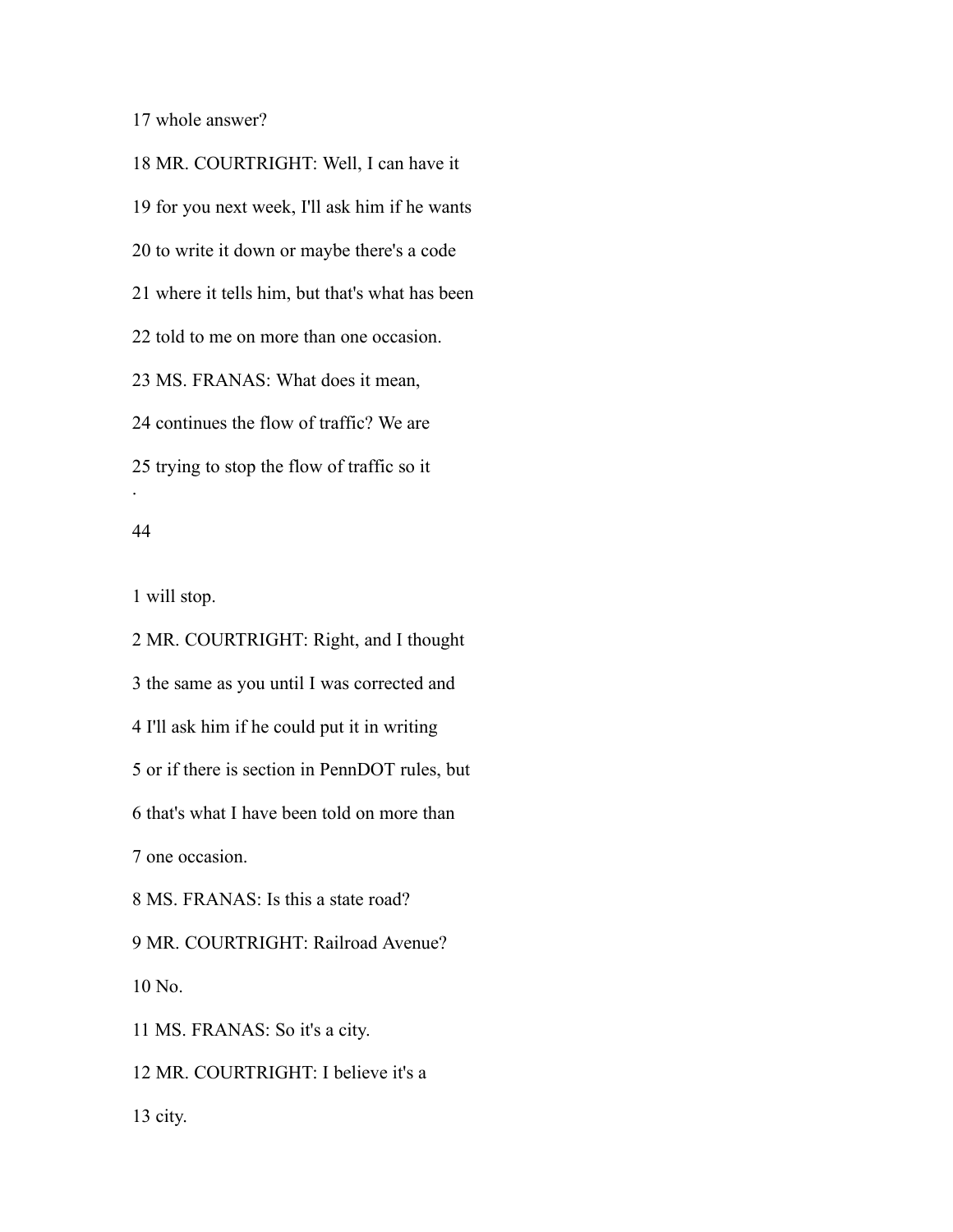whole answer?

 MR. COURTRIGHT: Well, I can have it for you next week, I'll ask him if he wants to write it down or maybe there's a code where it tells him, but that's what has been told to me on more than one occasion. MS. FRANAS: What does it mean, continues the flow of traffic? We are trying to stop the flow of traffic so it .

### 

will stop.

 MR. COURTRIGHT: Right, and I thought the same as you until I was corrected and I'll ask him if he could put it in writing or if there is section in PennDOT rules, but that's what I have been told on more than one occasion. MS. FRANAS: Is this a state road? MR. COURTRIGHT: Railroad Avenue? No. MS. FRANAS: So it's a city. MR. COURTRIGHT: I believe it's a city.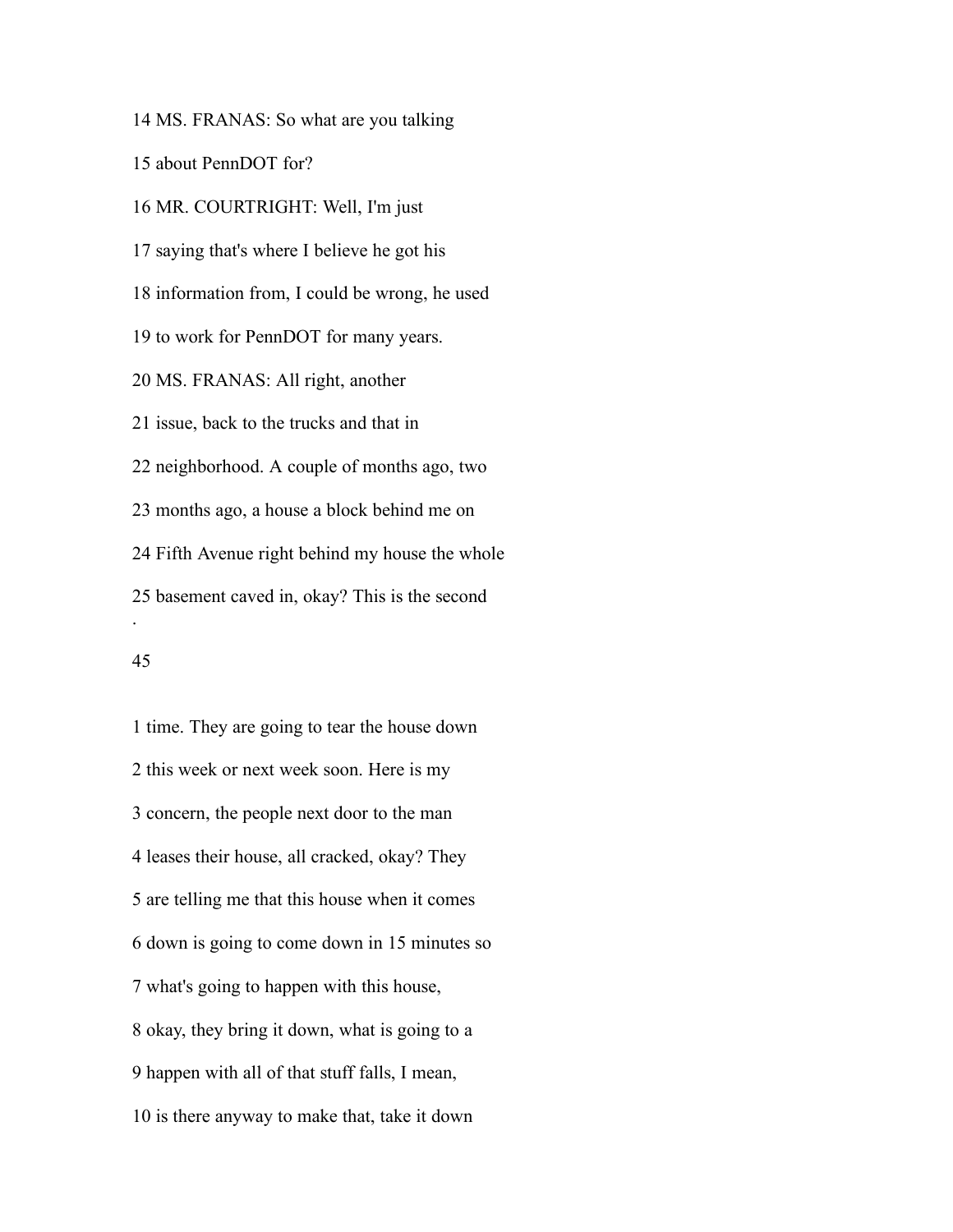MS. FRANAS: So what are you talking

about PennDOT for?

 MR. COURTRIGHT: Well, I'm just saying that's where I believe he got his information from, I could be wrong, he used to work for PennDOT for many years. MS. FRANAS: All right, another issue, back to the trucks and that in neighborhood. A couple of months ago, two months ago, a house a block behind me on Fifth Avenue right behind my house the whole basement caved in, okay? This is the second .

# 

 time. They are going to tear the house down this week or next week soon. Here is my concern, the people next door to the man leases their house, all cracked, okay? They are telling me that this house when it comes down is going to come down in 15 minutes so what's going to happen with this house, okay, they bring it down, what is going to a happen with all of that stuff falls, I mean, is there anyway to make that, take it down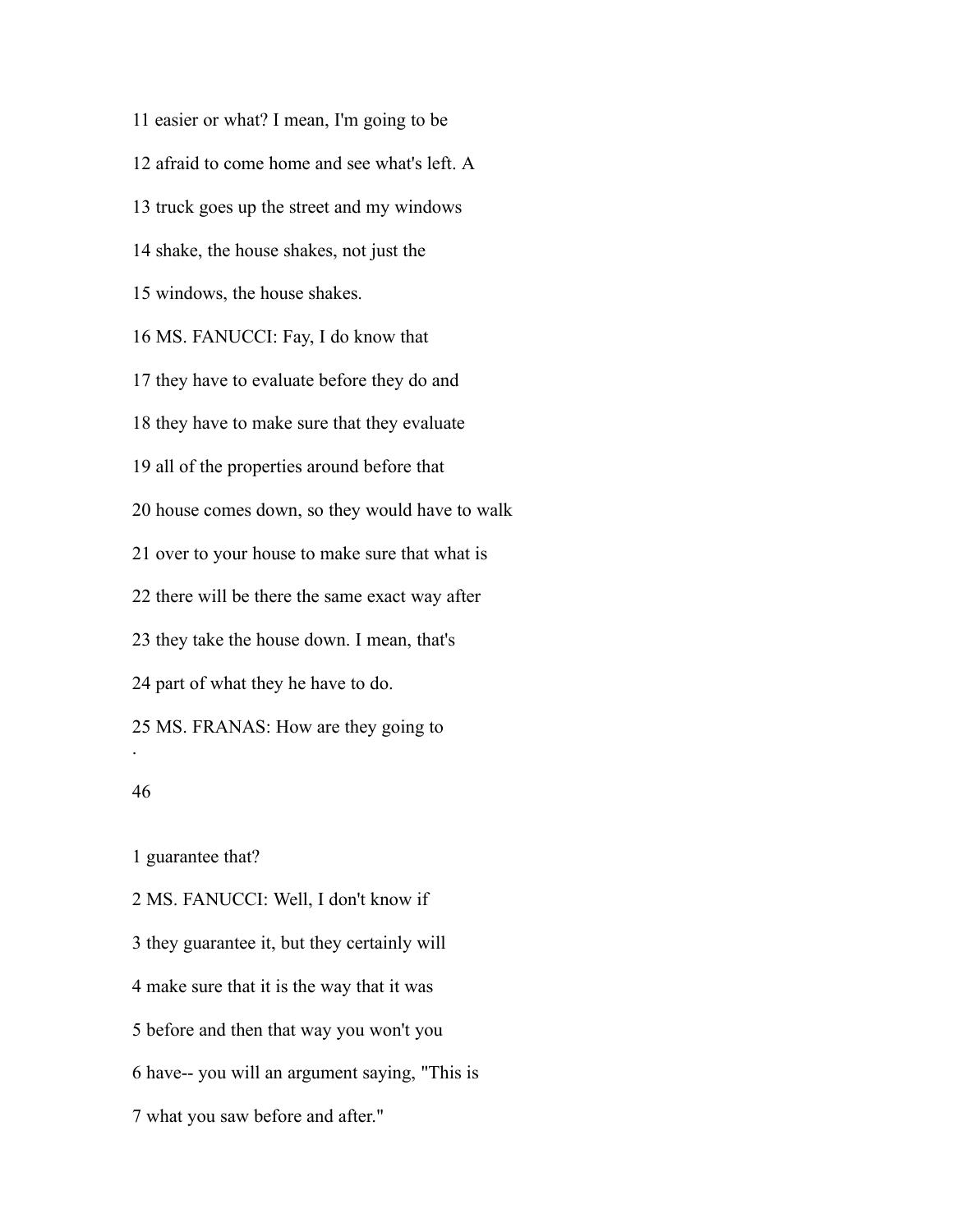easier or what? I mean, I'm going to be afraid to come home and see what's left. A truck goes up the street and my windows shake, the house shakes, not just the windows, the house shakes. MS. FANUCCI: Fay, I do know that they have to evaluate before they do and they have to make sure that they evaluate all of the properties around before that house comes down, so they would have to walk over to your house to make sure that what is there will be there the same exact way after they take the house down. I mean, that's part of what they he have to do. MS. FRANAS: How are they going to . 

guarantee that?

 MS. FANUCCI: Well, I don't know if they guarantee it, but they certainly will make sure that it is the way that it was before and then that way you won't you have-- you will an argument saying, "This is what you saw before and after."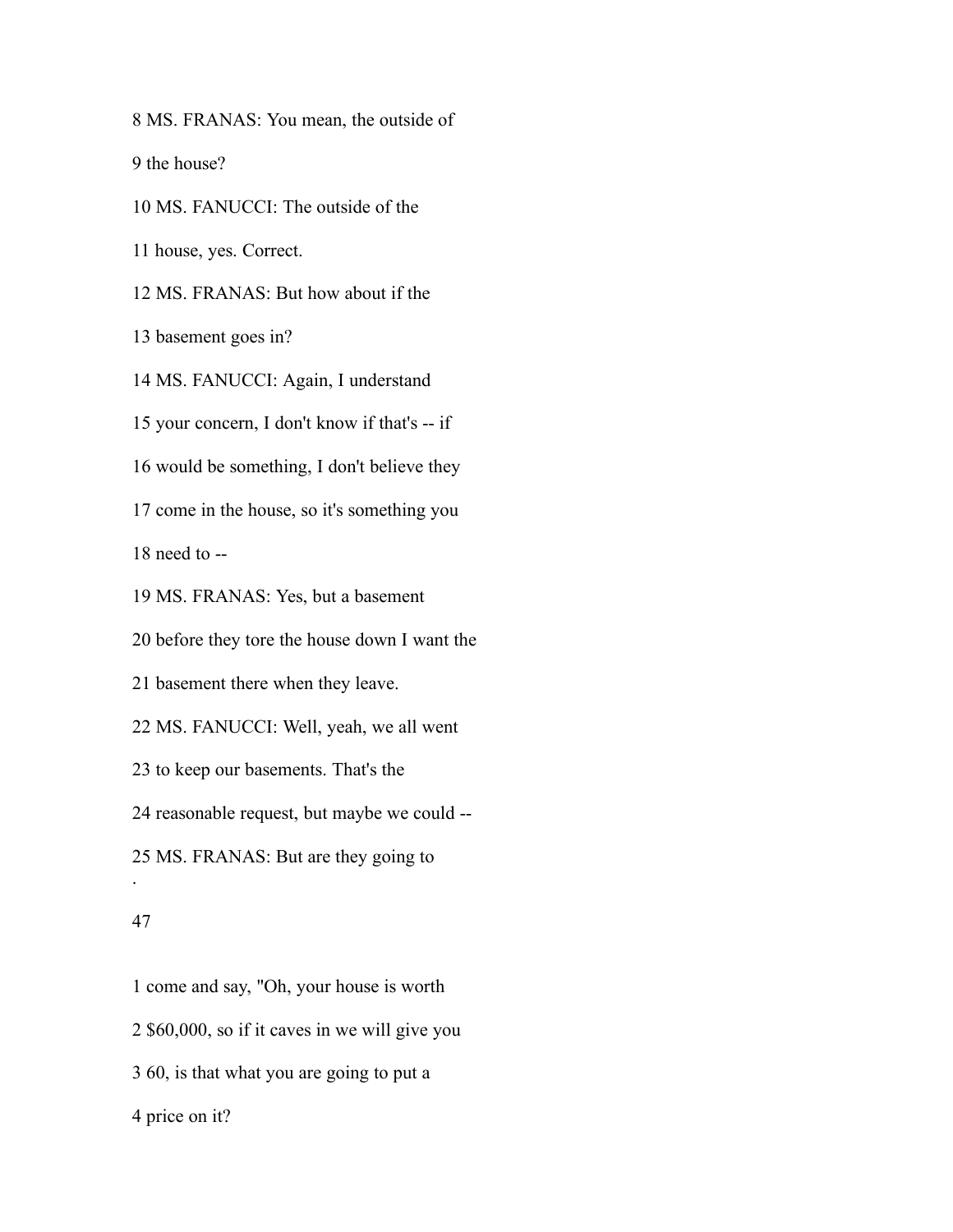MS. FRANAS: You mean, the outside of

the house?

MS. FANUCCI: The outside of the

house, yes. Correct.

MS. FRANAS: But how about if the

basement goes in?

MS. FANUCCI: Again, I understand

your concern, I don't know if that's -- if

would be something, I don't believe they

come in the house, so it's something you

need to --

MS. FRANAS: Yes, but a basement

before they tore the house down I want the

basement there when they leave.

MS. FANUCCI: Well, yeah, we all went

to keep our basements. That's the

reasonable request, but maybe we could --

MS. FRANAS: But are they going to

#### 

.

 come and say, "Oh, your house is worth \$60,000, so if it caves in we will give you 60, is that what you are going to put a price on it?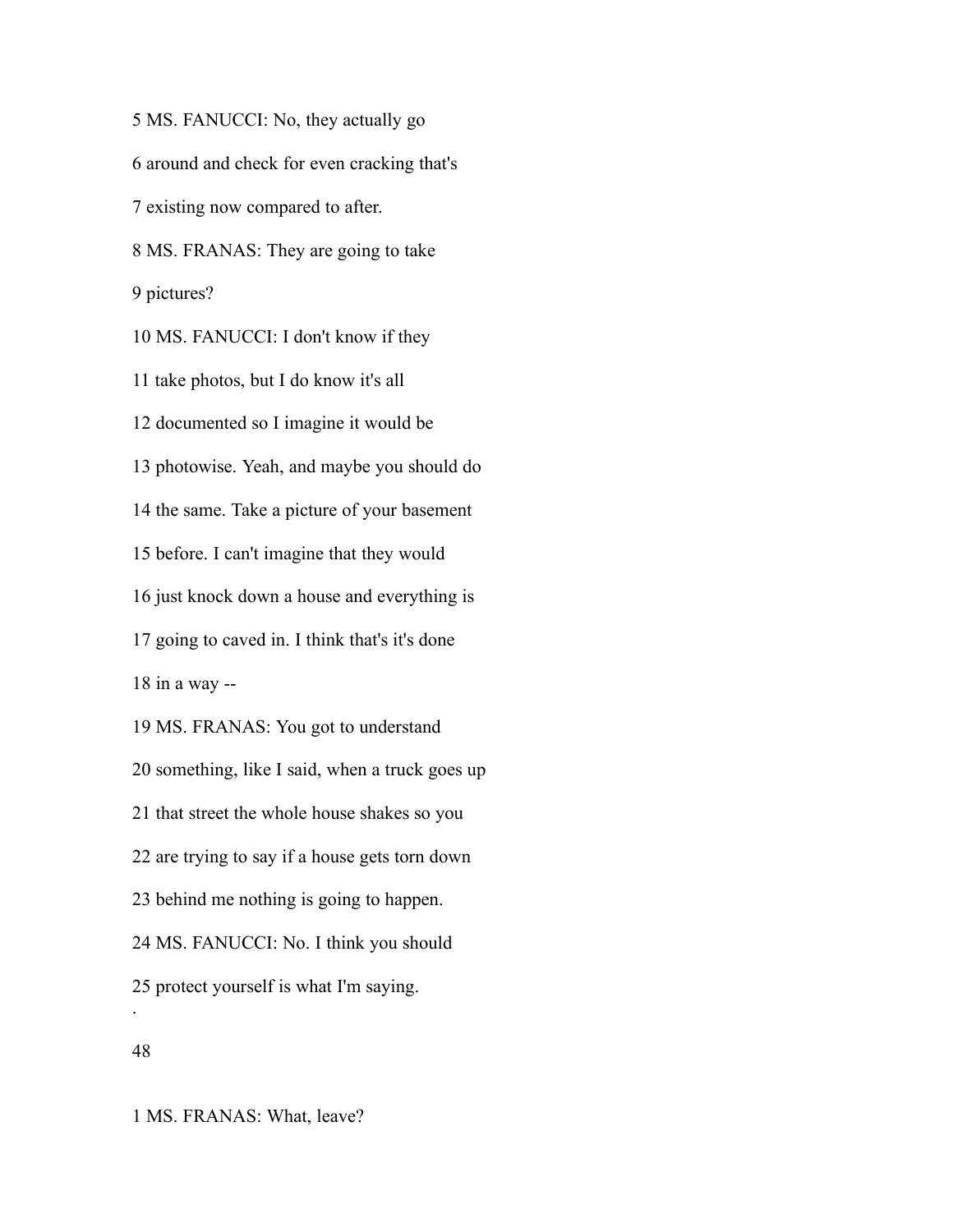MS. FANUCCI: No, they actually go around and check for even cracking that's existing now compared to after. MS. FRANAS: They are going to take pictures? MS. FANUCCI: I don't know if they take photos, but I do know it's all documented so I imagine it would be photowise. Yeah, and maybe you should do the same. Take a picture of your basement before. I can't imagine that they would just knock down a house and everything is going to caved in. I think that's it's done in a way -- MS. FRANAS: You got to understand something, like I said, when a truck goes up that street the whole house shakes so you are trying to say if a house gets torn down behind me nothing is going to happen. MS. FANUCCI: No. I think you should protect yourself is what I'm saying. .

MS. FRANAS: What, leave?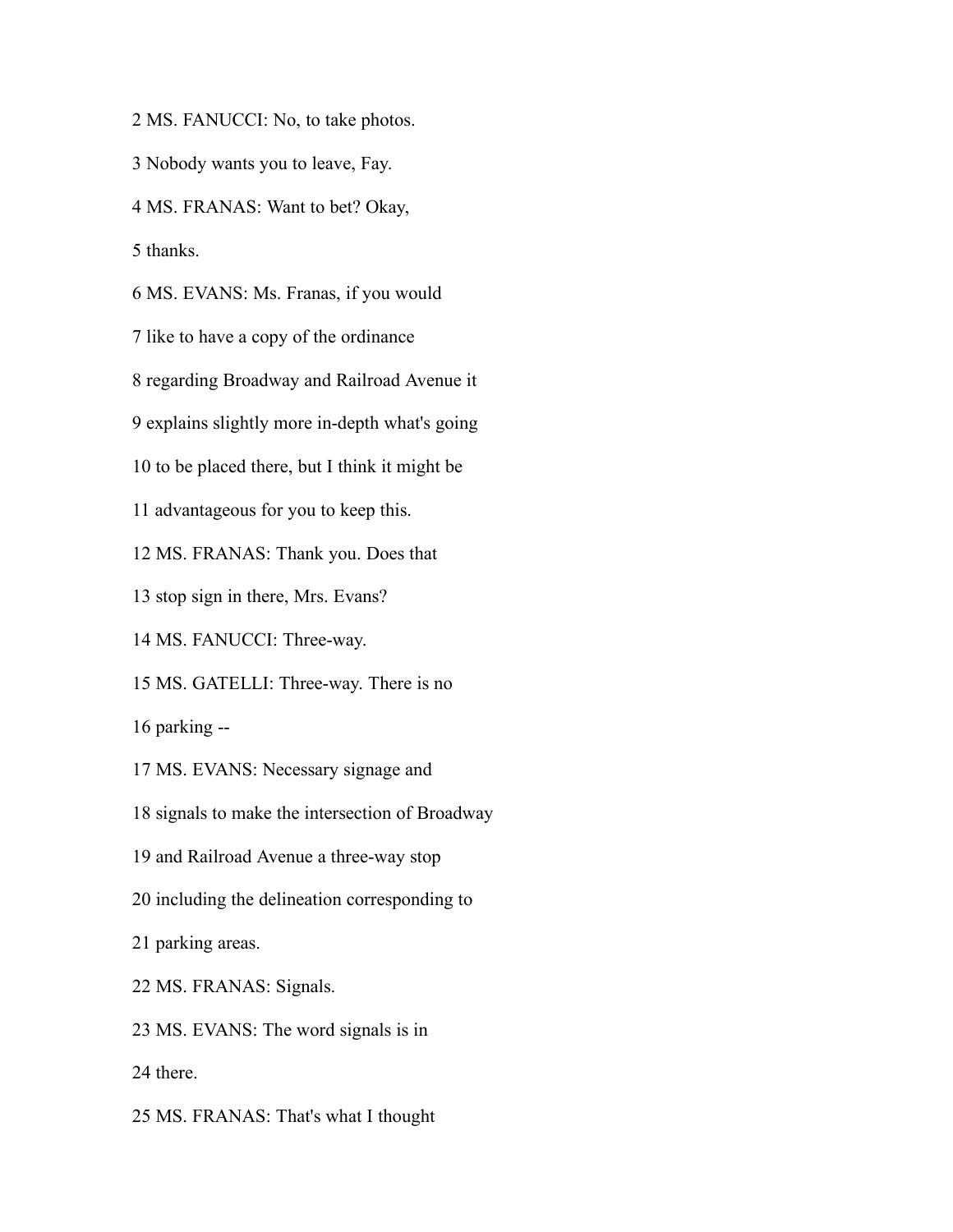MS. FANUCCI: No, to take photos.

Nobody wants you to leave, Fay.

MS. FRANAS: Want to bet? Okay,

thanks.

MS. EVANS: Ms. Franas, if you would

like to have a copy of the ordinance

regarding Broadway and Railroad Avenue it

explains slightly more in-depth what's going

to be placed there, but I think it might be

advantageous for you to keep this.

MS. FRANAS: Thank you. Does that

stop sign in there, Mrs. Evans?

MS. FANUCCI: Three-way.

MS. GATELLI: Three-way. There is no

parking --

MS. EVANS: Necessary signage and

signals to make the intersection of Broadway

and Railroad Avenue a three-way stop

including the delineation corresponding to

parking areas.

MS. FRANAS: Signals.

MS. EVANS: The word signals is in

there.

MS. FRANAS: That's what I thought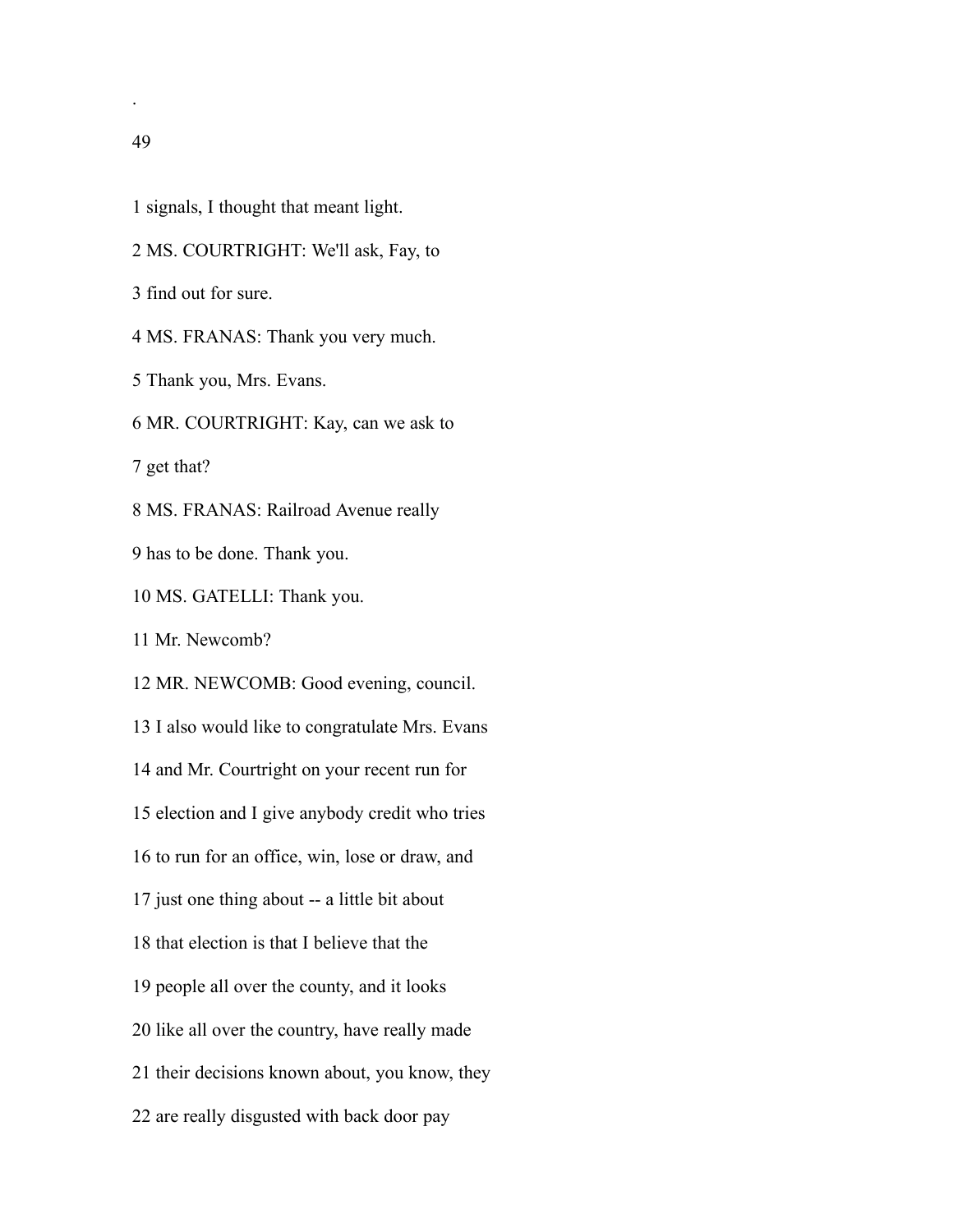.

- signals, I thought that meant light.
- MS. COURTRIGHT: We'll ask, Fay, to
- find out for sure.

MS. FRANAS: Thank you very much.

- Thank you, Mrs. Evans.
- MR. COURTRIGHT: Kay, can we ask to

get that?

MS. FRANAS: Railroad Avenue really

- has to be done. Thank you.
- MS. GATELLI: Thank you.

Mr. Newcomb?

MR. NEWCOMB: Good evening, council.

I also would like to congratulate Mrs. Evans

and Mr. Courtright on your recent run for

election and I give anybody credit who tries

to run for an office, win, lose or draw, and

just one thing about -- a little bit about

that election is that I believe that the

people all over the county, and it looks

like all over the country, have really made

their decisions known about, you know, they

are really disgusted with back door pay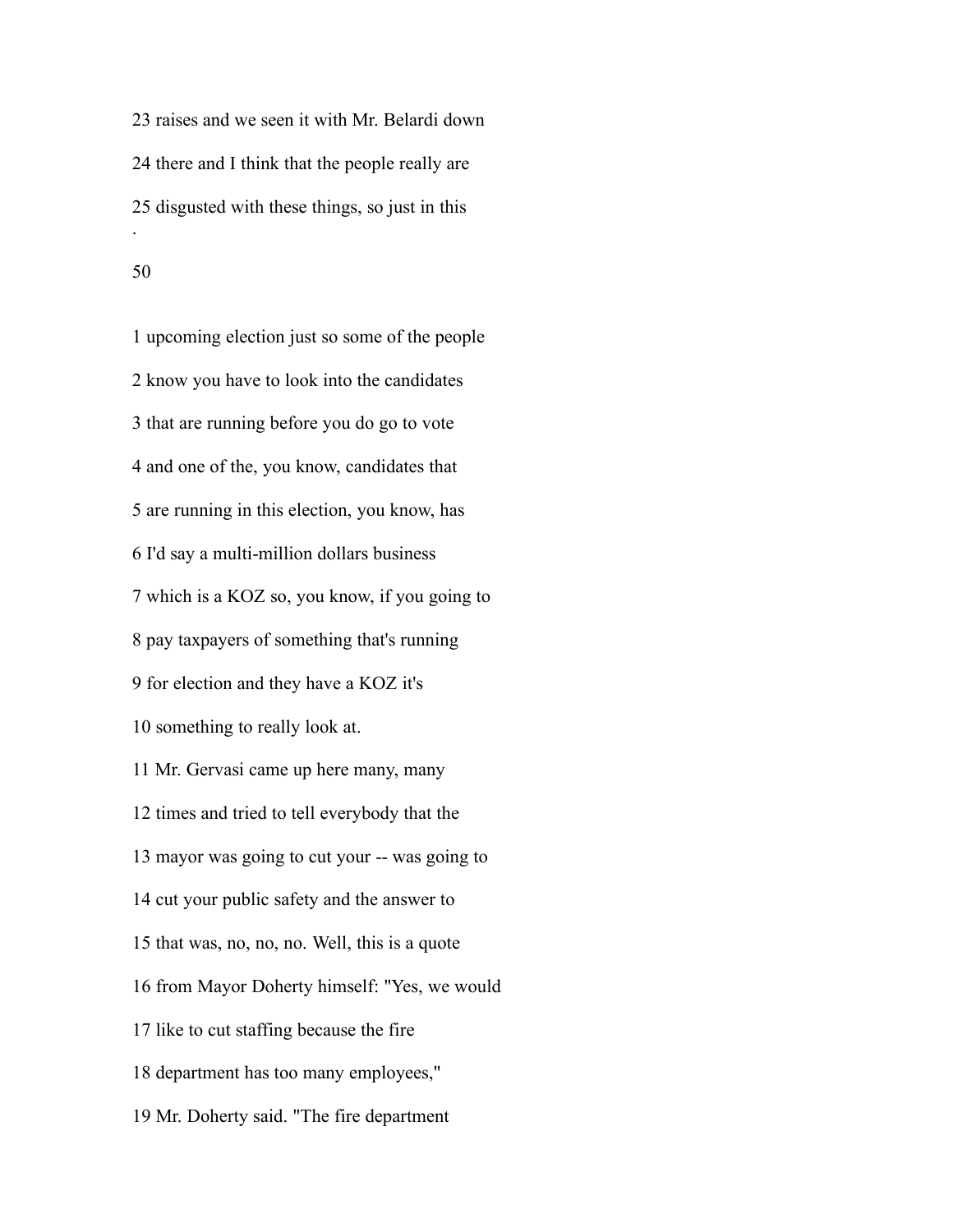raises and we seen it with Mr. Belardi down there and I think that the people really are disgusted with these things, so just in this .

 upcoming election just so some of the people know you have to look into the candidates that are running before you do go to vote and one of the, you know, candidates that are running in this election, you know, has I'd say a multi-million dollars business which is a KOZ so, you know, if you going to pay taxpayers of something that's running for election and they have a KOZ it's something to really look at. Mr. Gervasi came up here many, many times and tried to tell everybody that the mayor was going to cut your -- was going to cut your public safety and the answer to that was, no, no, no. Well, this is a quote from Mayor Doherty himself: "Yes, we would like to cut staffing because the fire department has too many employees," Mr. Doherty said. "The fire department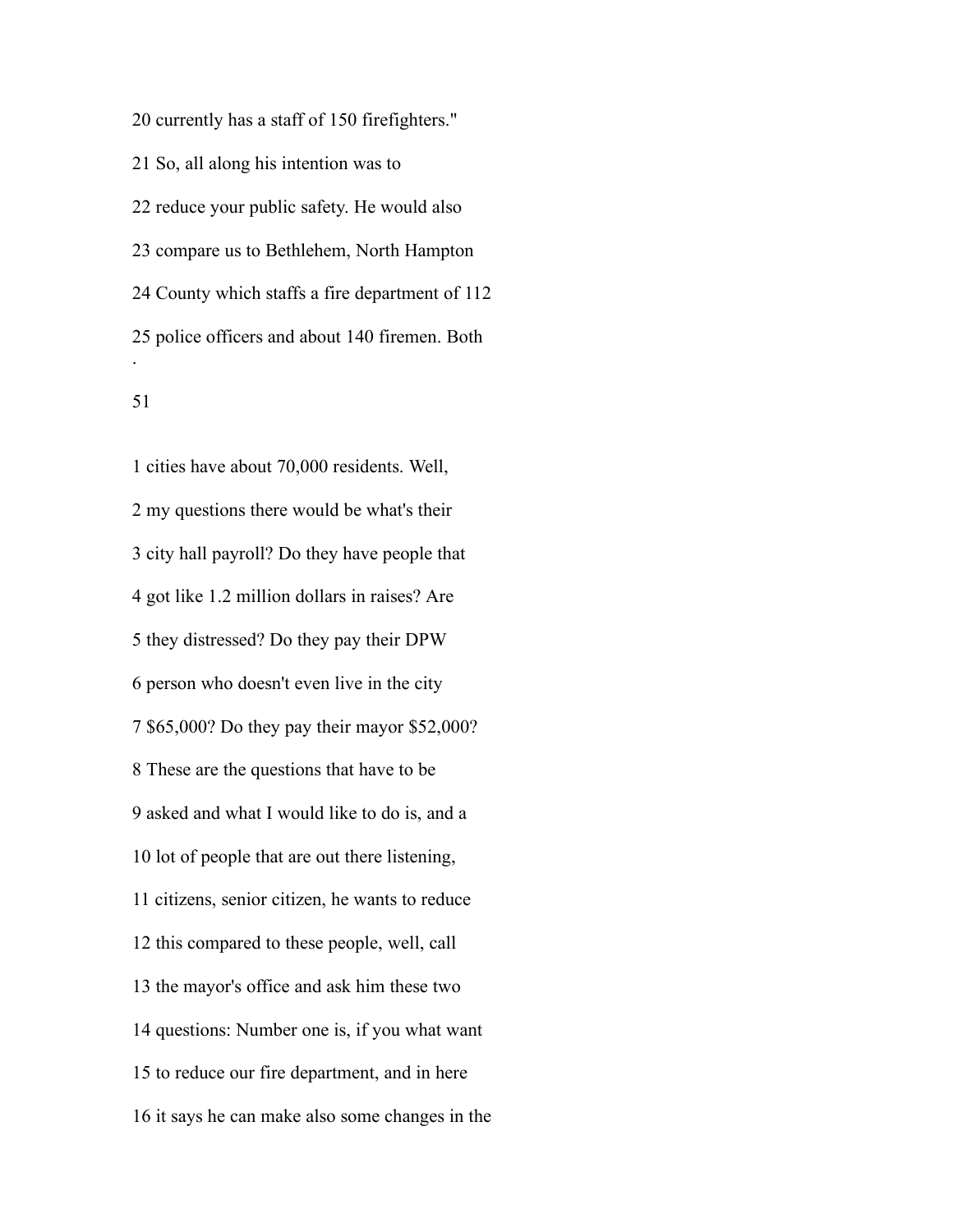currently has a staff of 150 firefighters." So, all along his intention was to reduce your public safety. He would also compare us to Bethlehem, North Hampton County which staffs a fire department of 112 police officers and about 140 firemen. Both .

 cities have about 70,000 residents. Well, my questions there would be what's their city hall payroll? Do they have people that got like 1.2 million dollars in raises? Are they distressed? Do they pay their DPW person who doesn't even live in the city \$65,000? Do they pay their mayor \$52,000? These are the questions that have to be asked and what I would like to do is, and a lot of people that are out there listening, citizens, senior citizen, he wants to reduce this compared to these people, well, call the mayor's office and ask him these two questions: Number one is, if you what want to reduce our fire department, and in here it says he can make also some changes in the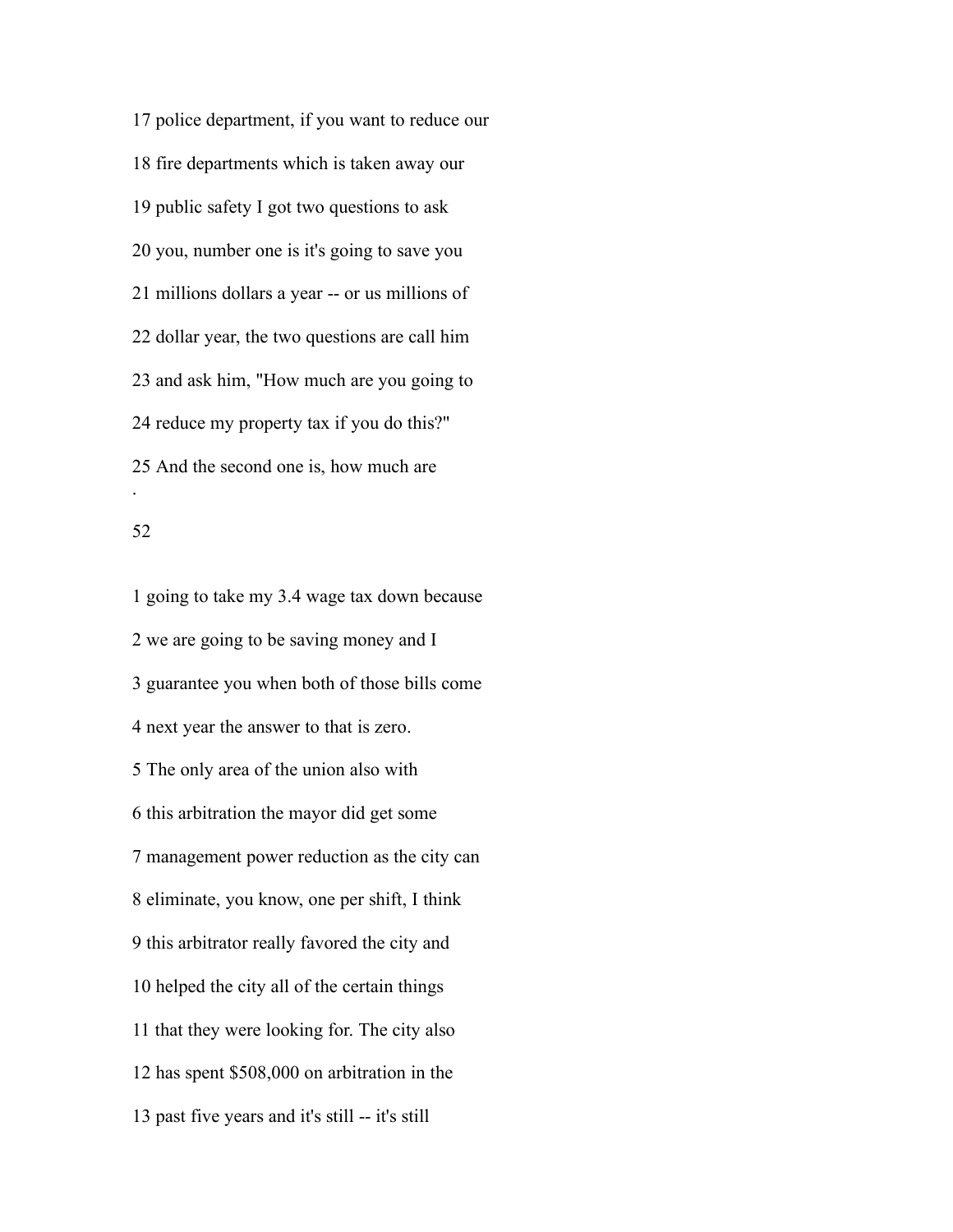police department, if you want to reduce our fire departments which is taken away our public safety I got two questions to ask you, number one is it's going to save you millions dollars a year -- or us millions of dollar year, the two questions are call him and ask him, "How much are you going to reduce my property tax if you do this?" And the second one is, how much are .

### 

 going to take my 3.4 wage tax down because we are going to be saving money and I guarantee you when both of those bills come next year the answer to that is zero. The only area of the union also with this arbitration the mayor did get some management power reduction as the city can eliminate, you know, one per shift, I think this arbitrator really favored the city and helped the city all of the certain things that they were looking for. The city also has spent \$508,000 on arbitration in the past five years and it's still -- it's still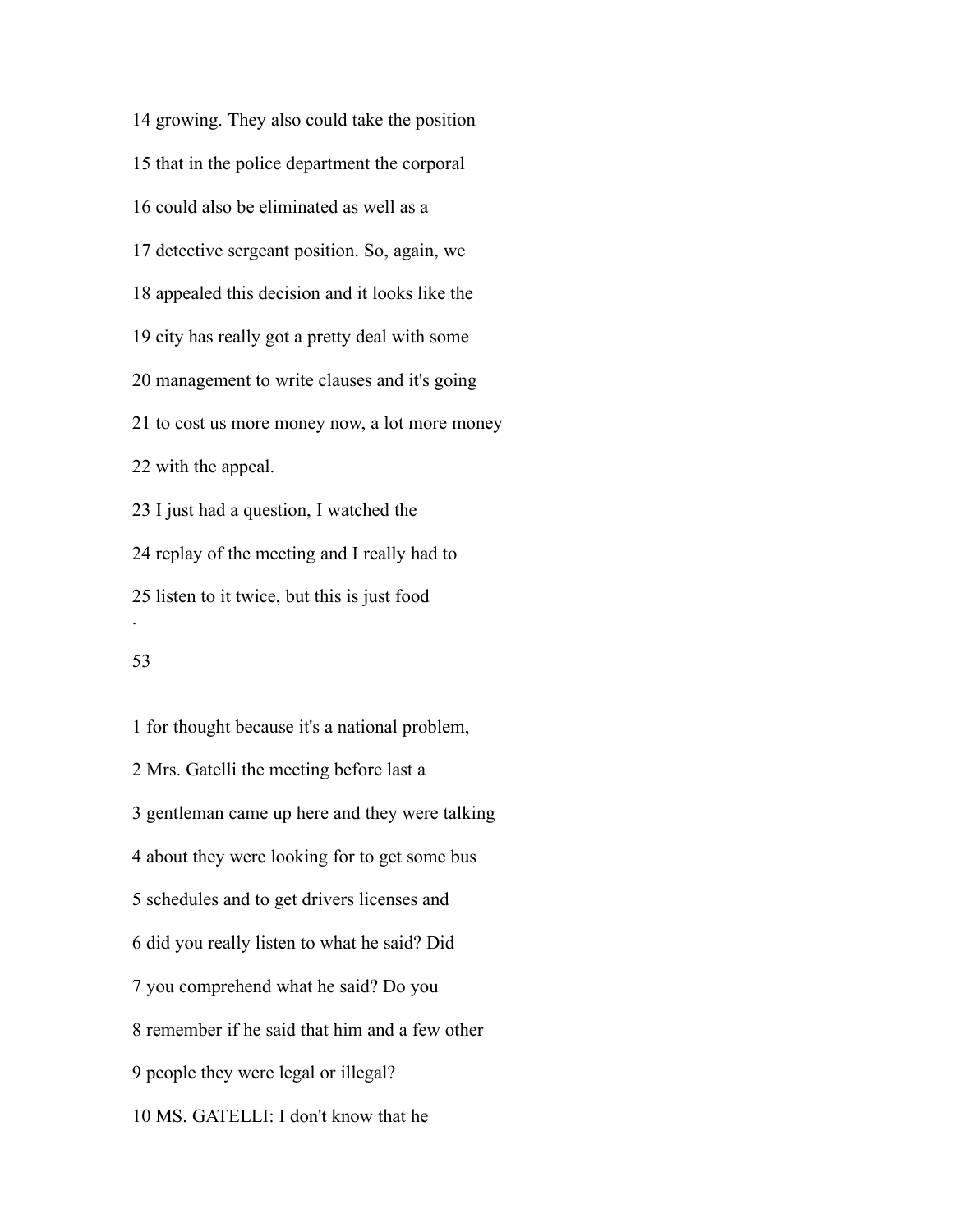growing. They also could take the position that in the police department the corporal could also be eliminated as well as a detective sergeant position. So, again, we appealed this decision and it looks like the city has really got a pretty deal with some management to write clauses and it's going to cost us more money now, a lot more money with the appeal. I just had a question, I watched the replay of the meeting and I really had to listen to it twice, but this is just food .

 for thought because it's a national problem, Mrs. Gatelli the meeting before last a gentleman came up here and they were talking about they were looking for to get some bus schedules and to get drivers licenses and did you really listen to what he said? Did you comprehend what he said? Do you remember if he said that him and a few other people they were legal or illegal? MS. GATELLI: I don't know that he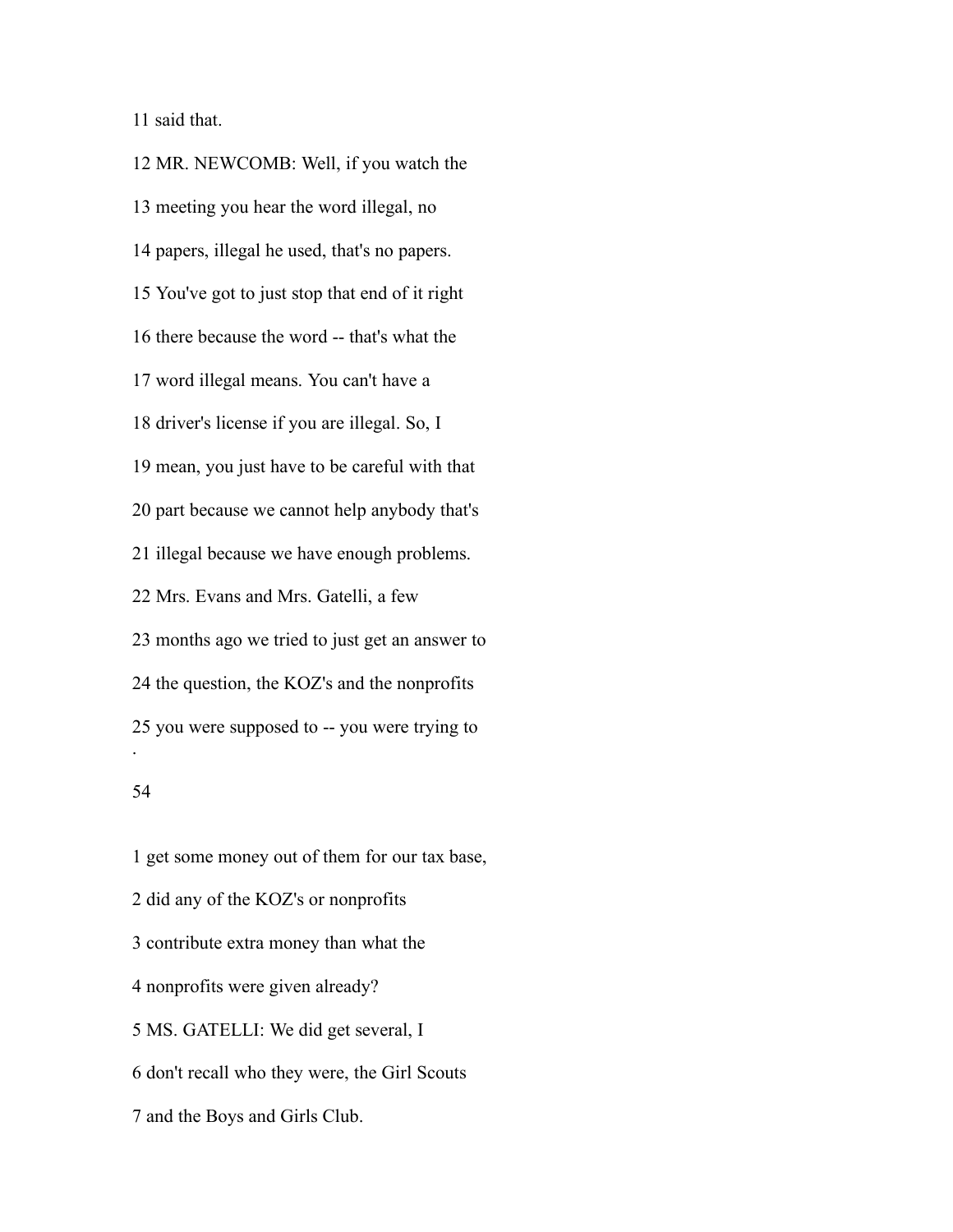said that.

 MR. NEWCOMB: Well, if you watch the meeting you hear the word illegal, no papers, illegal he used, that's no papers. You've got to just stop that end of it right there because the word -- that's what the word illegal means. You can't have a driver's license if you are illegal. So, I mean, you just have to be careful with that part because we cannot help anybody that's illegal because we have enough problems. Mrs. Evans and Mrs. Gatelli, a few months ago we tried to just get an answer to the question, the KOZ's and the nonprofits you were supposed to -- you were trying to .

 get some money out of them for our tax base, did any of the KOZ's or nonprofits contribute extra money than what the nonprofits were given already? MS. GATELLI: We did get several, I don't recall who they were, the Girl Scouts and the Boys and Girls Club.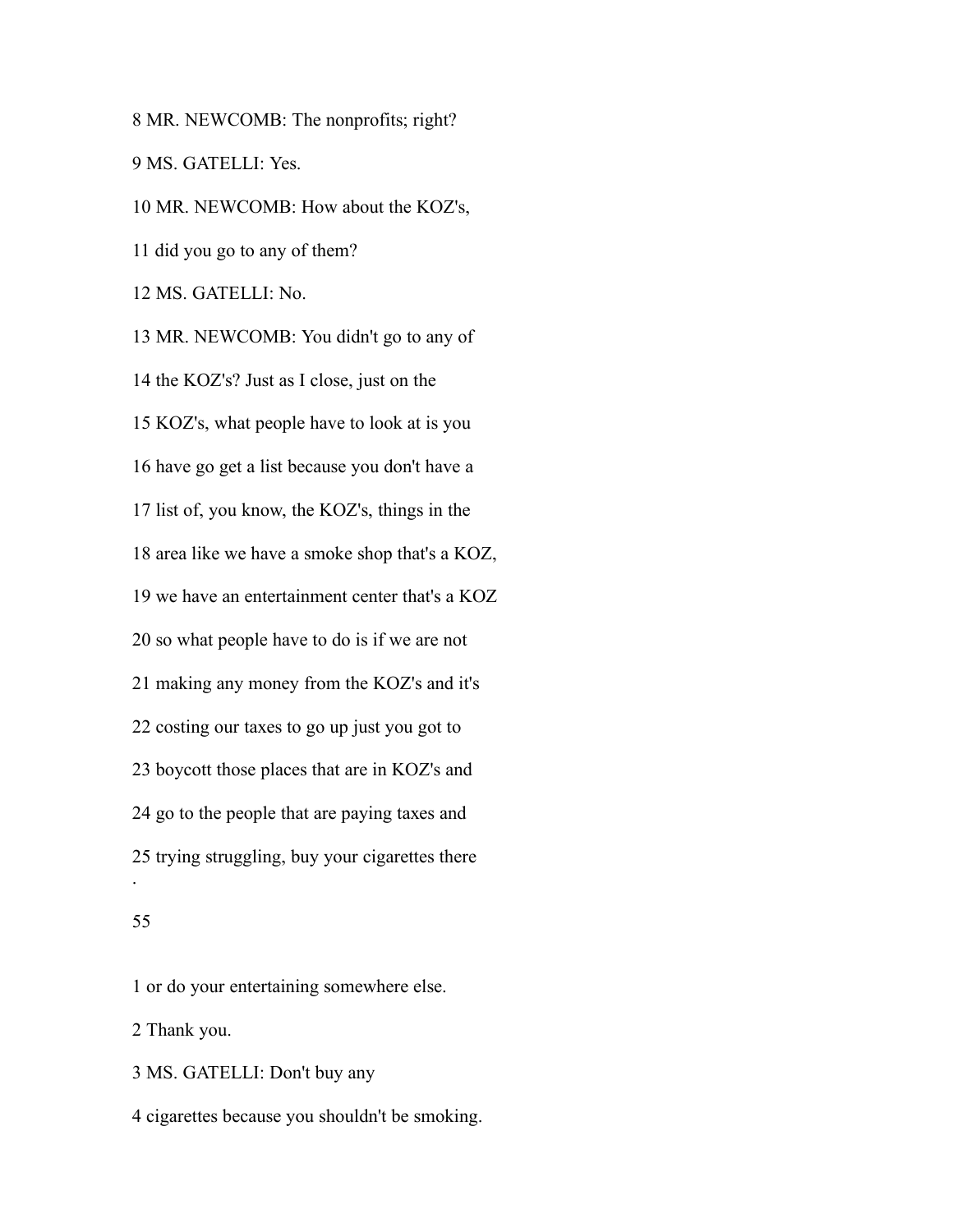MR. NEWCOMB: The nonprofits; right? MS. GATELLI: Yes. MR. NEWCOMB: How about the KOZ's, did you go to any of them? MS. GATELLI: No. MR. NEWCOMB: You didn't go to any of the KOZ's? Just as I close, just on the KOZ's, what people have to look at is you have go get a list because you don't have a list of, you know, the KOZ's, things in the area like we have a smoke shop that's a KOZ, we have an entertainment center that's a KOZ so what people have to do is if we are not making any money from the KOZ's and it's costing our taxes to go up just you got to boycott those places that are in KOZ's and go to the people that are paying taxes and trying struggling, buy your cigarettes there .

### 

or do your entertaining somewhere else.

Thank you.

MS. GATELLI: Don't buy any

cigarettes because you shouldn't be smoking.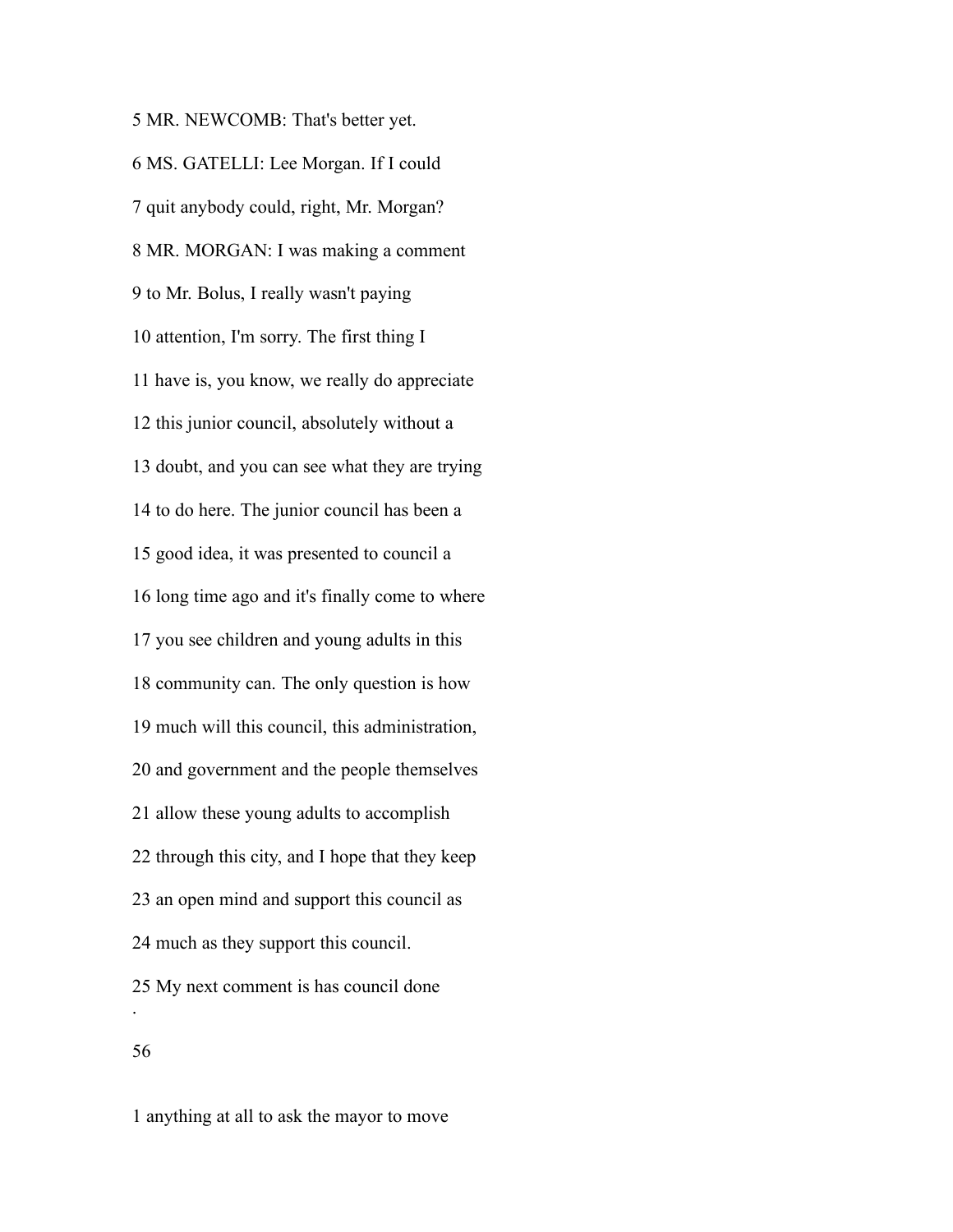MR. NEWCOMB: That's better yet. MS. GATELLI: Lee Morgan. If I could quit anybody could, right, Mr. Morgan? MR. MORGAN: I was making a comment to Mr. Bolus, I really wasn't paying attention, I'm sorry. The first thing I have is, you know, we really do appreciate this junior council, absolutely without a doubt, and you can see what they are trying to do here. The junior council has been a good idea, it was presented to council a long time ago and it's finally come to where you see children and young adults in this community can. The only question is how much will this council, this administration, and government and the people themselves allow these young adults to accomplish through this city, and I hope that they keep an open mind and support this council as much as they support this council. My next comment is has council done . 

anything at all to ask the mayor to move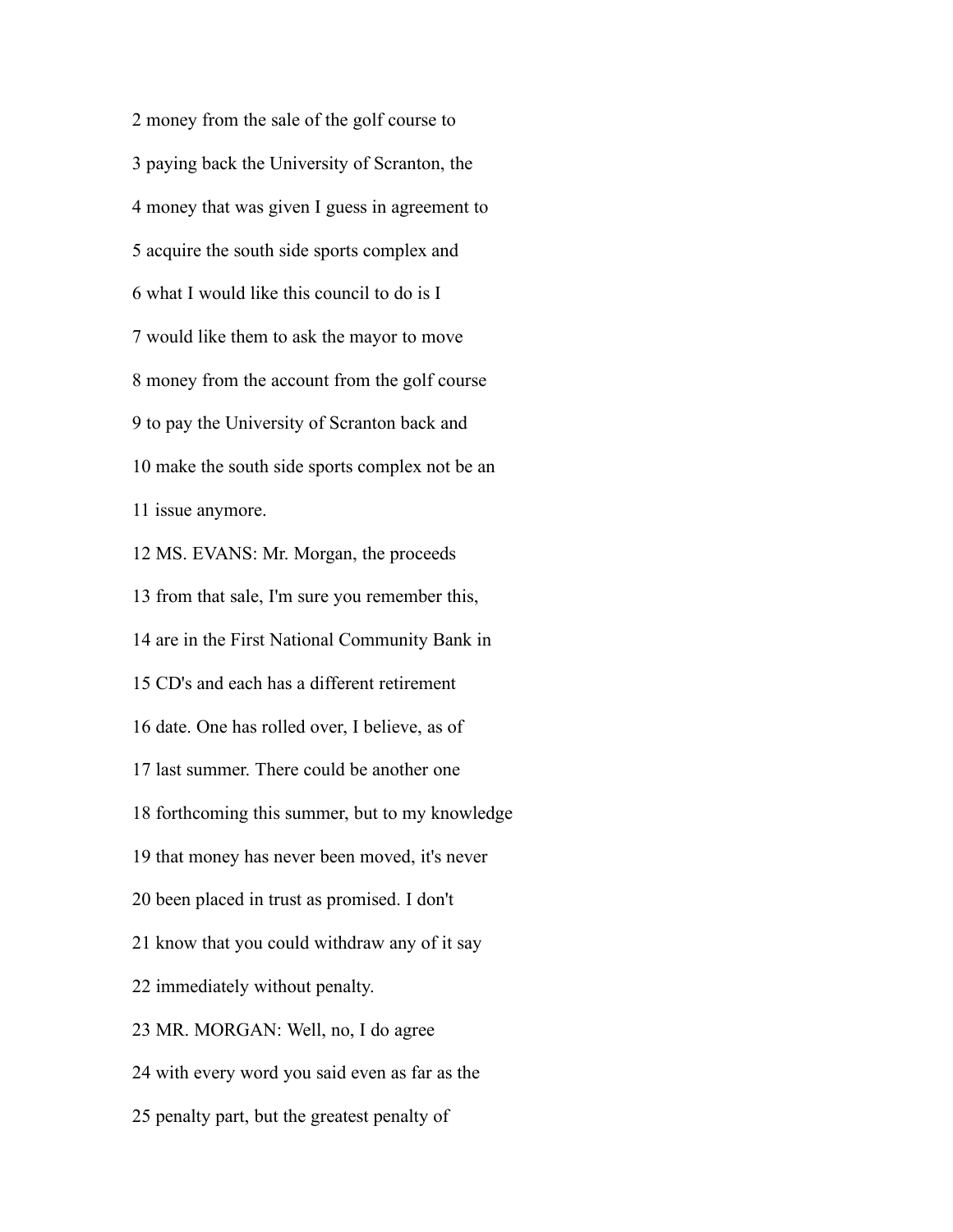money from the sale of the golf course to paying back the University of Scranton, the money that was given I guess in agreement to acquire the south side sports complex and what I would like this council to do is I would like them to ask the mayor to move money from the account from the golf course to pay the University of Scranton back and make the south side sports complex not be an issue anymore.

 MS. EVANS: Mr. Morgan, the proceeds from that sale, I'm sure you remember this, are in the First National Community Bank in CD's and each has a different retirement date. One has rolled over, I believe, as of last summer. There could be another one forthcoming this summer, but to my knowledge that money has never been moved, it's never been placed in trust as promised. I don't know that you could withdraw any of it say immediately without penalty. MR. MORGAN: Well, no, I do agree with every word you said even as far as the penalty part, but the greatest penalty of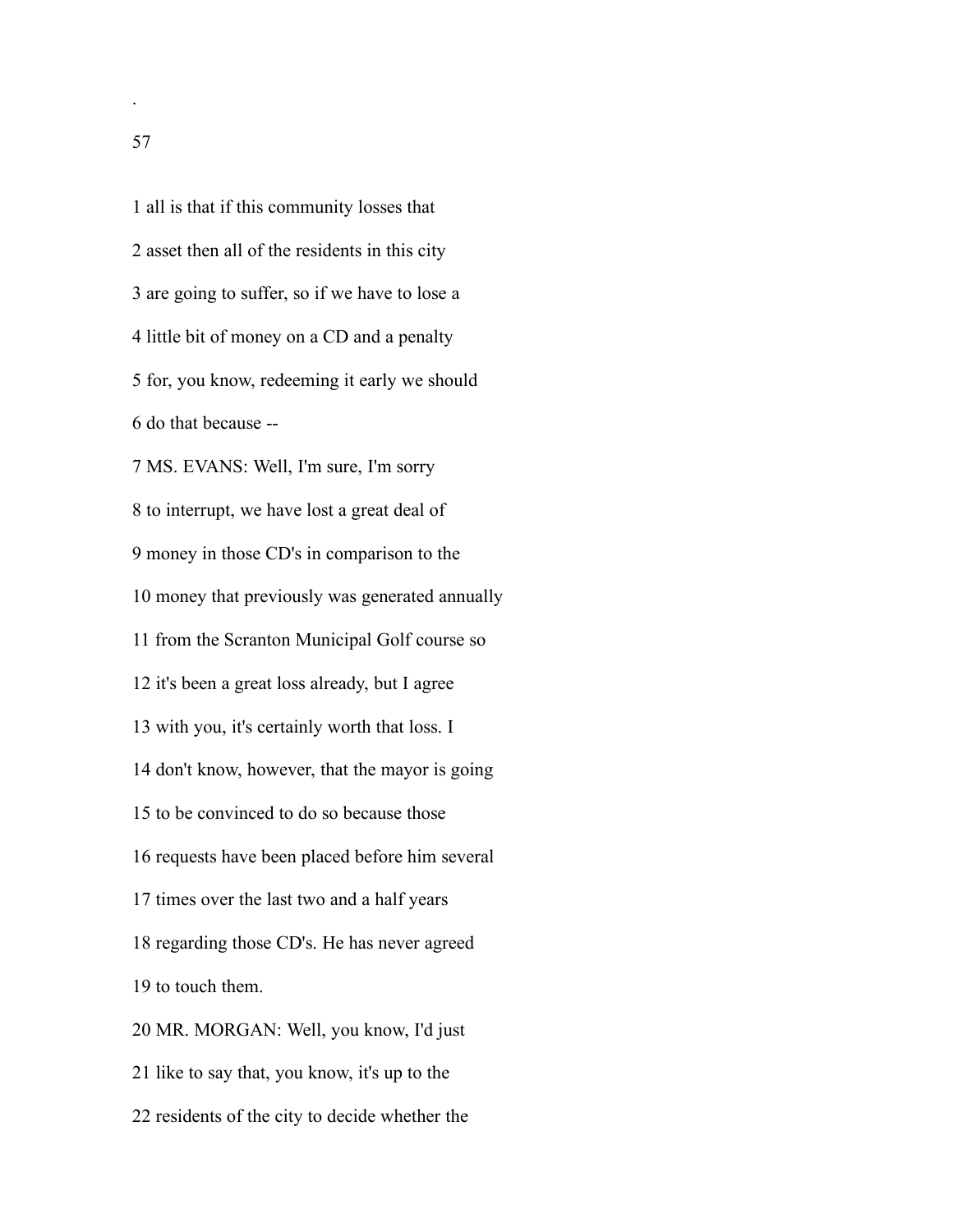all is that if this community losses that asset then all of the residents in this city are going to suffer, so if we have to lose a little bit of money on a CD and a penalty for, you know, redeeming it early we should do that because -- MS. EVANS: Well, I'm sure, I'm sorry to interrupt, we have lost a great deal of money in those CD's in comparison to the money that previously was generated annually from the Scranton Municipal Golf course so it's been a great loss already, but I agree with you, it's certainly worth that loss. I don't know, however, that the mayor is going to be convinced to do so because those requests have been placed before him several times over the last two and a half years regarding those CD's. He has never agreed to touch them. MR. MORGAN: Well, you know, I'd just like to say that, you know, it's up to the residents of the city to decide whether the

.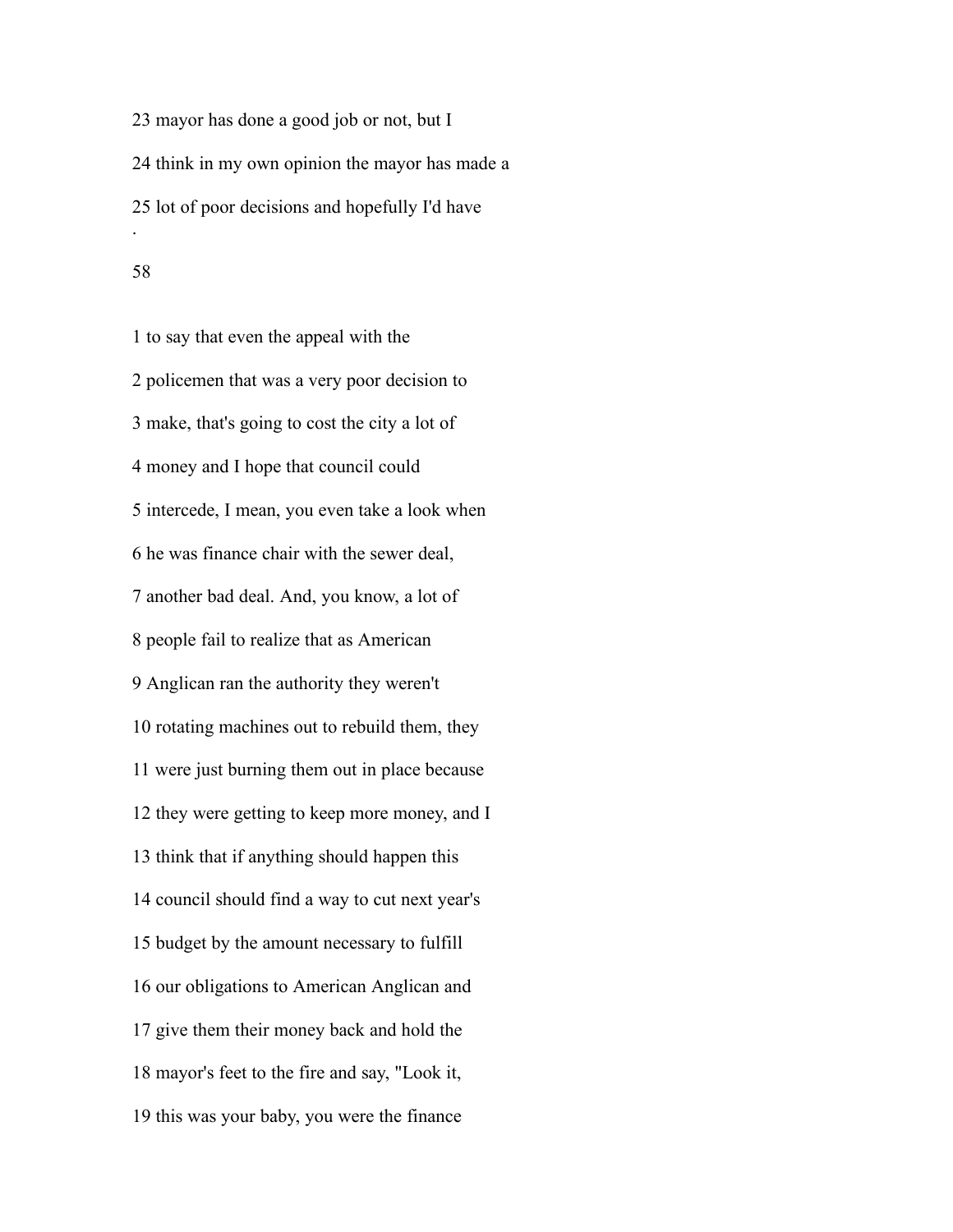mayor has done a good job or not, but I think in my own opinion the mayor has made a lot of poor decisions and hopefully I'd have .

 to say that even the appeal with the policemen that was a very poor decision to make, that's going to cost the city a lot of money and I hope that council could intercede, I mean, you even take a look when he was finance chair with the sewer deal, another bad deal. And, you know, a lot of people fail to realize that as American Anglican ran the authority they weren't rotating machines out to rebuild them, they were just burning them out in place because they were getting to keep more money, and I think that if anything should happen this council should find a way to cut next year's budget by the amount necessary to fulfill our obligations to American Anglican and give them their money back and hold the mayor's feet to the fire and say, "Look it, this was your baby, you were the finance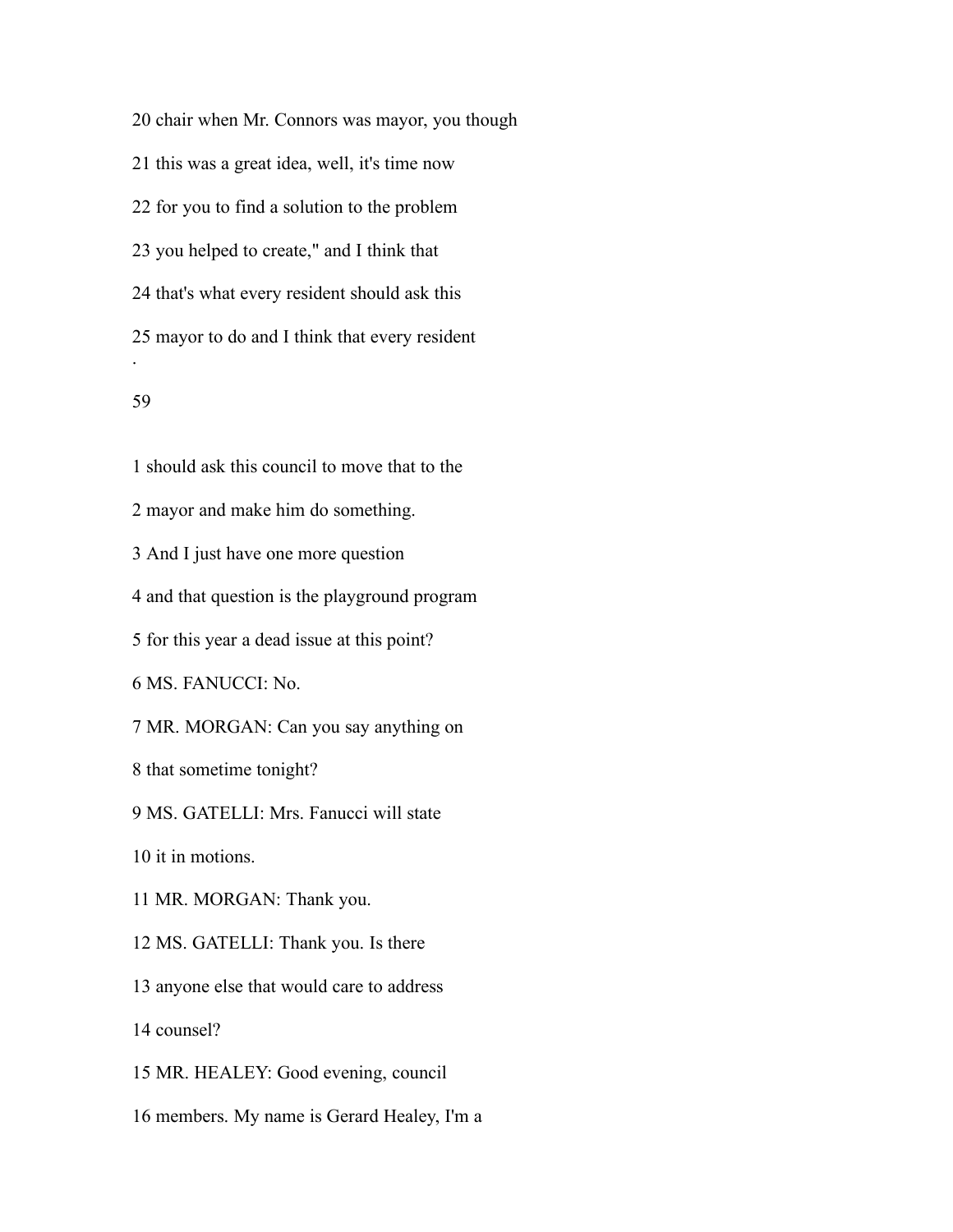chair when Mr. Connors was mayor, you though this was a great idea, well, it's time now for you to find a solution to the problem you helped to create," and I think that that's what every resident should ask this mayor to do and I think that every resident .

# 

 should ask this council to move that to the mayor and make him do something. And I just have one more question and that question is the playground program for this year a dead issue at this point? MS. FANUCCI: No. MR. MORGAN: Can you say anything on that sometime tonight? MS. GATELLI: Mrs. Fanucci will state it in motions. MR. MORGAN: Thank you. MS. GATELLI: Thank you. Is there anyone else that would care to address counsel? MR. HEALEY: Good evening, council members. My name is Gerard Healey, I'm a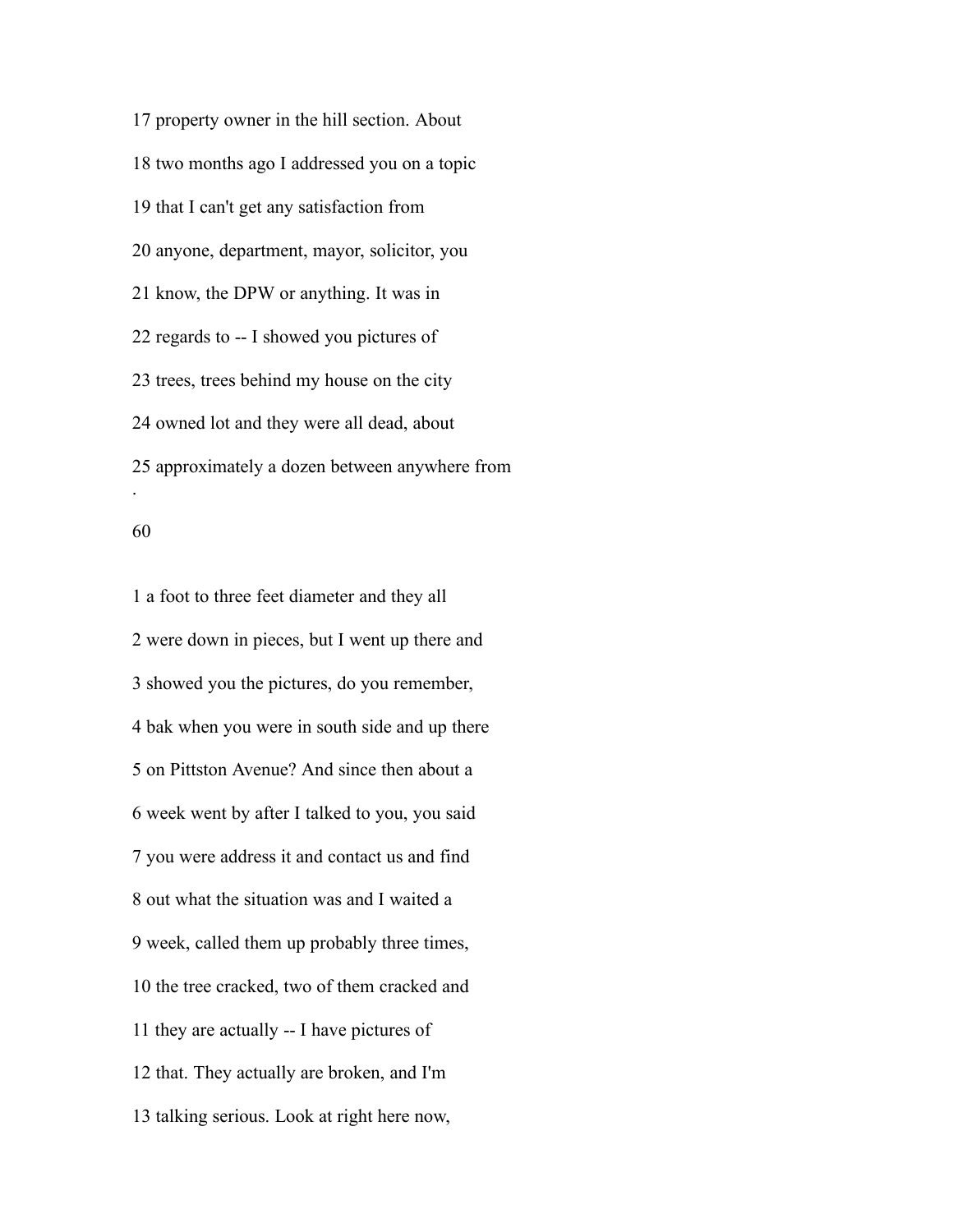property owner in the hill section. About two months ago I addressed you on a topic that I can't get any satisfaction from anyone, department, mayor, solicitor, you know, the DPW or anything. It was in regards to -- I showed you pictures of trees, trees behind my house on the city owned lot and they were all dead, about approximately a dozen between anywhere from .

 a foot to three feet diameter and they all were down in pieces, but I went up there and showed you the pictures, do you remember, bak when you were in south side and up there on Pittston Avenue? And since then about a week went by after I talked to you, you said you were address it and contact us and find out what the situation was and I waited a week, called them up probably three times, the tree cracked, two of them cracked and they are actually -- I have pictures of that. They actually are broken, and I'm talking serious. Look at right here now,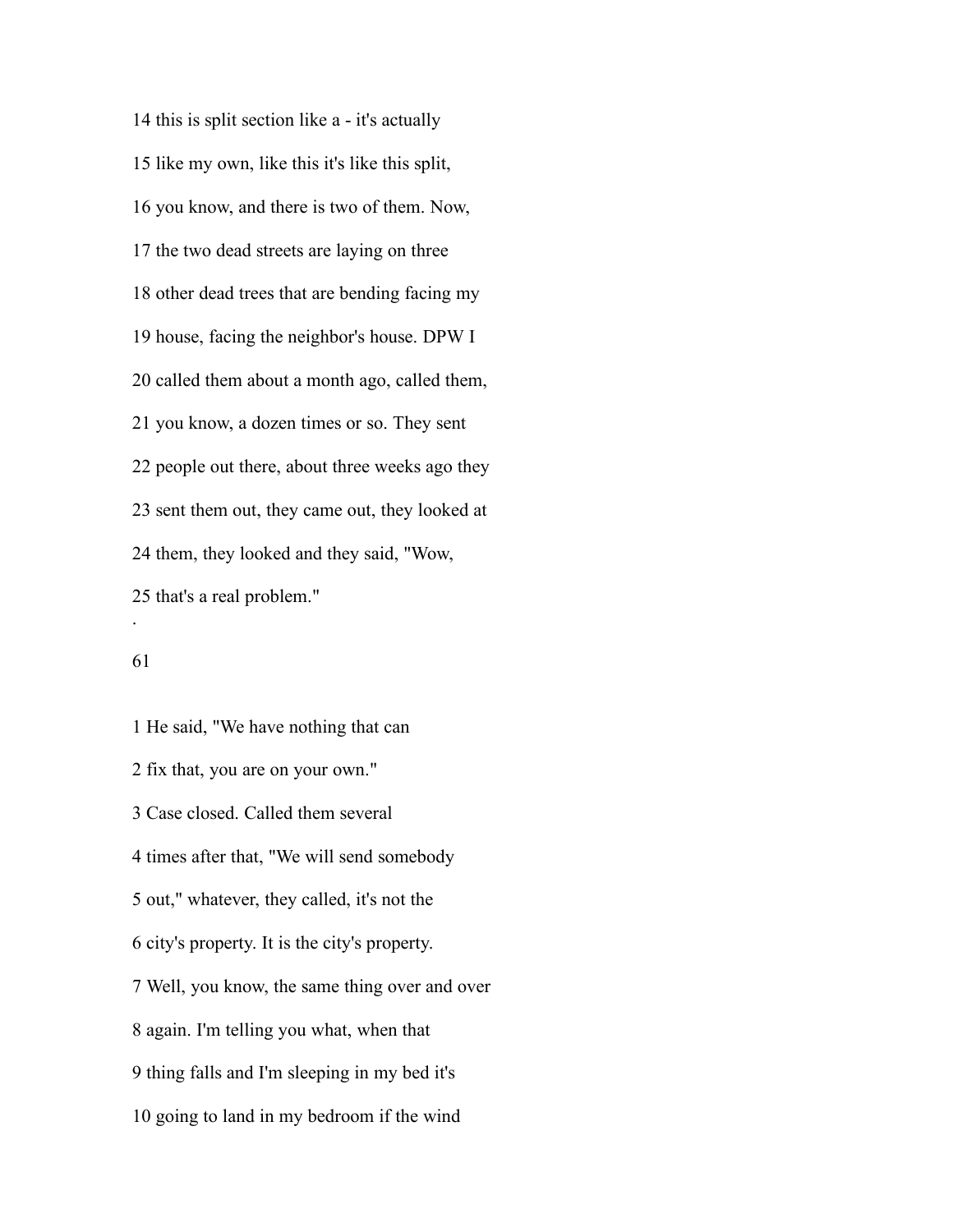this is split section like a - it's actually like my own, like this it's like this split, you know, and there is two of them. Now, the two dead streets are laying on three other dead trees that are bending facing my house, facing the neighbor's house. DPW I called them about a month ago, called them, you know, a dozen times or so. They sent people out there, about three weeks ago they sent them out, they came out, they looked at them, they looked and they said, "Wow, that's a real problem." .

### 

 He said, "We have nothing that can fix that, you are on your own." Case closed. Called them several times after that, "We will send somebody out," whatever, they called, it's not the city's property. It is the city's property. Well, you know, the same thing over and over again. I'm telling you what, when that thing falls and I'm sleeping in my bed it's going to land in my bedroom if the wind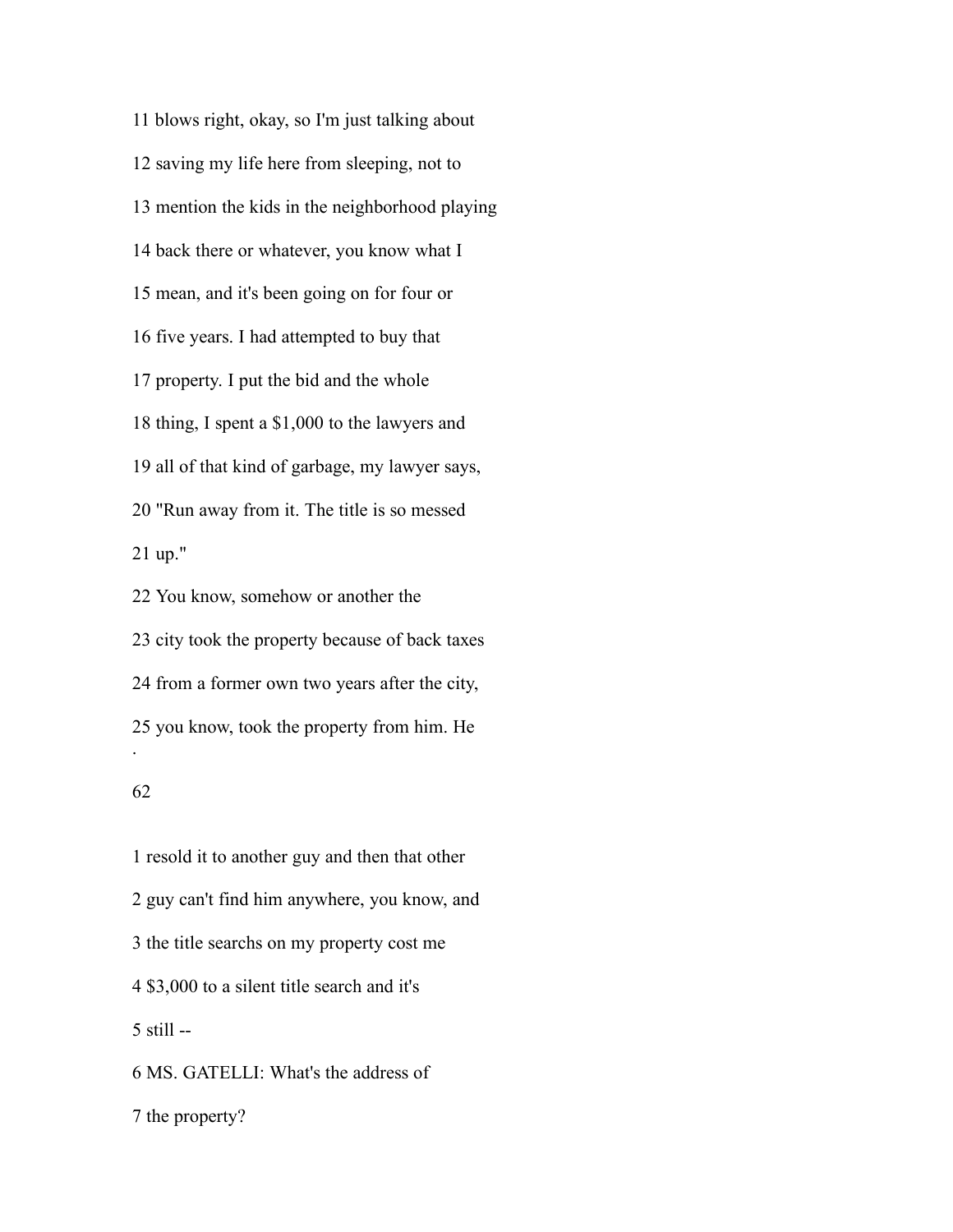blows right, okay, so I'm just talking about saving my life here from sleeping, not to mention the kids in the neighborhood playing back there or whatever, you know what I mean, and it's been going on for four or five years. I had attempted to buy that property. I put the bid and the whole thing, I spent a \$1,000 to the lawyers and all of that kind of garbage, my lawyer says, "Run away from it. The title is so messed up." You know, somehow or another the

 city took the property because of back taxes from a former own two years after the city, you know, took the property from him. He .

# 

 resold it to another guy and then that other guy can't find him anywhere, you know, and the title searchs on my property cost me \$3,000 to a silent title search and it's still -- MS. GATELLI: What's the address of the property?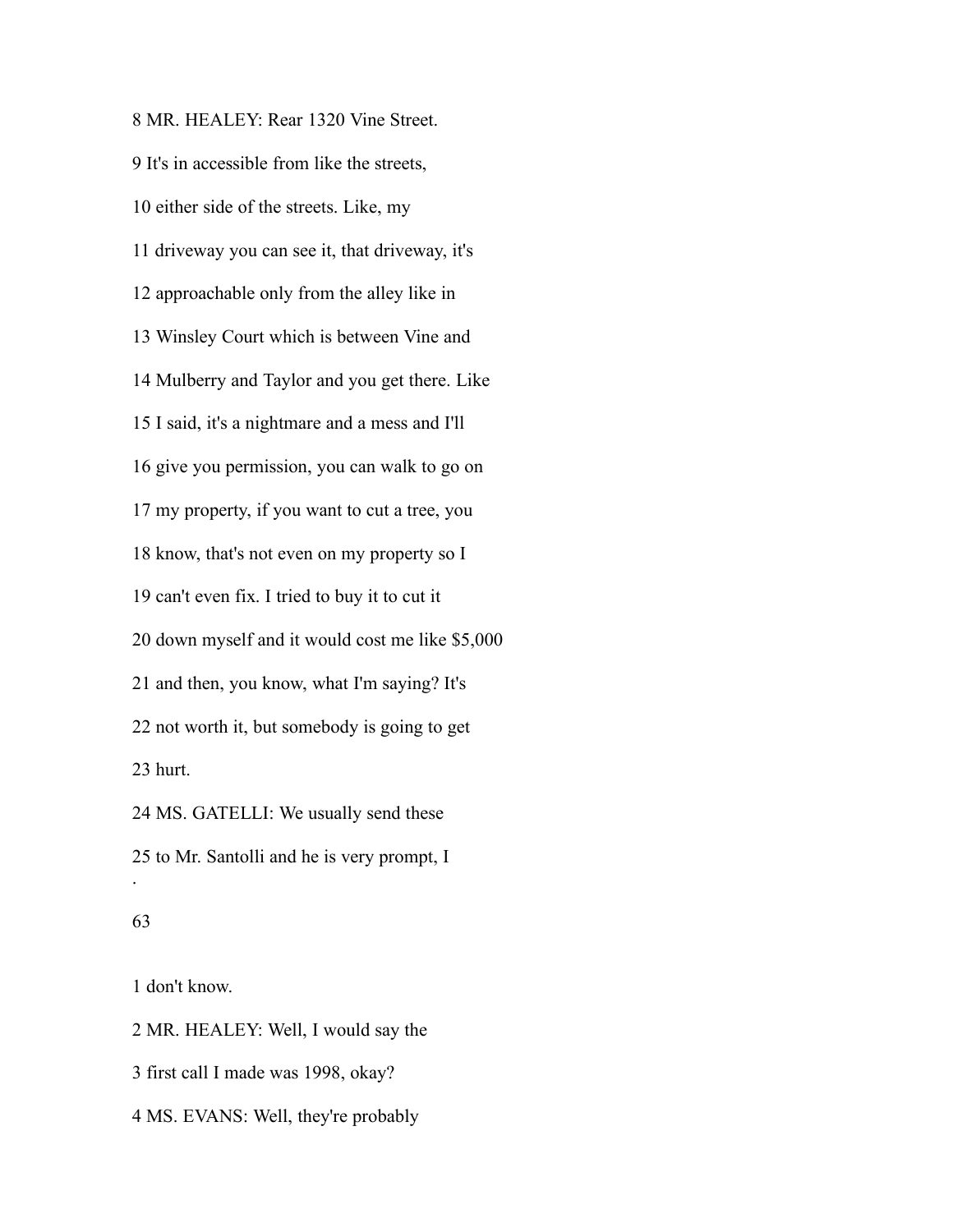MR. HEALEY: Rear 1320 Vine Street. It's in accessible from like the streets, either side of the streets. Like, my driveway you can see it, that driveway, it's approachable only from the alley like in Winsley Court which is between Vine and Mulberry and Taylor and you get there. Like I said, it's a nightmare and a mess and I'll give you permission, you can walk to go on my property, if you want to cut a tree, you know, that's not even on my property so I can't even fix. I tried to buy it to cut it down myself and it would cost me like \$5,000 and then, you know, what I'm saying? It's not worth it, but somebody is going to get hurt. MS. GATELLI: We usually send these to Mr. Santolli and he is very prompt, I .

## 

don't know.

MR. HEALEY: Well, I would say the

first call I made was 1998, okay?

MS. EVANS: Well, they're probably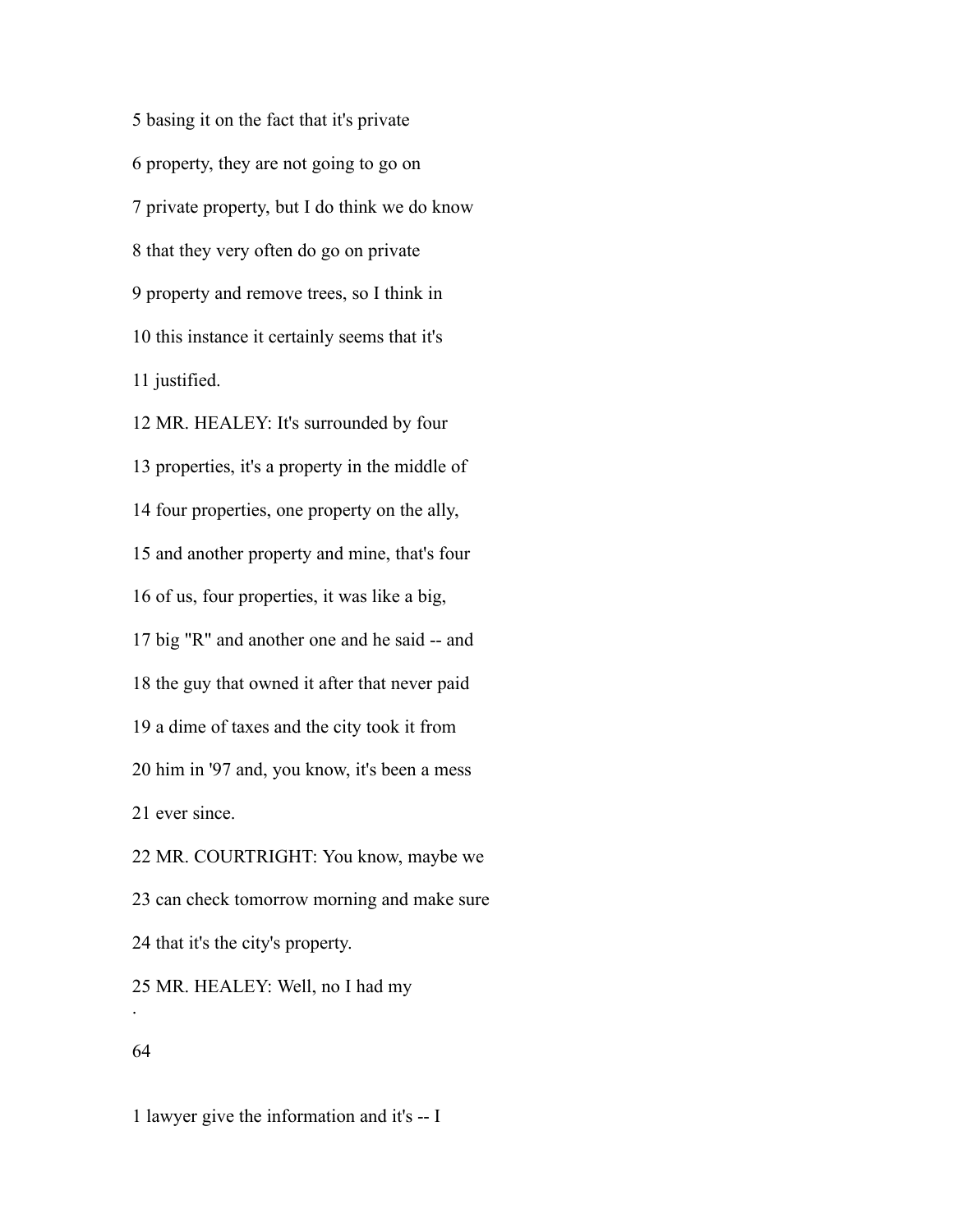basing it on the fact that it's private property, they are not going to go on private property, but I do think we do know that they very often do go on private property and remove trees, so I think in this instance it certainly seems that it's justified.

 MR. HEALEY: It's surrounded by four properties, it's a property in the middle of four properties, one property on the ally, and another property and mine, that's four of us, four properties, it was like a big, big "R" and another one and he said -- and the guy that owned it after that never paid a dime of taxes and the city took it from him in '97 and, you know, it's been a mess ever since. MR. COURTRIGHT: You know, maybe we can check tomorrow morning and make sure

that it's the city's property.

 MR. HEALEY: Well, no I had my .

# 

lawyer give the information and it's -- I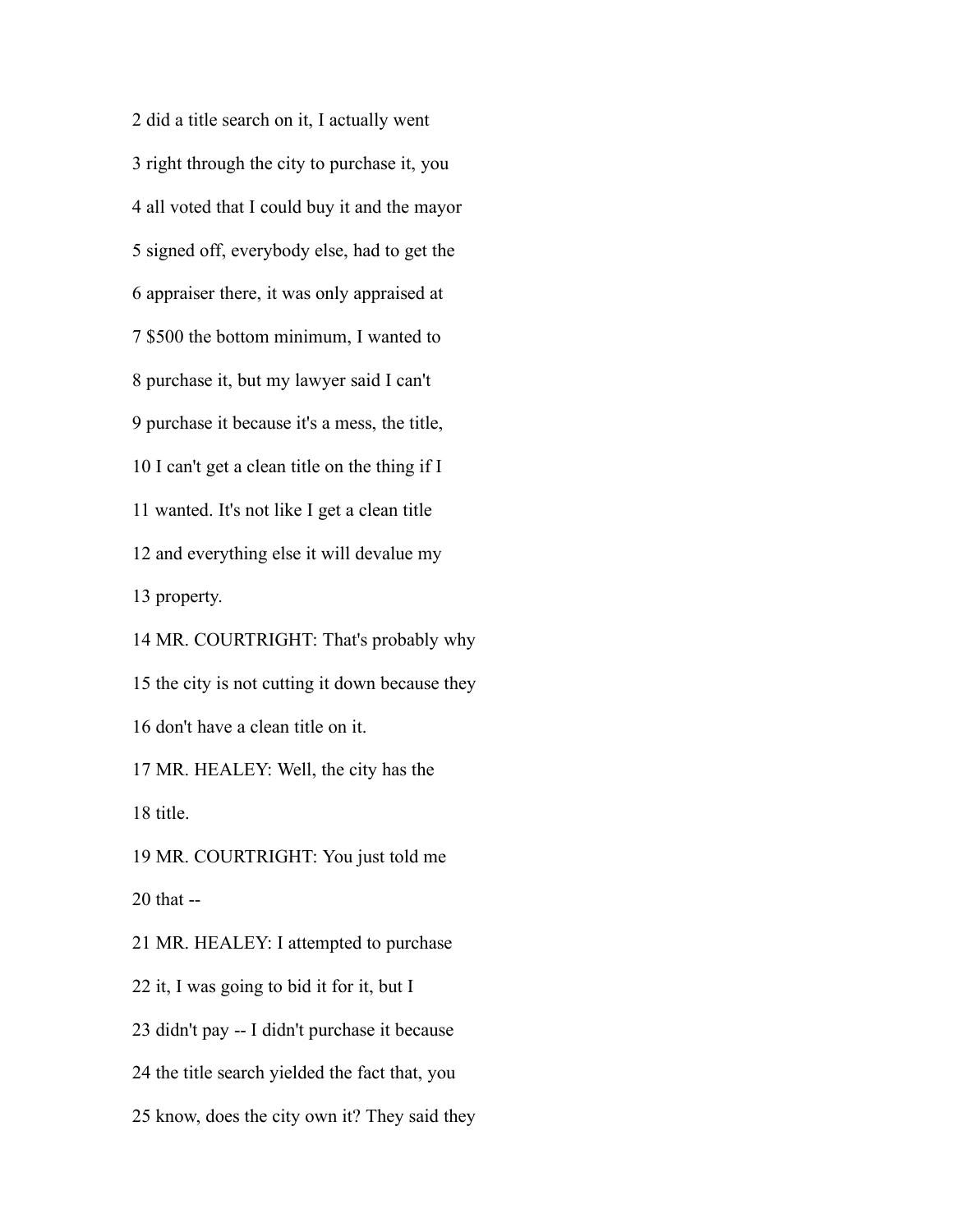did a title search on it, I actually went right through the city to purchase it, you all voted that I could buy it and the mayor signed off, everybody else, had to get the appraiser there, it was only appraised at \$500 the bottom minimum, I wanted to purchase it, but my lawyer said I can't purchase it because it's a mess, the title, I can't get a clean title on the thing if I wanted. It's not like I get a clean title and everything else it will devalue my property. MR. COURTRIGHT: That's probably why the city is not cutting it down because they don't have a clean title on it. MR. HEALEY: Well, the city has the title. MR. COURTRIGHT: You just told me that -- MR. HEALEY: I attempted to purchase it, I was going to bid it for it, but I didn't pay -- I didn't purchase it because the title search yielded the fact that, you

know, does the city own it? They said they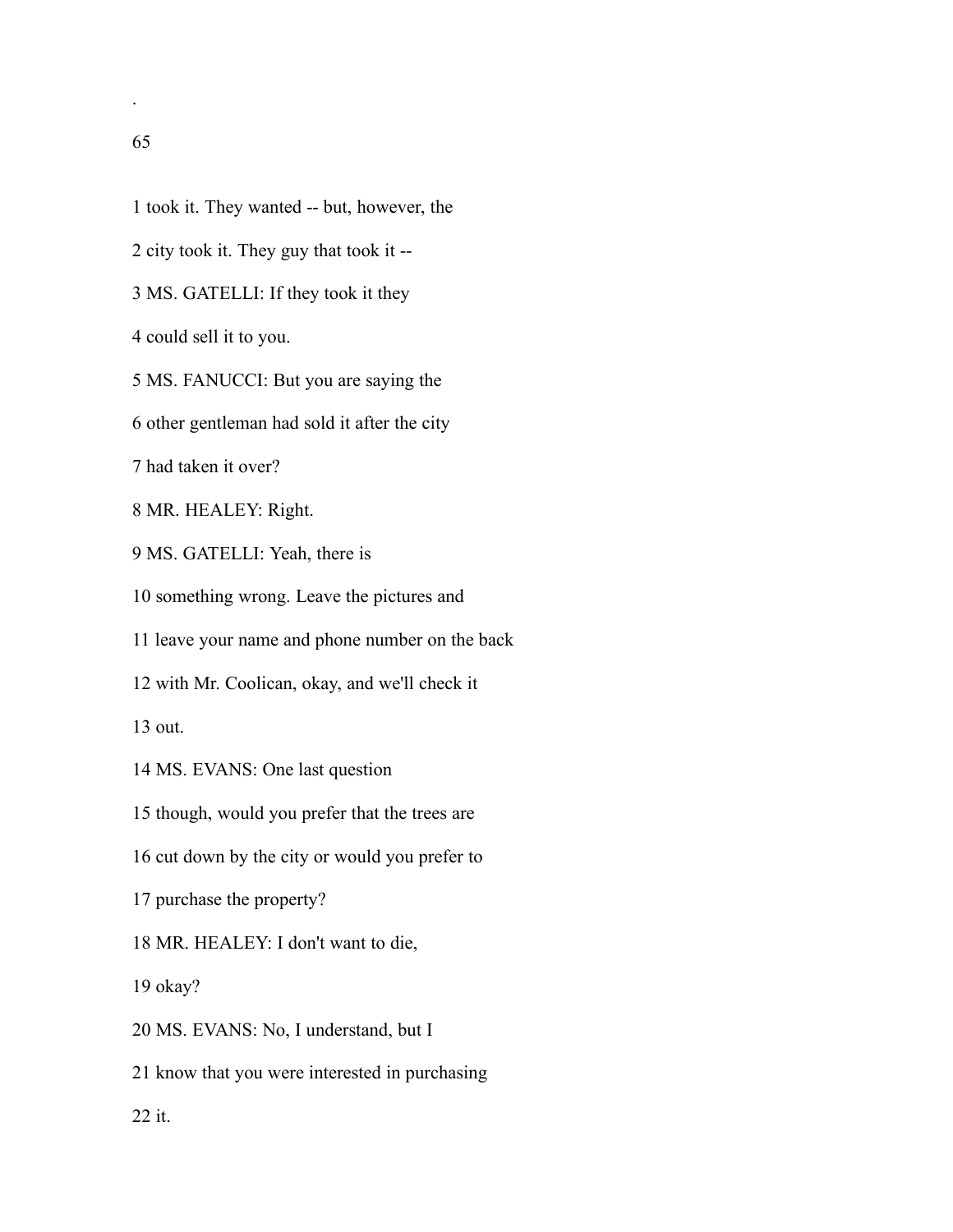.

- took it. They wanted -- but, however, the
- city took it. They guy that took it --
- MS. GATELLI: If they took it they

could sell it to you.

MS. FANUCCI: But you are saying the

other gentleman had sold it after the city

had taken it over?

MR. HEALEY: Right.

MS. GATELLI: Yeah, there is

something wrong. Leave the pictures and

leave your name and phone number on the back

with Mr. Coolican, okay, and we'll check it

out.

MS. EVANS: One last question

though, would you prefer that the trees are

cut down by the city or would you prefer to

purchase the property?

MR. HEALEY: I don't want to die,

okay?

MS. EVANS: No, I understand, but I

know that you were interested in purchasing

it.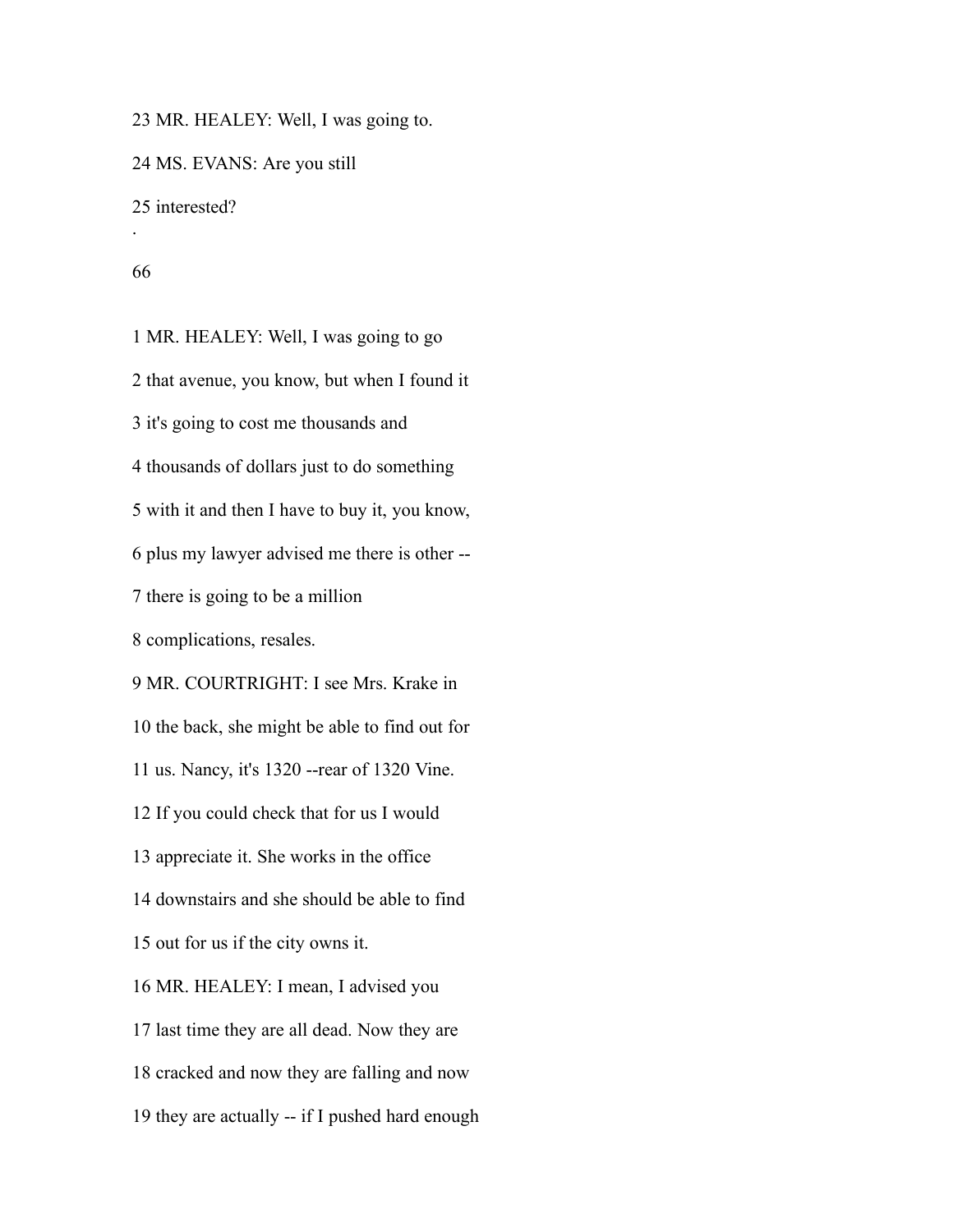MR. HEALEY: Well, I was going to.

MS. EVANS: Are you still

interested?

.

 MR. HEALEY: Well, I was going to go that avenue, you know, but when I found it it's going to cost me thousands and thousands of dollars just to do something with it and then I have to buy it, you know, plus my lawyer advised me there is other -- there is going to be a million complications, resales. MR. COURTRIGHT: I see Mrs. Krake in the back, she might be able to find out for us. Nancy, it's 1320 --rear of 1320 Vine. If you could check that for us I would appreciate it. She works in the office downstairs and she should be able to find out for us if the city owns it. MR. HEALEY: I mean, I advised you last time they are all dead. Now they are cracked and now they are falling and now they are actually -- if I pushed hard enough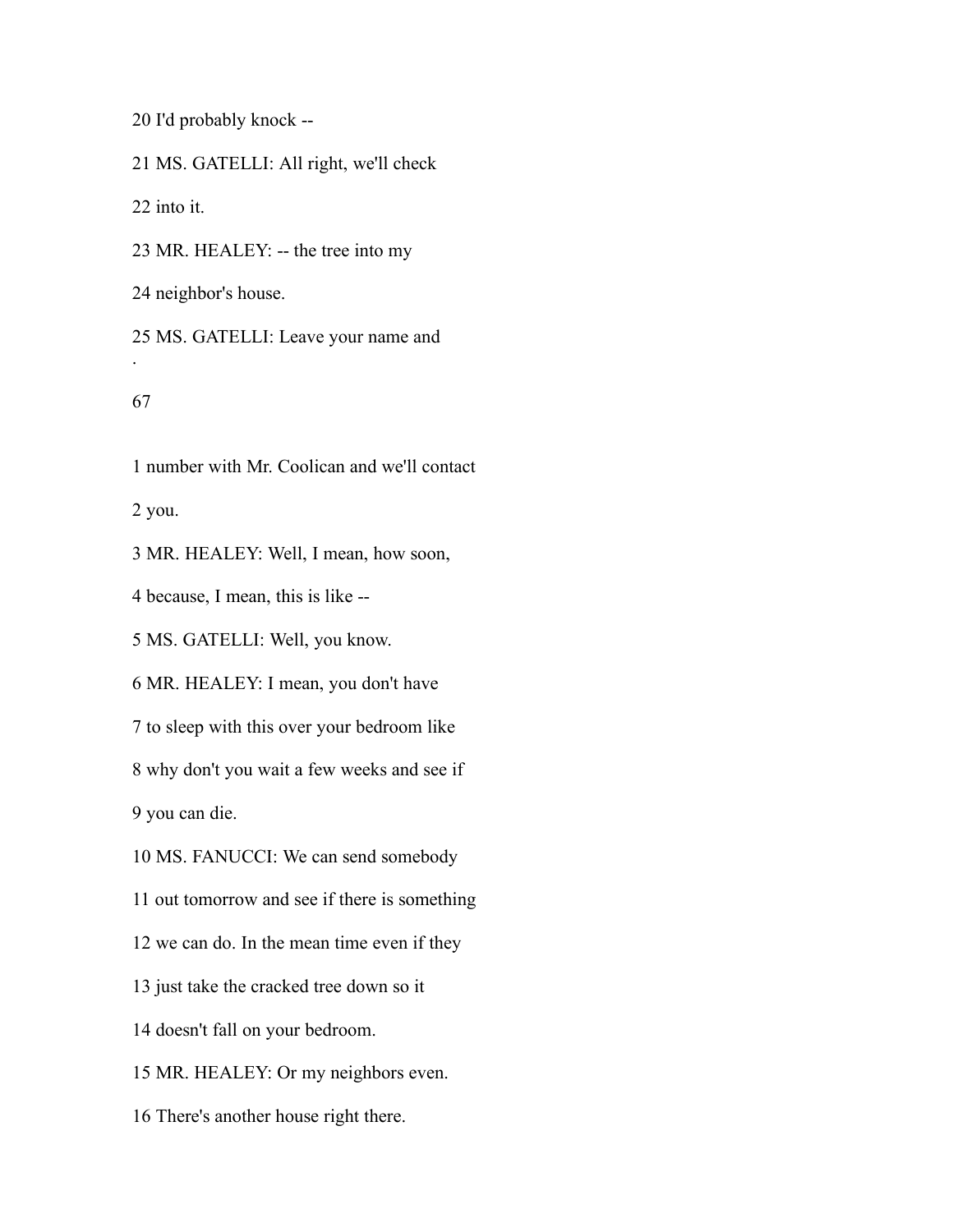I'd probably knock --

MS. GATELLI: All right, we'll check

into it.

MR. HEALEY: -- the tree into my

neighbor's house.

 MS. GATELLI: Leave your name and .

number with Mr. Coolican and we'll contact

you.

MR. HEALEY: Well, I mean, how soon,

because, I mean, this is like --

MS. GATELLI: Well, you know.

MR. HEALEY: I mean, you don't have

to sleep with this over your bedroom like

why don't you wait a few weeks and see if

you can die.

MS. FANUCCI: We can send somebody

out tomorrow and see if there is something

we can do. In the mean time even if they

just take the cracked tree down so it

doesn't fall on your bedroom.

MR. HEALEY: Or my neighbors even.

There's another house right there.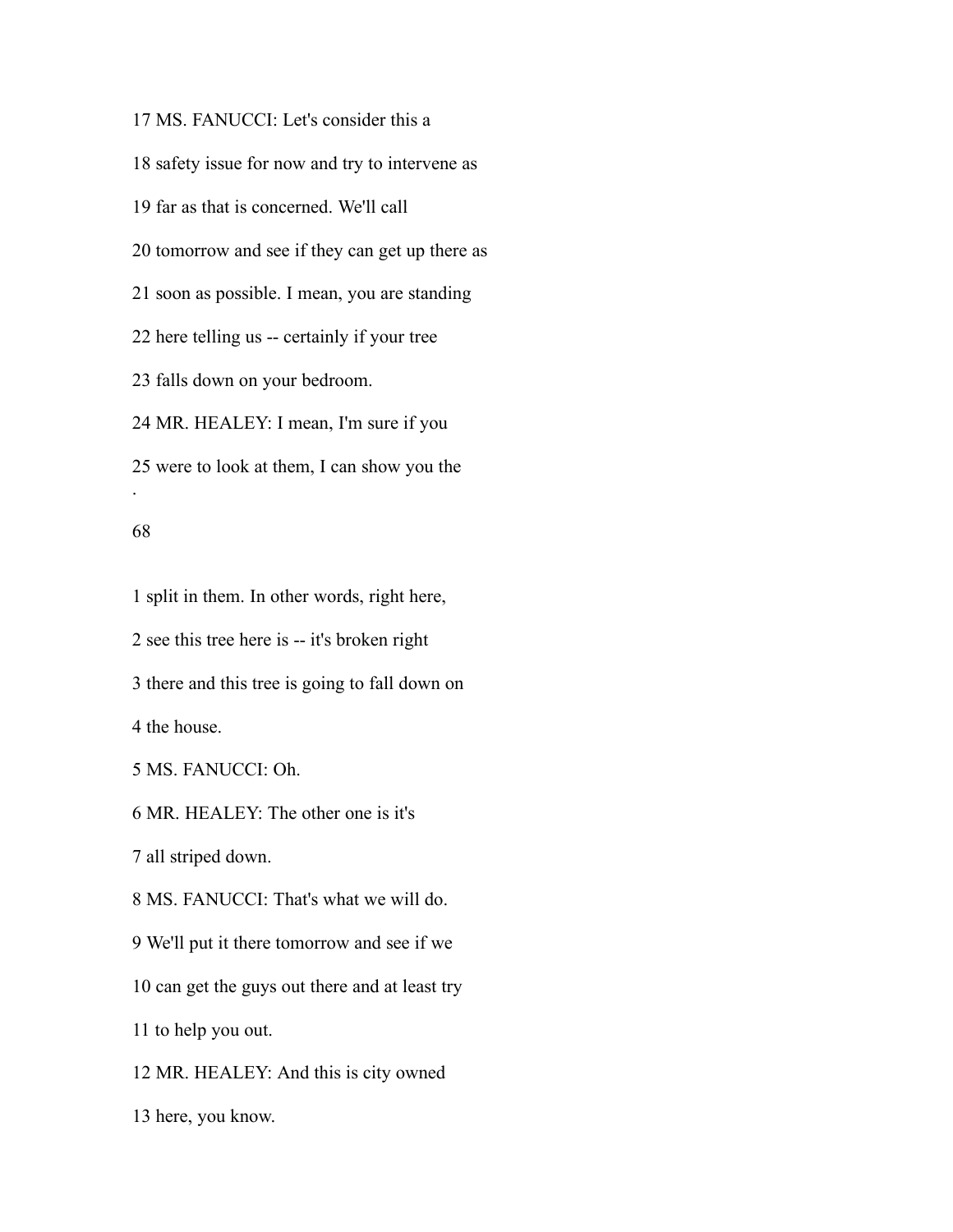MS. FANUCCI: Let's consider this a safety issue for now and try to intervene as far as that is concerned. We'll call tomorrow and see if they can get up there as soon as possible. I mean, you are standing here telling us -- certainly if your tree falls down on your bedroom. MR. HEALEY: I mean, I'm sure if you were to look at them, I can show you the .

## 

 split in them. In other words, right here, see this tree here is -- it's broken right there and this tree is going to fall down on the house. MS. FANUCCI: Oh. MR. HEALEY: The other one is it's all striped down.

MS. FANUCCI: That's what we will do.

We'll put it there tomorrow and see if we

can get the guys out there and at least try

to help you out.

MR. HEALEY: And this is city owned

here, you know.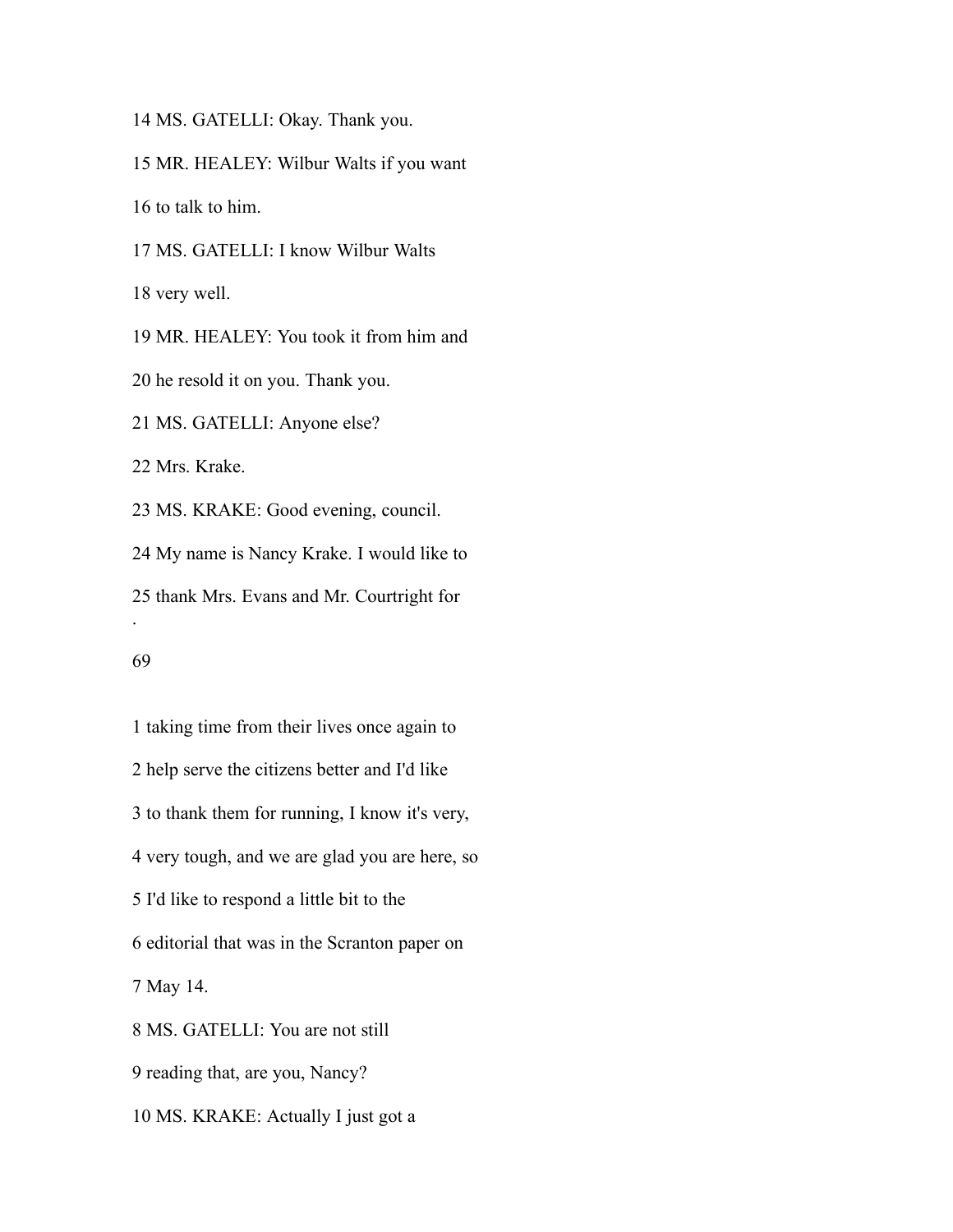MS. GATELLI: Okay. Thank you.

MR. HEALEY: Wilbur Walts if you want

to talk to him.

MS. GATELLI: I know Wilbur Walts

very well.

 MR. HEALEY: You took it from him and he resold it on you. Thank you. MS. GATELLI: Anyone else? Mrs. Krake. MS. KRAKE: Good evening, council. My name is Nancy Krake. I would like to

 thank Mrs. Evans and Mr. Courtright for .

 taking time from their lives once again to help serve the citizens better and I'd like to thank them for running, I know it's very, very tough, and we are glad you are here, so I'd like to respond a little bit to the editorial that was in the Scranton paper on May 14. MS. GATELLI: You are not still reading that, are you, Nancy? MS. KRAKE: Actually I just got a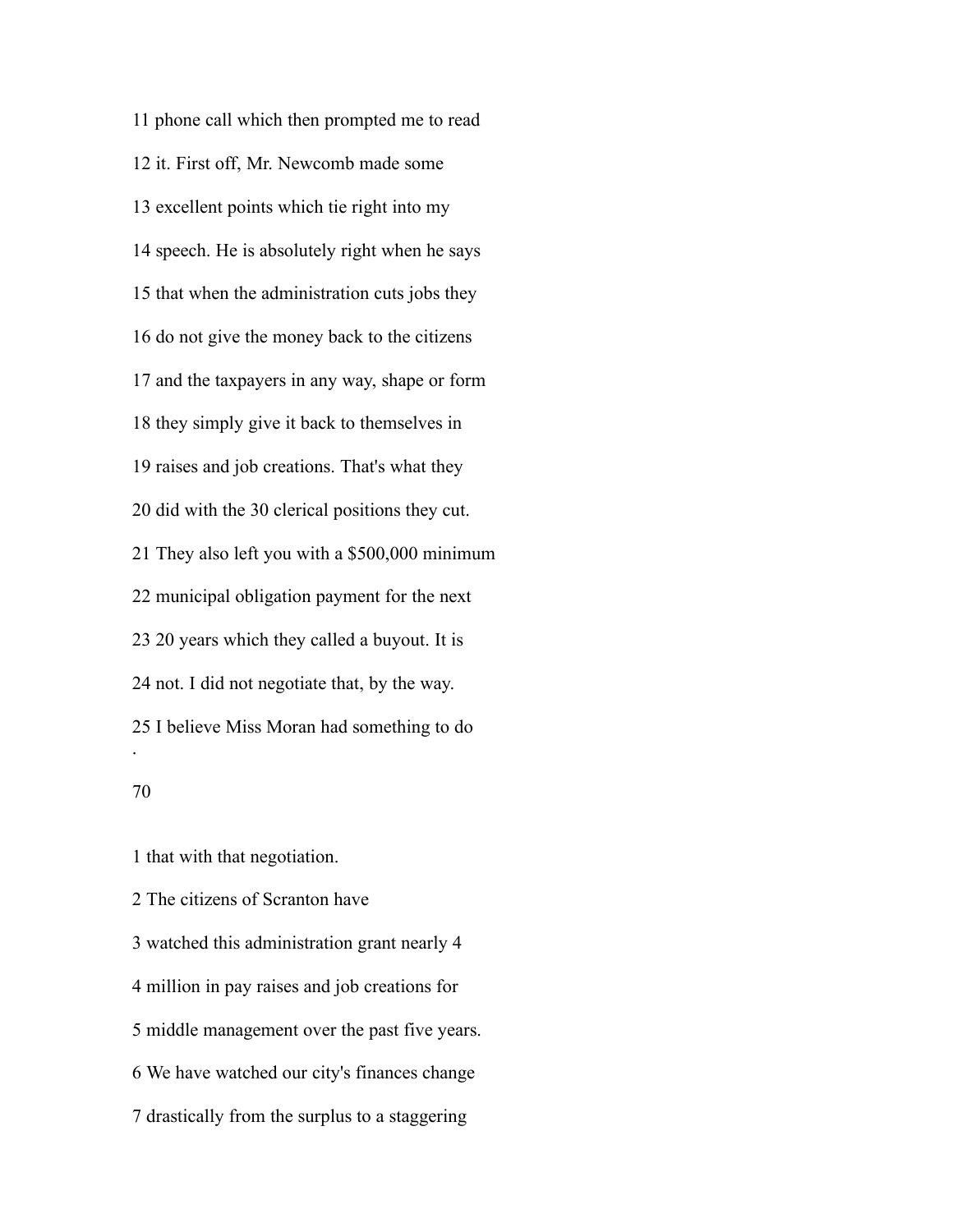phone call which then prompted me to read it. First off, Mr. Newcomb made some excellent points which tie right into my speech. He is absolutely right when he says that when the administration cuts jobs they do not give the money back to the citizens and the taxpayers in any way, shape or form they simply give it back to themselves in raises and job creations. That's what they did with the 30 clerical positions they cut. They also left you with a \$500,000 minimum municipal obligation payment for the next 20 years which they called a buyout. It is not. I did not negotiate that, by the way. I believe Miss Moran had something to do .

that with that negotiation.

The citizens of Scranton have

 watched this administration grant nearly 4 million in pay raises and job creations for middle management over the past five years. We have watched our city's finances change drastically from the surplus to a staggering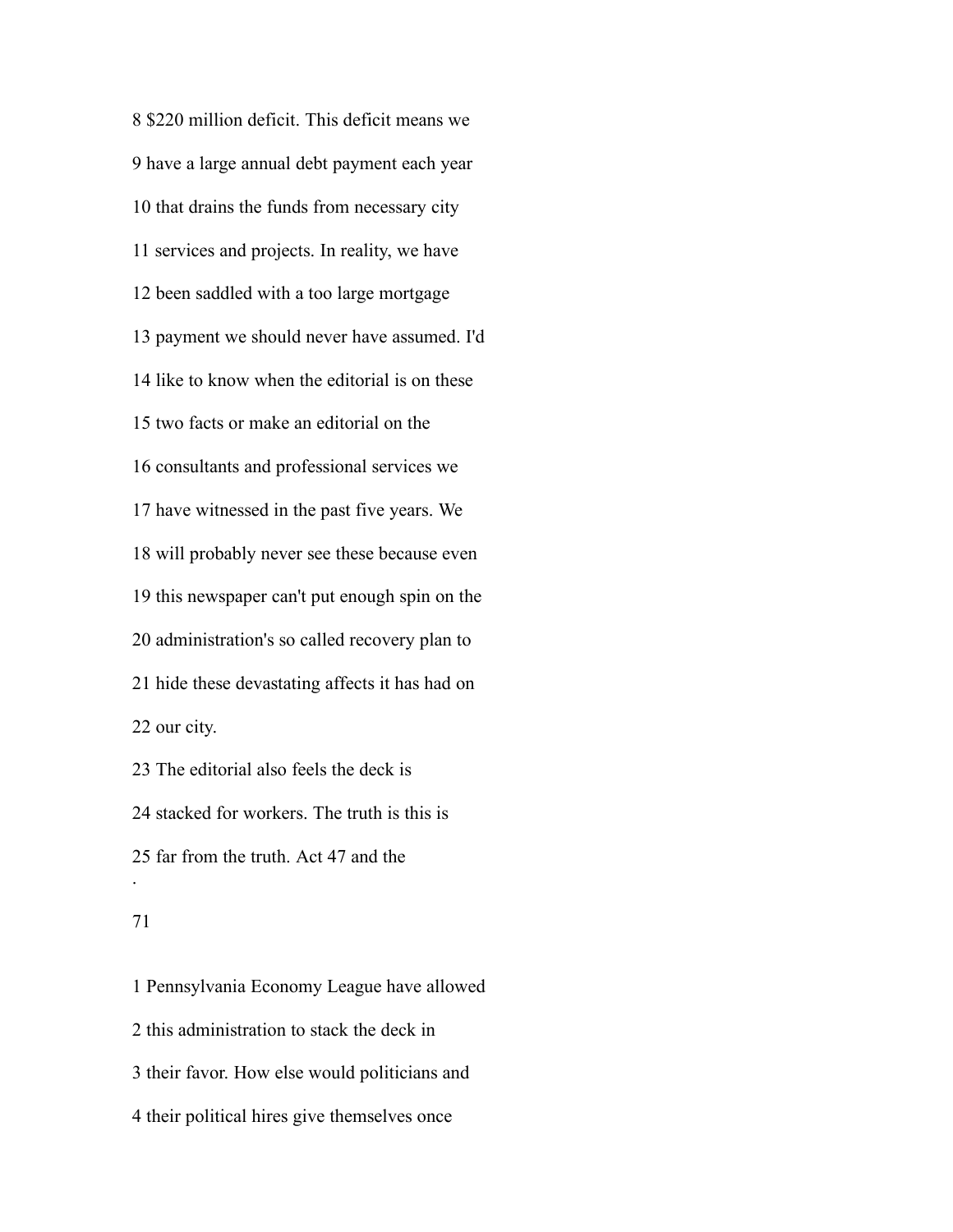\$220 million deficit. This deficit means we have a large annual debt payment each year that drains the funds from necessary city services and projects. In reality, we have been saddled with a too large mortgage payment we should never have assumed. I'd like to know when the editorial is on these two facts or make an editorial on the consultants and professional services we have witnessed in the past five years. We will probably never see these because even this newspaper can't put enough spin on the administration's so called recovery plan to hide these devastating affects it has had on our city. The editorial also feels the deck is

 stacked for workers. The truth is this is far from the truth. Act 47 and the .

### 

 Pennsylvania Economy League have allowed this administration to stack the deck in their favor. How else would politicians and their political hires give themselves once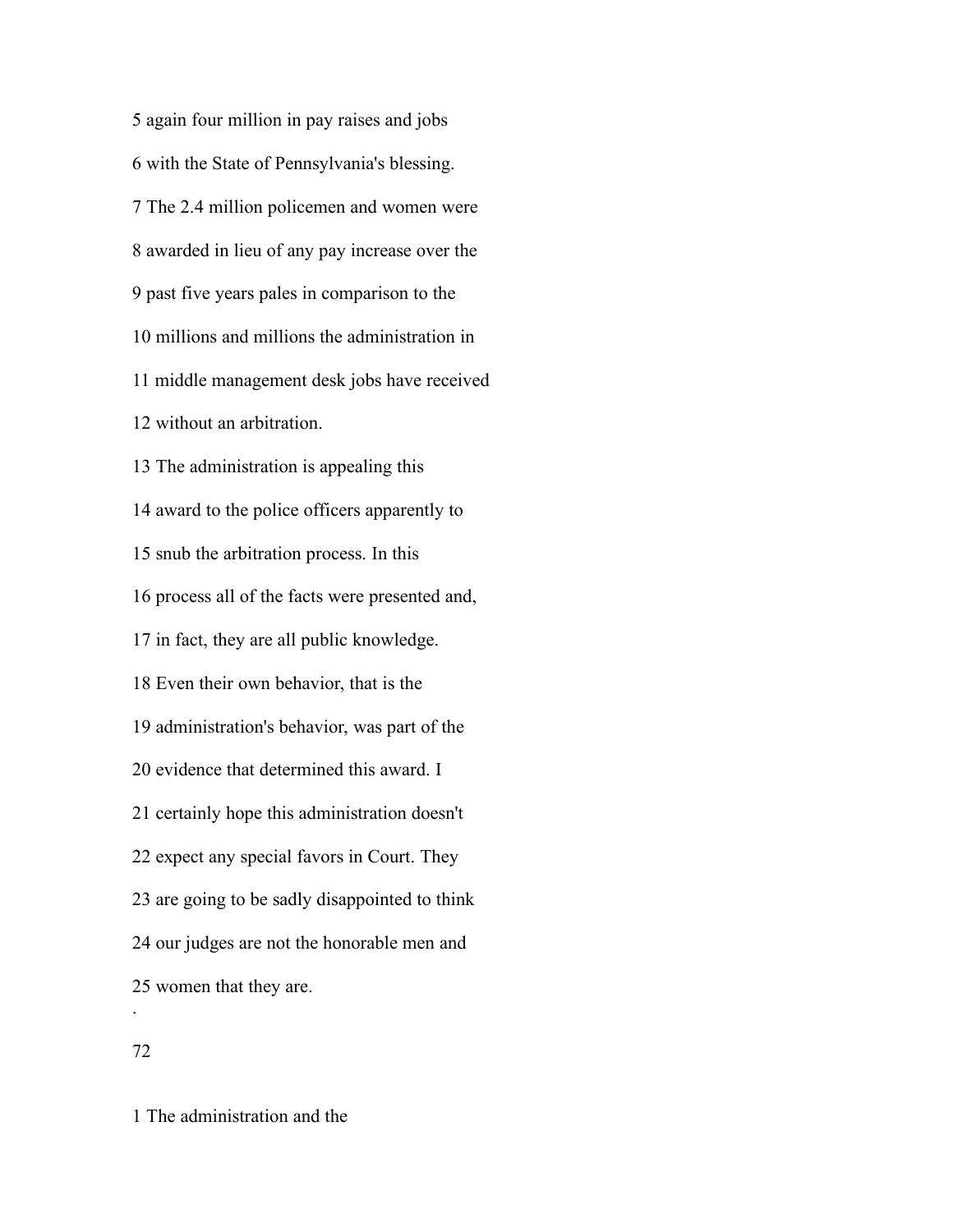again four million in pay raises and jobs with the State of Pennsylvania's blessing. The 2.4 million policemen and women were awarded in lieu of any pay increase over the past five years pales in comparison to the millions and millions the administration in middle management desk jobs have received without an arbitration. The administration is appealing this award to the police officers apparently to snub the arbitration process. In this process all of the facts were presented and, in fact, they are all public knowledge. Even their own behavior, that is the administration's behavior, was part of the evidence that determined this award. I certainly hope this administration doesn't expect any special favors in Court. They are going to be sadly disappointed to think our judges are not the honorable men and women that they are. .

# 

The administration and the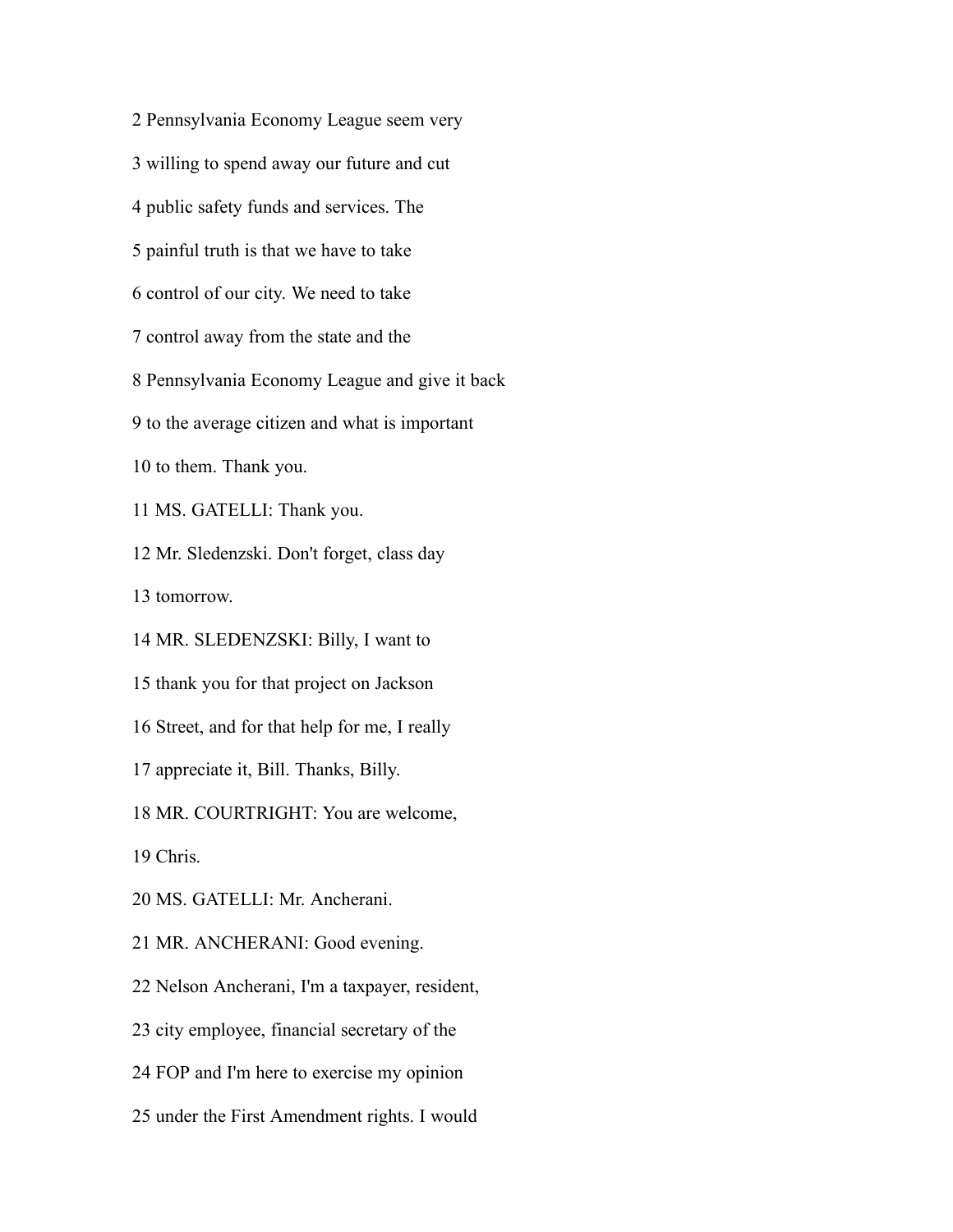Pennsylvania Economy League seem very willing to spend away our future and cut public safety funds and services. The painful truth is that we have to take control of our city. We need to take control away from the state and the Pennsylvania Economy League and give it back to the average citizen and what is important to them. Thank you. MS. GATELLI: Thank you. Mr. Sledenzski. Don't forget, class day tomorrow. MR. SLEDENZSKI: Billy, I want to thank you for that project on Jackson Street, and for that help for me, I really appreciate it, Bill. Thanks, Billy. MR. COURTRIGHT: You are welcome, Chris. MS. GATELLI: Mr. Ancherani. MR. ANCHERANI: Good evening. Nelson Ancherani, I'm a taxpayer, resident, city employee, financial secretary of the FOP and I'm here to exercise my opinion

under the First Amendment rights. I would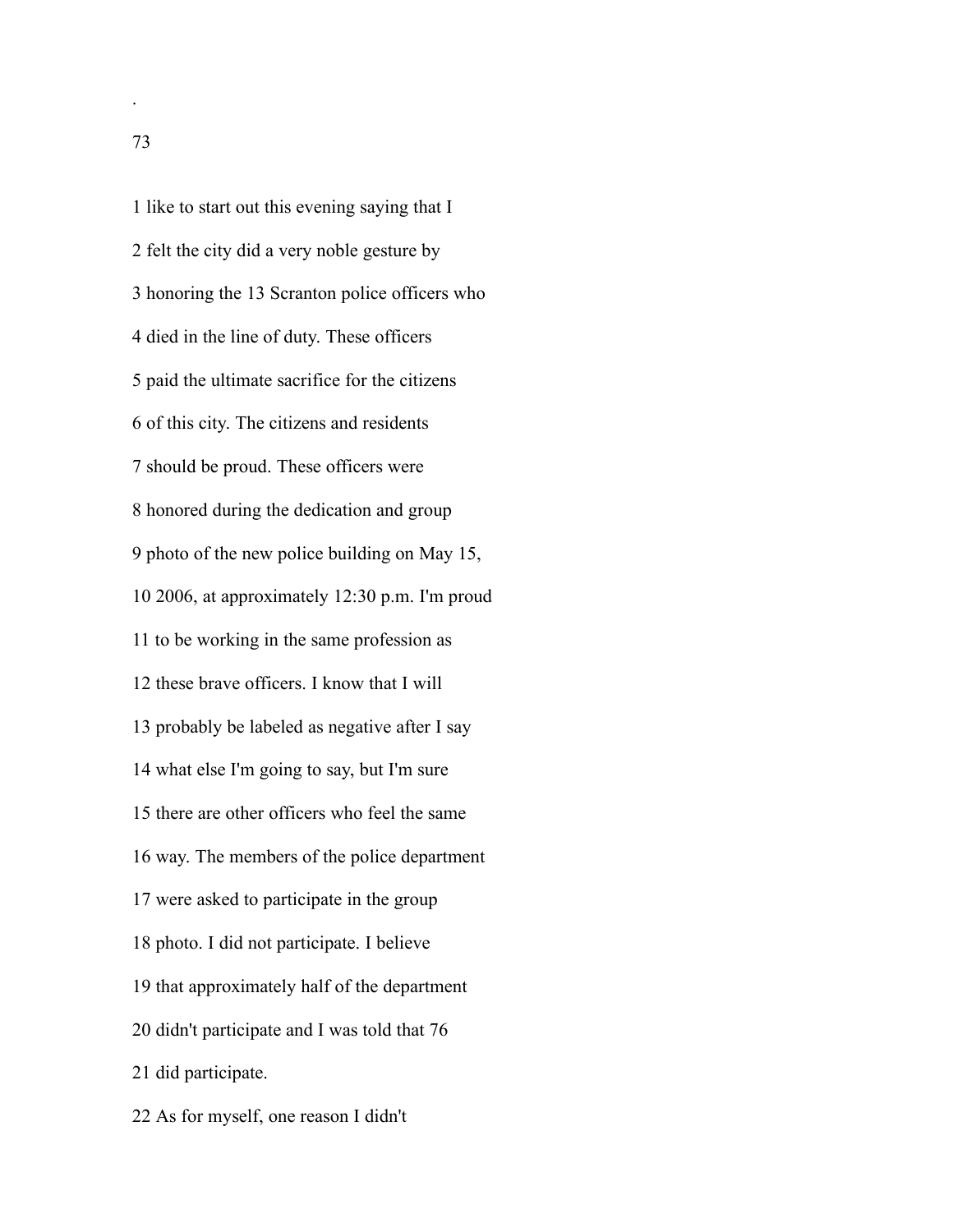like to start out this evening saying that I felt the city did a very noble gesture by honoring the 13 Scranton police officers who died in the line of duty. These officers paid the ultimate sacrifice for the citizens of this city. The citizens and residents should be proud. These officers were honored during the dedication and group photo of the new police building on May 15, 2006, at approximately 12:30 p.m. I'm proud to be working in the same profession as these brave officers. I know that I will probably be labeled as negative after I say what else I'm going to say, but I'm sure there are other officers who feel the same way. The members of the police department were asked to participate in the group photo. I did not participate. I believe that approximately half of the department didn't participate and I was told that 76 did participate.

As for myself, one reason I didn't

.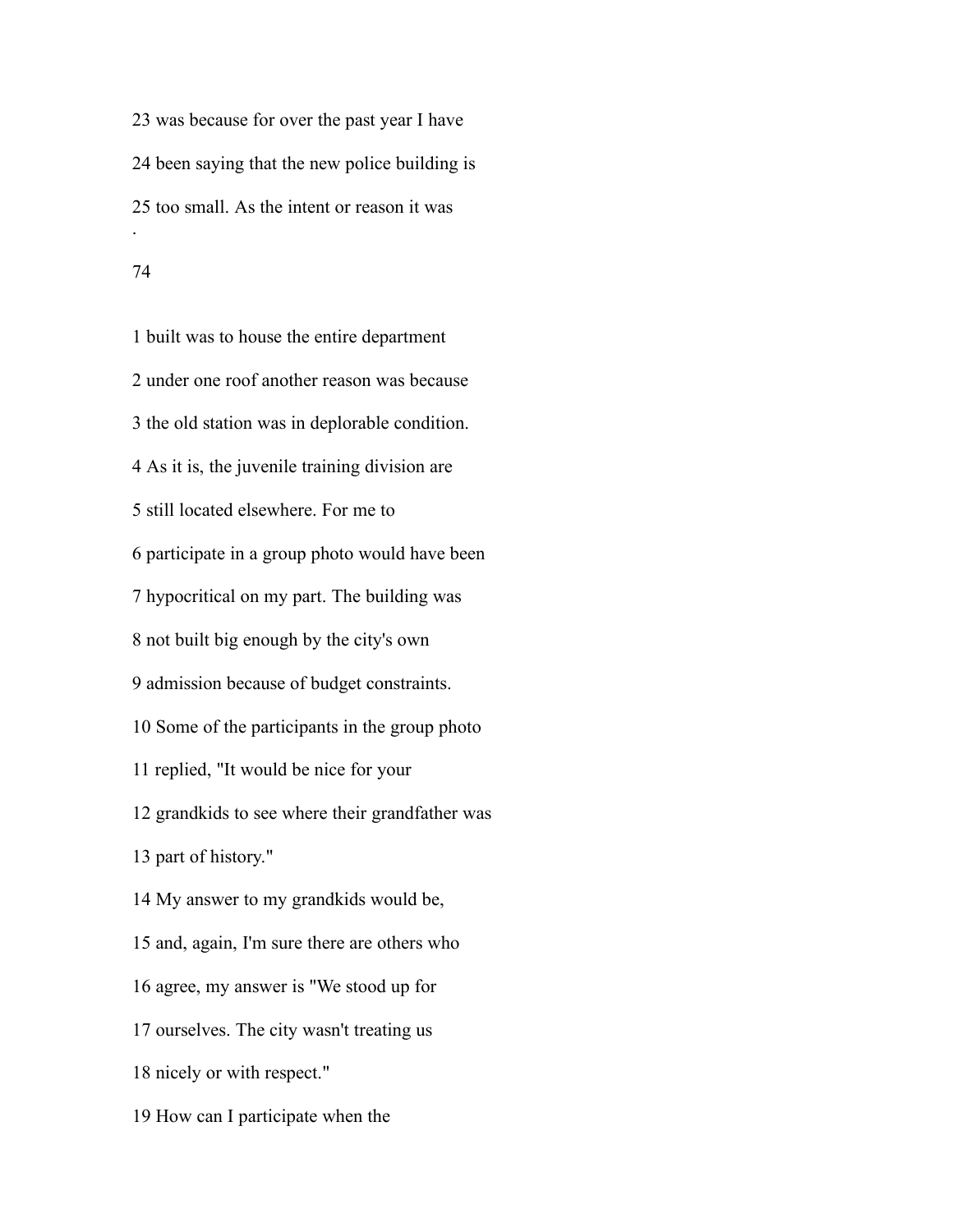was because for over the past year I have been saying that the new police building is too small. As the intent or reason it was .

#### 

 built was to house the entire department under one roof another reason was because the old station was in deplorable condition. As it is, the juvenile training division are still located elsewhere. For me to participate in a group photo would have been hypocritical on my part. The building was not built big enough by the city's own admission because of budget constraints. Some of the participants in the group photo replied, "It would be nice for your grandkids to see where their grandfather was part of history." My answer to my grandkids would be, and, again, I'm sure there are others who agree, my answer is "We stood up for ourselves. The city wasn't treating us nicely or with respect." How can I participate when the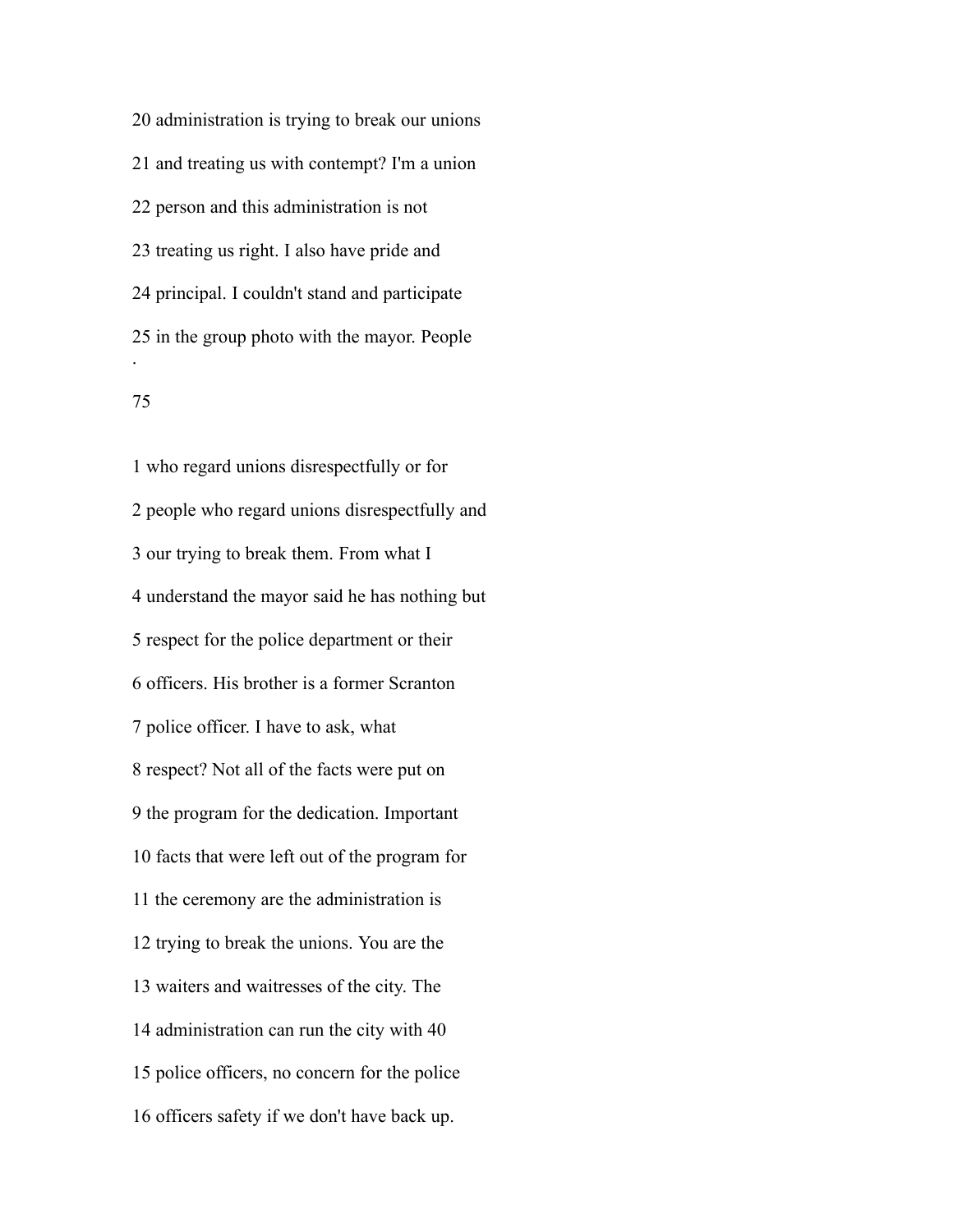administration is trying to break our unions and treating us with contempt? I'm a union person and this administration is not treating us right. I also have pride and principal. I couldn't stand and participate in the group photo with the mayor. People .

## 

 who regard unions disrespectfully or for people who regard unions disrespectfully and our trying to break them. From what I understand the mayor said he has nothing but respect for the police department or their officers. His brother is a former Scranton police officer. I have to ask, what respect? Not all of the facts were put on the program for the dedication. Important facts that were left out of the program for the ceremony are the administration is trying to break the unions. You are the waiters and waitresses of the city. The administration can run the city with 40 police officers, no concern for the police officers safety if we don't have back up.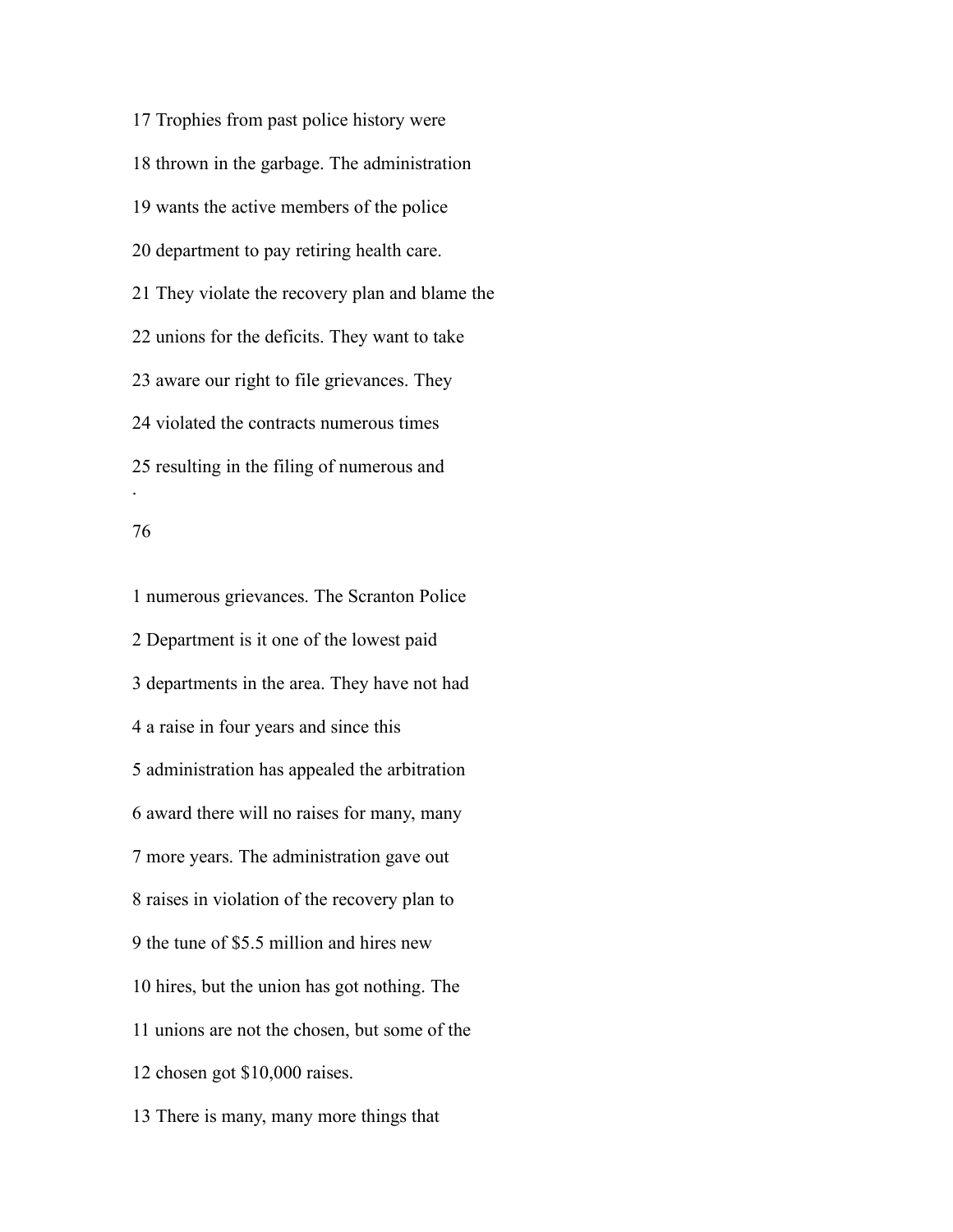Trophies from past police history were thrown in the garbage. The administration wants the active members of the police department to pay retiring health care. They violate the recovery plan and blame the unions for the deficits. They want to take aware our right to file grievances. They violated the contracts numerous times resulting in the filing of numerous and .

### 

 numerous grievances. The Scranton Police Department is it one of the lowest paid departments in the area. They have not had a raise in four years and since this administration has appealed the arbitration award there will no raises for many, many more years. The administration gave out raises in violation of the recovery plan to the tune of \$5.5 million and hires new hires, but the union has got nothing. The unions are not the chosen, but some of the chosen got \$10,000 raises. There is many, many more things that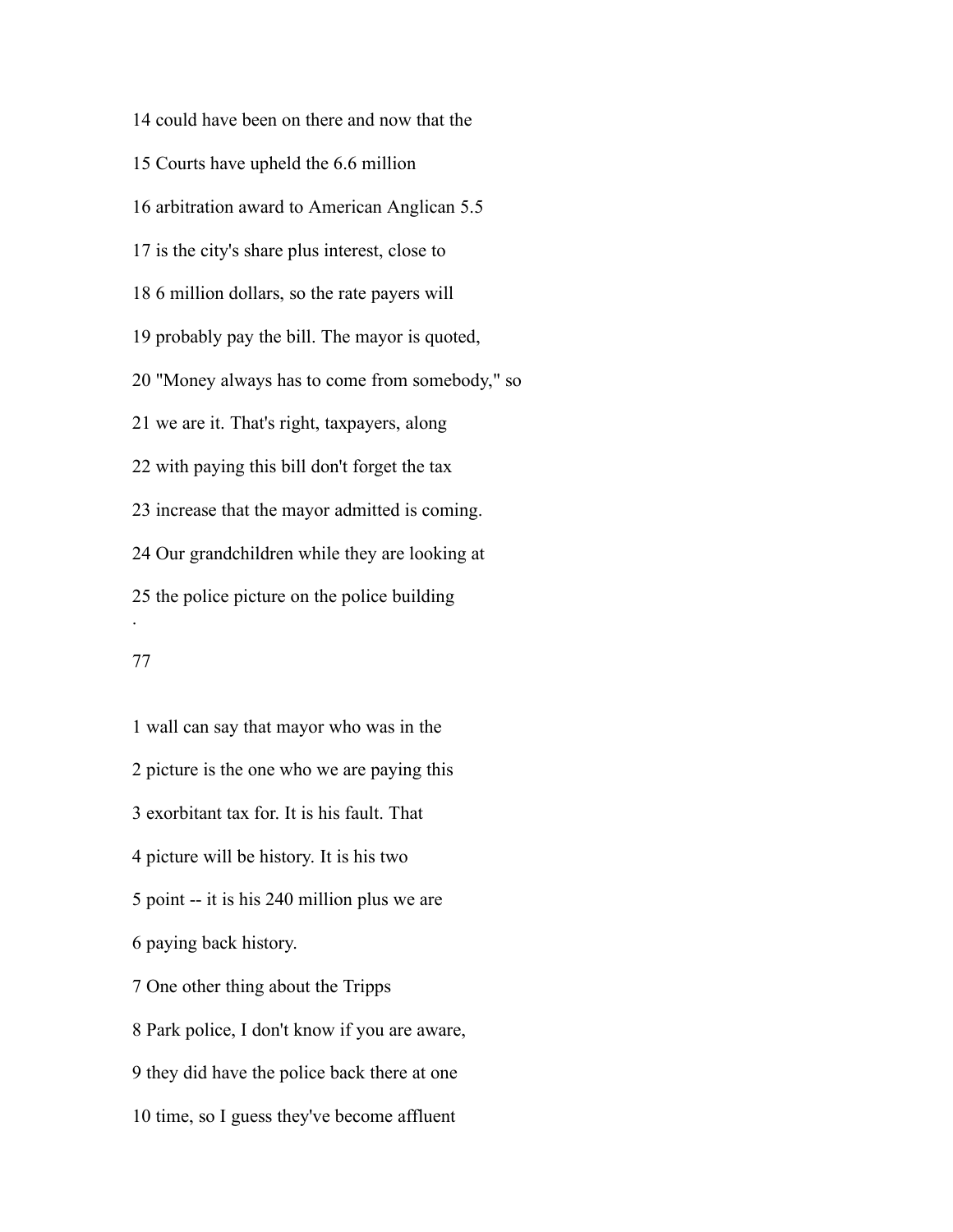could have been on there and now that the Courts have upheld the 6.6 million arbitration award to American Anglican 5.5 is the city's share plus interest, close to 6 million dollars, so the rate payers will probably pay the bill. The mayor is quoted, "Money always has to come from somebody," so we are it. That's right, taxpayers, along with paying this bill don't forget the tax increase that the mayor admitted is coming. Our grandchildren while they are looking at the police picture on the police building .

## 

 wall can say that mayor who was in the picture is the one who we are paying this exorbitant tax for. It is his fault. That picture will be history. It is his two point -- it is his 240 million plus we are paying back history. One other thing about the Tripps Park police, I don't know if you are aware, they did have the police back there at one time, so I guess they've become affluent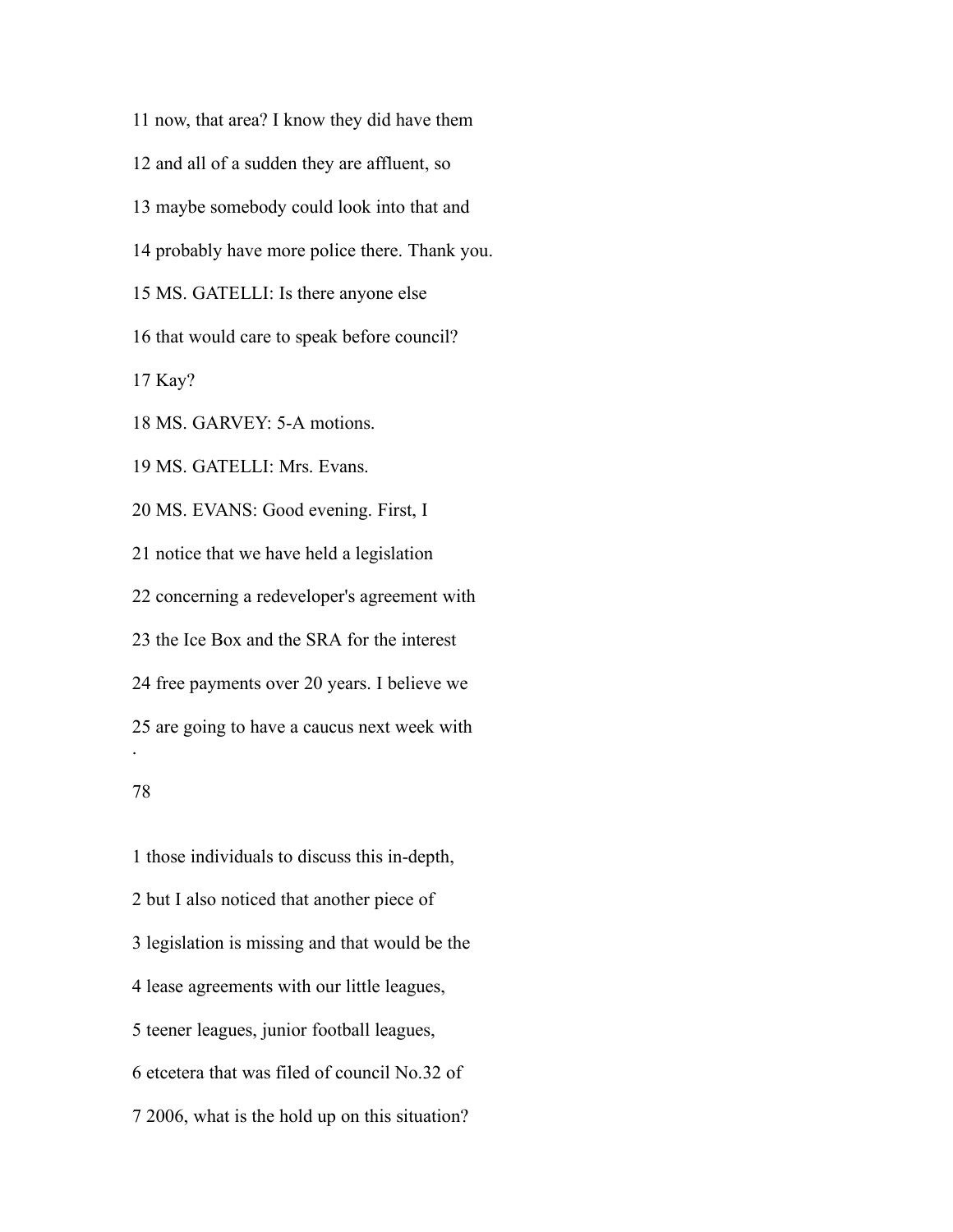now, that area? I know they did have them and all of a sudden they are affluent, so maybe somebody could look into that and probably have more police there. Thank you. MS. GATELLI: Is there anyone else that would care to speak before council? Kay? MS. GARVEY: 5-A motions. MS. GATELLI: Mrs. Evans. MS. EVANS: Good evening. First, I notice that we have held a legislation concerning a redeveloper's agreement with the Ice Box and the SRA for the interest free payments over 20 years. I believe we are going to have a caucus next week with . 

 those individuals to discuss this in-depth, but I also noticed that another piece of legislation is missing and that would be the lease agreements with our little leagues, teener leagues, junior football leagues, etcetera that was filed of council No.32 of 2006, what is the hold up on this situation?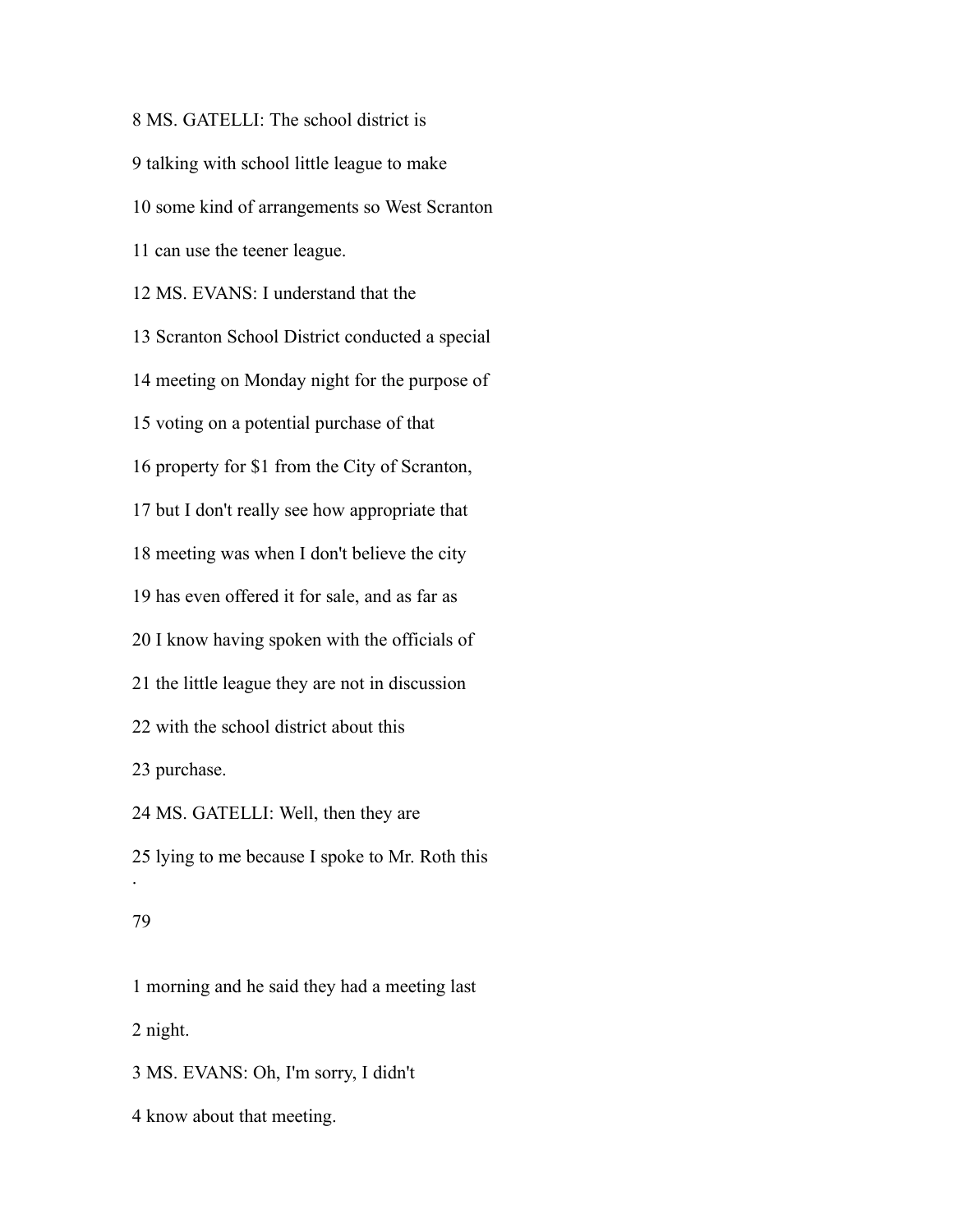MS. GATELLI: The school district is talking with school little league to make some kind of arrangements so West Scranton can use the teener league. MS. EVANS: I understand that the Scranton School District conducted a special meeting on Monday night for the purpose of voting on a potential purchase of that property for \$1 from the City of Scranton, but I don't really see how appropriate that meeting was when I don't believe the city has even offered it for sale, and as far as I know having spoken with the officials of the little league they are not in discussion with the school district about this purchase. MS. GATELLI: Well, then they are lying to me because I spoke to Mr. Roth this .

# 

 morning and he said they had a meeting last night. MS. EVANS: Oh, I'm sorry, I didn't

know about that meeting.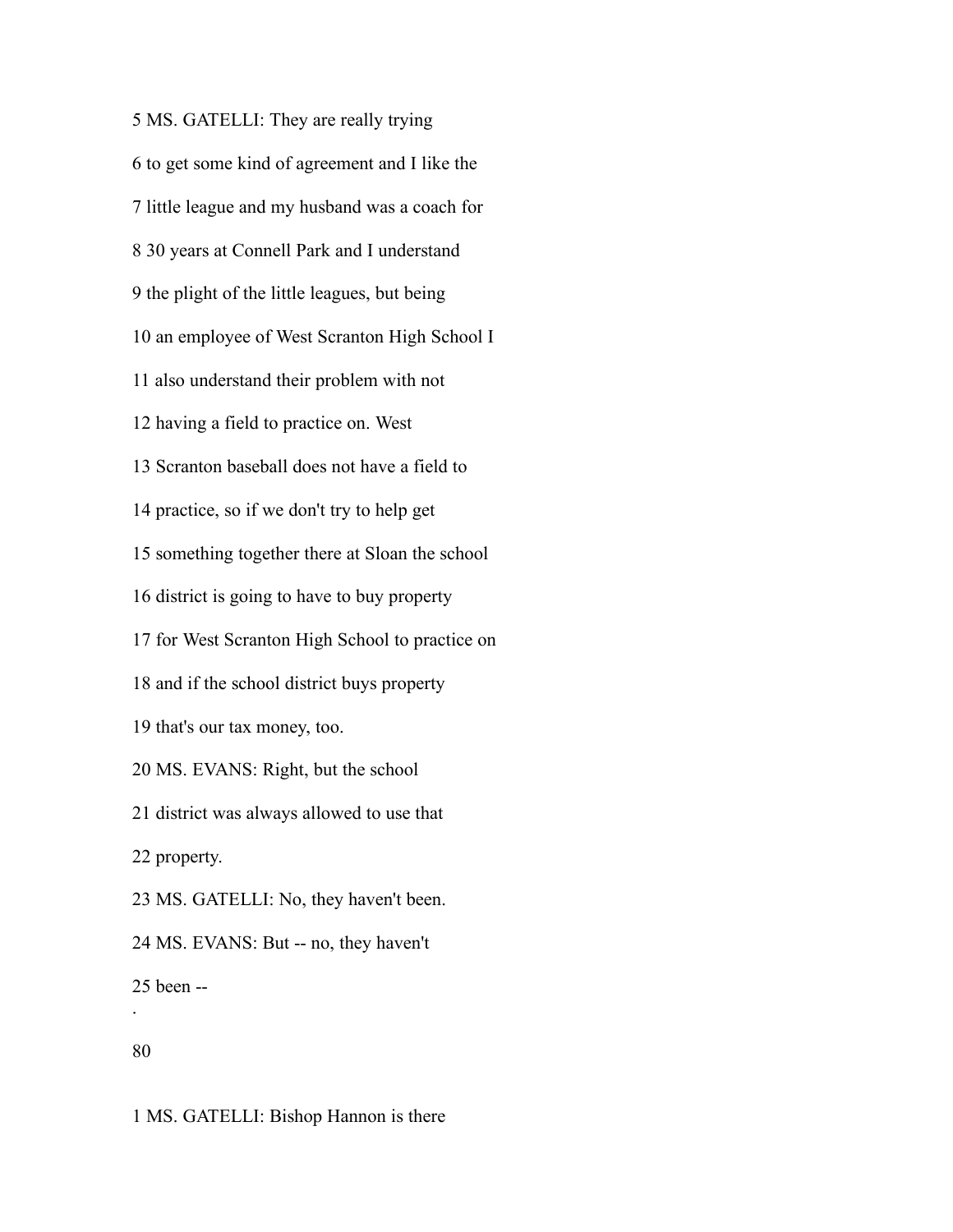MS. GATELLI: They are really trying to get some kind of agreement and I like the little league and my husband was a coach for 30 years at Connell Park and I understand the plight of the little leagues, but being an employee of West Scranton High School I also understand their problem with not having a field to practice on. West Scranton baseball does not have a field to practice, so if we don't try to help get something together there at Sloan the school district is going to have to buy property for West Scranton High School to practice on and if the school district buys property that's our tax money, too. MS. EVANS: Right, but the school district was always allowed to use that property. MS. GATELLI: No, they haven't been. MS. EVANS: But -- no, they haven't been -- . 

MS. GATELLI: Bishop Hannon is there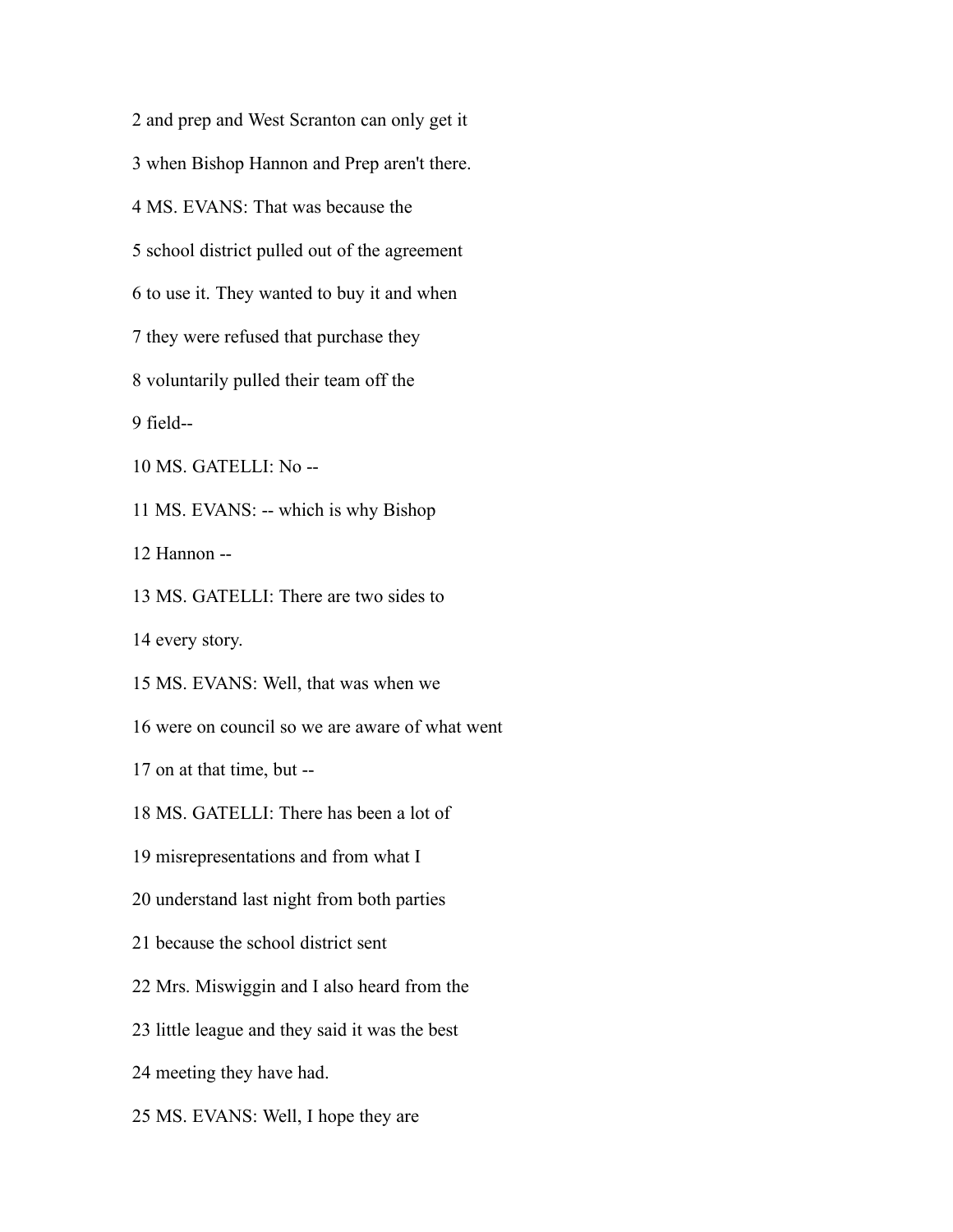and prep and West Scranton can only get it when Bishop Hannon and Prep aren't there. MS. EVANS: That was because the school district pulled out of the agreement to use it. They wanted to buy it and when they were refused that purchase they voluntarily pulled their team off the field-- MS. GATELLI: No -- MS. EVANS: -- which is why Bishop Hannon -- MS. GATELLI: There are two sides to every story. MS. EVANS: Well, that was when we were on council so we are aware of what went on at that time, but -- MS. GATELLI: There has been a lot of misrepresentations and from what I understand last night from both parties because the school district sent Mrs. Miswiggin and I also heard from the little league and they said it was the best meeting they have had. MS. EVANS: Well, I hope they are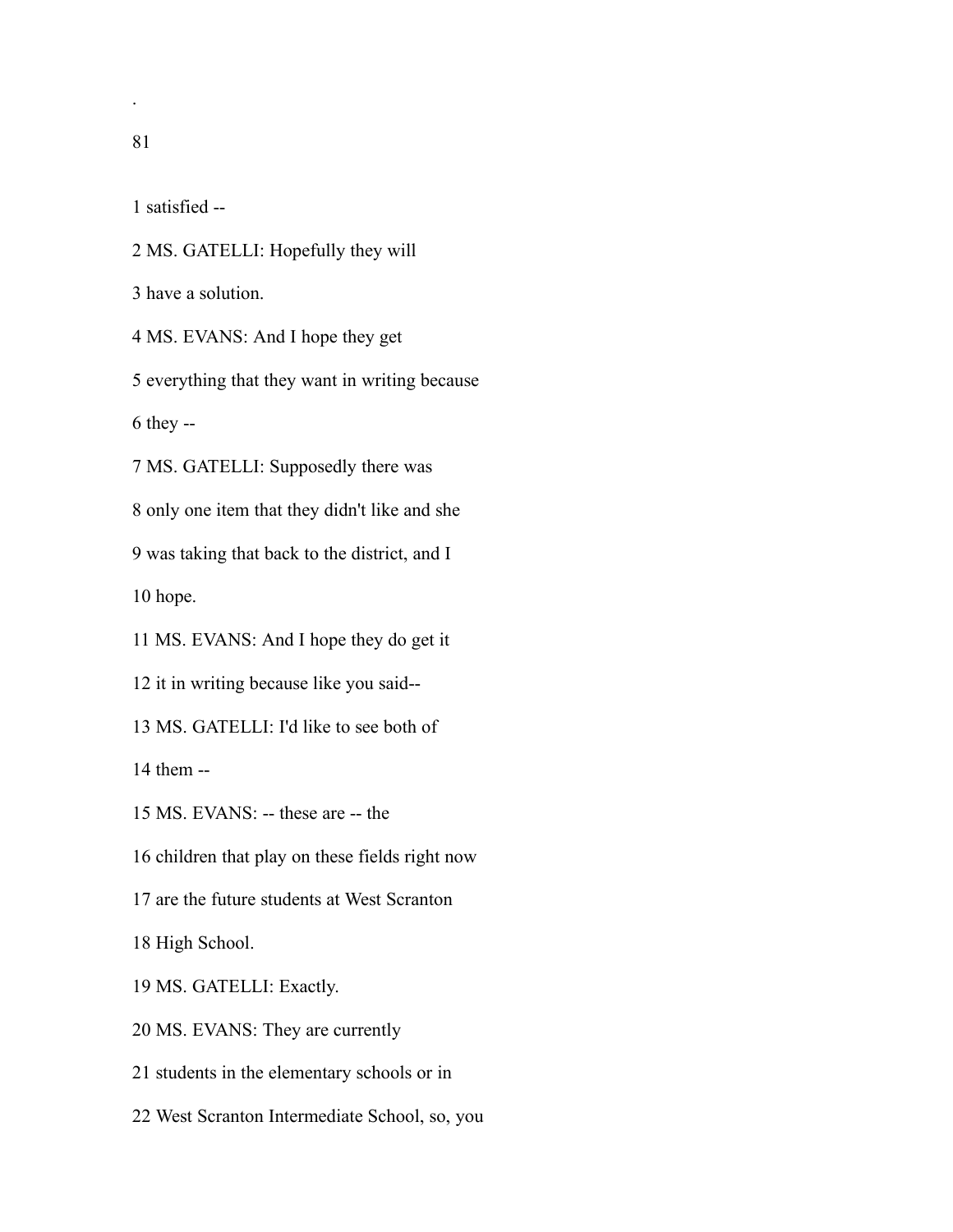.

satisfied --

MS. GATELLI: Hopefully they will

have a solution.

MS. EVANS: And I hope they get

everything that they want in writing because

they --

MS. GATELLI: Supposedly there was

only one item that they didn't like and she

was taking that back to the district, and I

hope.

MS. EVANS: And I hope they do get it

it in writing because like you said--

MS. GATELLI: I'd like to see both of

them --

MS. EVANS: -- these are -- the

children that play on these fields right now

are the future students at West Scranton

High School.

MS. GATELLI: Exactly.

MS. EVANS: They are currently

students in the elementary schools or in

West Scranton Intermediate School, so, you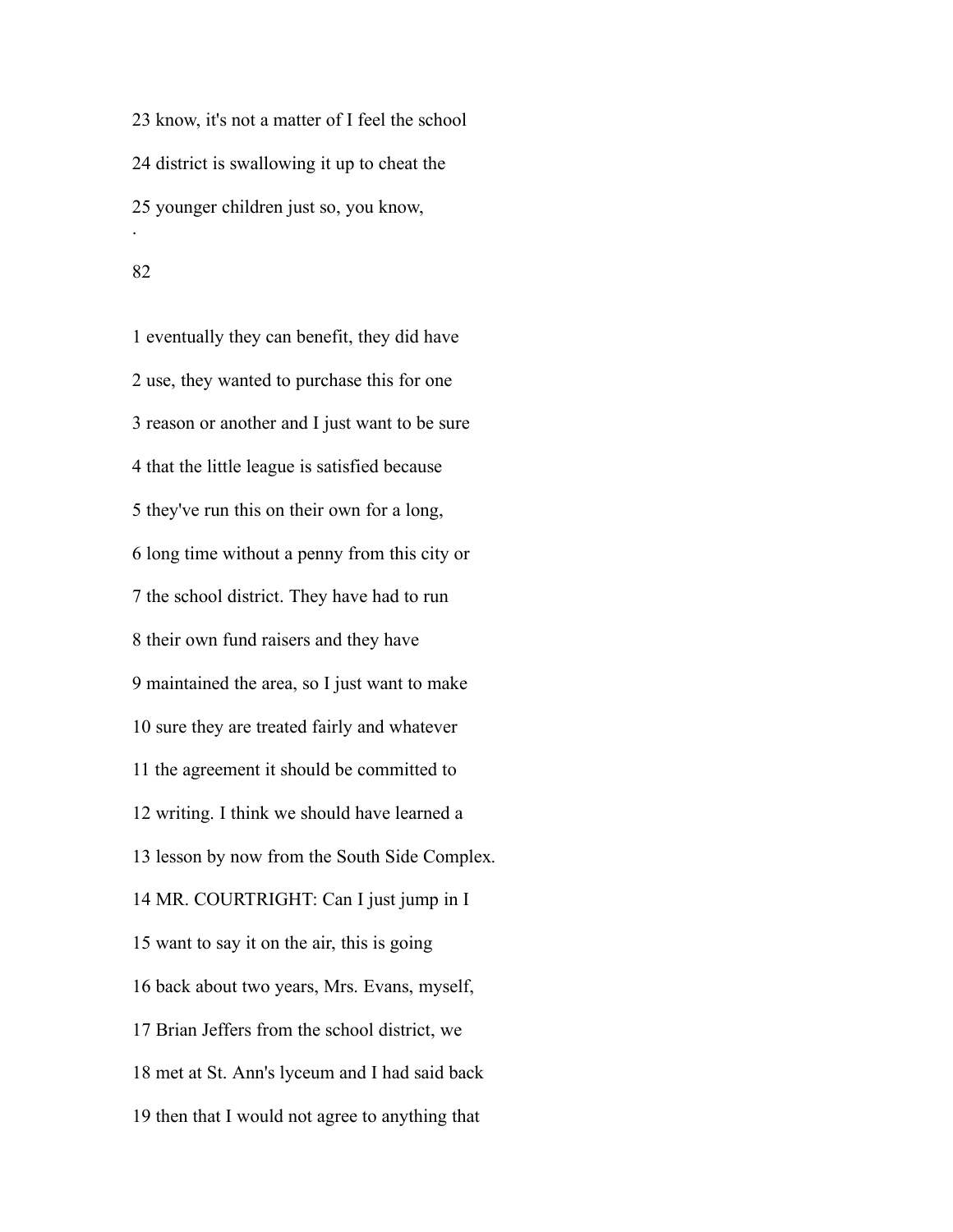know, it's not a matter of I feel the school district is swallowing it up to cheat the younger children just so, you know, .

 eventually they can benefit, they did have use, they wanted to purchase this for one reason or another and I just want to be sure that the little league is satisfied because they've run this on their own for a long, long time without a penny from this city or the school district. They have had to run their own fund raisers and they have maintained the area, so I just want to make sure they are treated fairly and whatever the agreement it should be committed to writing. I think we should have learned a lesson by now from the South Side Complex. MR. COURTRIGHT: Can I just jump in I want to say it on the air, this is going back about two years, Mrs. Evans, myself, Brian Jeffers from the school district, we met at St. Ann's lyceum and I had said back then that I would not agree to anything that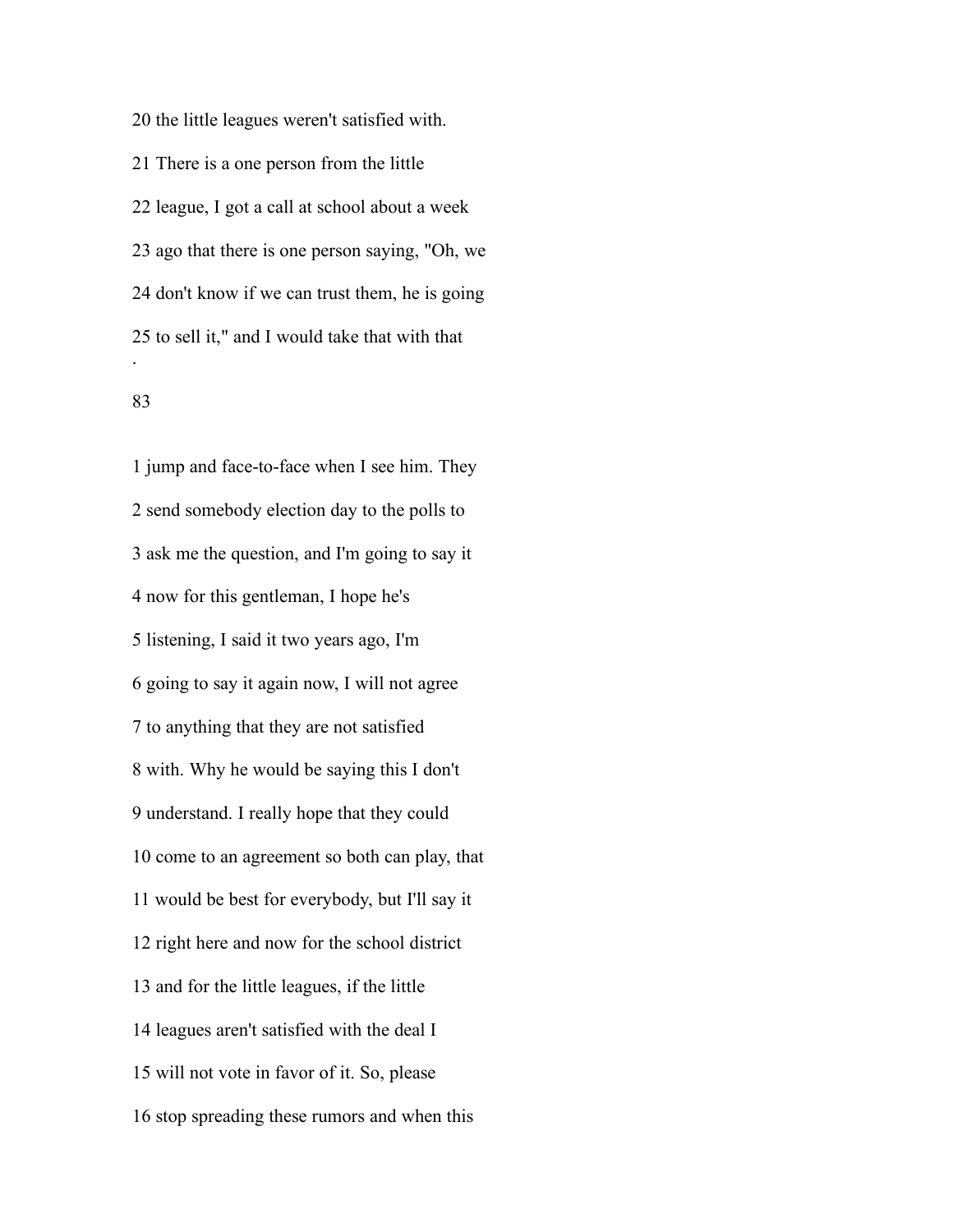the little leagues weren't satisfied with. There is a one person from the little league, I got a call at school about a week ago that there is one person saying, "Oh, we don't know if we can trust them, he is going to sell it," and I would take that with that .

## 

 jump and face-to-face when I see him. They send somebody election day to the polls to ask me the question, and I'm going to say it now for this gentleman, I hope he's listening, I said it two years ago, I'm going to say it again now, I will not agree to anything that they are not satisfied with. Why he would be saying this I don't understand. I really hope that they could come to an agreement so both can play, that would be best for everybody, but I'll say it right here and now for the school district and for the little leagues, if the little leagues aren't satisfied with the deal I will not vote in favor of it. So, please stop spreading these rumors and when this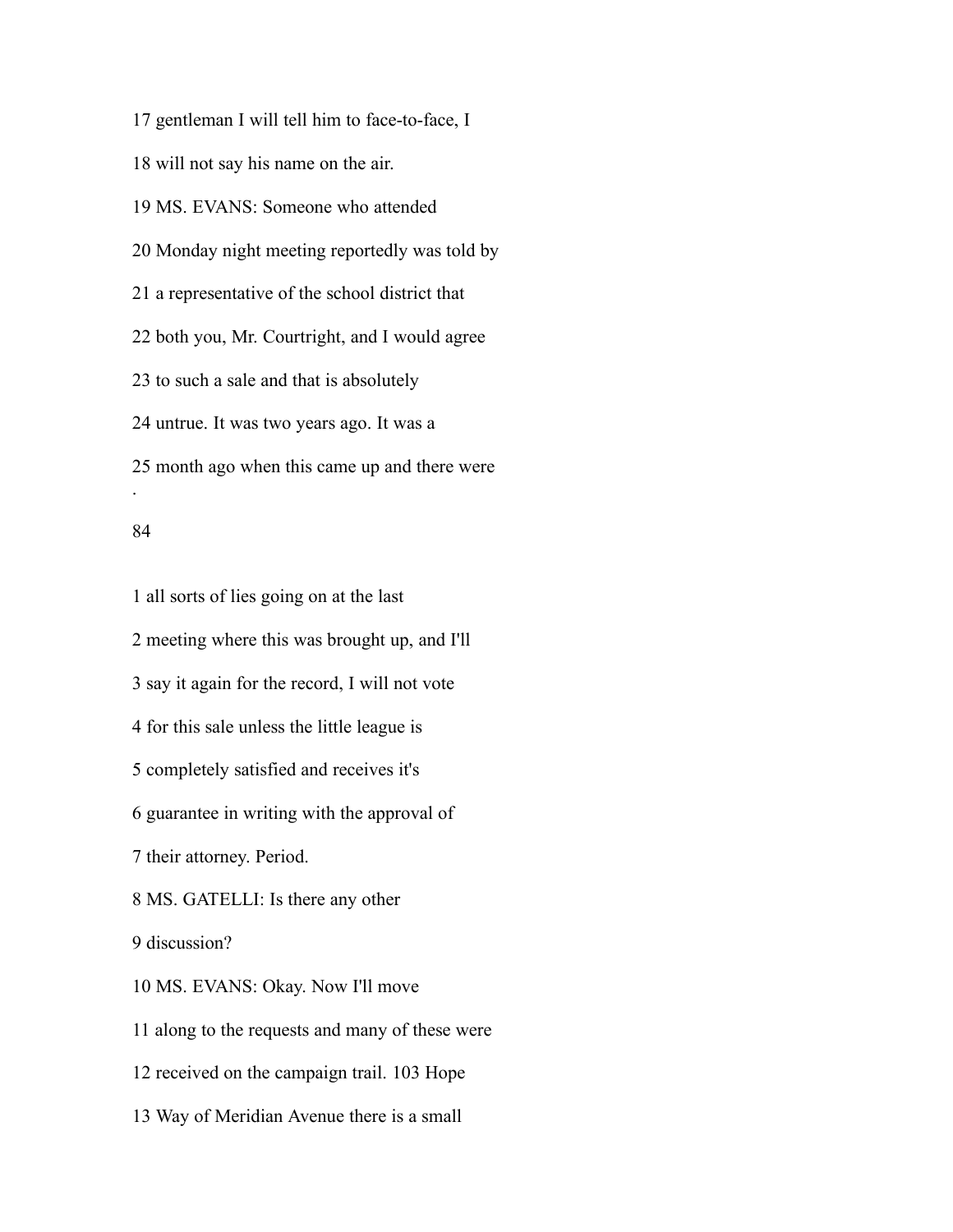gentleman I will tell him to face-to-face, I will not say his name on the air. MS. EVANS: Someone who attended Monday night meeting reportedly was told by a representative of the school district that both you, Mr. Courtright, and I would agree to such a sale and that is absolutely untrue. It was two years ago. It was a month ago when this came up and there were .

### 

 all sorts of lies going on at the last meeting where this was brought up, and I'll say it again for the record, I will not vote for this sale unless the little league is completely satisfied and receives it's guarantee in writing with the approval of their attorney. Period. MS. GATELLI: Is there any other discussion? MS. EVANS: Okay. Now I'll move along to the requests and many of these were received on the campaign trail. 103 Hope Way of Meridian Avenue there is a small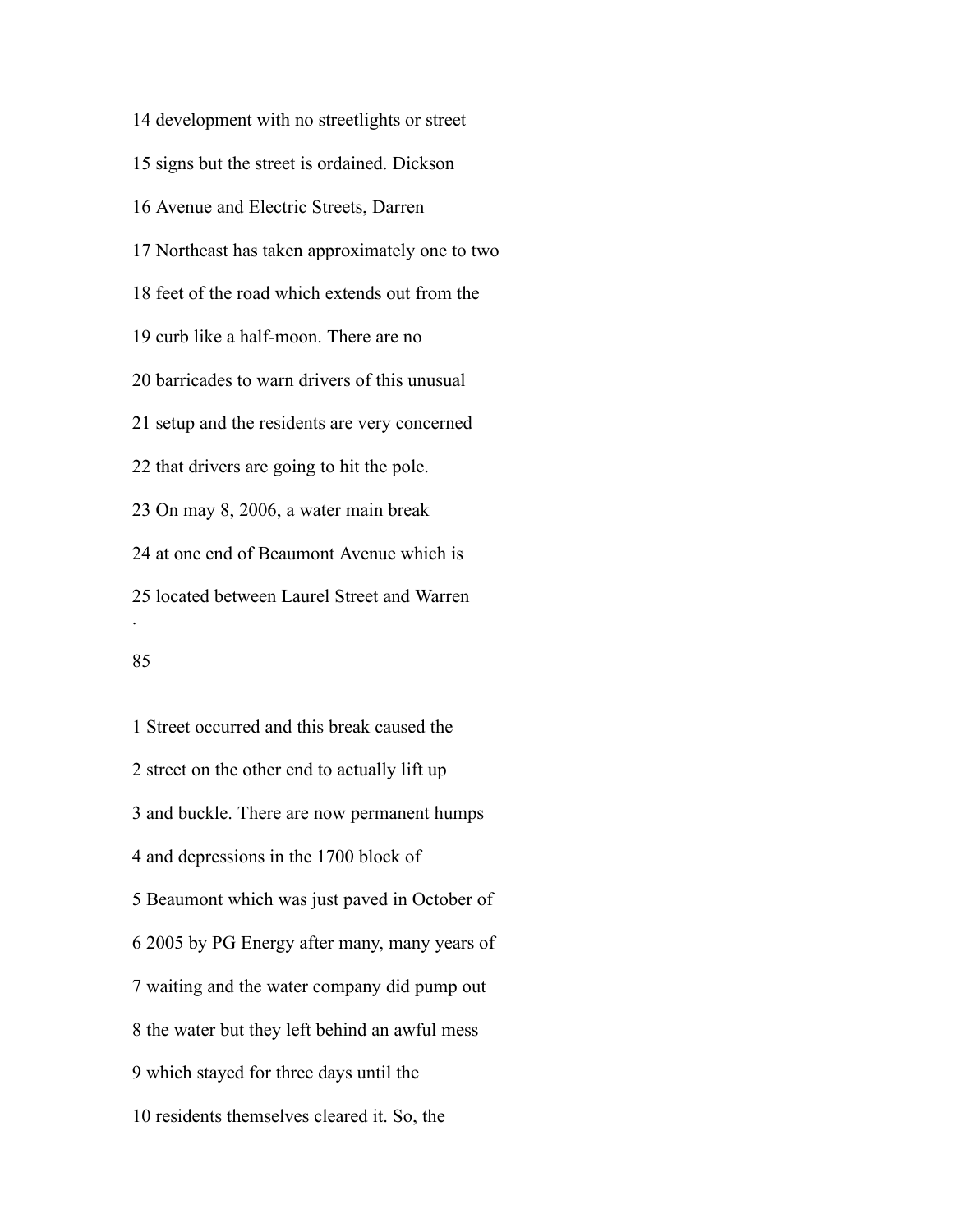development with no streetlights or street signs but the street is ordained. Dickson Avenue and Electric Streets, Darren Northeast has taken approximately one to two feet of the road which extends out from the curb like a half-moon. There are no barricades to warn drivers of this unusual setup and the residents are very concerned that drivers are going to hit the pole. On may 8, 2006, a water main break at one end of Beaumont Avenue which is located between Laurel Street and Warren .

## 

 Street occurred and this break caused the street on the other end to actually lift up and buckle. There are now permanent humps and depressions in the 1700 block of Beaumont which was just paved in October of 2005 by PG Energy after many, many years of waiting and the water company did pump out the water but they left behind an awful mess which stayed for three days until the residents themselves cleared it. So, the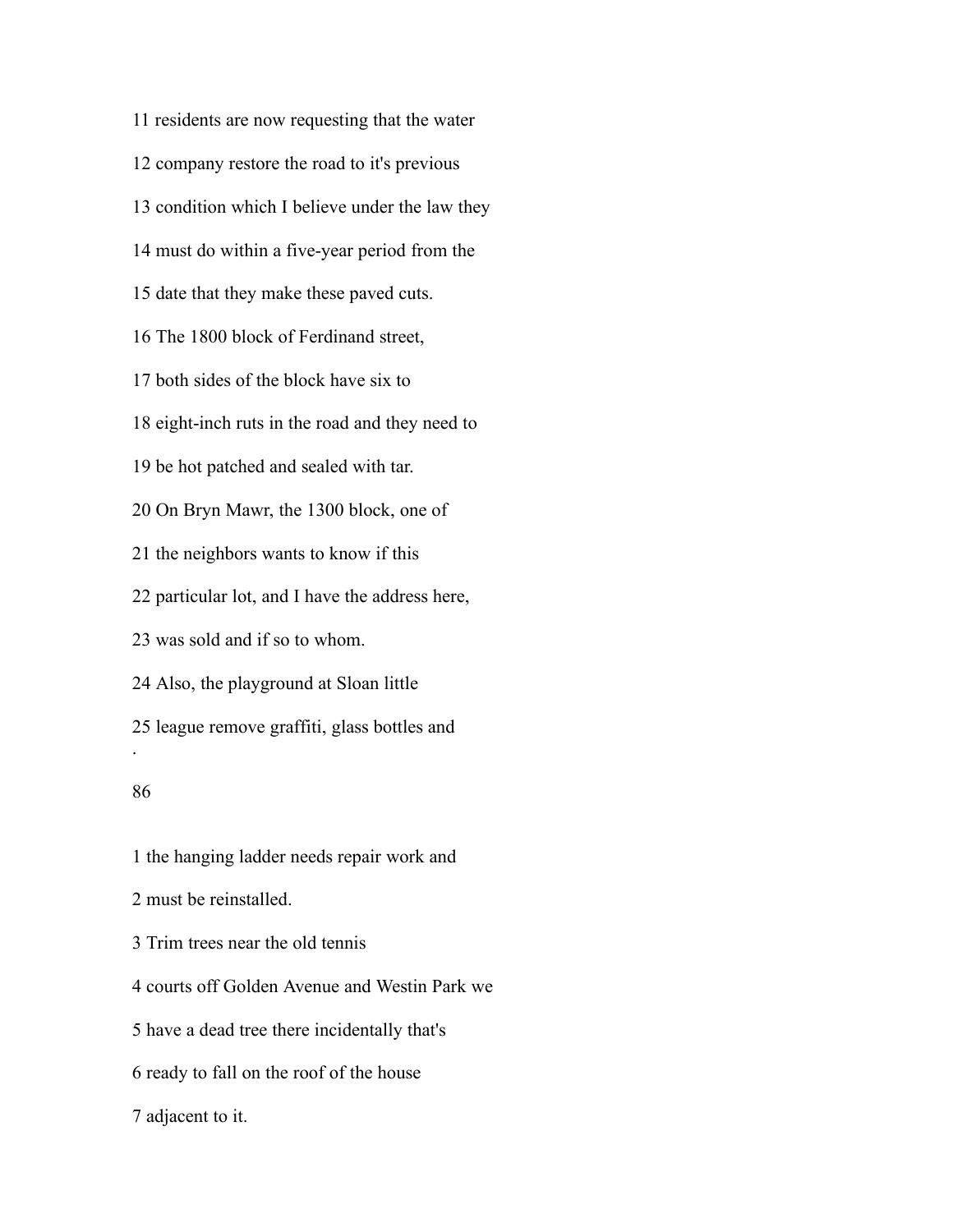residents are now requesting that the water company restore the road to it's previous condition which I believe under the law they must do within a five-year period from the date that they make these paved cuts. The 1800 block of Ferdinand street, both sides of the block have six to eight-inch ruts in the road and they need to be hot patched and sealed with tar. On Bryn Mawr, the 1300 block, one of the neighbors wants to know if this particular lot, and I have the address here, was sold and if so to whom. Also, the playground at Sloan little league remove graffiti, glass bottles and . 

 the hanging ladder needs repair work and must be reinstalled. Trim trees near the old tennis courts off Golden Avenue and Westin Park we have a dead tree there incidentally that's ready to fall on the roof of the house adjacent to it.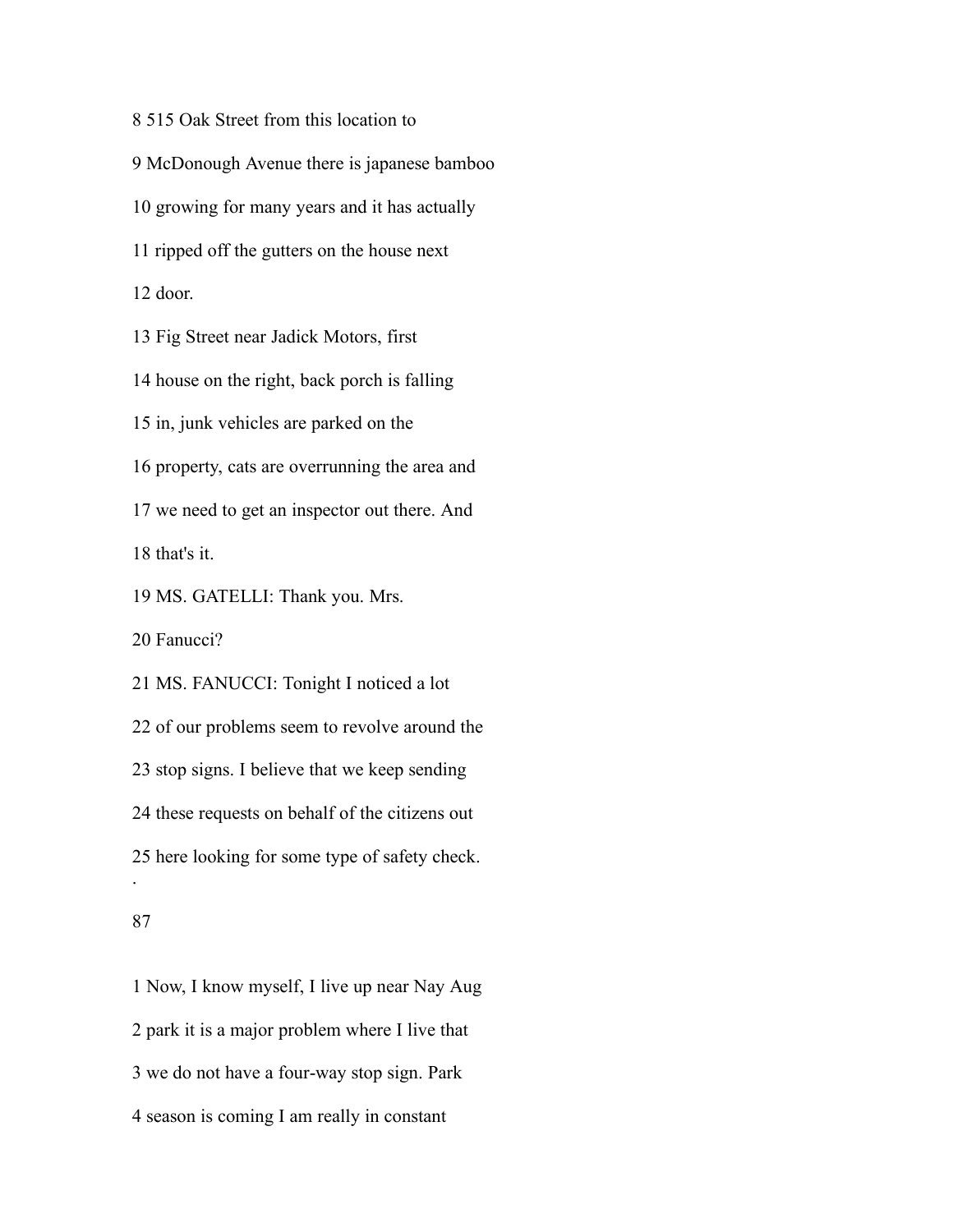515 Oak Street from this location to McDonough Avenue there is japanese bamboo growing for many years and it has actually ripped off the gutters on the house next door. Fig Street near Jadick Motors, first house on the right, back porch is falling in, junk vehicles are parked on the property, cats are overrunning the area and we need to get an inspector out there. And that's it. MS. GATELLI: Thank you. Mrs. Fanucci? MS. FANUCCI: Tonight I noticed a lot of our problems seem to revolve around the stop signs. I believe that we keep sending these requests on behalf of the citizens out here looking for some type of safety check. . 

 Now, I know myself, I live up near Nay Aug park it is a major problem where I live that we do not have a four-way stop sign. Park season is coming I am really in constant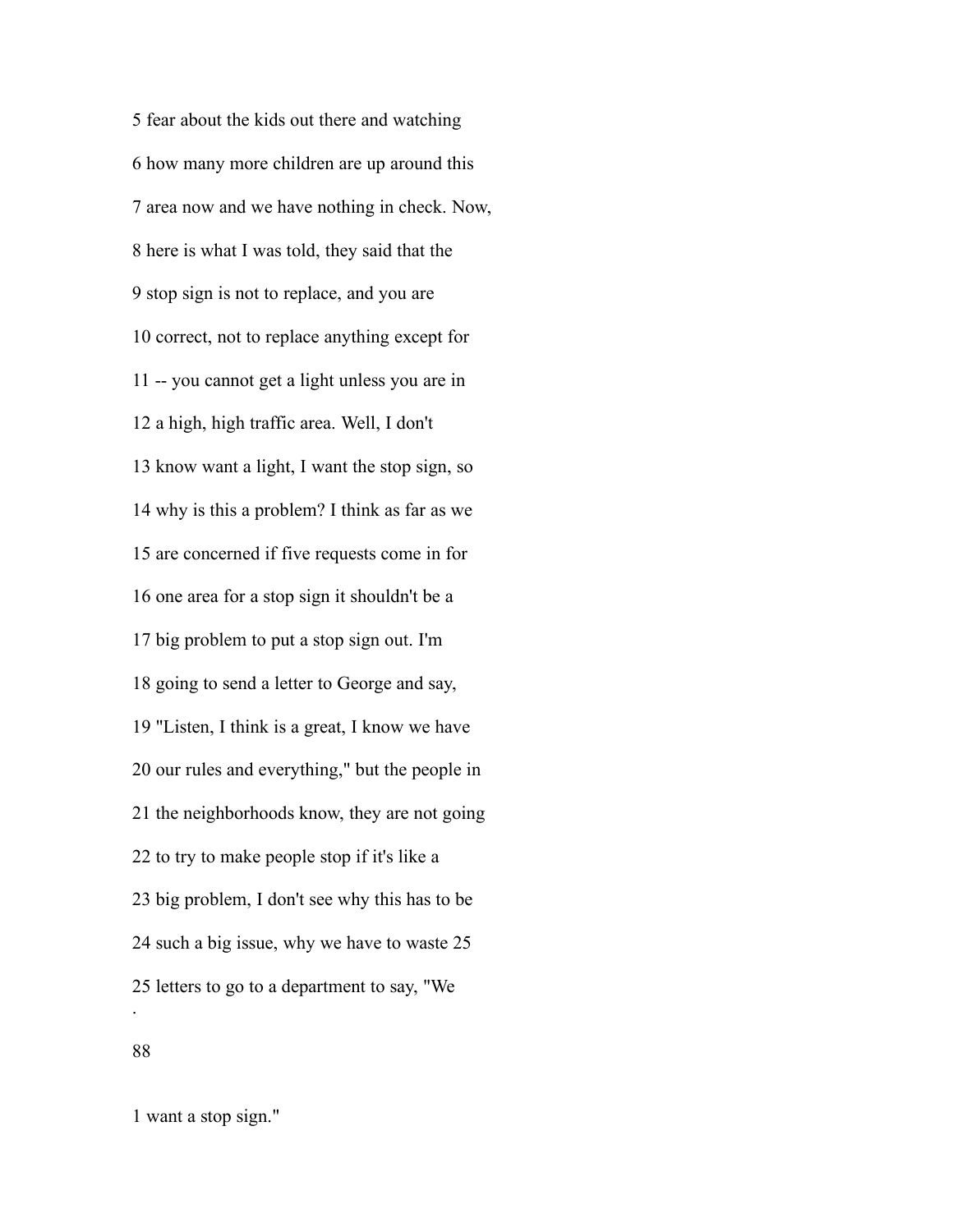fear about the kids out there and watching how many more children are up around this area now and we have nothing in check. Now, here is what I was told, they said that the stop sign is not to replace, and you are correct, not to replace anything except for -- you cannot get a light unless you are in a high, high traffic area. Well, I don't know want a light, I want the stop sign, so why is this a problem? I think as far as we are concerned if five requests come in for one area for a stop sign it shouldn't be a big problem to put a stop sign out. I'm going to send a letter to George and say, "Listen, I think is a great, I know we have our rules and everything," but the people in the neighborhoods know, they are not going to try to make people stop if it's like a big problem, I don't see why this has to be such a big issue, why we have to waste 25 letters to go to a department to say, "We .

want a stop sign."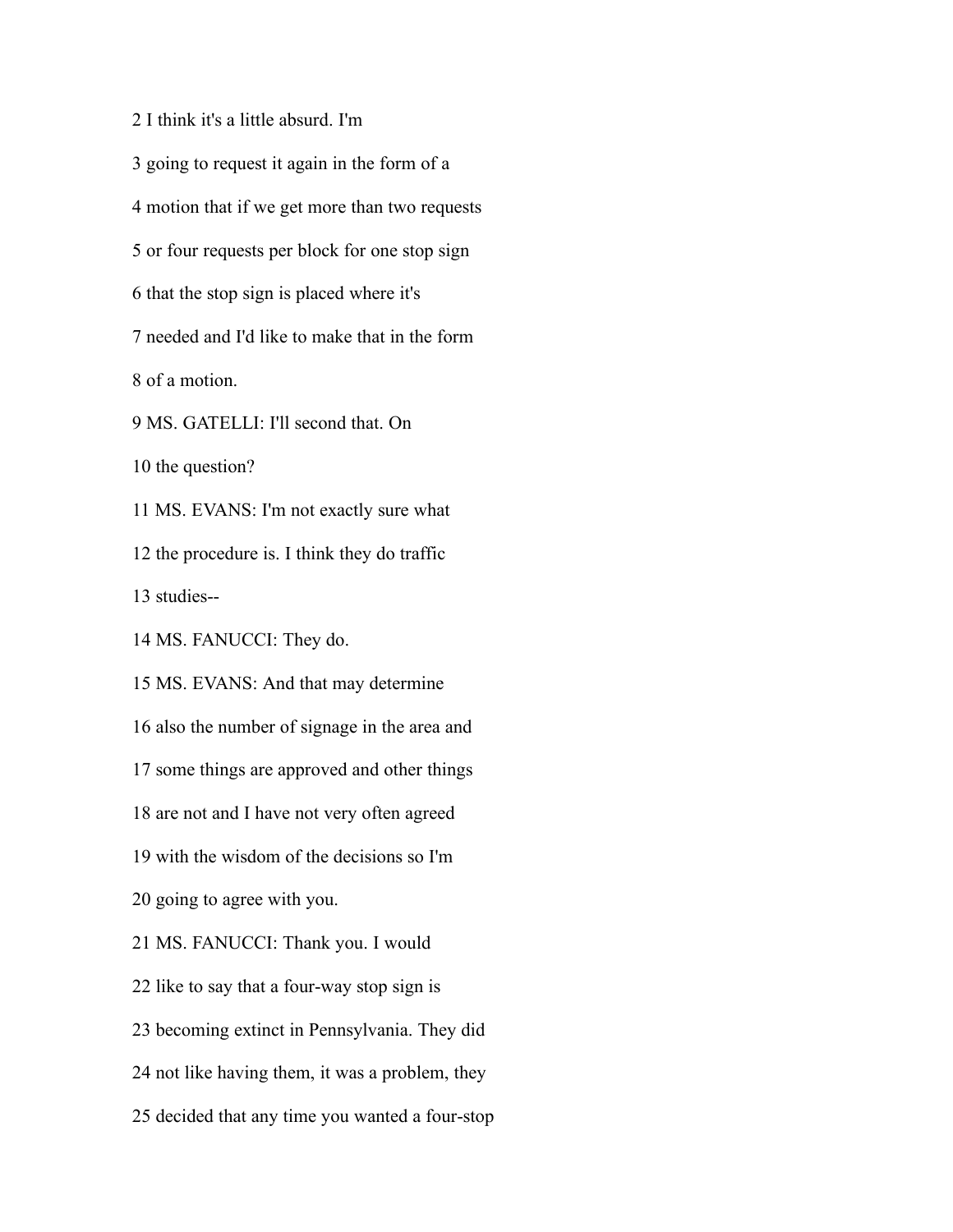I think it's a little absurd. I'm going to request it again in the form of a motion that if we get more than two requests or four requests per block for one stop sign that the stop sign is placed where it's needed and I'd like to make that in the form of a motion. MS. GATELLI: I'll second that. On the question? MS. EVANS: I'm not exactly sure what the procedure is. I think they do traffic studies-- MS. FANUCCI: They do. MS. EVANS: And that may determine also the number of signage in the area and some things are approved and other things are not and I have not very often agreed with the wisdom of the decisions so I'm going to agree with you. MS. FANUCCI: Thank you. I would like to say that a four-way stop sign is becoming extinct in Pennsylvania. They did not like having them, it was a problem, they decided that any time you wanted a four-stop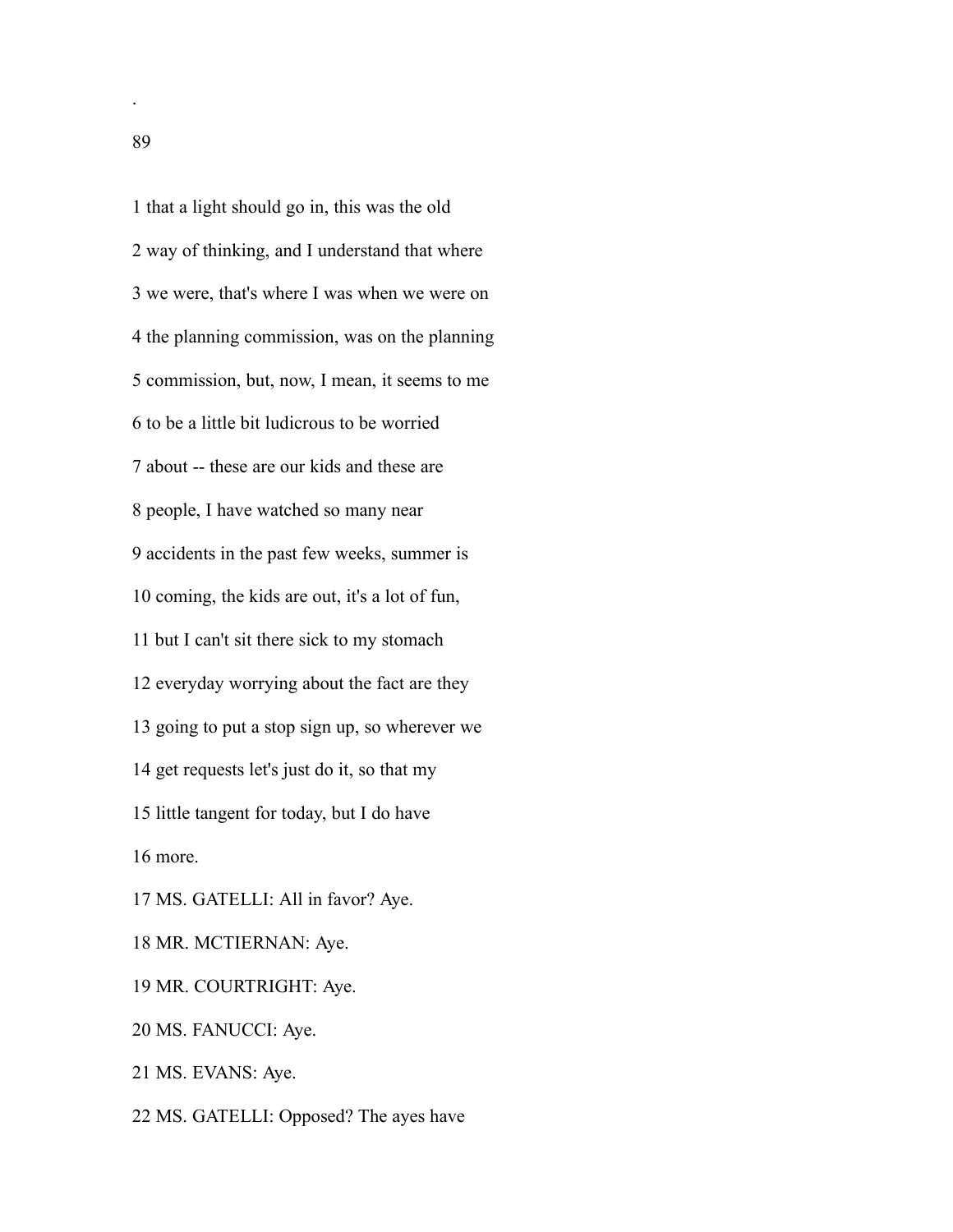that a light should go in, this was the old way of thinking, and I understand that where we were, that's where I was when we were on the planning commission, was on the planning commission, but, now, I mean, it seems to me to be a little bit ludicrous to be worried about -- these are our kids and these are people, I have watched so many near accidents in the past few weeks, summer is coming, the kids are out, it's a lot of fun, but I can't sit there sick to my stomach everyday worrying about the fact are they going to put a stop sign up, so wherever we get requests let's just do it, so that my little tangent for today, but I do have more. MS. GATELLI: All in favor? Aye. MR. MCTIERNAN: Aye. MR. COURTRIGHT: Aye. MS. FANUCCI: Aye. MS. EVANS: Aye.

MS. GATELLI: Opposed? The ayes have

.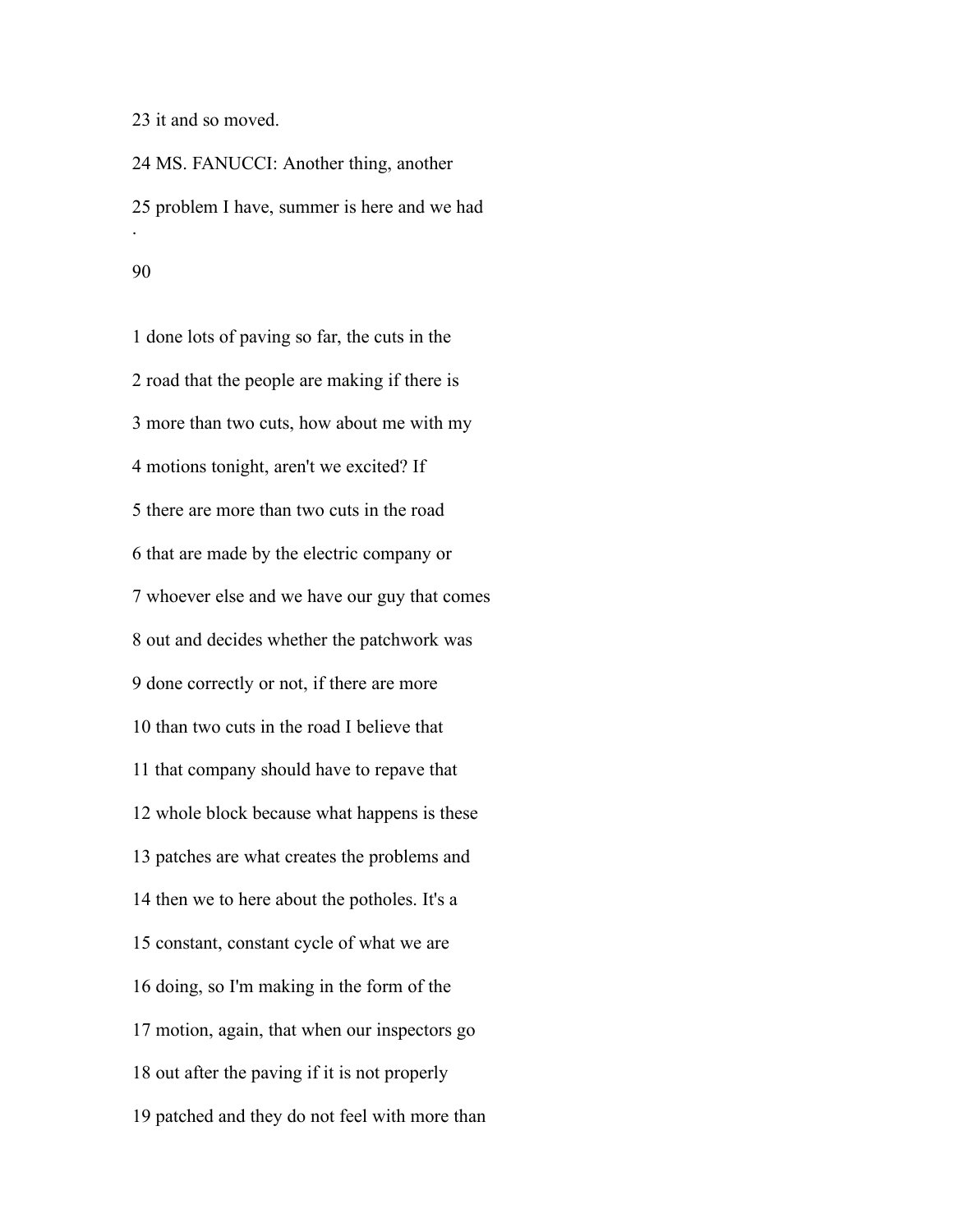it and so moved.

 MS. FANUCCI: Another thing, another problem I have, summer is here and we had .

### 

 done lots of paving so far, the cuts in the road that the people are making if there is more than two cuts, how about me with my motions tonight, aren't we excited? If there are more than two cuts in the road that are made by the electric company or whoever else and we have our guy that comes out and decides whether the patchwork was done correctly or not, if there are more than two cuts in the road I believe that that company should have to repave that whole block because what happens is these patches are what creates the problems and then we to here about the potholes. It's a constant, constant cycle of what we are doing, so I'm making in the form of the motion, again, that when our inspectors go out after the paving if it is not properly patched and they do not feel with more than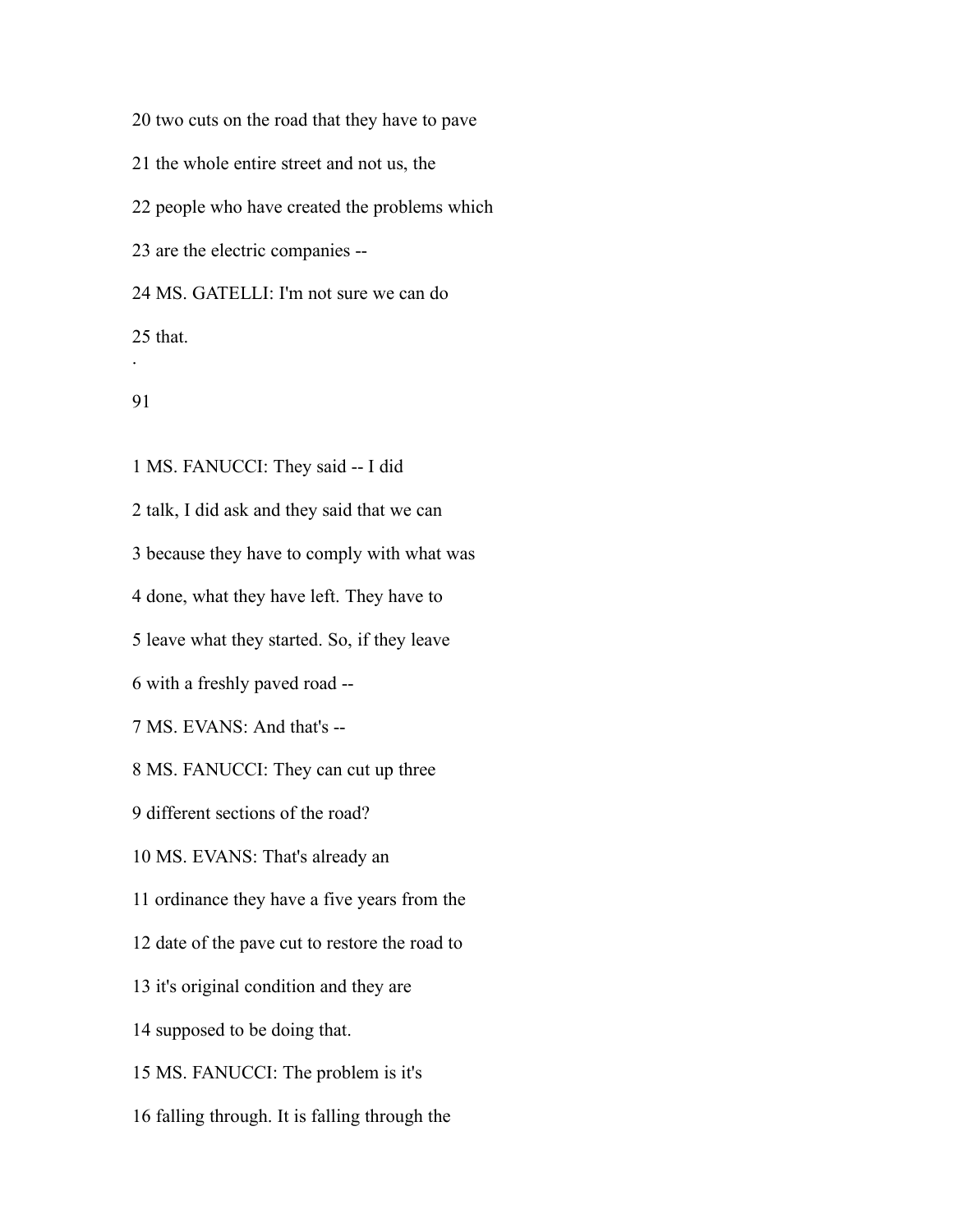two cuts on the road that they have to pave

the whole entire street and not us, the

people who have created the problems which

are the electric companies --

MS. GATELLI: I'm not sure we can do

that.

#### 

.

 MS. FANUCCI: They said -- I did talk, I did ask and they said that we can because they have to comply with what was done, what they have left. They have to leave what they started. So, if they leave with a freshly paved road -- MS. EVANS: And that's -- MS. FANUCCI: They can cut up three different sections of the road? MS. EVANS: That's already an ordinance they have a five years from the date of the pave cut to restore the road to it's original condition and they are supposed to be doing that. MS. FANUCCI: The problem is it's falling through. It is falling through the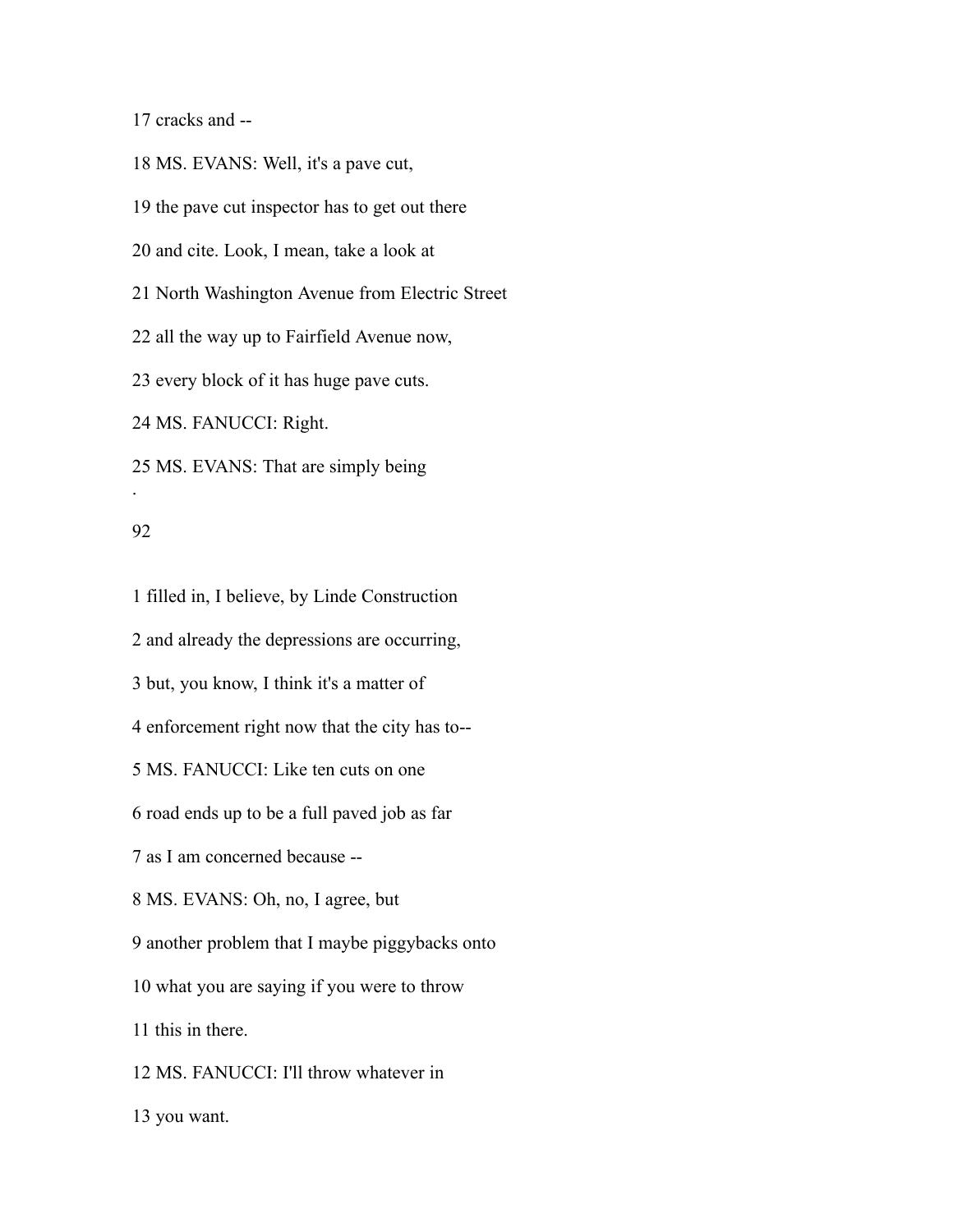cracks and --

 MS. EVANS: Well, it's a pave cut, the pave cut inspector has to get out there and cite. Look, I mean, take a look at North Washington Avenue from Electric Street all the way up to Fairfield Avenue now, every block of it has huge pave cuts. MS. FANUCCI: Right. MS. EVANS: That are simply being .

#### 

 filled in, I believe, by Linde Construction and already the depressions are occurring, but, you know, I think it's a matter of enforcement right now that the city has to-- MS. FANUCCI: Like ten cuts on one road ends up to be a full paved job as far as I am concerned because -- MS. EVANS: Oh, no, I agree, but another problem that I maybe piggybacks onto what you are saying if you were to throw this in there. MS. FANUCCI: I'll throw whatever in you want.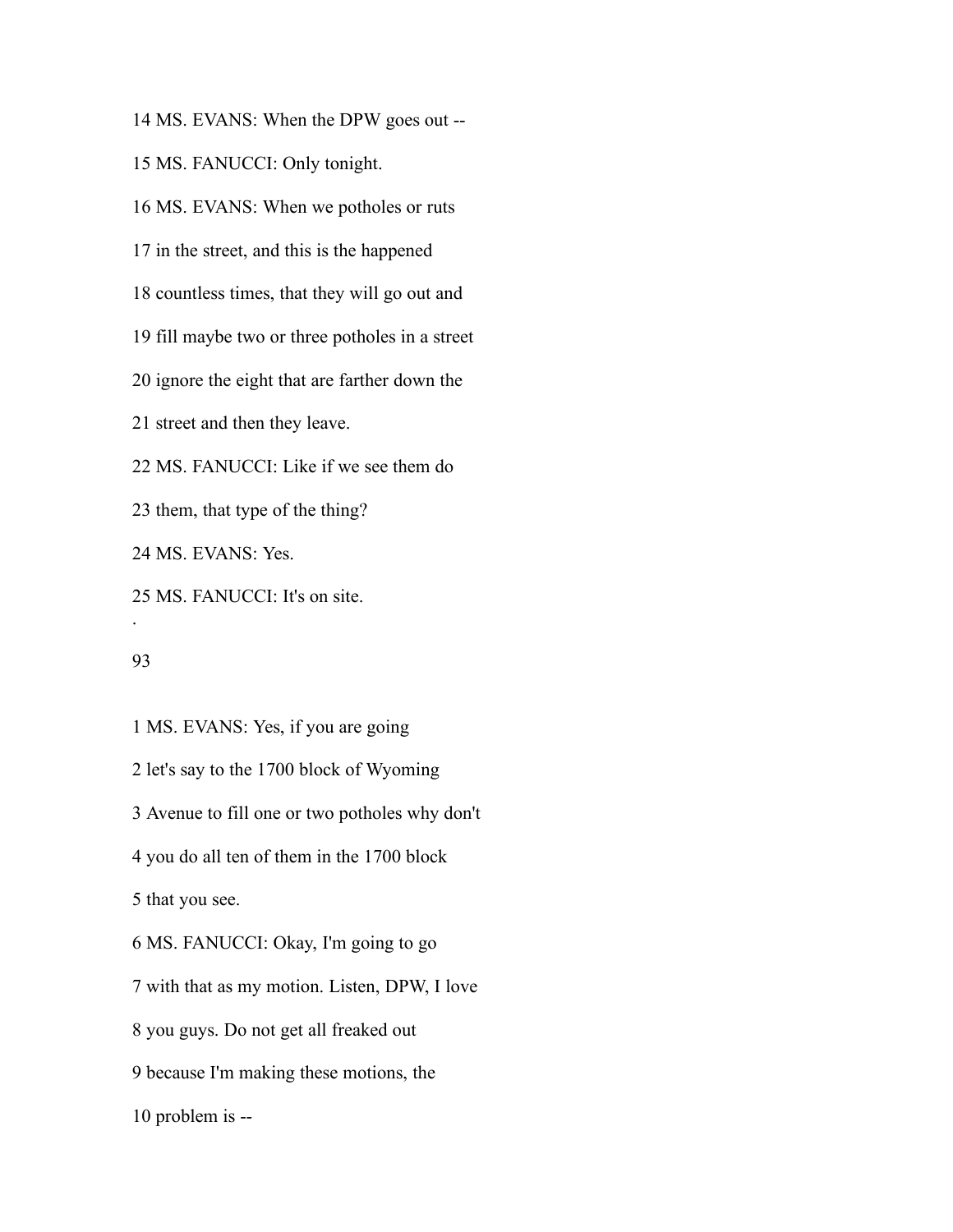MS. EVANS: When the DPW goes out --

MS. FANUCCI: Only tonight.

MS. EVANS: When we potholes or ruts

in the street, and this is the happened

countless times, that they will go out and

fill maybe two or three potholes in a street

ignore the eight that are farther down the

street and then they leave.

MS. FANUCCI: Like if we see them do

them, that type of the thing?

MS. EVANS: Yes.

MS. FANUCCI: It's on site.

#### 

.

 MS. EVANS: Yes, if you are going let's say to the 1700 block of Wyoming Avenue to fill one or two potholes why don't you do all ten of them in the 1700 block that you see. MS. FANUCCI: Okay, I'm going to go with that as my motion. Listen, DPW, I love you guys. Do not get all freaked out because I'm making these motions, the problem is --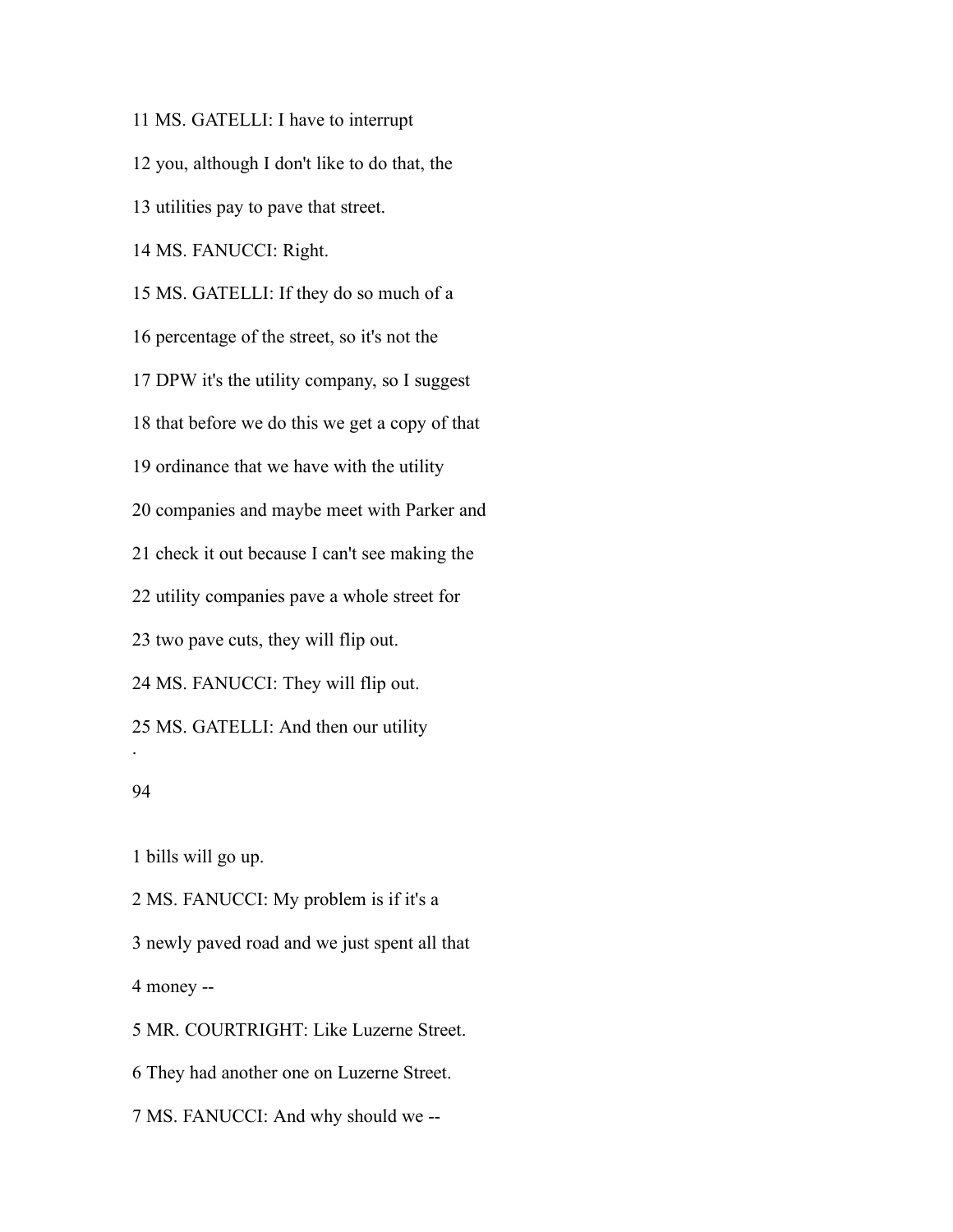MS. GATELLI: I have to interrupt you, although I don't like to do that, the utilities pay to pave that street. MS. FANUCCI: Right. MS. GATELLI: If they do so much of a percentage of the street, so it's not the DPW it's the utility company, so I suggest that before we do this we get a copy of that ordinance that we have with the utility companies and maybe meet with Parker and check it out because I can't see making the utility companies pave a whole street for two pave cuts, they will flip out. MS. FANUCCI: They will flip out. MS. GATELLI: And then our utility . 

bills will go up.

 MS. FANUCCI: My problem is if it's a newly paved road and we just spent all that money -- MR. COURTRIGHT: Like Luzerne Street.

They had another one on Luzerne Street.

MS. FANUCCI: And why should we --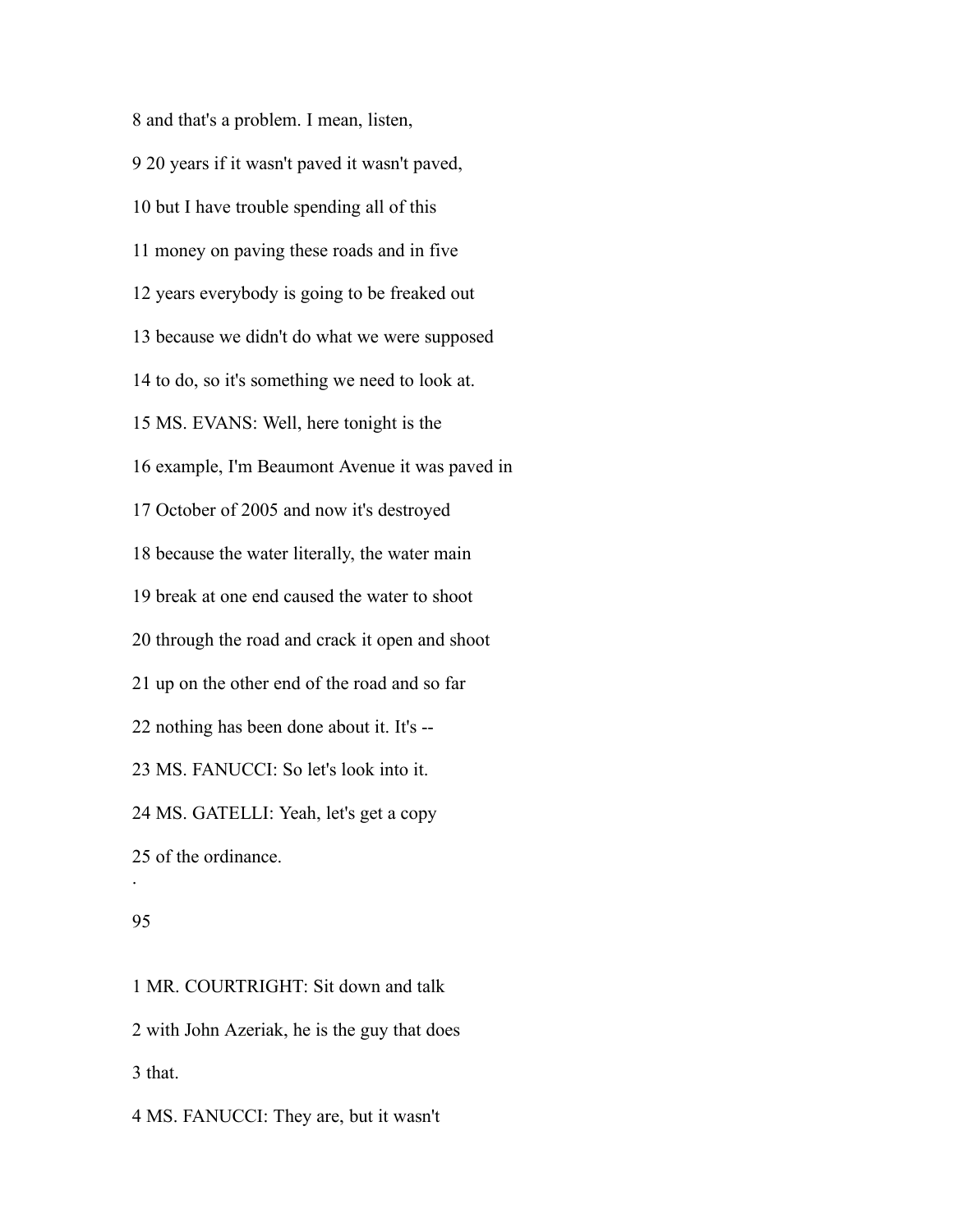and that's a problem. I mean, listen, 20 years if it wasn't paved it wasn't paved, but I have trouble spending all of this money on paving these roads and in five years everybody is going to be freaked out because we didn't do what we were supposed to do, so it's something we need to look at. MS. EVANS: Well, here tonight is the example, I'm Beaumont Avenue it was paved in October of 2005 and now it's destroyed because the water literally, the water main break at one end caused the water to shoot through the road and crack it open and shoot up on the other end of the road and so far nothing has been done about it. It's -- MS. FANUCCI: So let's look into it. MS. GATELLI: Yeah, let's get a copy of the ordinance. .

# 

 MR. COURTRIGHT: Sit down and talk with John Azeriak, he is the guy that does that.

MS. FANUCCI: They are, but it wasn't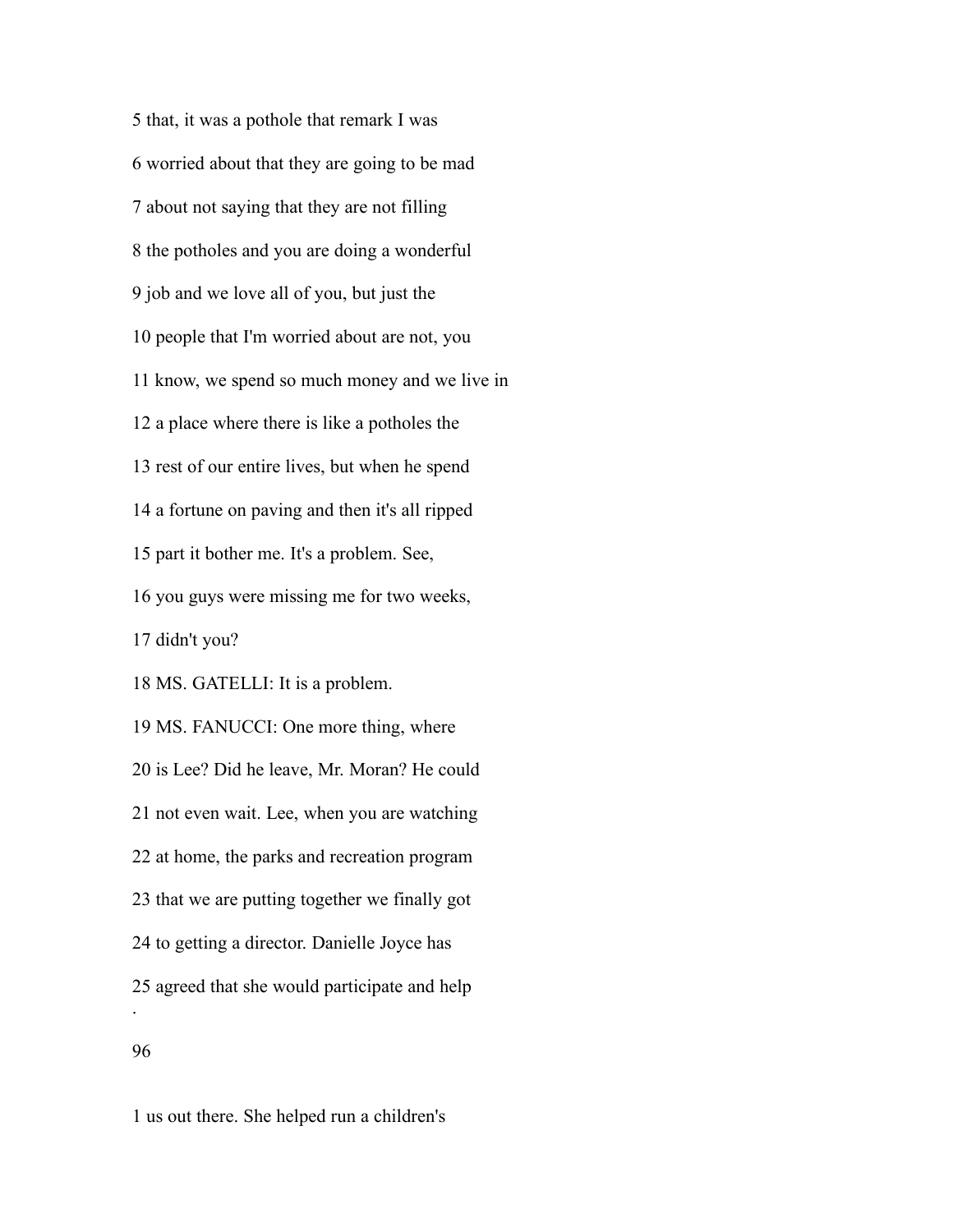that, it was a pothole that remark I was worried about that they are going to be mad about not saying that they are not filling the potholes and you are doing a wonderful job and we love all of you, but just the people that I'm worried about are not, you know, we spend so much money and we live in a place where there is like a potholes the rest of our entire lives, but when he spend a fortune on paving and then it's all ripped part it bother me. It's a problem. See, you guys were missing me for two weeks, didn't you? MS. GATELLI: It is a problem. MS. FANUCCI: One more thing, where is Lee? Did he leave, Mr. Moran? He could not even wait. Lee, when you are watching at home, the parks and recreation program that we are putting together we finally got to getting a director. Danielle Joyce has agreed that she would participate and help . 

us out there. She helped run a children's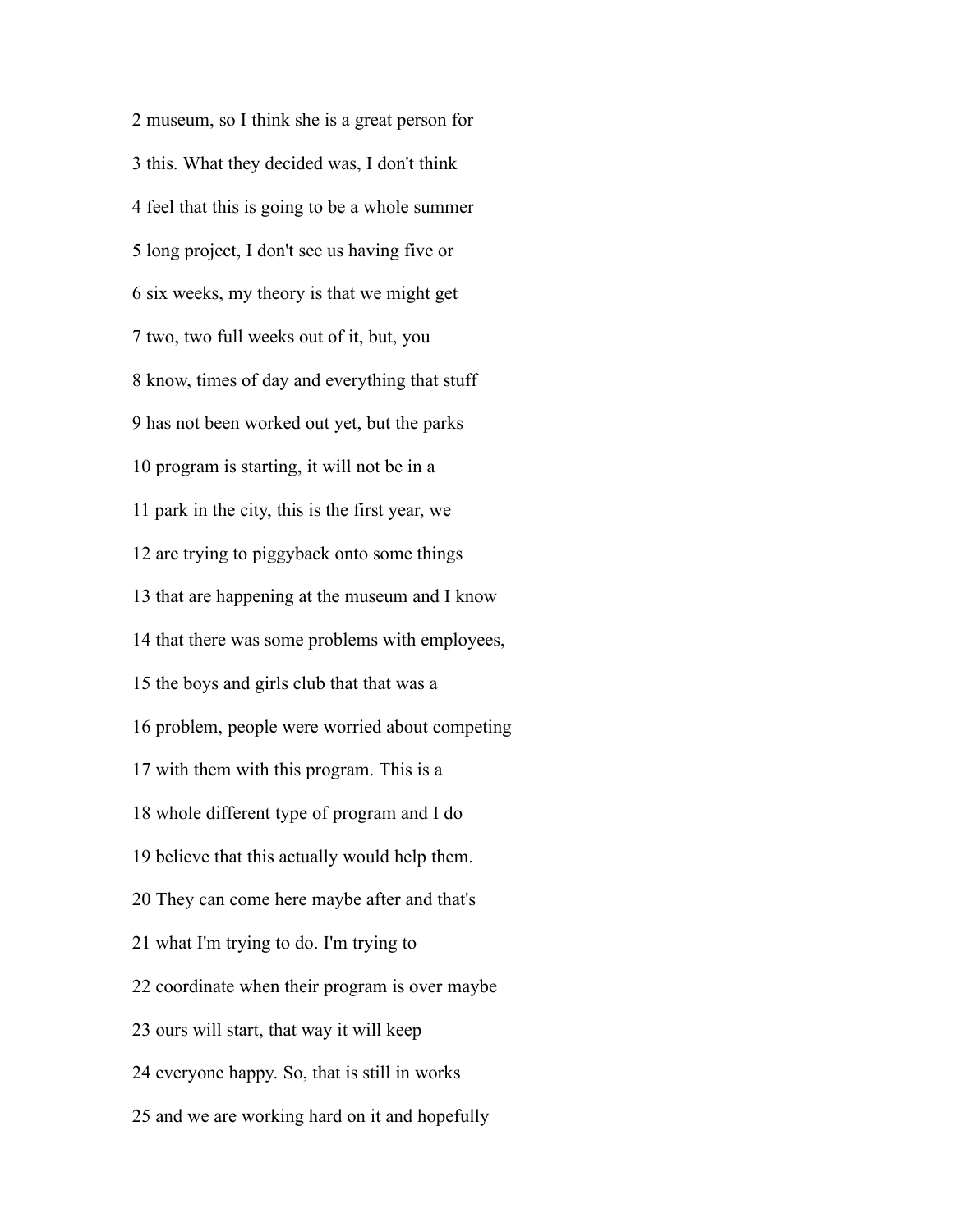museum, so I think she is a great person for this. What they decided was, I don't think feel that this is going to be a whole summer long project, I don't see us having five or six weeks, my theory is that we might get two, two full weeks out of it, but, you know, times of day and everything that stuff has not been worked out yet, but the parks program is starting, it will not be in a park in the city, this is the first year, we are trying to piggyback onto some things that are happening at the museum and I know that there was some problems with employees, the boys and girls club that that was a problem, people were worried about competing with them with this program. This is a whole different type of program and I do believe that this actually would help them. They can come here maybe after and that's what I'm trying to do. I'm trying to coordinate when their program is over maybe ours will start, that way it will keep everyone happy. So, that is still in works and we are working hard on it and hopefully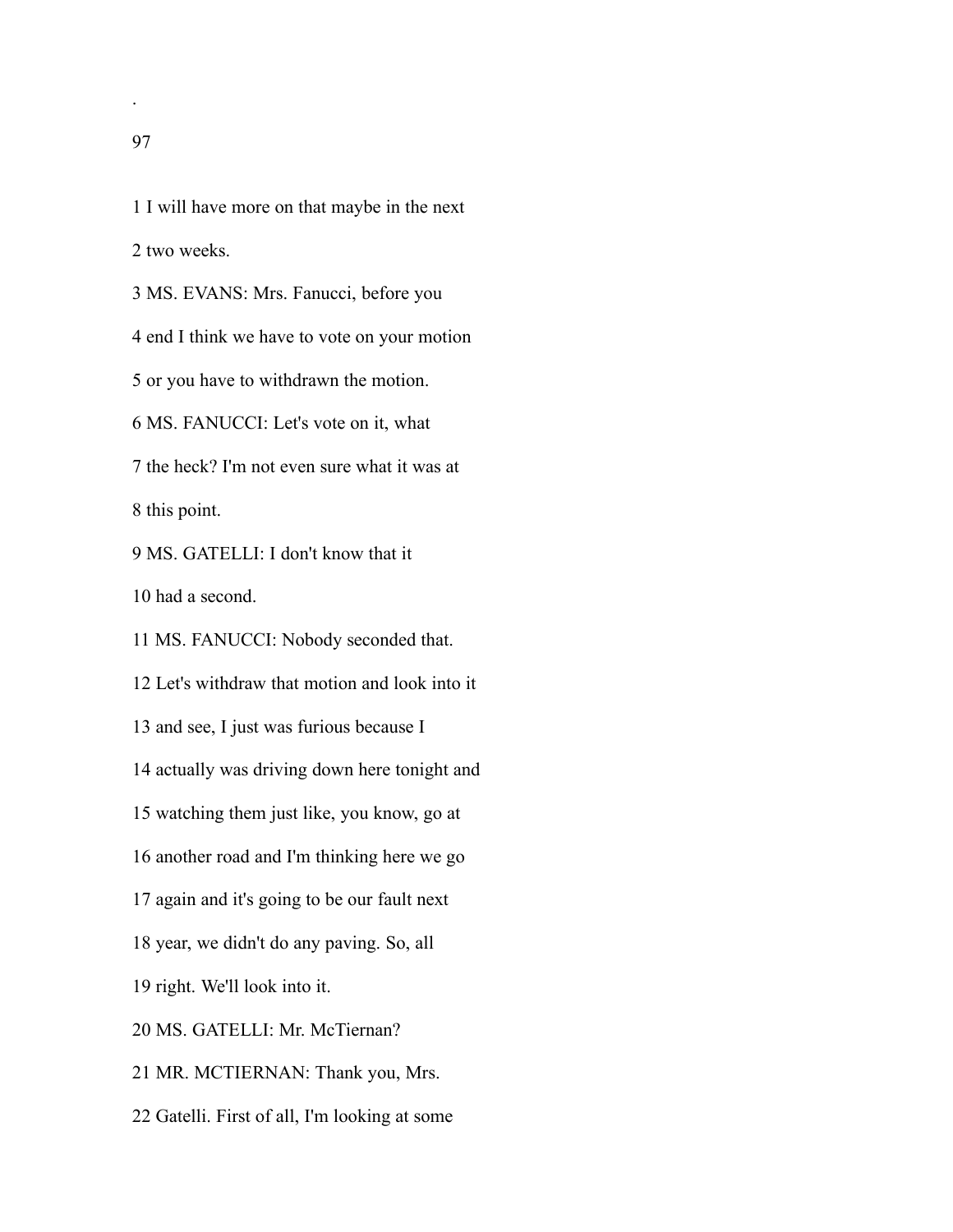.

 I will have more on that maybe in the next two weeks. MS. EVANS: Mrs. Fanucci, before you end I think we have to vote on your motion or you have to withdrawn the motion. MS. FANUCCI: Let's vote on it, what the heck? I'm not even sure what it was at this point. MS. GATELLI: I don't know that it had a second. MS. FANUCCI: Nobody seconded that. Let's withdraw that motion and look into it and see, I just was furious because I actually was driving down here tonight and watching them just like, you know, go at another road and I'm thinking here we go again and it's going to be our fault next year, we didn't do any paving. So, all right. We'll look into it. MS. GATELLI: Mr. McTiernan? MR. MCTIERNAN: Thank you, Mrs. Gatelli. First of all, I'm looking at some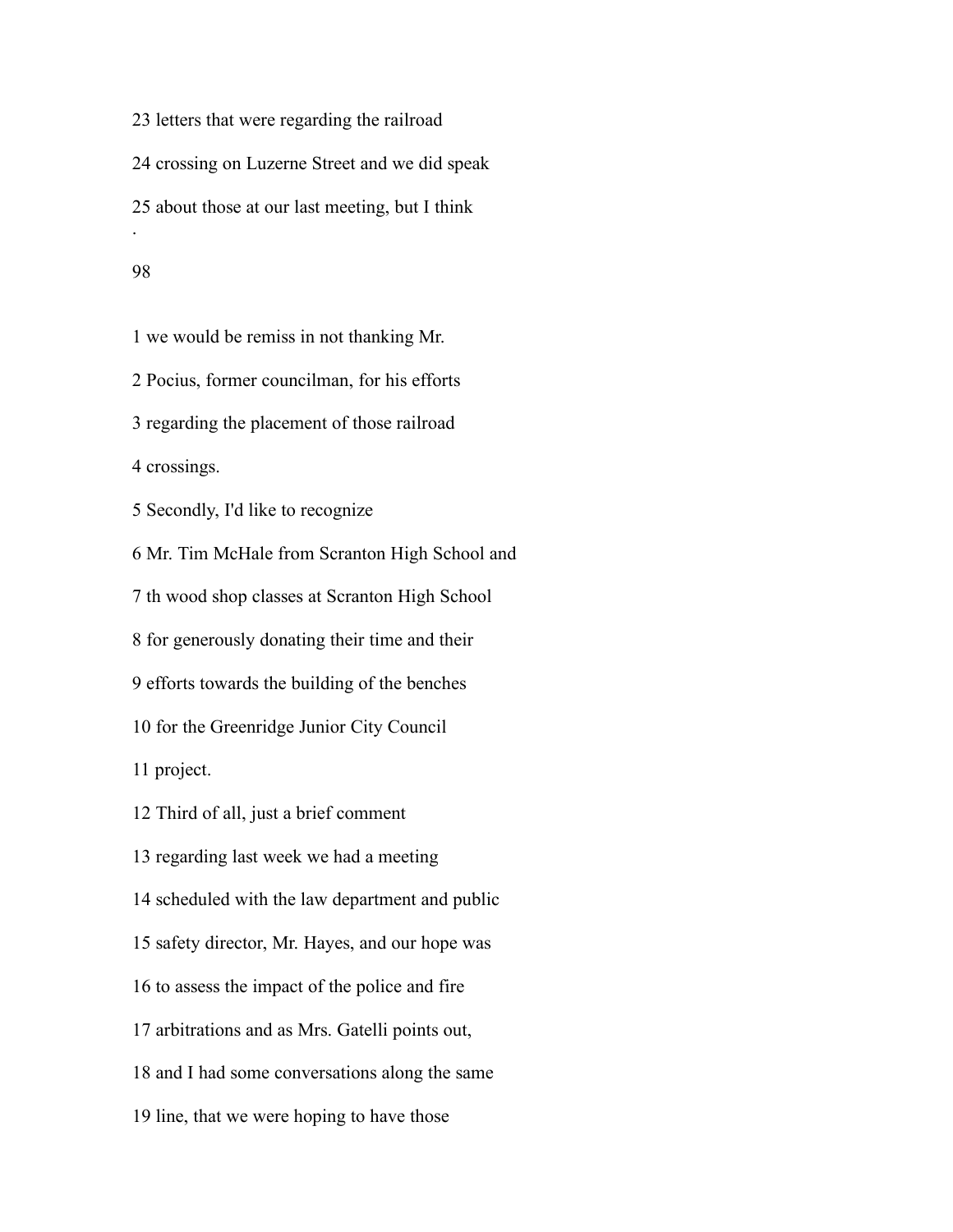letters that were regarding the railroad crossing on Luzerne Street and we did speak about those at our last meeting, but I think .

#### 

 we would be remiss in not thanking Mr. Pocius, former councilman, for his efforts regarding the placement of those railroad crossings. Secondly, I'd like to recognize Mr. Tim McHale from Scranton High School and th wood shop classes at Scranton High School for generously donating their time and their efforts towards the building of the benches for the Greenridge Junior City Council project. Third of all, just a brief comment regarding last week we had a meeting scheduled with the law department and public safety director, Mr. Hayes, and our hope was to assess the impact of the police and fire arbitrations and as Mrs. Gatelli points out, and I had some conversations along the same

line, that we were hoping to have those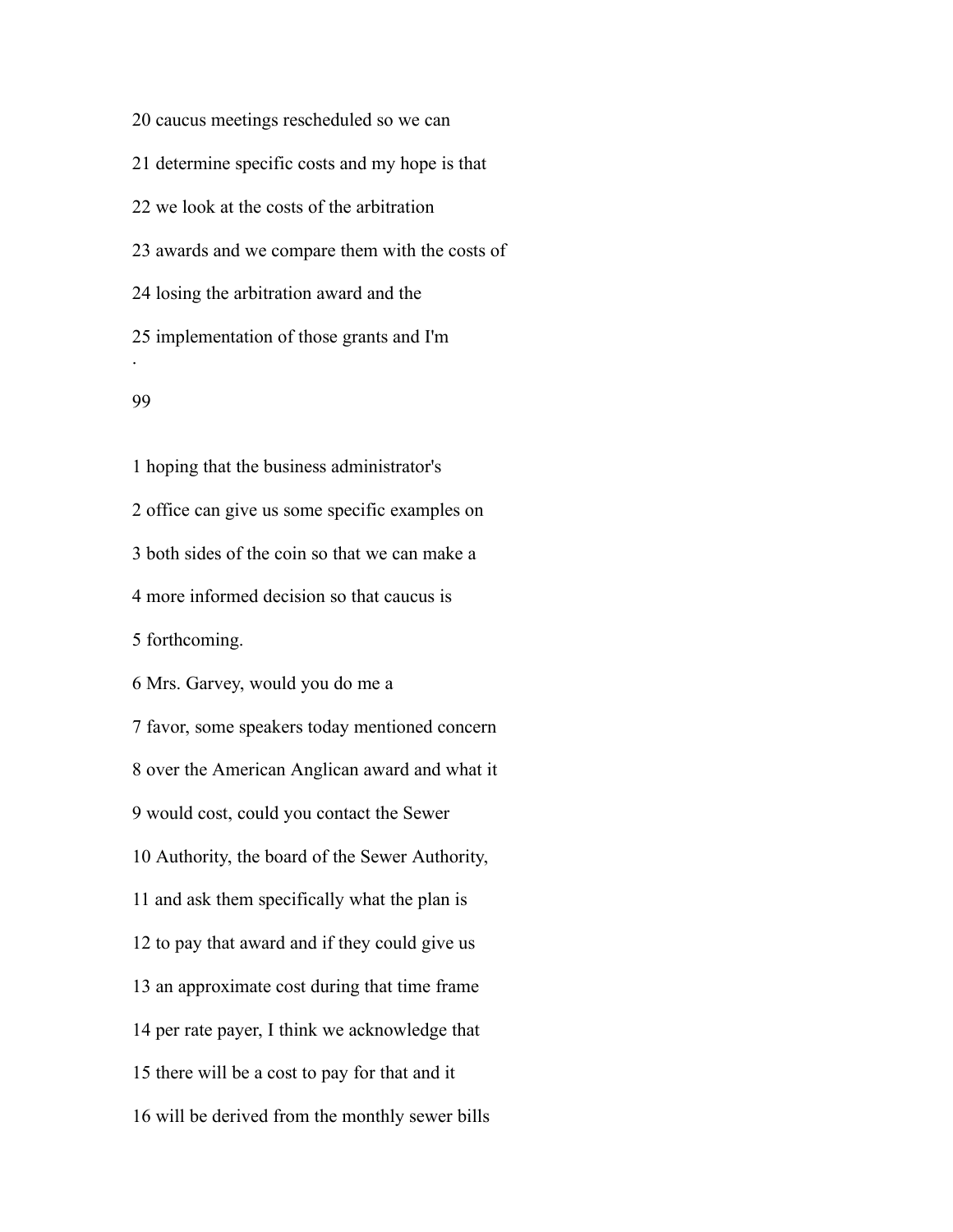caucus meetings rescheduled so we can determine specific costs and my hope is that we look at the costs of the arbitration awards and we compare them with the costs of losing the arbitration award and the implementation of those grants and I'm .

### 

 hoping that the business administrator's office can give us some specific examples on both sides of the coin so that we can make a more informed decision so that caucus is forthcoming. Mrs. Garvey, would you do me a favor, some speakers today mentioned concern over the American Anglican award and what it would cost, could you contact the Sewer Authority, the board of the Sewer Authority, and ask them specifically what the plan is to pay that award and if they could give us an approximate cost during that time frame per rate payer, I think we acknowledge that there will be a cost to pay for that and it will be derived from the monthly sewer bills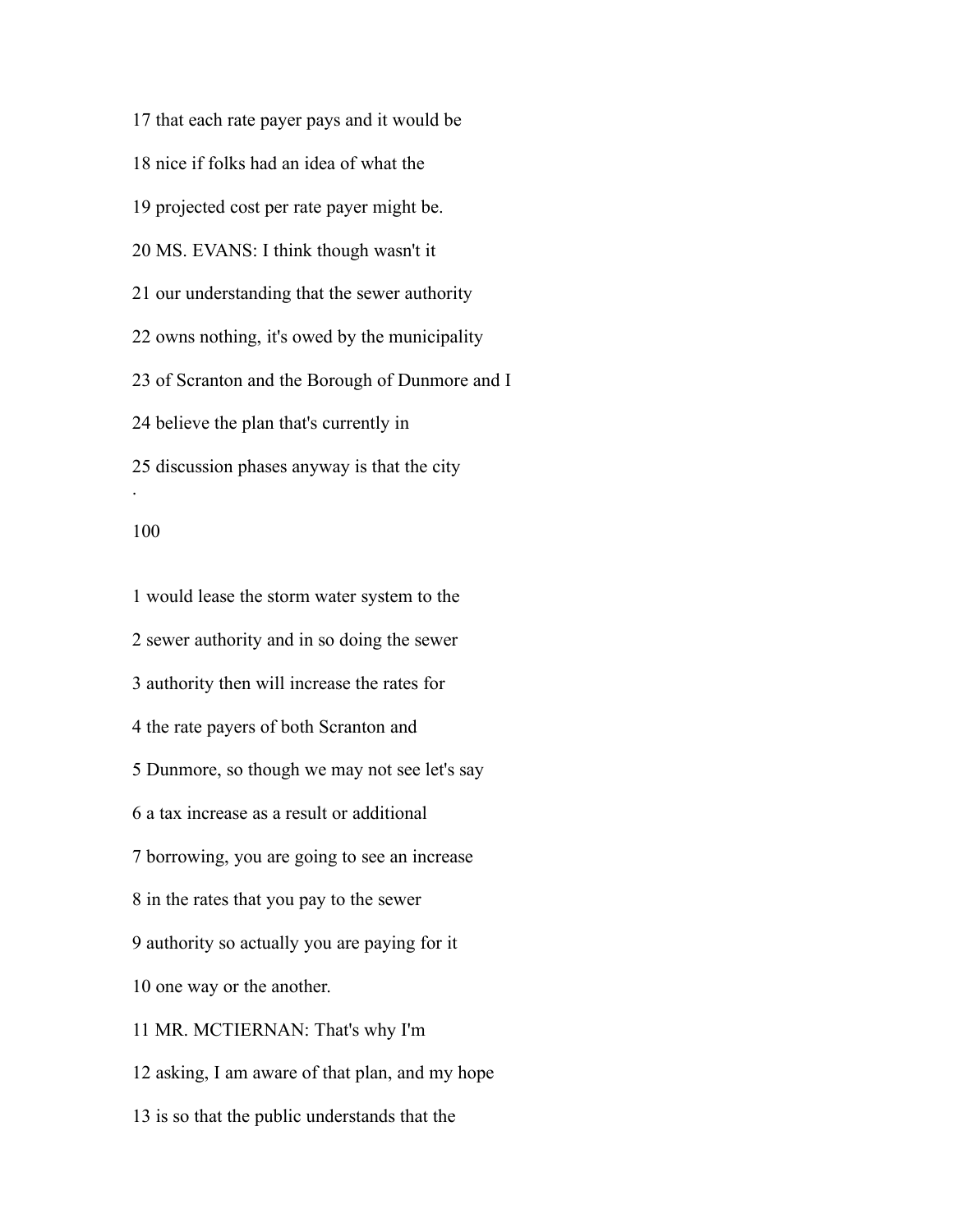that each rate payer pays and it would be nice if folks had an idea of what the projected cost per rate payer might be. MS. EVANS: I think though wasn't it our understanding that the sewer authority owns nothing, it's owed by the municipality of Scranton and the Borough of Dunmore and I believe the plan that's currently in discussion phases anyway is that the city .

#### 

 would lease the storm water system to the sewer authority and in so doing the sewer authority then will increase the rates for the rate payers of both Scranton and Dunmore, so though we may not see let's say a tax increase as a result or additional borrowing, you are going to see an increase in the rates that you pay to the sewer authority so actually you are paying for it one way or the another. MR. MCTIERNAN: That's why I'm asking, I am aware of that plan, and my hope is so that the public understands that the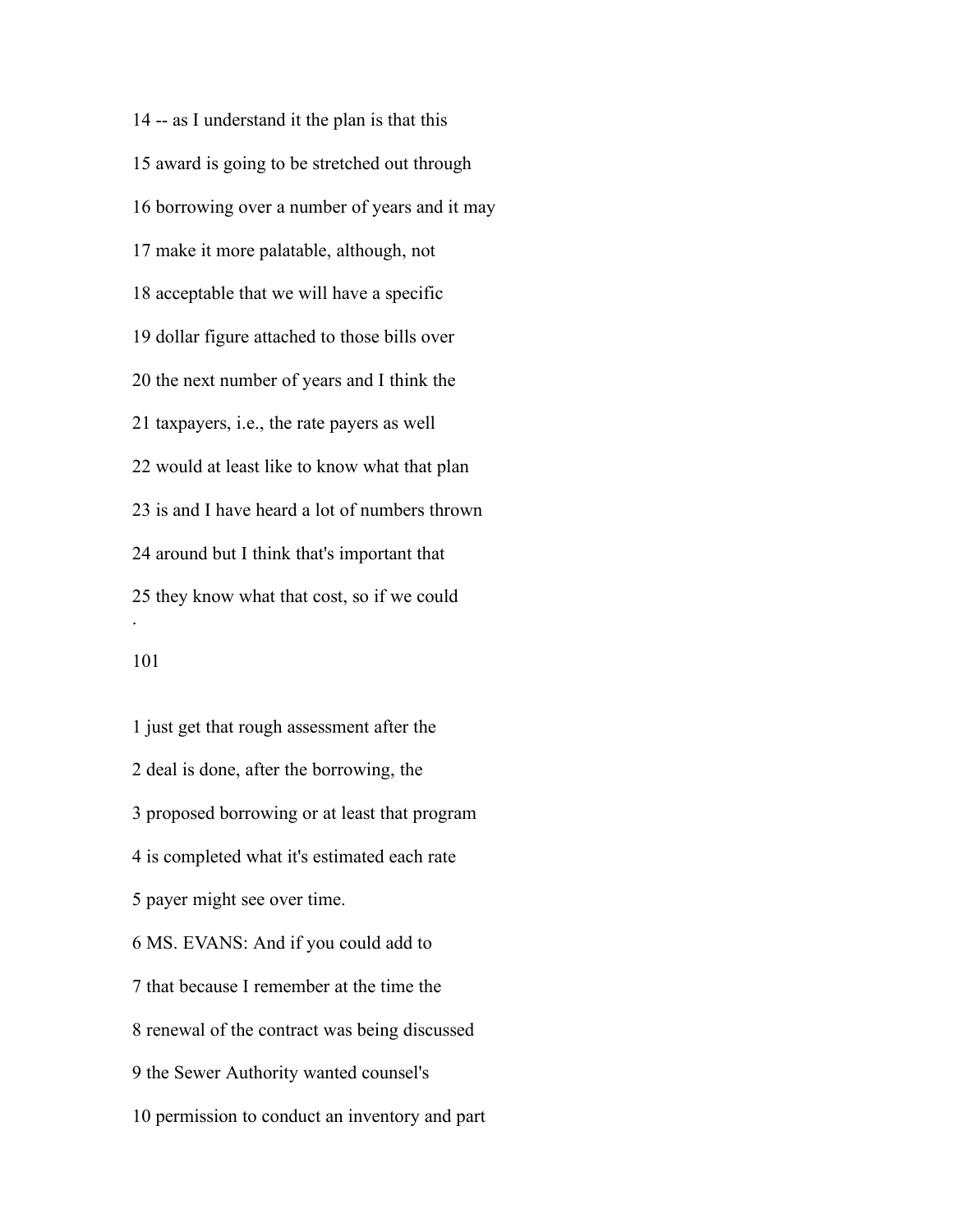-- as I understand it the plan is that this award is going to be stretched out through borrowing over a number of years and it may make it more palatable, although, not acceptable that we will have a specific dollar figure attached to those bills over the next number of years and I think the taxpayers, i.e., the rate payers as well would at least like to know what that plan is and I have heard a lot of numbers thrown around but I think that's important that they know what that cost, so if we could .

### 

 just get that rough assessment after the deal is done, after the borrowing, the proposed borrowing or at least that program is completed what it's estimated each rate payer might see over time. MS. EVANS: And if you could add to that because I remember at the time the renewal of the contract was being discussed the Sewer Authority wanted counsel's permission to conduct an inventory and part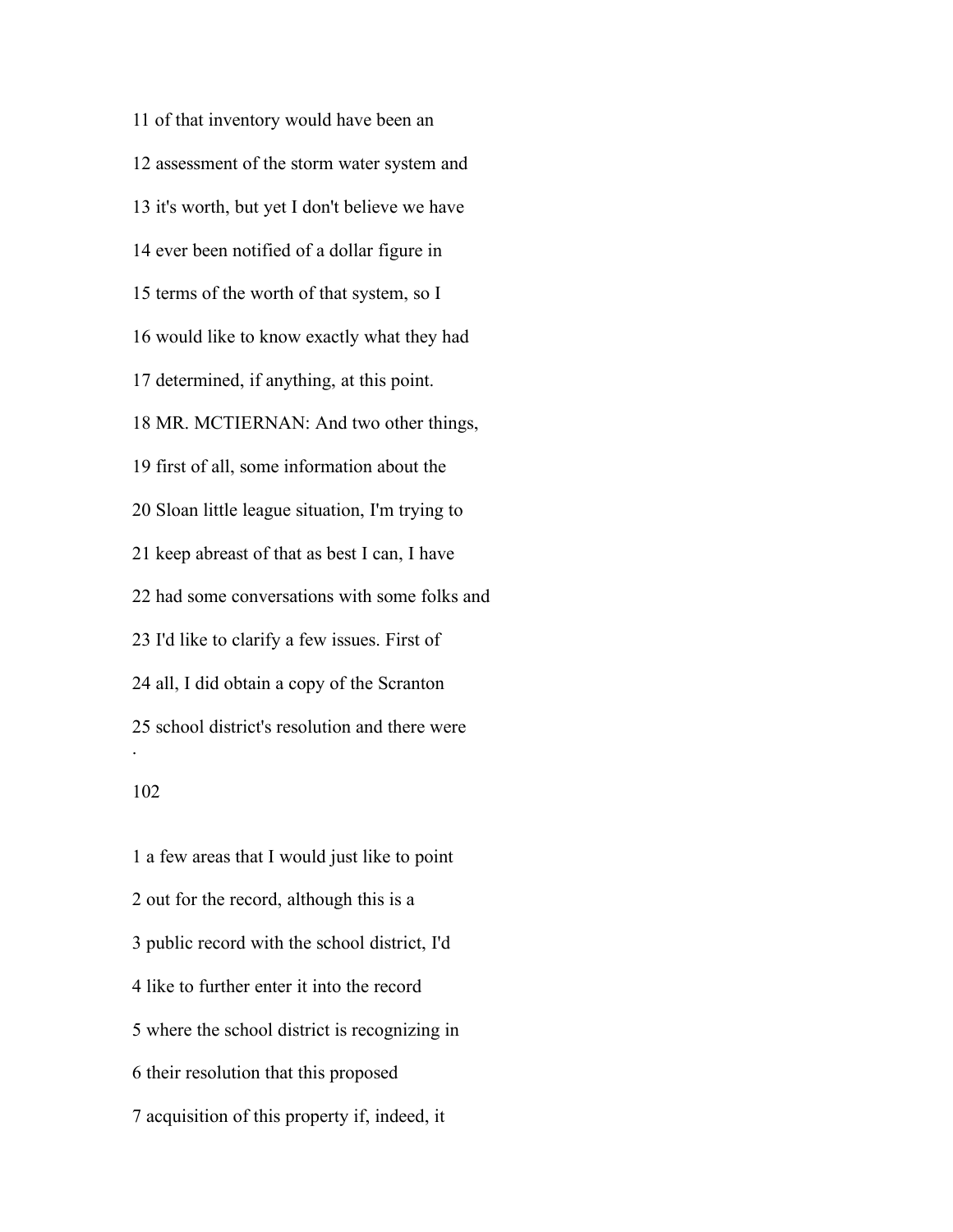of that inventory would have been an assessment of the storm water system and it's worth, but yet I don't believe we have ever been notified of a dollar figure in terms of the worth of that system, so I would like to know exactly what they had determined, if anything, at this point. MR. MCTIERNAN: And two other things, first of all, some information about the Sloan little league situation, I'm trying to keep abreast of that as best I can, I have had some conversations with some folks and I'd like to clarify a few issues. First of all, I did obtain a copy of the Scranton school district's resolution and there were .

 a few areas that I would just like to point out for the record, although this is a public record with the school district, I'd like to further enter it into the record where the school district is recognizing in their resolution that this proposed acquisition of this property if, indeed, it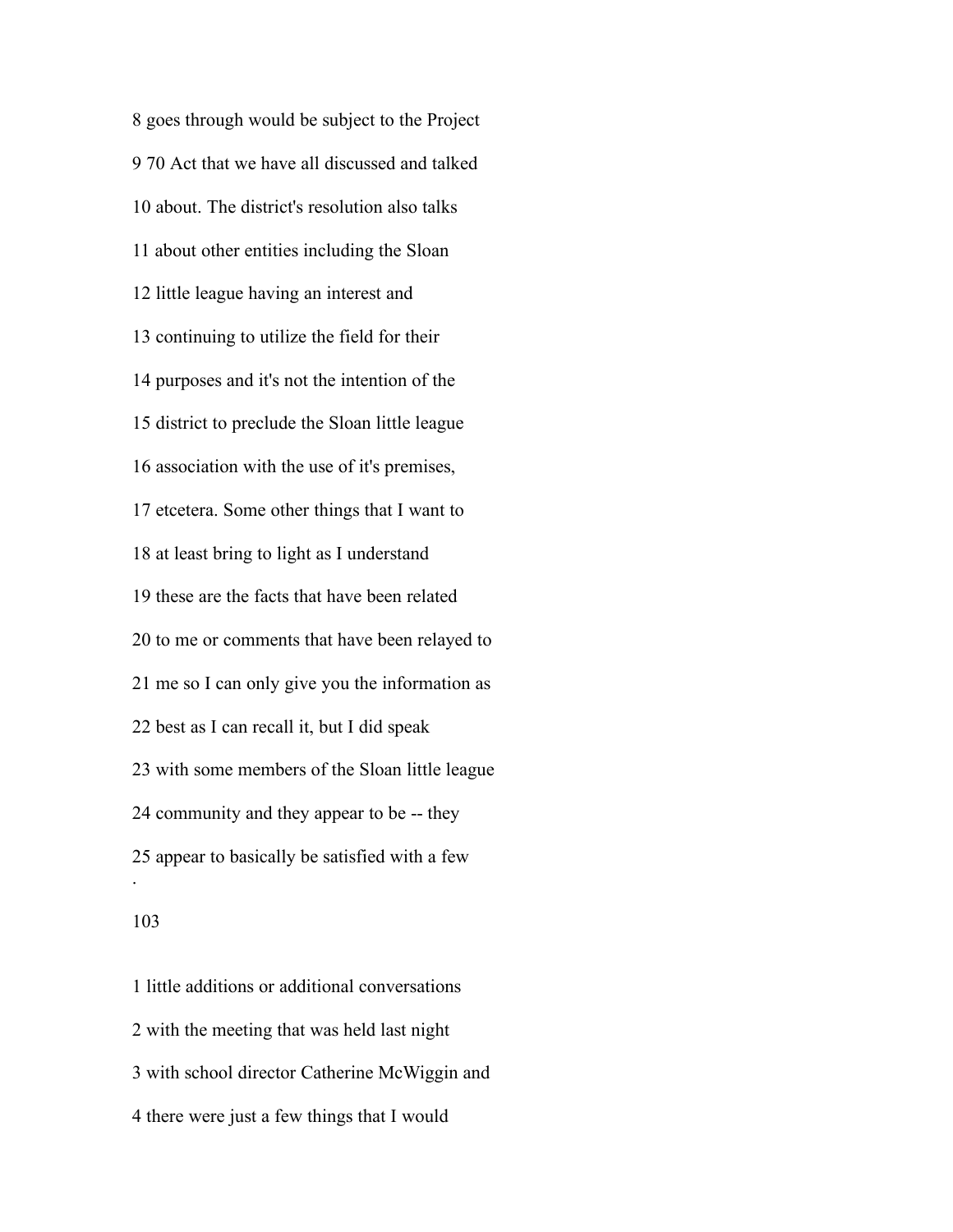goes through would be subject to the Project 70 Act that we have all discussed and talked about. The district's resolution also talks about other entities including the Sloan little league having an interest and continuing to utilize the field for their purposes and it's not the intention of the district to preclude the Sloan little league association with the use of it's premises, etcetera. Some other things that I want to at least bring to light as I understand these are the facts that have been related to me or comments that have been relayed to me so I can only give you the information as best as I can recall it, but I did speak with some members of the Sloan little league community and they appear to be -- they appear to basically be satisfied with a few .

### 

 little additions or additional conversations with the meeting that was held last night with school director Catherine McWiggin and there were just a few things that I would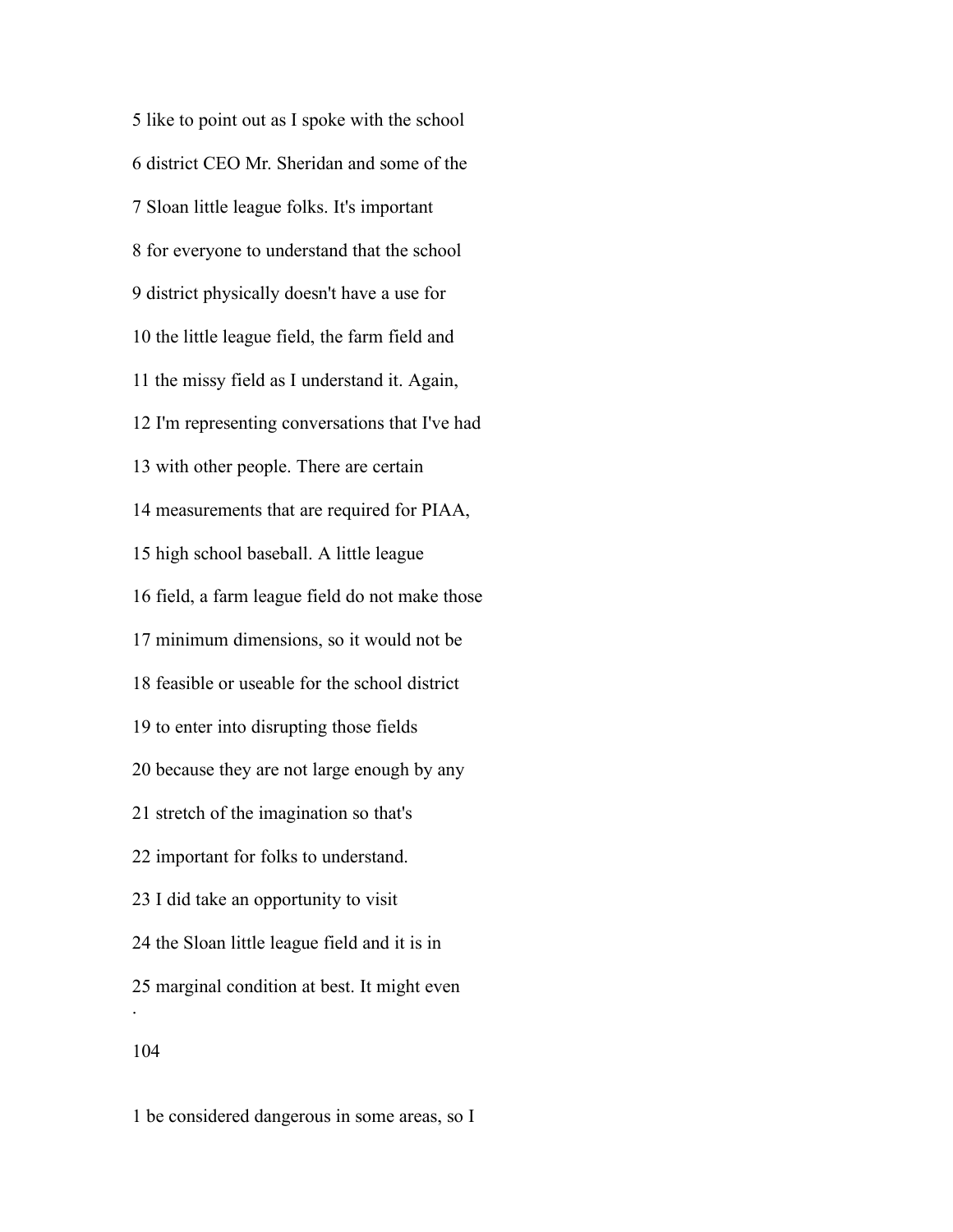like to point out as I spoke with the school district CEO Mr. Sheridan and some of the Sloan little league folks. It's important for everyone to understand that the school district physically doesn't have a use for the little league field, the farm field and the missy field as I understand it. Again, I'm representing conversations that I've had with other people. There are certain measurements that are required for PIAA, high school baseball. A little league field, a farm league field do not make those minimum dimensions, so it would not be feasible or useable for the school district to enter into disrupting those fields because they are not large enough by any stretch of the imagination so that's important for folks to understand. I did take an opportunity to visit the Sloan little league field and it is in marginal condition at best. It might even . 

be considered dangerous in some areas, so I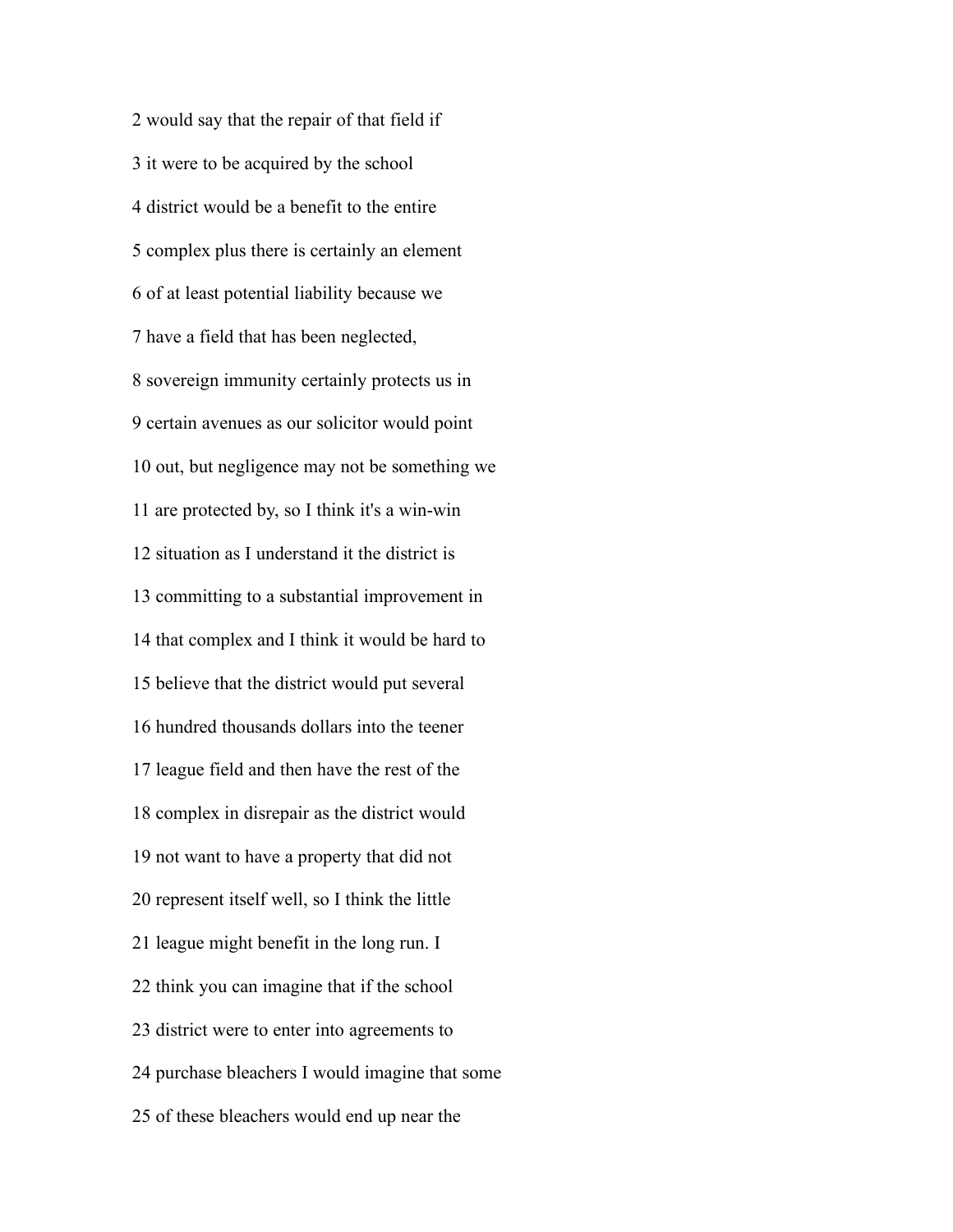would say that the repair of that field if it were to be acquired by the school district would be a benefit to the entire complex plus there is certainly an element of at least potential liability because we have a field that has been neglected, sovereign immunity certainly protects us in certain avenues as our solicitor would point out, but negligence may not be something we are protected by, so I think it's a win-win situation as I understand it the district is committing to a substantial improvement in that complex and I think it would be hard to believe that the district would put several hundred thousands dollars into the teener league field and then have the rest of the complex in disrepair as the district would not want to have a property that did not represent itself well, so I think the little league might benefit in the long run. I think you can imagine that if the school district were to enter into agreements to purchase bleachers I would imagine that some of these bleachers would end up near the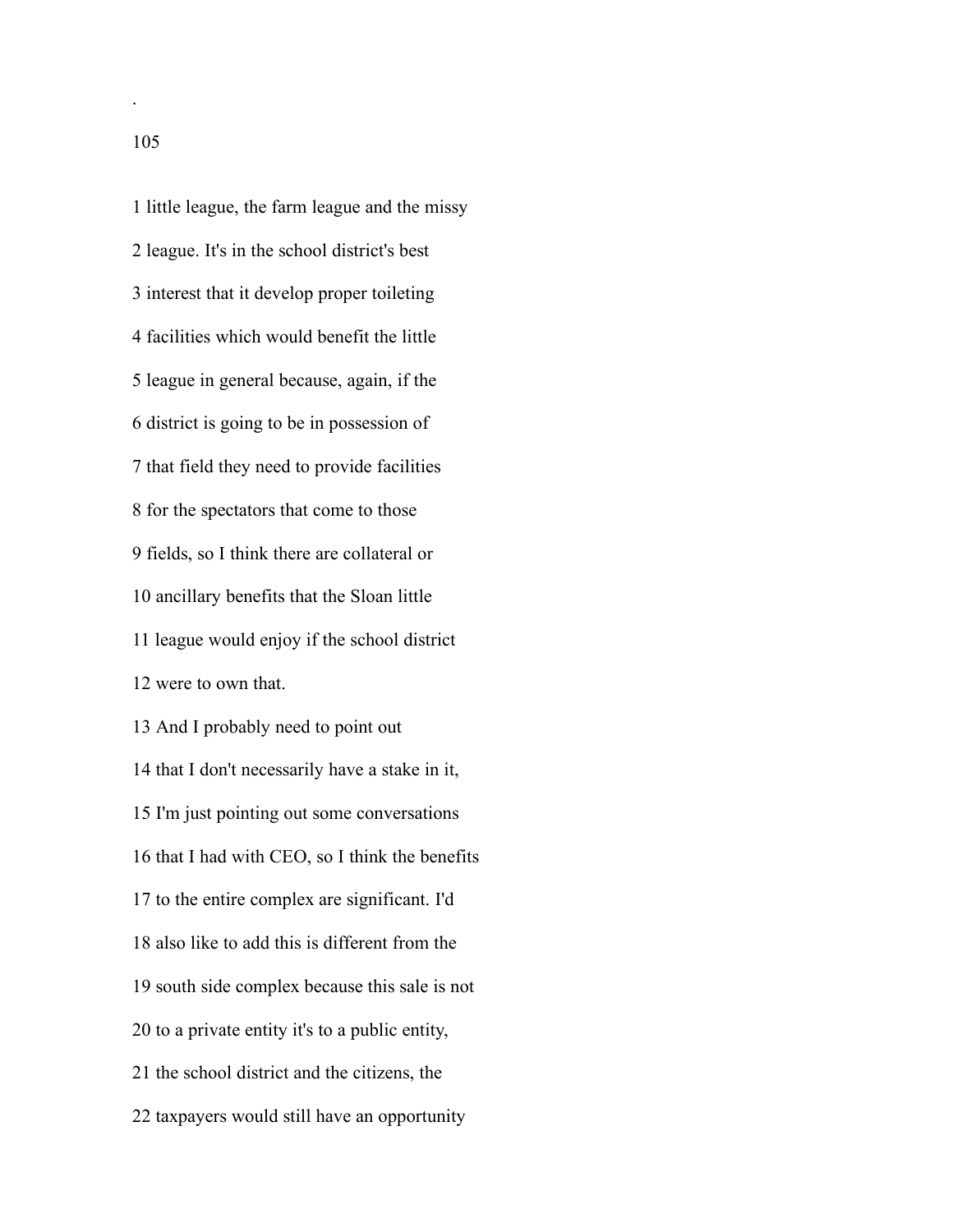little league, the farm league and the missy league. It's in the school district's best interest that it develop proper toileting facilities which would benefit the little league in general because, again, if the district is going to be in possession of that field they need to provide facilities for the spectators that come to those fields, so I think there are collateral or ancillary benefits that the Sloan little league would enjoy if the school district were to own that. And I probably need to point out that I don't necessarily have a stake in it, I'm just pointing out some conversations that I had with CEO, so I think the benefits to the entire complex are significant. I'd also like to add this is different from the south side complex because this sale is not to a private entity it's to a public entity, the school district and the citizens, the taxpayers would still have an opportunity

.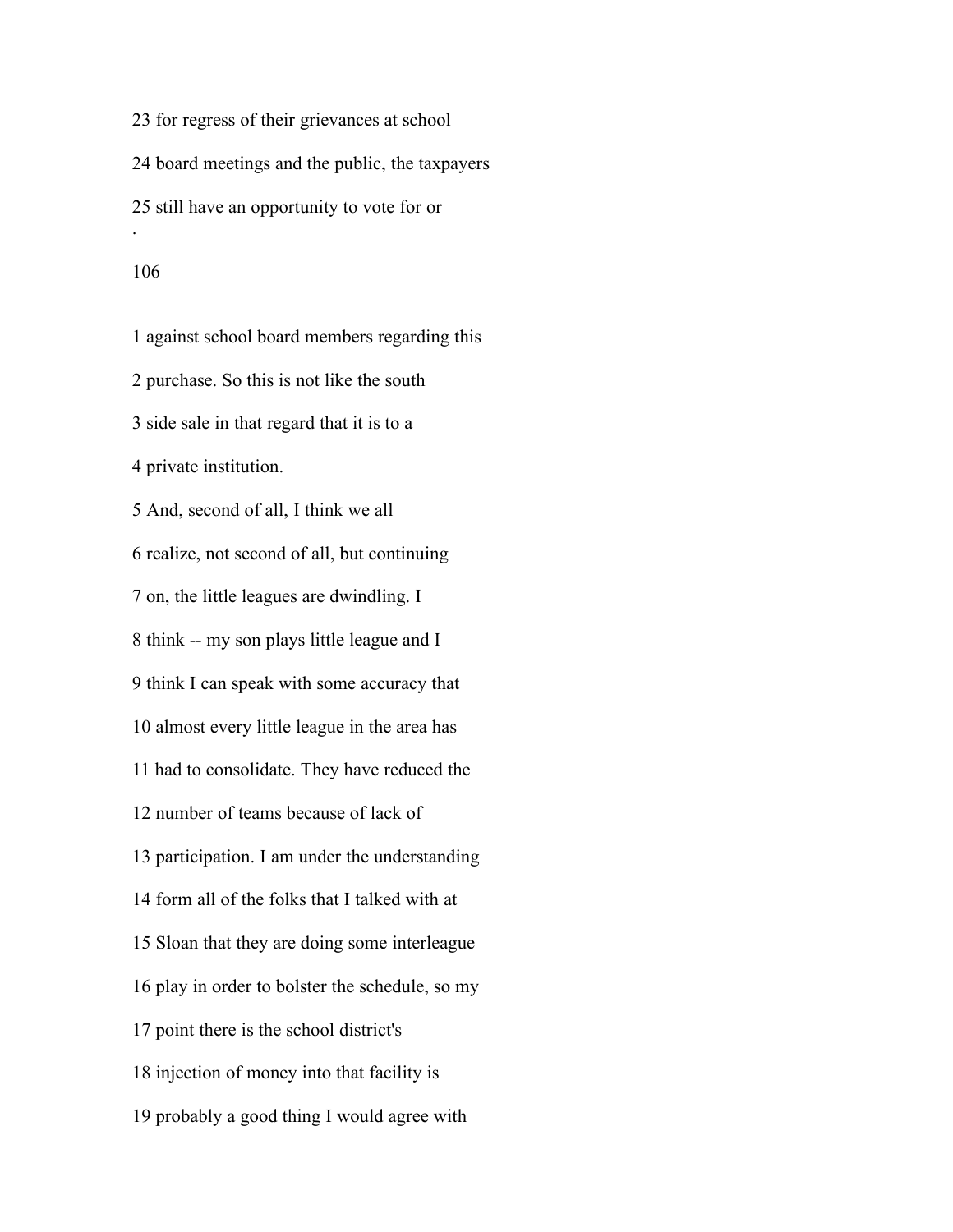for regress of their grievances at school board meetings and the public, the taxpayers still have an opportunity to vote for or .

 against school board members regarding this purchase. So this is not like the south side sale in that regard that it is to a private institution. And, second of all, I think we all realize, not second of all, but continuing on, the little leagues are dwindling. I think -- my son plays little league and I think I can speak with some accuracy that almost every little league in the area has had to consolidate. They have reduced the number of teams because of lack of participation. I am under the understanding form all of the folks that I talked with at Sloan that they are doing some interleague play in order to bolster the schedule, so my point there is the school district's injection of money into that facility is probably a good thing I would agree with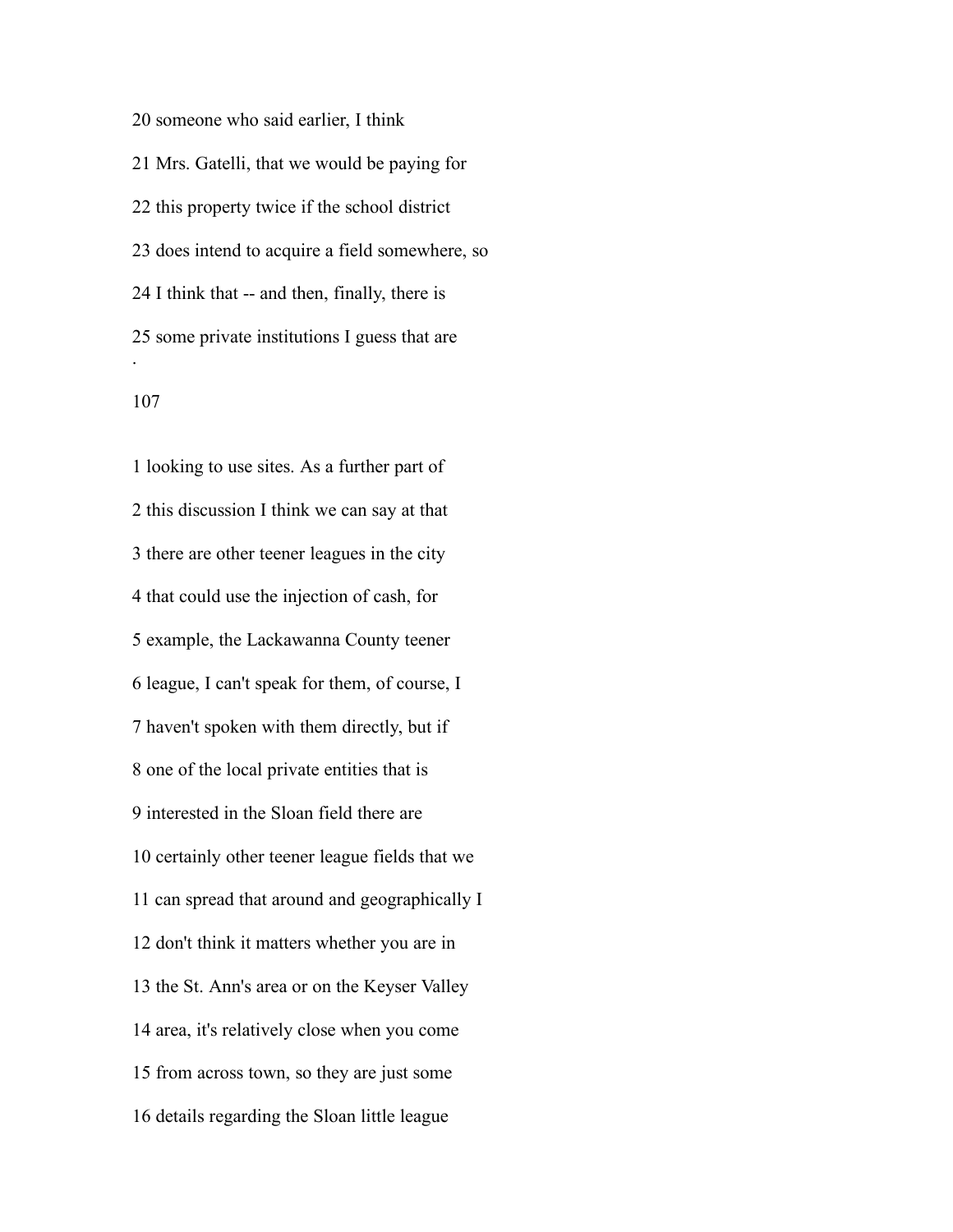someone who said earlier, I think Mrs. Gatelli, that we would be paying for this property twice if the school district does intend to acquire a field somewhere, so I think that -- and then, finally, there is some private institutions I guess that are .

 looking to use sites. As a further part of this discussion I think we can say at that there are other teener leagues in the city that could use the injection of cash, for example, the Lackawanna County teener league, I can't speak for them, of course, I haven't spoken with them directly, but if one of the local private entities that is interested in the Sloan field there are certainly other teener league fields that we can spread that around and geographically I don't think it matters whether you are in the St. Ann's area or on the Keyser Valley area, it's relatively close when you come from across town, so they are just some details regarding the Sloan little league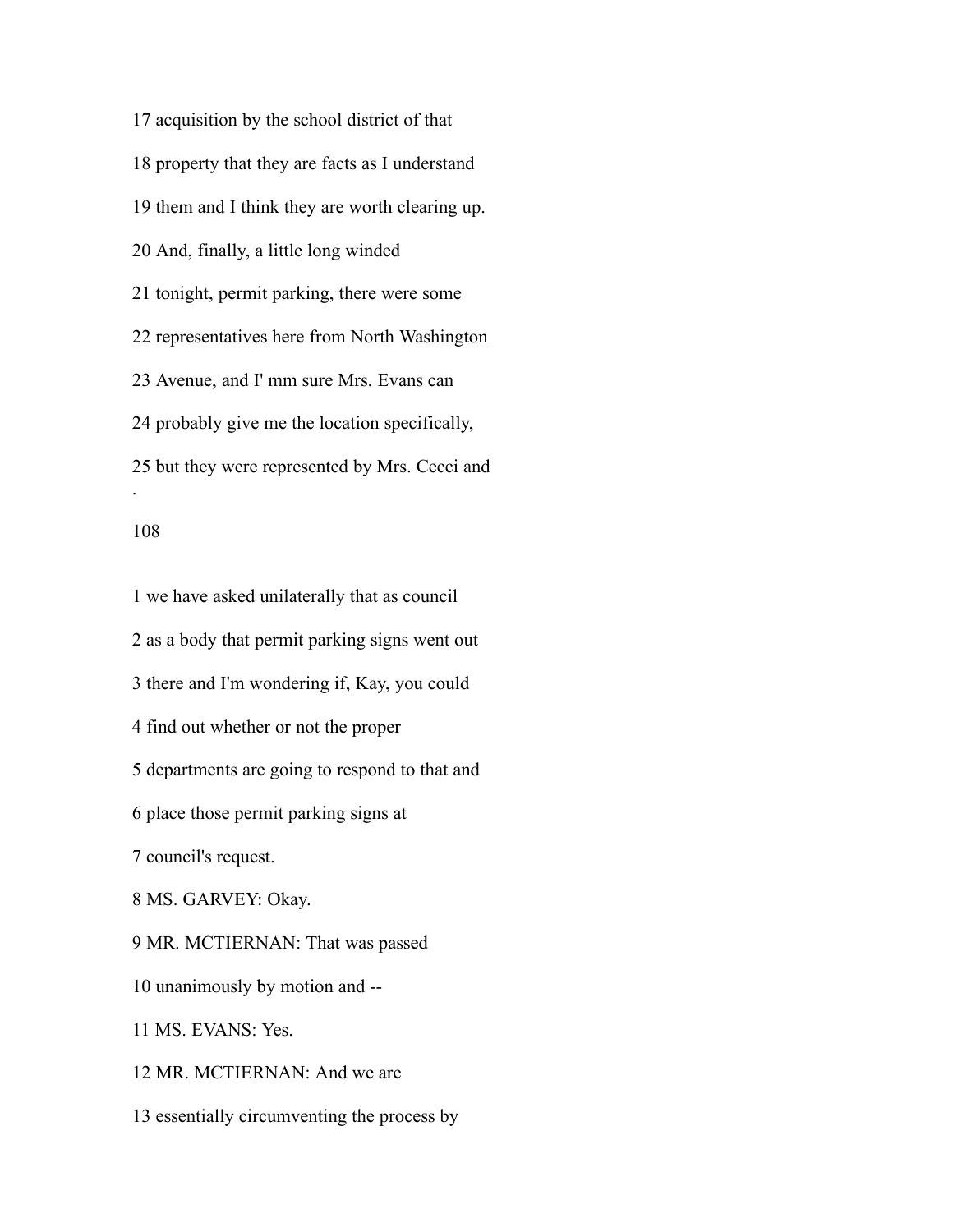acquisition by the school district of that property that they are facts as I understand them and I think they are worth clearing up. And, finally, a little long winded tonight, permit parking, there were some representatives here from North Washington Avenue, and I' mm sure Mrs. Evans can probably give me the location specifically, but they were represented by Mrs. Cecci and .

### 

 we have asked unilaterally that as council as a body that permit parking signs went out there and I'm wondering if, Kay, you could find out whether or not the proper departments are going to respond to that and place those permit parking signs at council's request. MS. GARVEY: Okay. MR. MCTIERNAN: That was passed unanimously by motion and -- MS. EVANS: Yes. MR. MCTIERNAN: And we are essentially circumventing the process by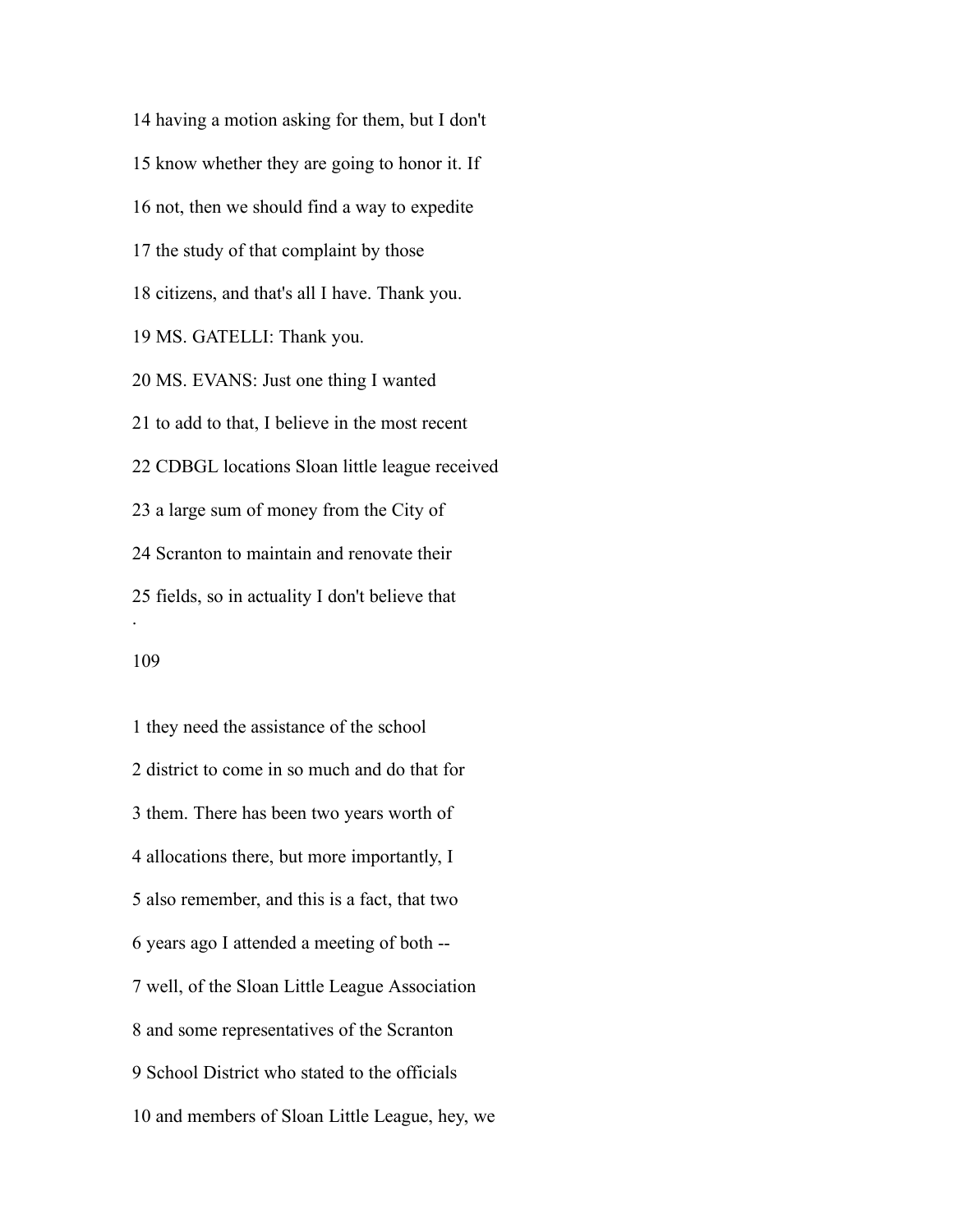having a motion asking for them, but I don't know whether they are going to honor it. If not, then we should find a way to expedite the study of that complaint by those citizens, and that's all I have. Thank you. MS. GATELLI: Thank you. MS. EVANS: Just one thing I wanted to add to that, I believe in the most recent CDBGL locations Sloan little league received a large sum of money from the City of Scranton to maintain and renovate their fields, so in actuality I don't believe that . 

 they need the assistance of the school district to come in so much and do that for them. There has been two years worth of allocations there, but more importantly, I also remember, and this is a fact, that two years ago I attended a meeting of both -- well, of the Sloan Little League Association and some representatives of the Scranton School District who stated to the officials and members of Sloan Little League, hey, we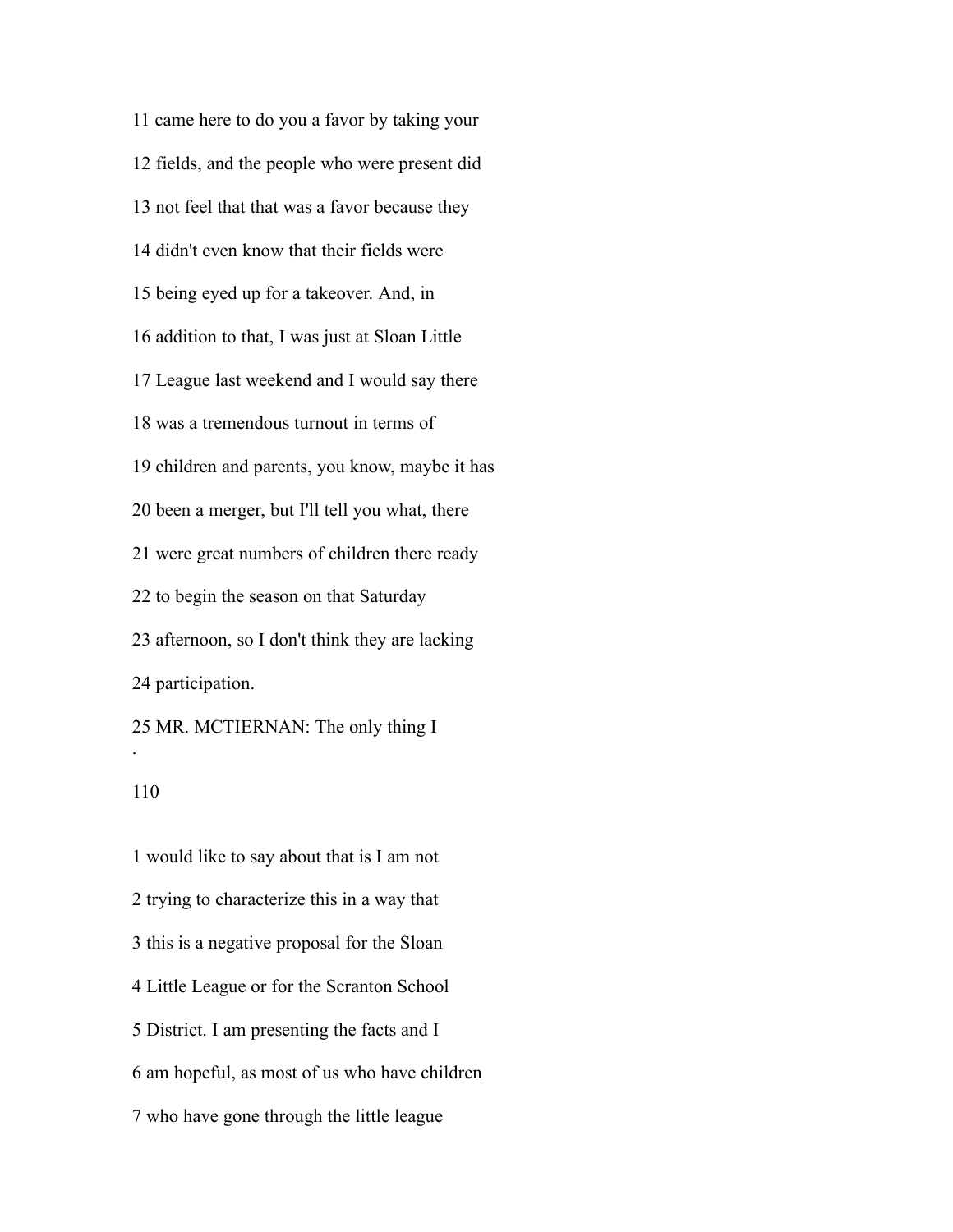came here to do you a favor by taking your fields, and the people who were present did not feel that that was a favor because they didn't even know that their fields were being eyed up for a takeover. And, in addition to that, I was just at Sloan Little League last weekend and I would say there was a tremendous turnout in terms of children and parents, you know, maybe it has been a merger, but I'll tell you what, there were great numbers of children there ready to begin the season on that Saturday afternoon, so I don't think they are lacking participation. MR. MCTIERNAN: The only thing I .

### 

 would like to say about that is I am not trying to characterize this in a way that this is a negative proposal for the Sloan Little League or for the Scranton School District. I am presenting the facts and I am hopeful, as most of us who have children who have gone through the little league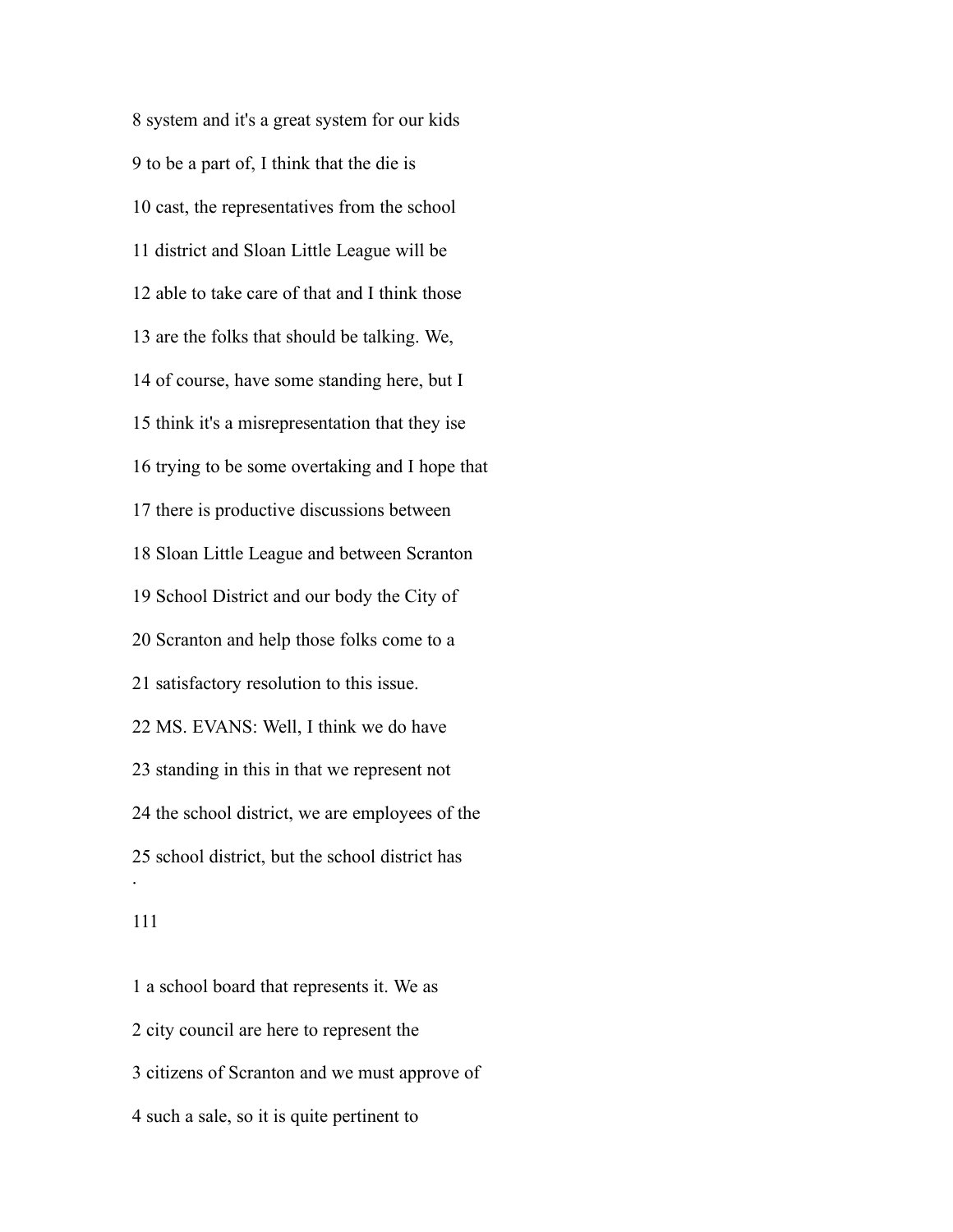system and it's a great system for our kids to be a part of, I think that the die is cast, the representatives from the school district and Sloan Little League will be able to take care of that and I think those are the folks that should be talking. We, of course, have some standing here, but I think it's a misrepresentation that they ise trying to be some overtaking and I hope that there is productive discussions between Sloan Little League and between Scranton School District and our body the City of Scranton and help those folks come to a satisfactory resolution to this issue. MS. EVANS: Well, I think we do have standing in this in that we represent not the school district, we are employees of the school district, but the school district has .

 a school board that represents it. We as city council are here to represent the citizens of Scranton and we must approve of such a sale, so it is quite pertinent to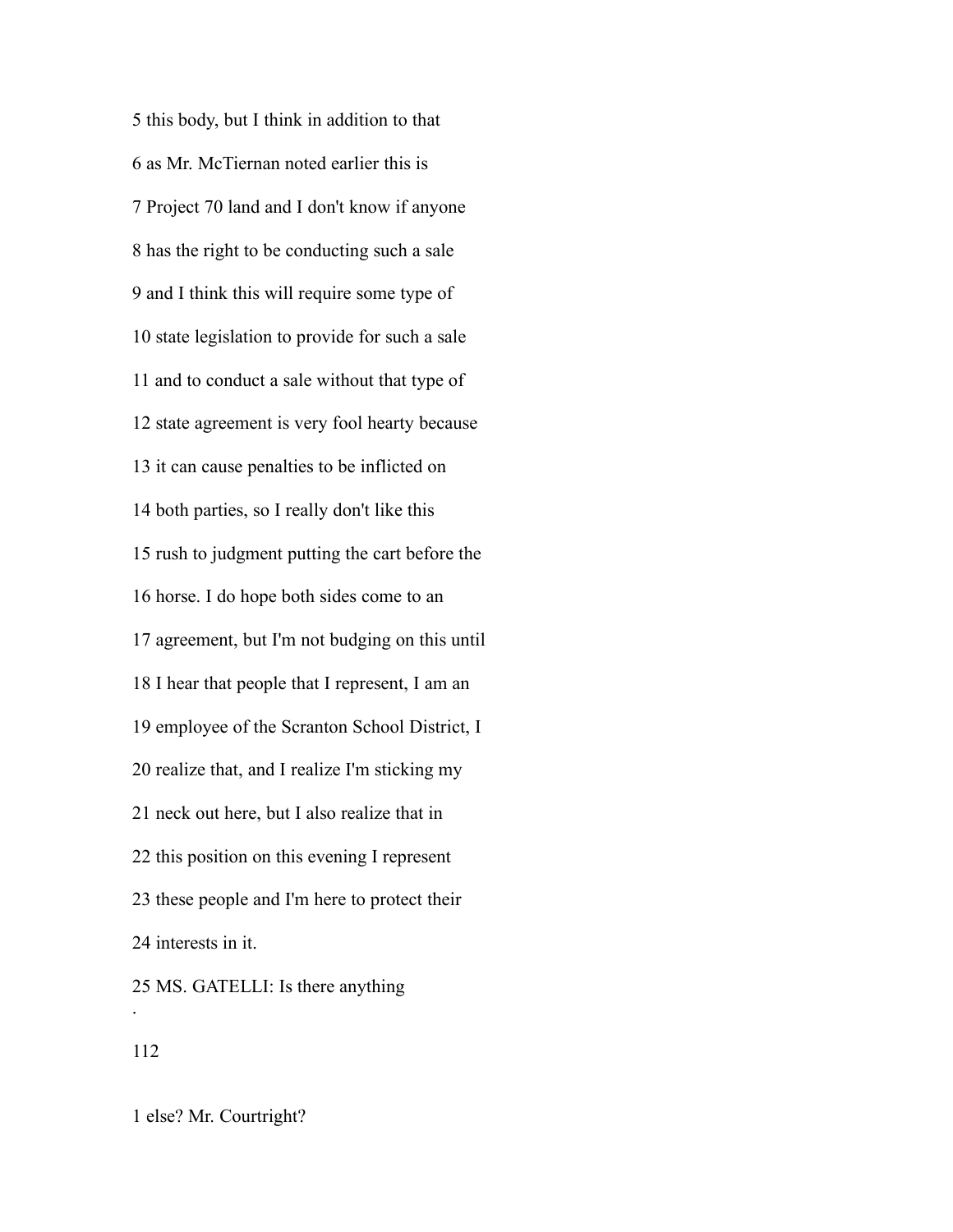this body, but I think in addition to that as Mr. McTiernan noted earlier this is Project 70 land and I don't know if anyone has the right to be conducting such a sale and I think this will require some type of state legislation to provide for such a sale and to conduct a sale without that type of state agreement is very fool hearty because it can cause penalties to be inflicted on both parties, so I really don't like this rush to judgment putting the cart before the horse. I do hope both sides come to an agreement, but I'm not budging on this until I hear that people that I represent, I am an employee of the Scranton School District, I realize that, and I realize I'm sticking my neck out here, but I also realize that in this position on this evening I represent these people and I'm here to protect their interests in it. MS. GATELLI: Is there anything .

else? Mr. Courtright?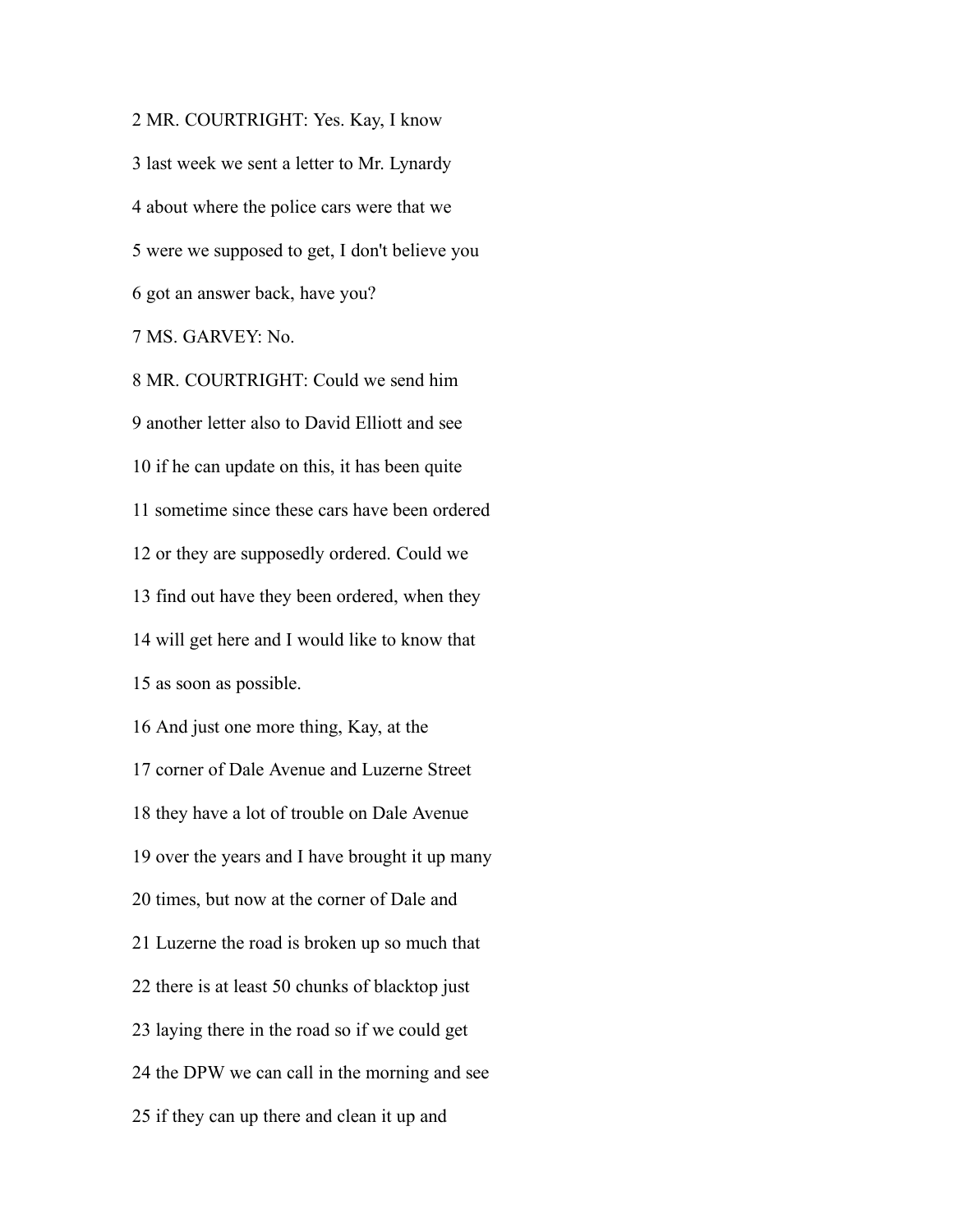MR. COURTRIGHT: Yes. Kay, I know last week we sent a letter to Mr. Lynardy about where the police cars were that we were we supposed to get, I don't believe you got an answer back, have you? MS. GARVEY: No.

 MR. COURTRIGHT: Could we send him another letter also to David Elliott and see if he can update on this, it has been quite sometime since these cars have been ordered or they are supposedly ordered. Could we find out have they been ordered, when they will get here and I would like to know that as soon as possible. And just one more thing, Kay, at the corner of Dale Avenue and Luzerne Street they have a lot of trouble on Dale Avenue over the years and I have brought it up many times, but now at the corner of Dale and Luzerne the road is broken up so much that there is at least 50 chunks of blacktop just laying there in the road so if we could get the DPW we can call in the morning and see if they can up there and clean it up and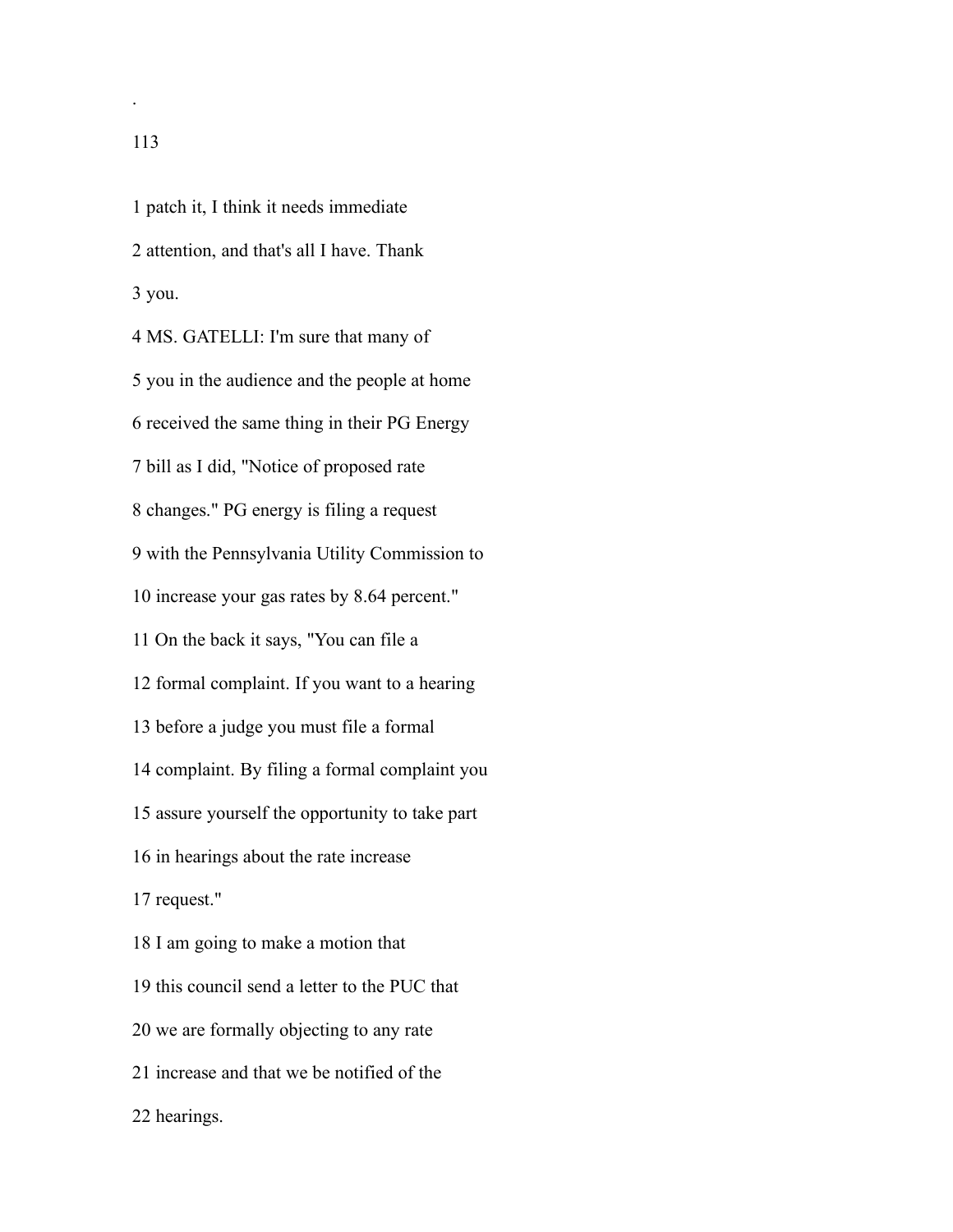.

 patch it, I think it needs immediate attention, and that's all I have. Thank you. MS. GATELLI: I'm sure that many of you in the audience and the people at home received the same thing in their PG Energy bill as I did, "Notice of proposed rate changes." PG energy is filing a request with the Pennsylvania Utility Commission to increase your gas rates by 8.64 percent." On the back it says, "You can file a formal complaint. If you want to a hearing before a judge you must file a formal complaint. By filing a formal complaint you assure yourself the opportunity to take part in hearings about the rate increase request." I am going to make a motion that this council send a letter to the PUC that we are formally objecting to any rate increase and that we be notified of the hearings.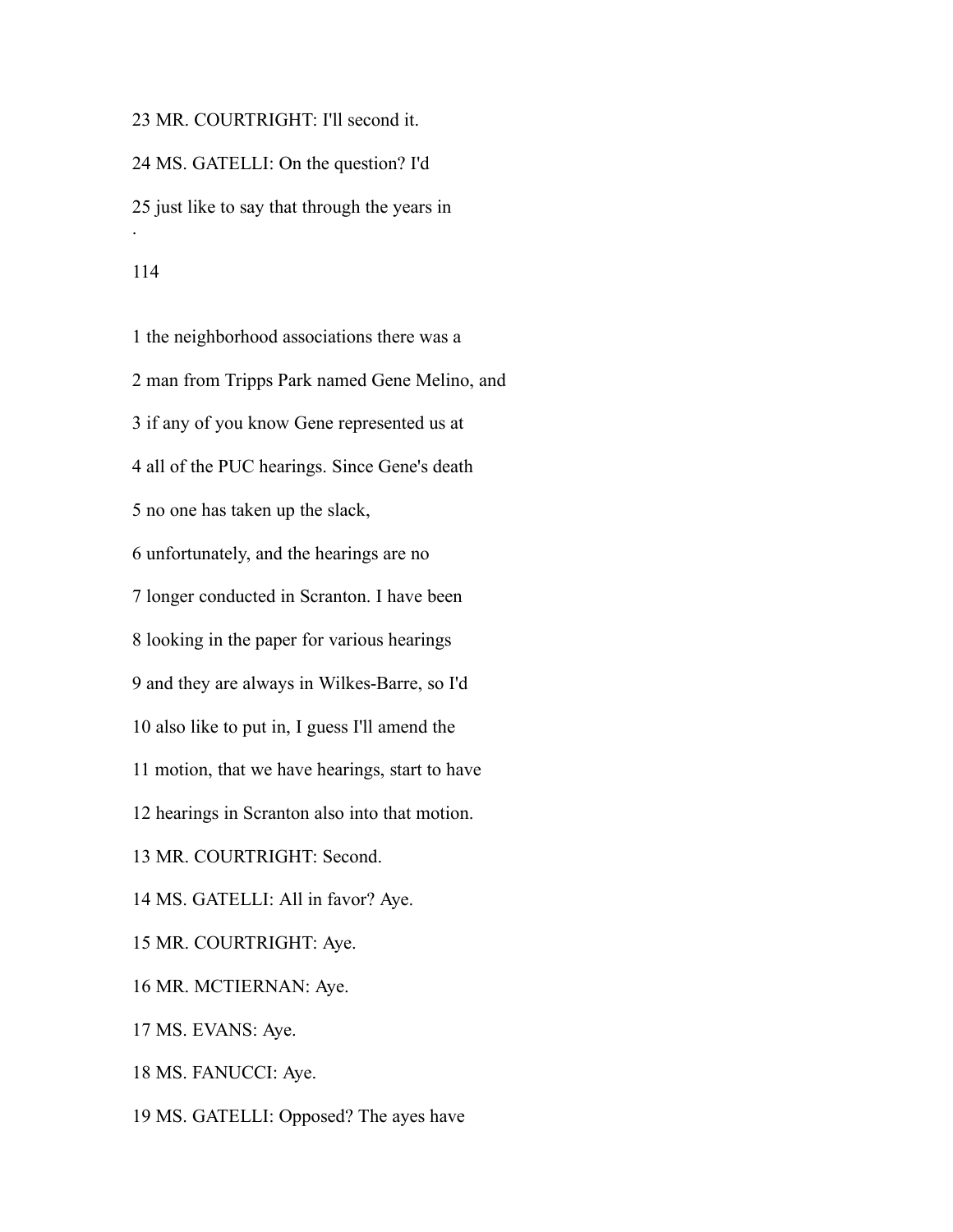MR. COURTRIGHT: I'll second it. MS. GATELLI: On the question? I'd just like to say that through the years in . 

 the neighborhood associations there was a man from Tripps Park named Gene Melino, and if any of you know Gene represented us at all of the PUC hearings. Since Gene's death no one has taken up the slack, unfortunately, and the hearings are no longer conducted in Scranton. I have been looking in the paper for various hearings and they are always in Wilkes-Barre, so I'd also like to put in, I guess I'll amend the motion, that we have hearings, start to have hearings in Scranton also into that motion. MR. COURTRIGHT: Second. MS. GATELLI: All in favor? Aye. MR. COURTRIGHT: Aye. MR. MCTIERNAN: Aye. MS. EVANS: Aye. MS. FANUCCI: Aye.

MS. GATELLI: Opposed? The ayes have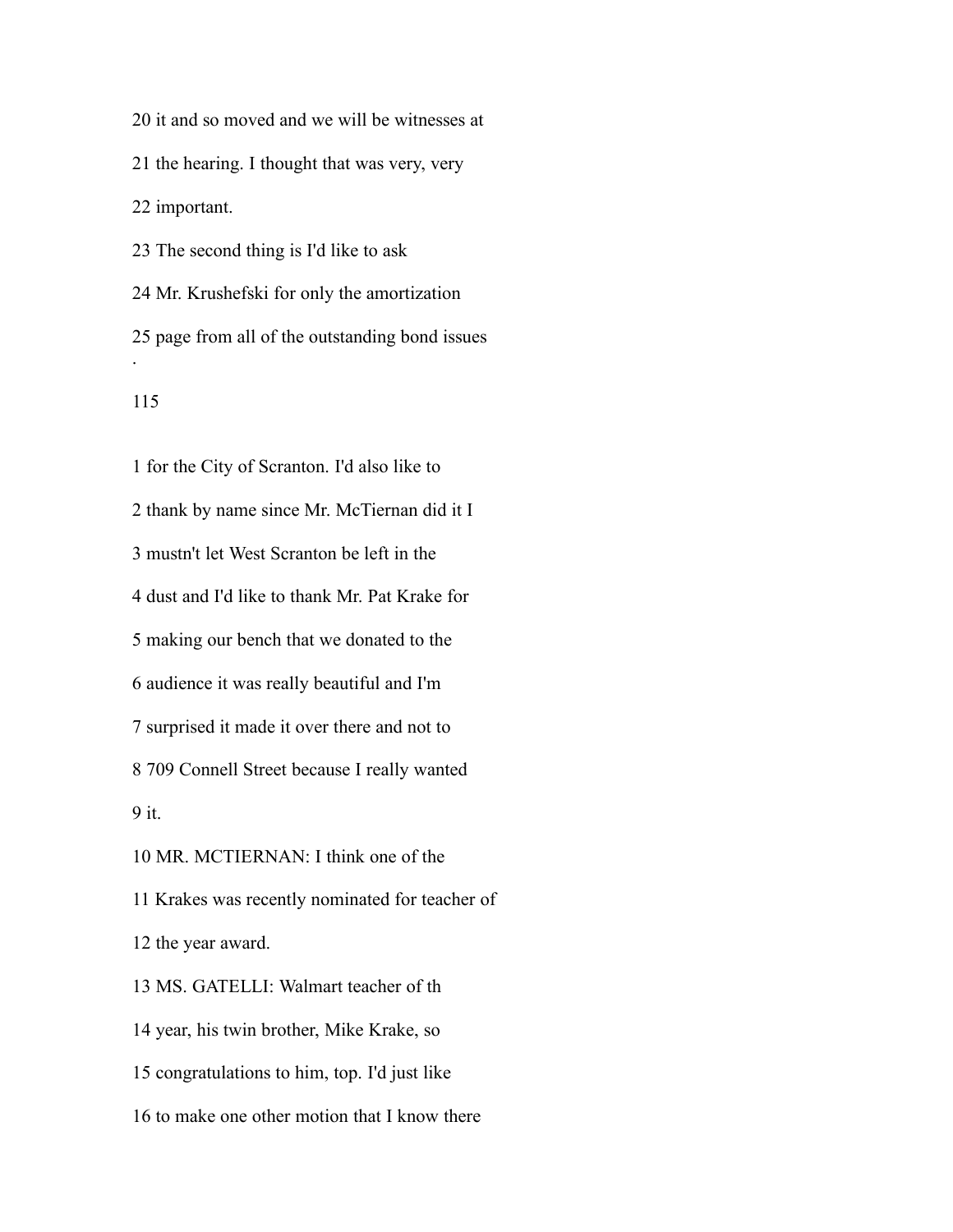it and so moved and we will be witnesses at the hearing. I thought that was very, very important. The second thing is I'd like to ask Mr. Krushefski for only the amortization

 page from all of the outstanding bond issues .

 for the City of Scranton. I'd also like to thank by name since Mr. McTiernan did it I mustn't let West Scranton be left in the dust and I'd like to thank Mr. Pat Krake for making our bench that we donated to the audience it was really beautiful and I'm surprised it made it over there and not to 709 Connell Street because I really wanted it. MR. MCTIERNAN: I think one of the Krakes was recently nominated for teacher of the year award. MS. GATELLI: Walmart teacher of th year, his twin brother, Mike Krake, so congratulations to him, top. I'd just like

to make one other motion that I know there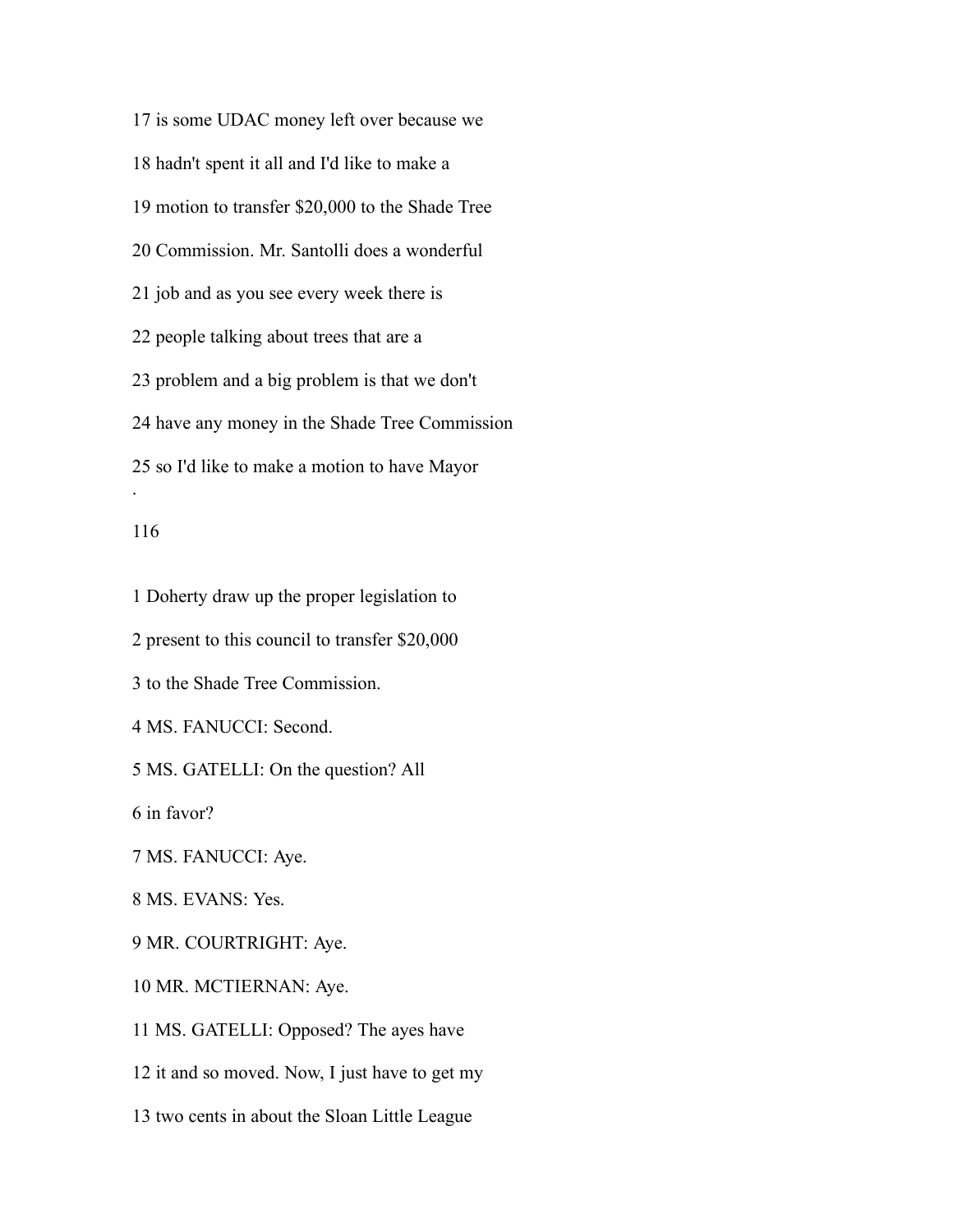is some UDAC money left over because we hadn't spent it all and I'd like to make a motion to transfer \$20,000 to the Shade Tree Commission. Mr. Santolli does a wonderful job and as you see every week there is people talking about trees that are a problem and a big problem is that we don't have any money in the Shade Tree Commission so I'd like to make a motion to have Mayor .

### 

 Doherty draw up the proper legislation to present to this council to transfer \$20,000 to the Shade Tree Commission. MS. FANUCCI: Second. MS. GATELLI: On the question? All in favor? MS. FANUCCI: Aye. MS. EVANS: Yes. MR. COURTRIGHT: Aye. MR. MCTIERNAN: Aye. MS. GATELLI: Opposed? The ayes have it and so moved. Now, I just have to get my

two cents in about the Sloan Little League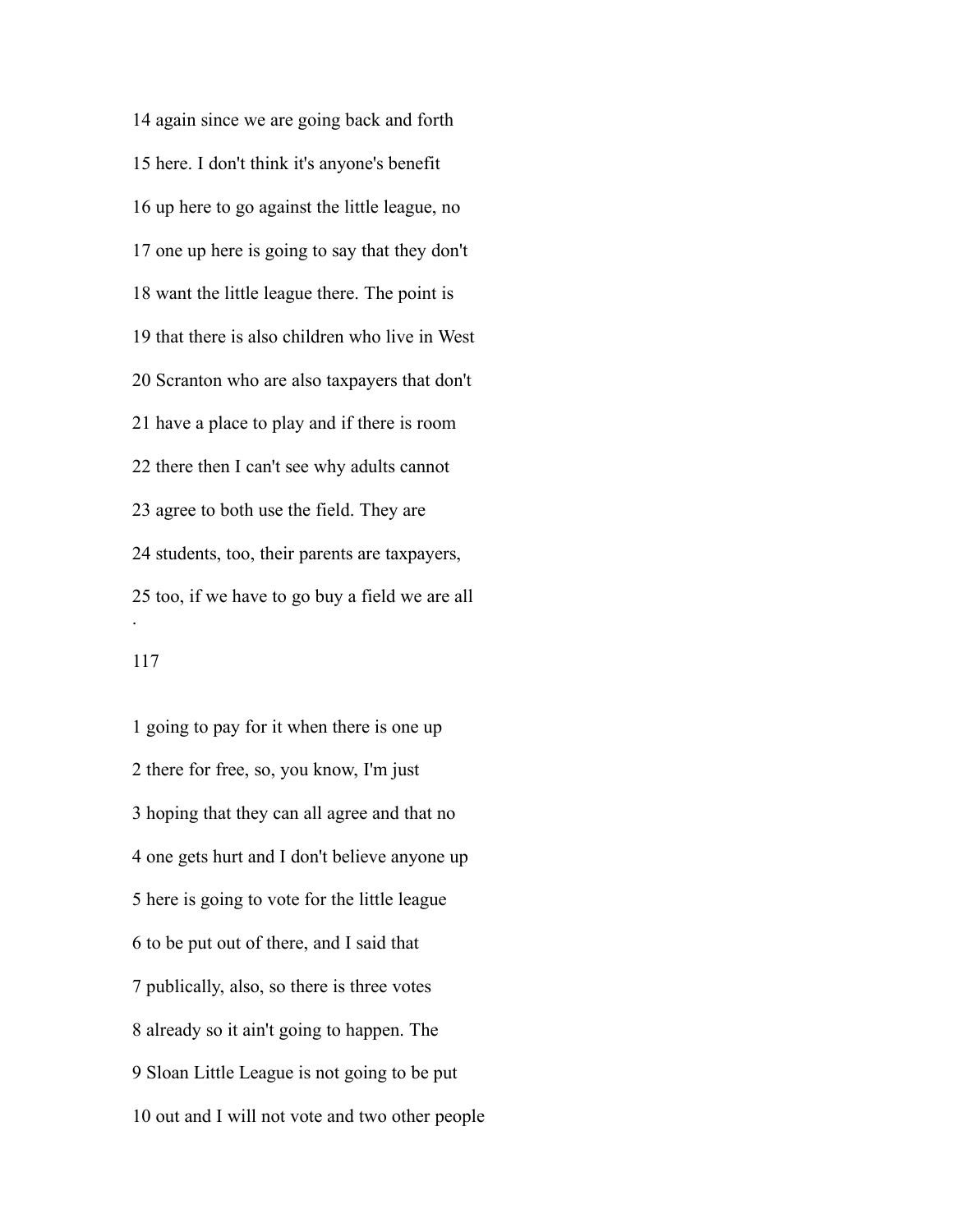again since we are going back and forth here. I don't think it's anyone's benefit up here to go against the little league, no one up here is going to say that they don't want the little league there. The point is that there is also children who live in West Scranton who are also taxpayers that don't have a place to play and if there is room there then I can't see why adults cannot agree to both use the field. They are students, too, their parents are taxpayers, too, if we have to go buy a field we are all .

 going to pay for it when there is one up there for free, so, you know, I'm just hoping that they can all agree and that no one gets hurt and I don't believe anyone up here is going to vote for the little league to be put out of there, and I said that publically, also, so there is three votes already so it ain't going to happen. The Sloan Little League is not going to be put out and I will not vote and two other people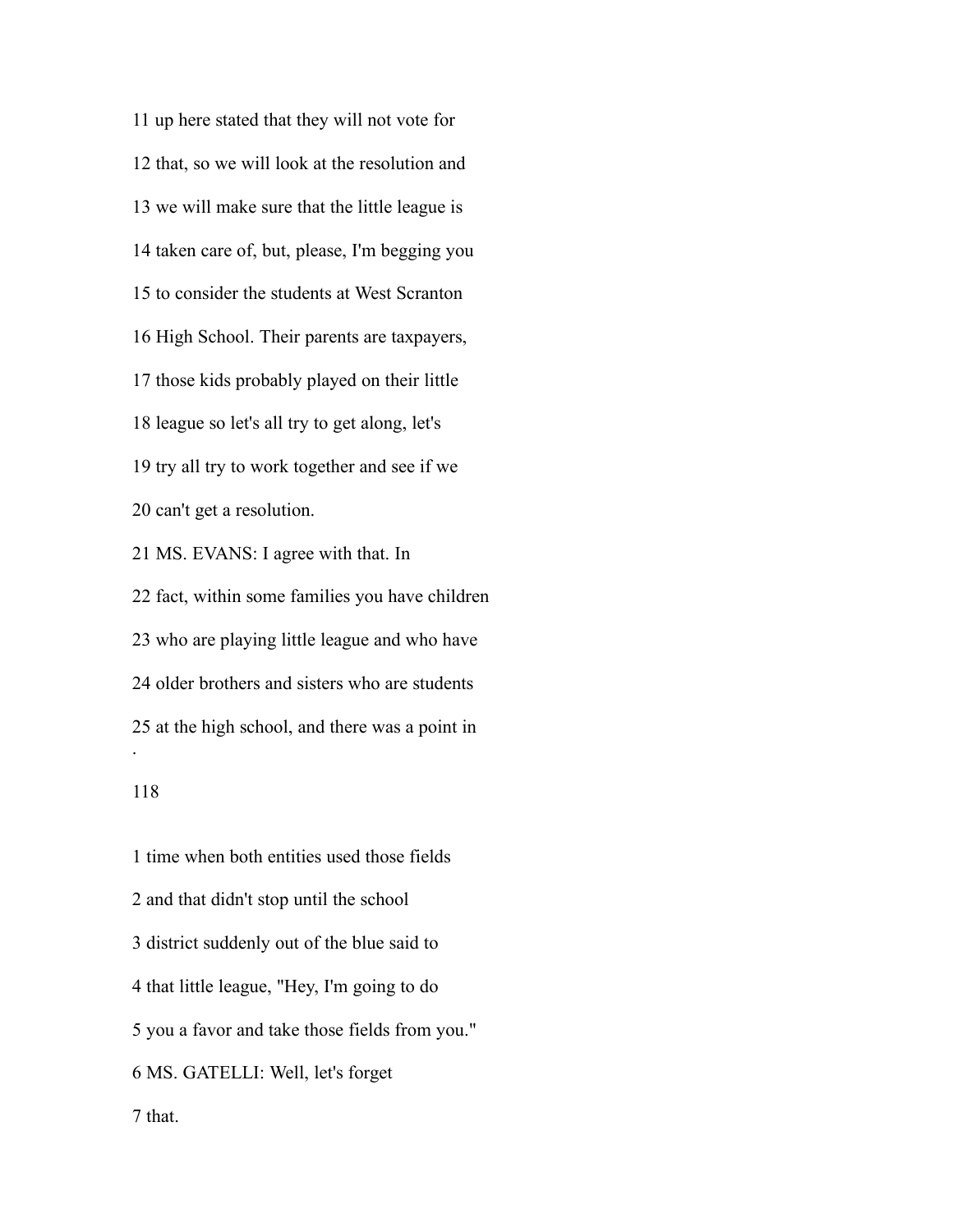up here stated that they will not vote for that, so we will look at the resolution and we will make sure that the little league is taken care of, but, please, I'm begging you to consider the students at West Scranton High School. Their parents are taxpayers, those kids probably played on their little league so let's all try to get along, let's try all try to work together and see if we can't get a resolution. MS. EVANS: I agree with that. In fact, within some families you have children

 who are playing little league and who have older brothers and sisters who are students at the high school, and there was a point in .

 time when both entities used those fields and that didn't stop until the school district suddenly out of the blue said to that little league, "Hey, I'm going to do you a favor and take those fields from you." MS. GATELLI: Well, let's forget that.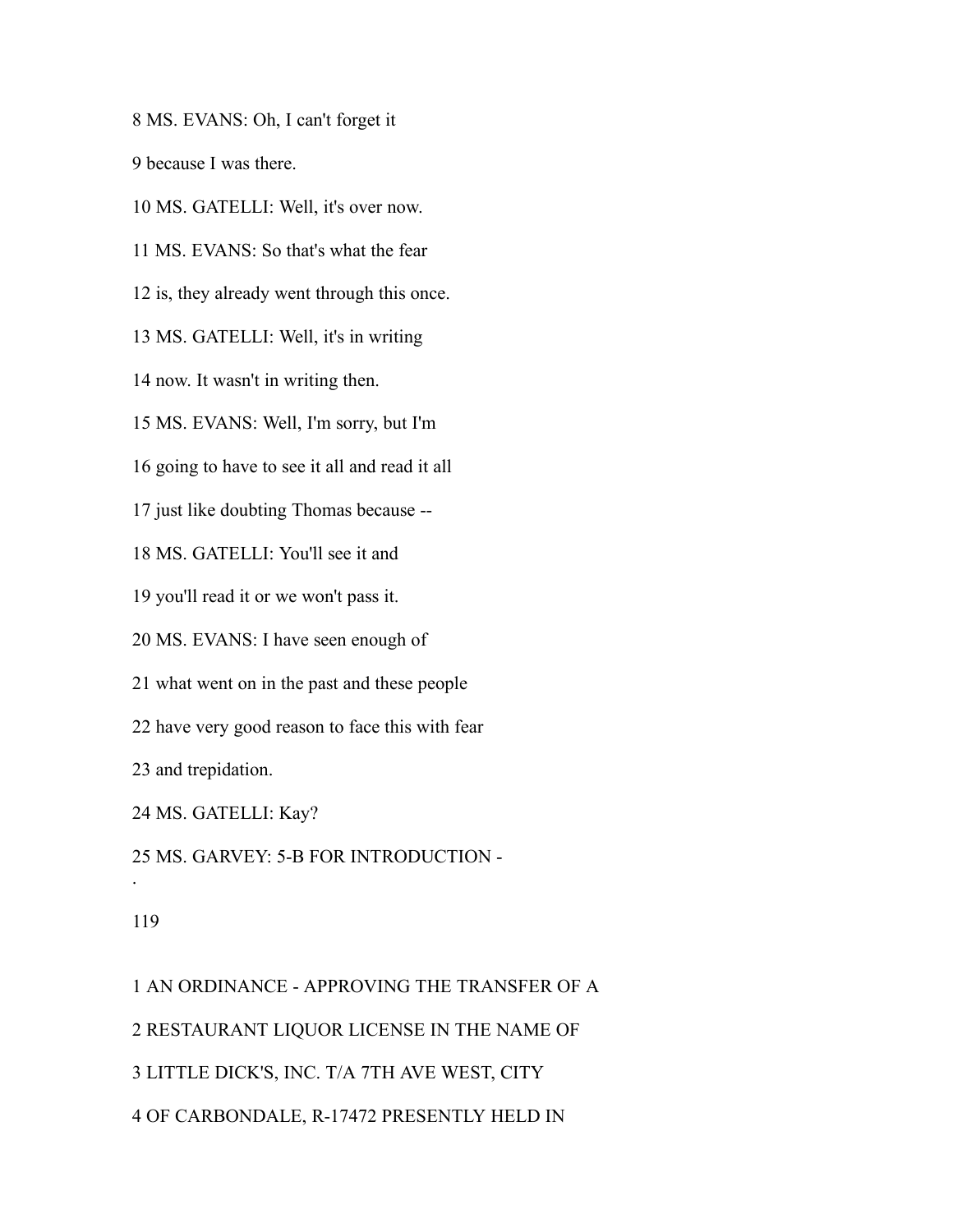MS. EVANS: Oh, I can't forget it

because I was there.

MS. GATELLI: Well, it's over now.

MS. EVANS: So that's what the fear

is, they already went through this once.

MS. GATELLI: Well, it's in writing

now. It wasn't in writing then.

MS. EVANS: Well, I'm sorry, but I'm

going to have to see it all and read it all

just like doubting Thomas because --

MS. GATELLI: You'll see it and

you'll read it or we won't pass it.

MS. EVANS: I have seen enough of

what went on in the past and these people

have very good reason to face this with fear

and trepidation.

MS. GATELLI: Kay?

MS. GARVEY: 5-B FOR INTRODUCTION -

#### 

.

 AN ORDINANCE - APPROVING THE TRANSFER OF A RESTAURANT LIQUOR LICENSE IN THE NAME OF LITTLE DICK'S, INC. T/A 7TH AVE WEST, CITY OF CARBONDALE, R-17472 PRESENTLY HELD IN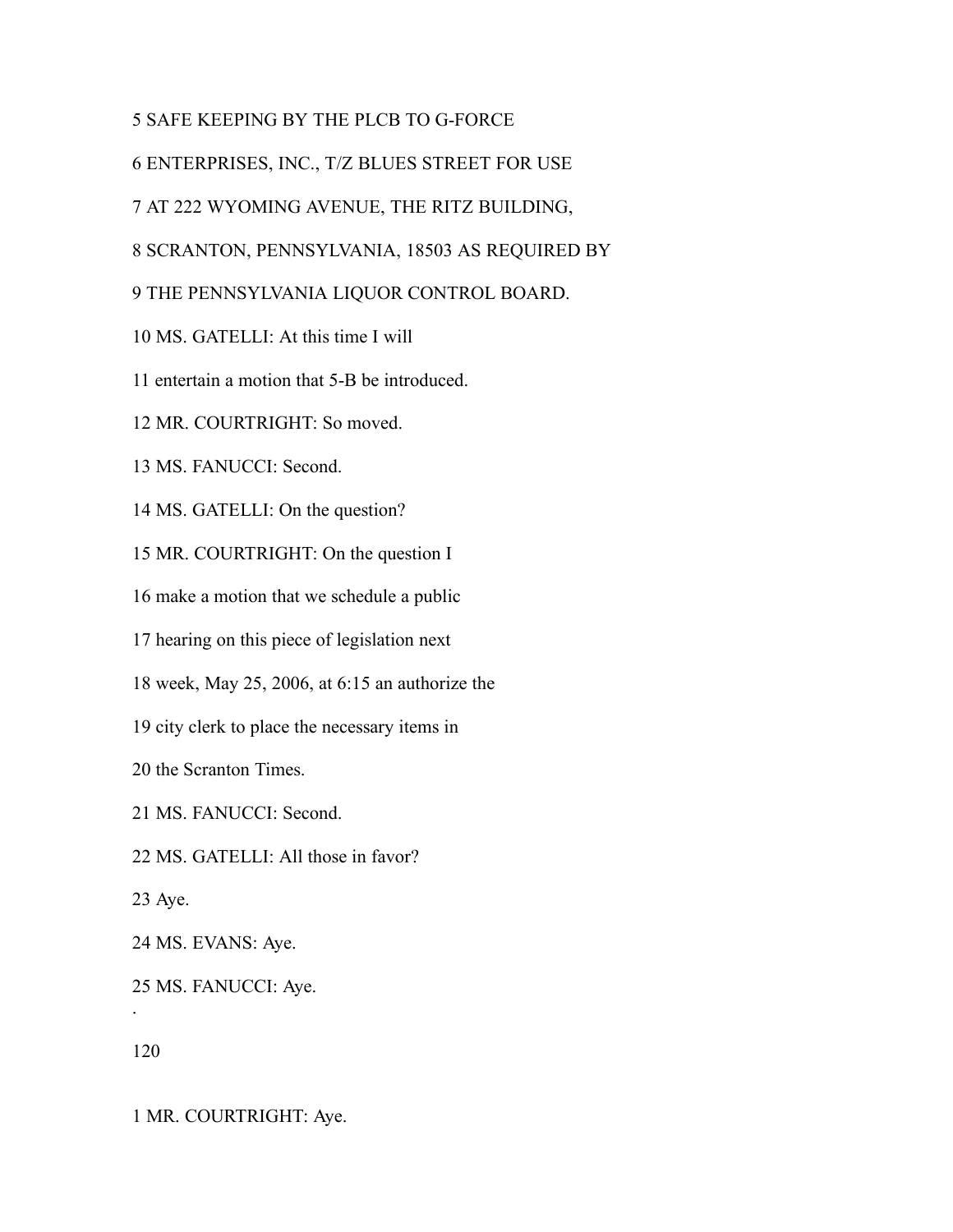# SAFE KEEPING BY THE PLCB TO G-FORCE

ENTERPRISES, INC., T/Z BLUES STREET FOR USE

AT 222 WYOMING AVENUE, THE RITZ BUILDING,

SCRANTON, PENNSYLVANIA, 18503 AS REQUIRED BY

THE PENNSYLVANIA LIQUOR CONTROL BOARD.

MS. GATELLI: At this time I will

entertain a motion that 5-B be introduced.

MR. COURTRIGHT: So moved.

MS. FANUCCI: Second.

MS. GATELLI: On the question?

MR. COURTRIGHT: On the question I

make a motion that we schedule a public

hearing on this piece of legislation next

week, May 25, 2006, at 6:15 an authorize the

city clerk to place the necessary items in

the Scranton Times.

MS. FANUCCI: Second.

MS. GATELLI: All those in favor?

Aye.

MS. EVANS: Aye.

 MS. FANUCCI: Aye. .

MR. COURTRIGHT: Aye.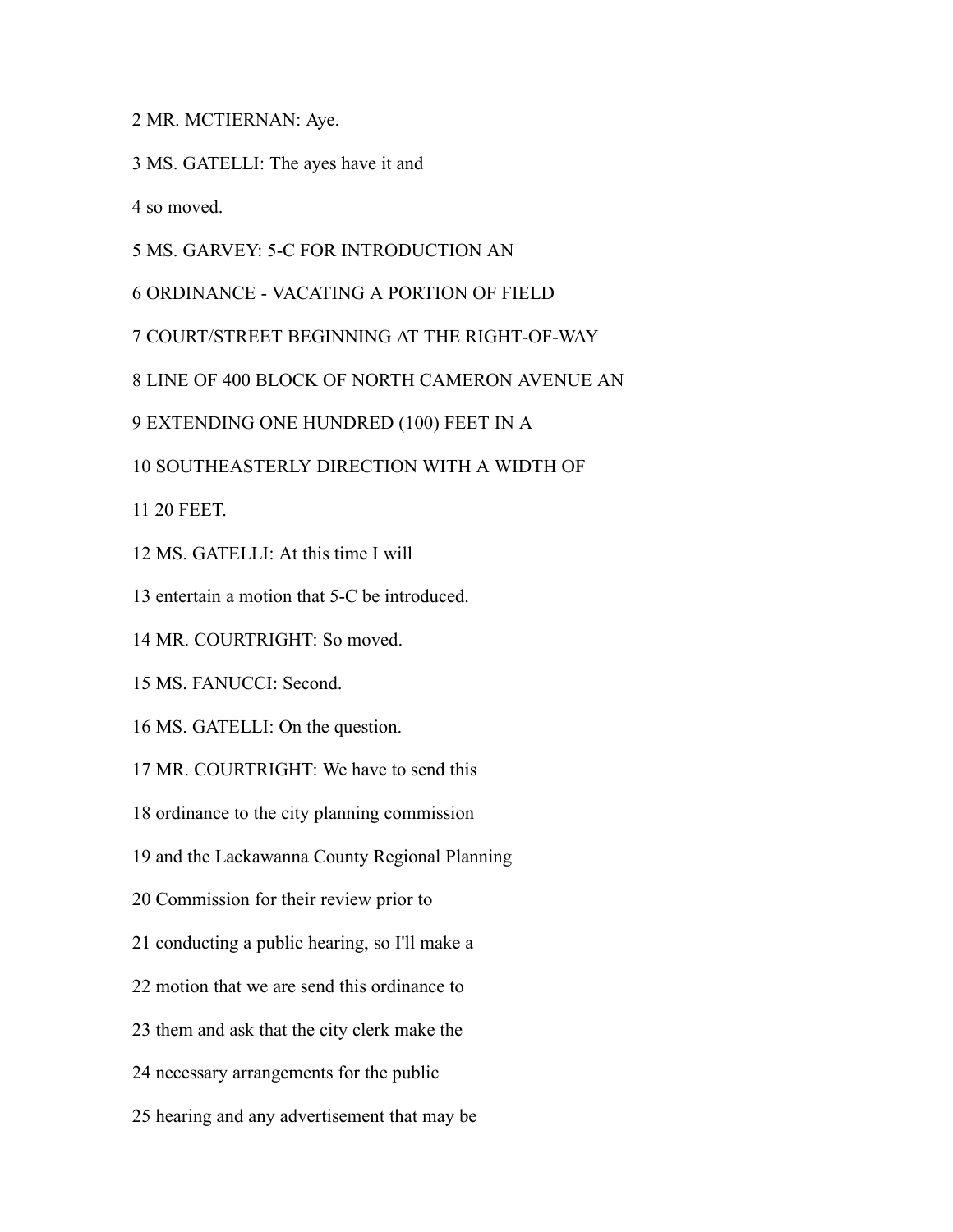MR. MCTIERNAN: Aye.

MS. GATELLI: The ayes have it and

so moved.

MS. GARVEY: 5-C FOR INTRODUCTION AN

ORDINANCE - VACATING A PORTION OF FIELD

COURT/STREET BEGINNING AT THE RIGHT-OF-WAY

LINE OF 400 BLOCK OF NORTH CAMERON AVENUE AN

EXTENDING ONE HUNDRED (100) FEET IN A

SOUTHEASTERLY DIRECTION WITH A WIDTH OF

20 FEET.

MS. GATELLI: At this time I will

entertain a motion that 5-C be introduced.

MR. COURTRIGHT: So moved.

MS. FANUCCI: Second.

MS. GATELLI: On the question.

MR. COURTRIGHT: We have to send this

ordinance to the city planning commission

and the Lackawanna County Regional Planning

Commission for their review prior to

conducting a public hearing, so I'll make a

motion that we are send this ordinance to

them and ask that the city clerk make the

necessary arrangements for the public

hearing and any advertisement that may be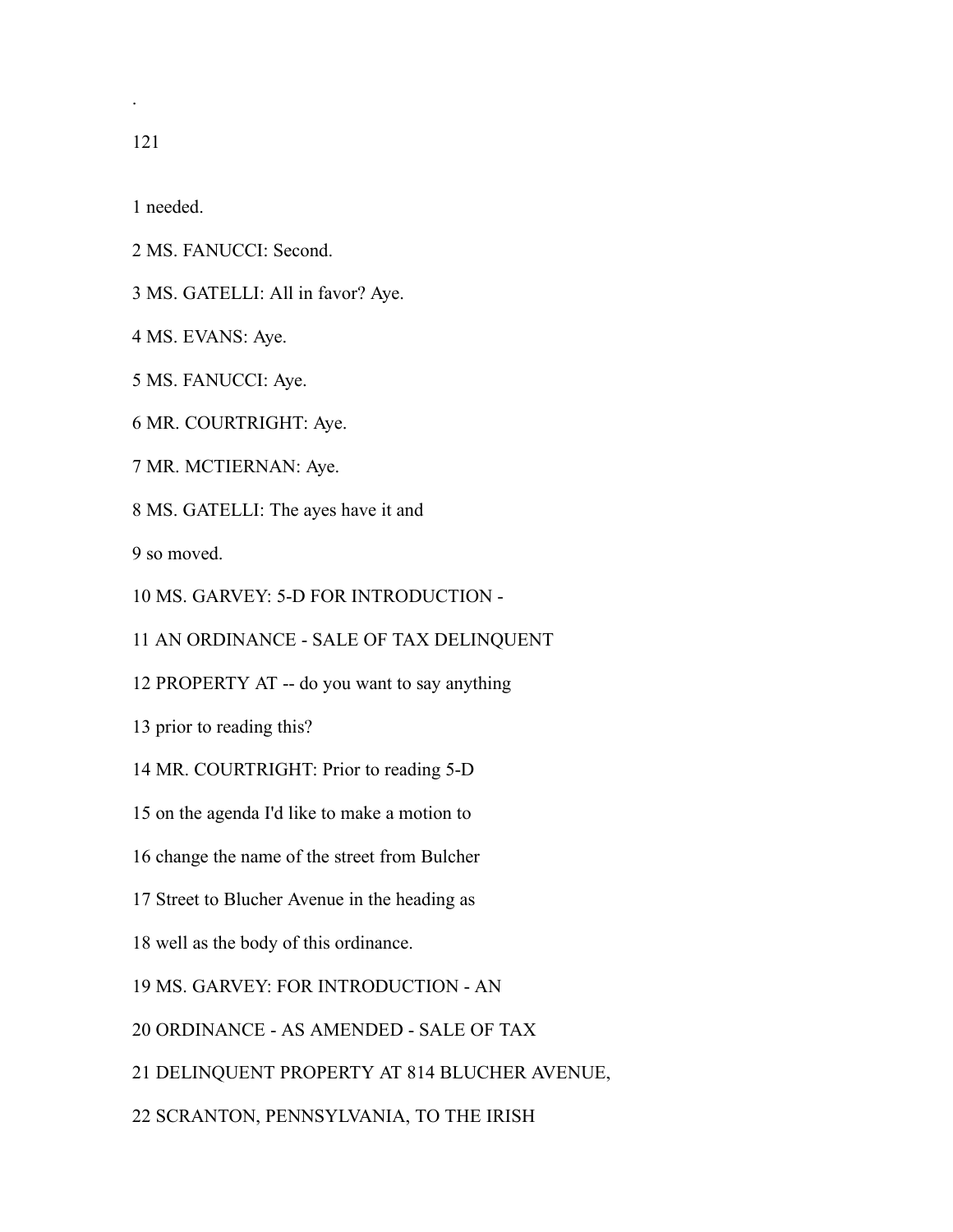.

needed.

- MS. FANUCCI: Second.
- MS. GATELLI: All in favor? Aye.
- MS. EVANS: Aye.
- MS. FANUCCI: Aye.
- MR. COURTRIGHT: Aye.
- MR. MCTIERNAN: Aye.
- MS. GATELLI: The ayes have it and

so moved.

- MS. GARVEY: 5-D FOR INTRODUCTION -
- AN ORDINANCE SALE OF TAX DELINQUENT
- PROPERTY AT -- do you want to say anything
- prior to reading this?
- MR. COURTRIGHT: Prior to reading 5-D
- on the agenda I'd like to make a motion to
- change the name of the street from Bulcher
- Street to Blucher Avenue in the heading as
- well as the body of this ordinance.
- MS. GARVEY: FOR INTRODUCTION AN
- ORDINANCE AS AMENDED SALE OF TAX
- DELINQUENT PROPERTY AT 814 BLUCHER AVENUE,
- SCRANTON, PENNSYLVANIA, TO THE IRISH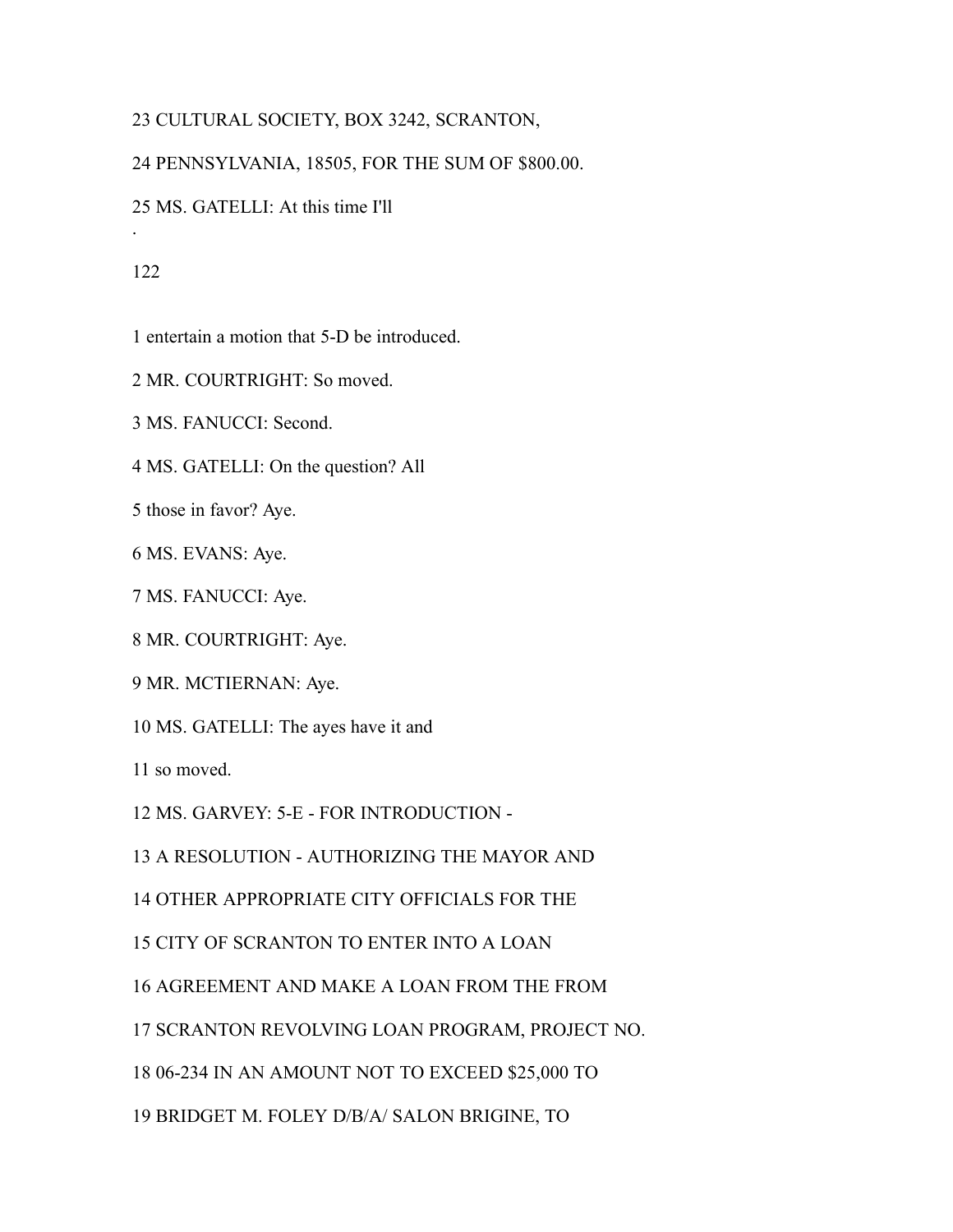# CULTURAL SOCIETY, BOX 3242, SCRANTON,

## PENNSYLVANIA, 18505, FOR THE SUM OF \$800.00.

MS. GATELLI: At this time I'll

### 

.

entertain a motion that 5-D be introduced.

MR. COURTRIGHT: So moved.

MS. FANUCCI: Second.

MS. GATELLI: On the question? All

those in favor? Aye.

MS. EVANS: Aye.

MS. FANUCCI: Aye.

MR. COURTRIGHT: Aye.

MR. MCTIERNAN: Aye.

MS. GATELLI: The ayes have it and

so moved.

MS. GARVEY: 5-E - FOR INTRODUCTION -

A RESOLUTION - AUTHORIZING THE MAYOR AND

OTHER APPROPRIATE CITY OFFICIALS FOR THE

CITY OF SCRANTON TO ENTER INTO A LOAN

AGREEMENT AND MAKE A LOAN FROM THE FROM

SCRANTON REVOLVING LOAN PROGRAM, PROJECT NO.

06-234 IN AN AMOUNT NOT TO EXCEED \$25,000 TO

BRIDGET M. FOLEY D/B/A/ SALON BRIGINE, TO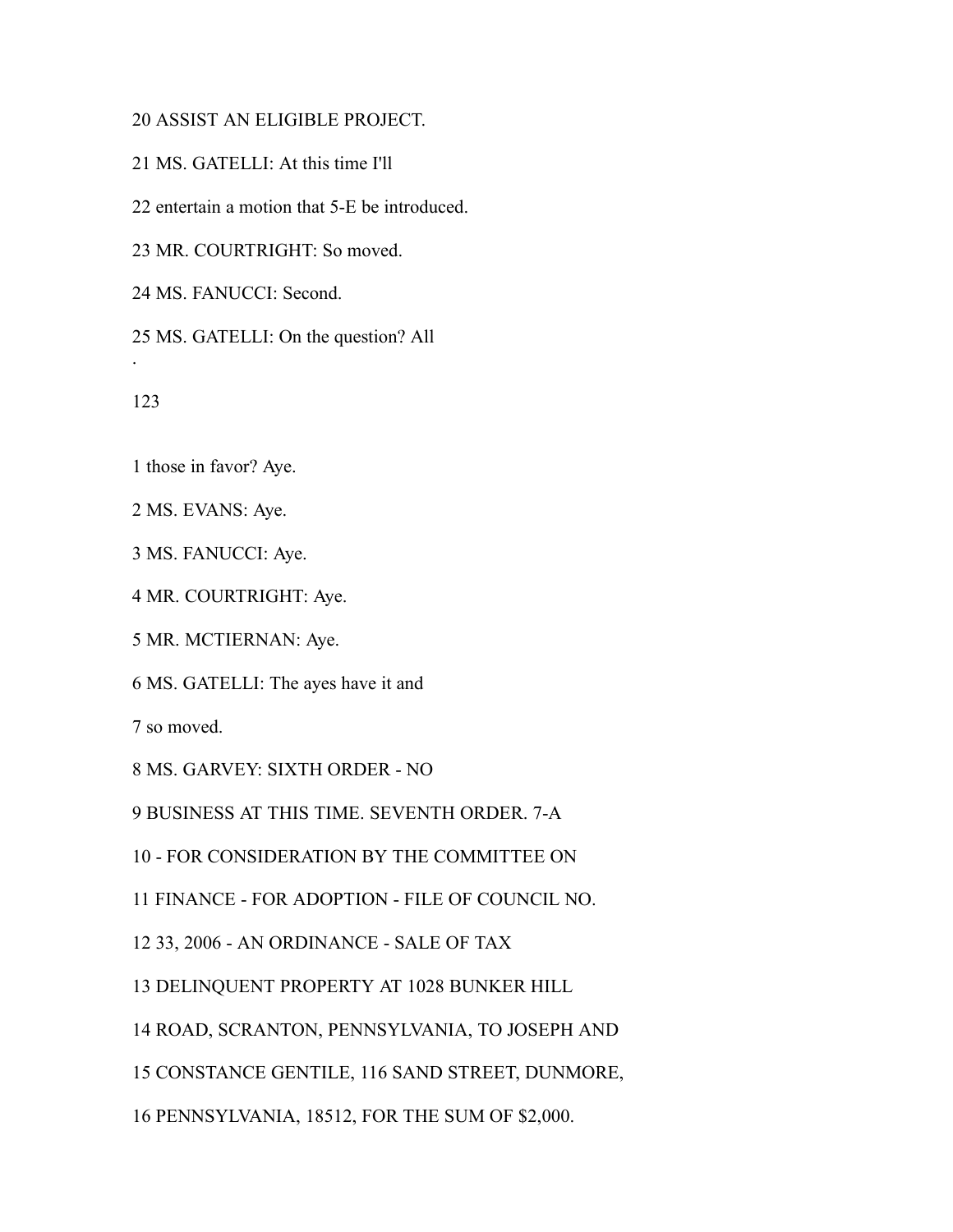# ASSIST AN ELIGIBLE PROJECT.

MS. GATELLI: At this time I'll

entertain a motion that 5-E be introduced.

MR. COURTRIGHT: So moved.

MS. FANUCCI: Second.

MS. GATELLI: On the question? All

.

those in favor? Aye.

MS. EVANS: Aye.

MS. FANUCCI: Aye.

MR. COURTRIGHT: Aye.

MR. MCTIERNAN: Aye.

MS. GATELLI: The ayes have it and

so moved.

MS. GARVEY: SIXTH ORDER - NO

BUSINESS AT THIS TIME. SEVENTH ORDER. 7-A

- FOR CONSIDERATION BY THE COMMITTEE ON

FINANCE - FOR ADOPTION - FILE OF COUNCIL NO.

33, 2006 - AN ORDINANCE - SALE OF TAX

DELINQUENT PROPERTY AT 1028 BUNKER HILL

ROAD, SCRANTON, PENNSYLVANIA, TO JOSEPH AND

CONSTANCE GENTILE, 116 SAND STREET, DUNMORE,

PENNSYLVANIA, 18512, FOR THE SUM OF \$2,000.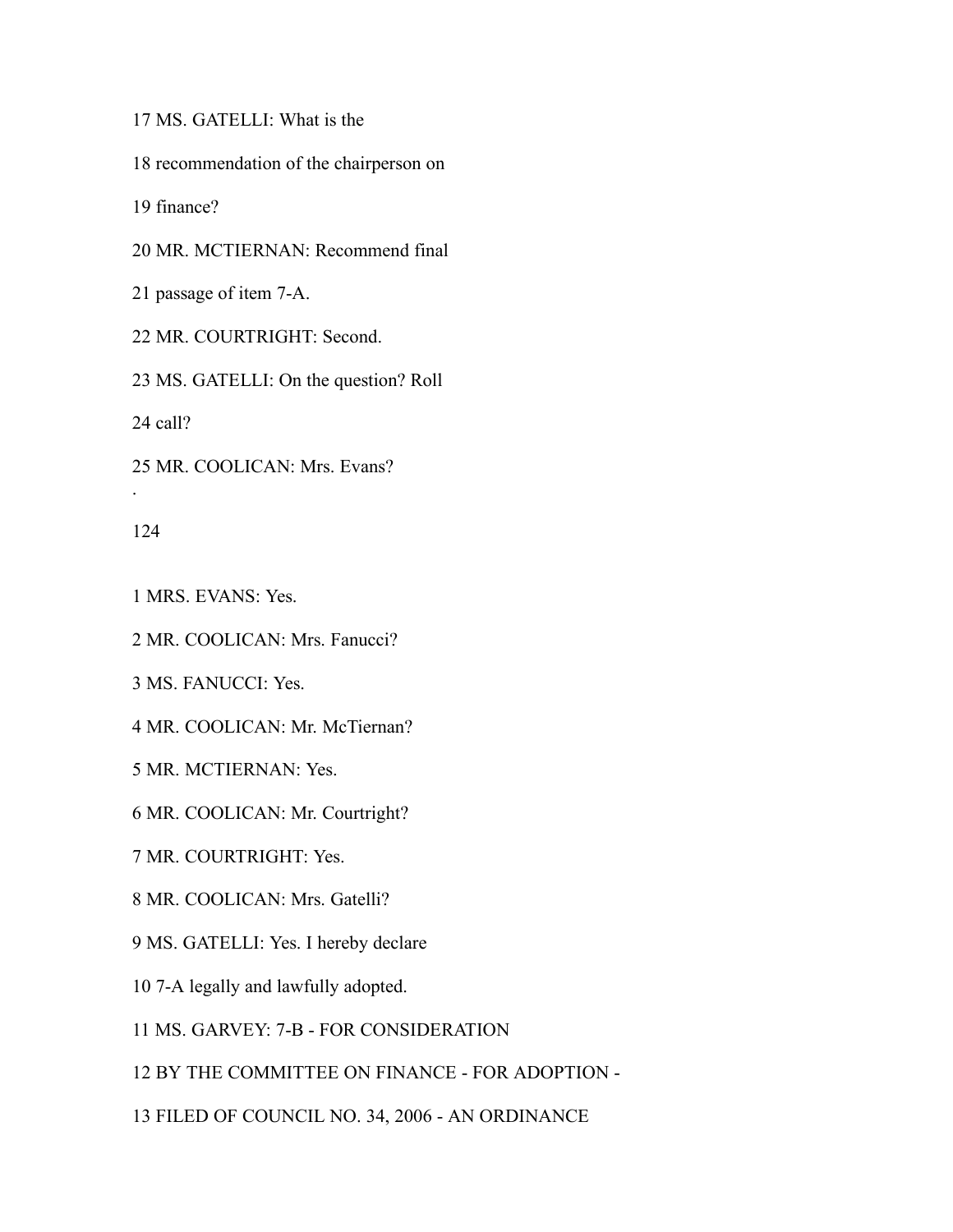MS. GATELLI: What is the

recommendation of the chairperson on

finance?

MR. MCTIERNAN: Recommend final

passage of item 7-A.

MR. COURTRIGHT: Second.

MS. GATELLI: On the question? Roll

call?

MR. COOLICAN: Mrs. Evans?

.

MRS. EVANS: Yes.

MR. COOLICAN: Mrs. Fanucci?

MS. FANUCCI: Yes.

MR. COOLICAN: Mr. McTiernan?

MR. MCTIERNAN: Yes.

MR. COOLICAN: Mr. Courtright?

MR. COURTRIGHT: Yes.

MR. COOLICAN: Mrs. Gatelli?

MS. GATELLI: Yes. I hereby declare

7-A legally and lawfully adopted.

MS. GARVEY: 7-B - FOR CONSIDERATION

BY THE COMMITTEE ON FINANCE - FOR ADOPTION -

FILED OF COUNCIL NO. 34, 2006 - AN ORDINANCE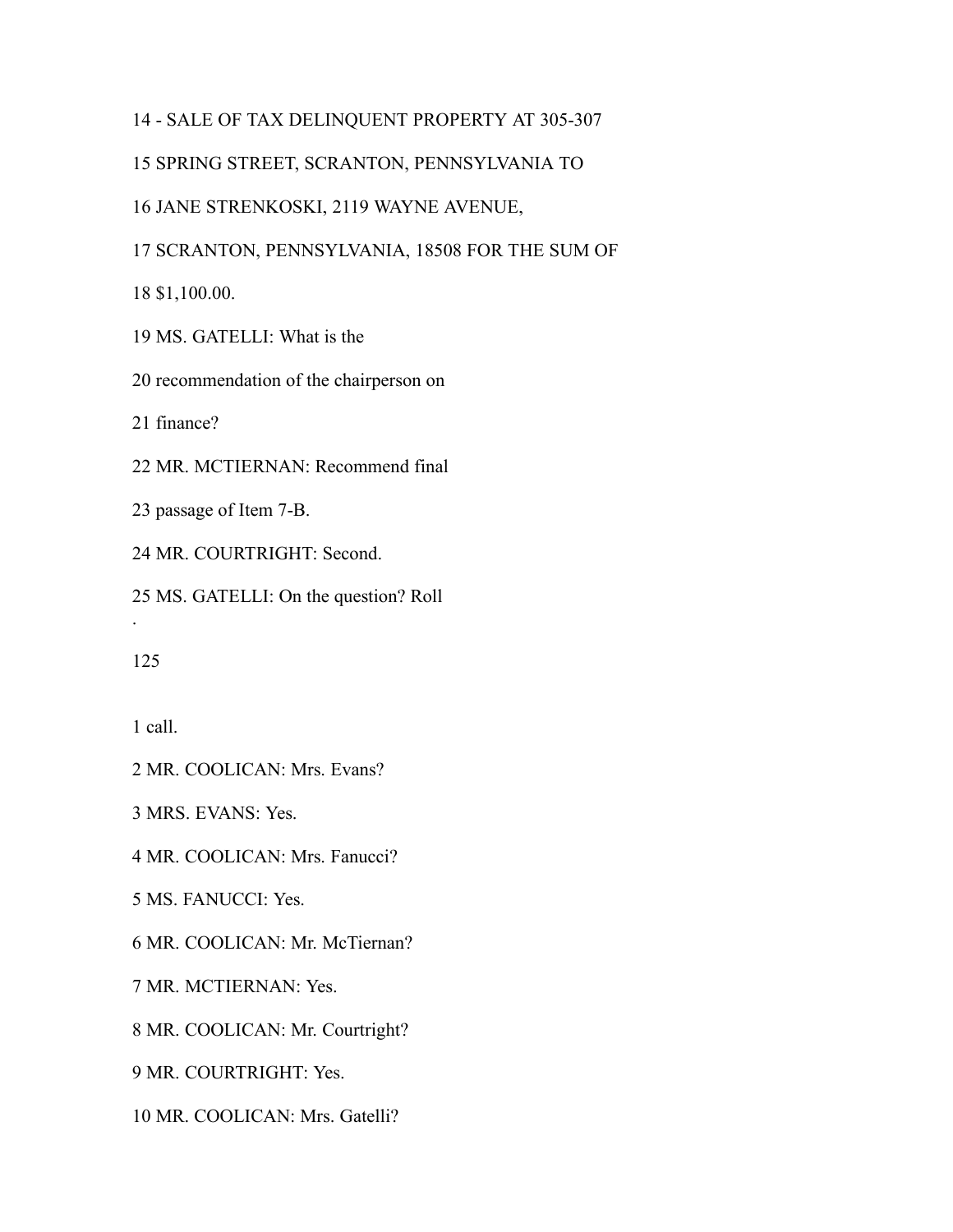# - SALE OF TAX DELINQUENT PROPERTY AT 305-307

### SPRING STREET, SCRANTON, PENNSYLVANIA TO

### JANE STRENKOSKI, 2119 WAYNE AVENUE,

### SCRANTON, PENNSYLVANIA, 18508 FOR THE SUM OF

\$1,100.00.

MS. GATELLI: What is the

recommendation of the chairperson on

finance?

MR. MCTIERNAN: Recommend final

passage of Item 7-B.

MR. COURTRIGHT: Second.

MS. GATELLI: On the question? Roll

.

call.

MR. COOLICAN: Mrs. Evans?

MRS. EVANS: Yes.

MR. COOLICAN: Mrs. Fanucci?

MS. FANUCCI: Yes.

MR. COOLICAN: Mr. McTiernan?

MR. MCTIERNAN: Yes.

MR. COOLICAN: Mr. Courtright?

MR. COURTRIGHT: Yes.

MR. COOLICAN: Mrs. Gatelli?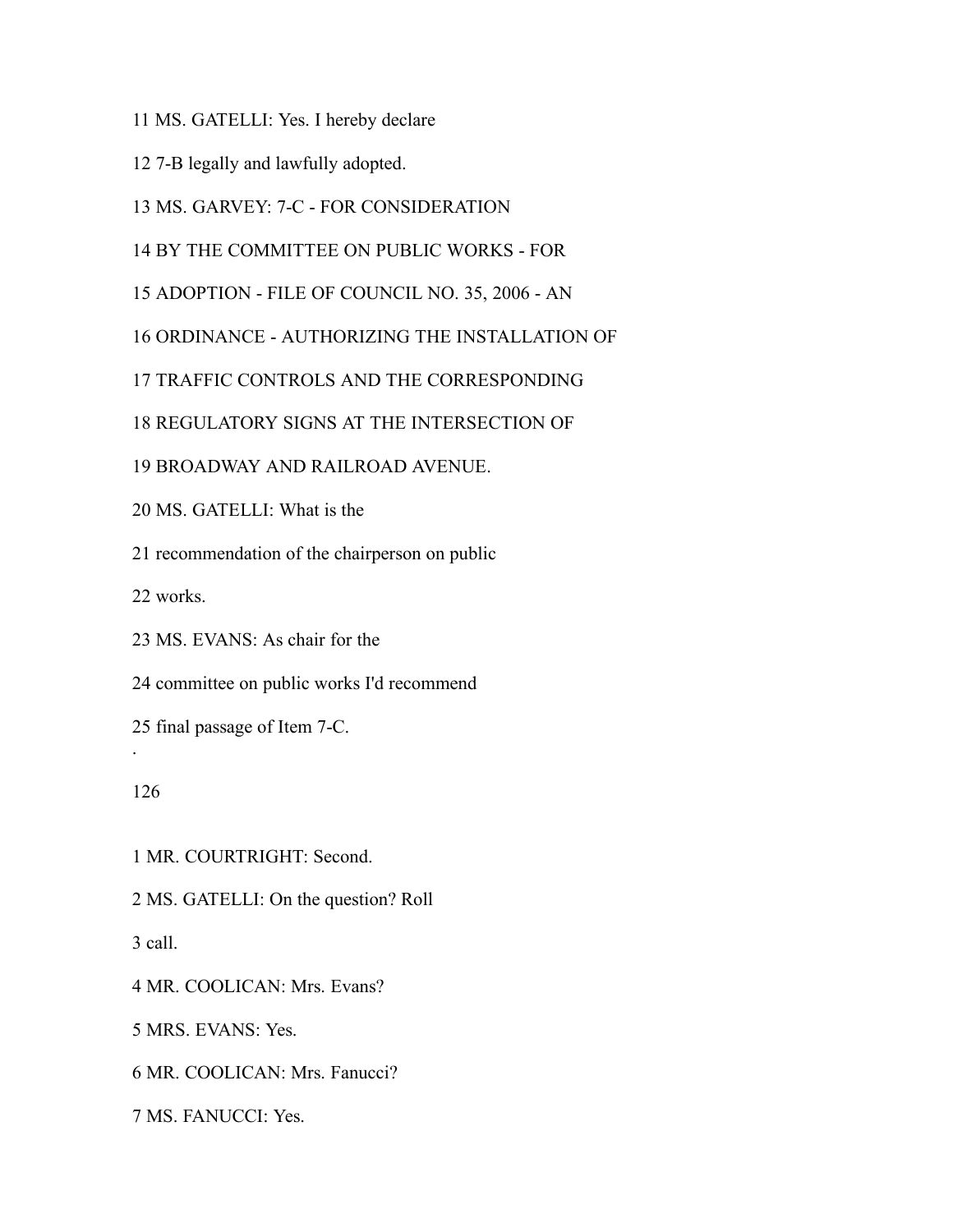MS. GATELLI: Yes. I hereby declare

7-B legally and lawfully adopted.

MS. GARVEY: 7-C - FOR CONSIDERATION

BY THE COMMITTEE ON PUBLIC WORKS - FOR

ADOPTION - FILE OF COUNCIL NO. 35, 2006 - AN

ORDINANCE - AUTHORIZING THE INSTALLATION OF

TRAFFIC CONTROLS AND THE CORRESPONDING

REGULATORY SIGNS AT THE INTERSECTION OF

BROADWAY AND RAILROAD AVENUE.

MS. GATELLI: What is the

recommendation of the chairperson on public

works.

MS. EVANS: As chair for the

committee on public works I'd recommend

final passage of Item 7-C.

.

MR. COURTRIGHT: Second.

MS. GATELLI: On the question? Roll

call.

MR. COOLICAN: Mrs. Evans?

MRS. EVANS: Yes.

MR. COOLICAN: Mrs. Fanucci?

MS. FANUCCI: Yes.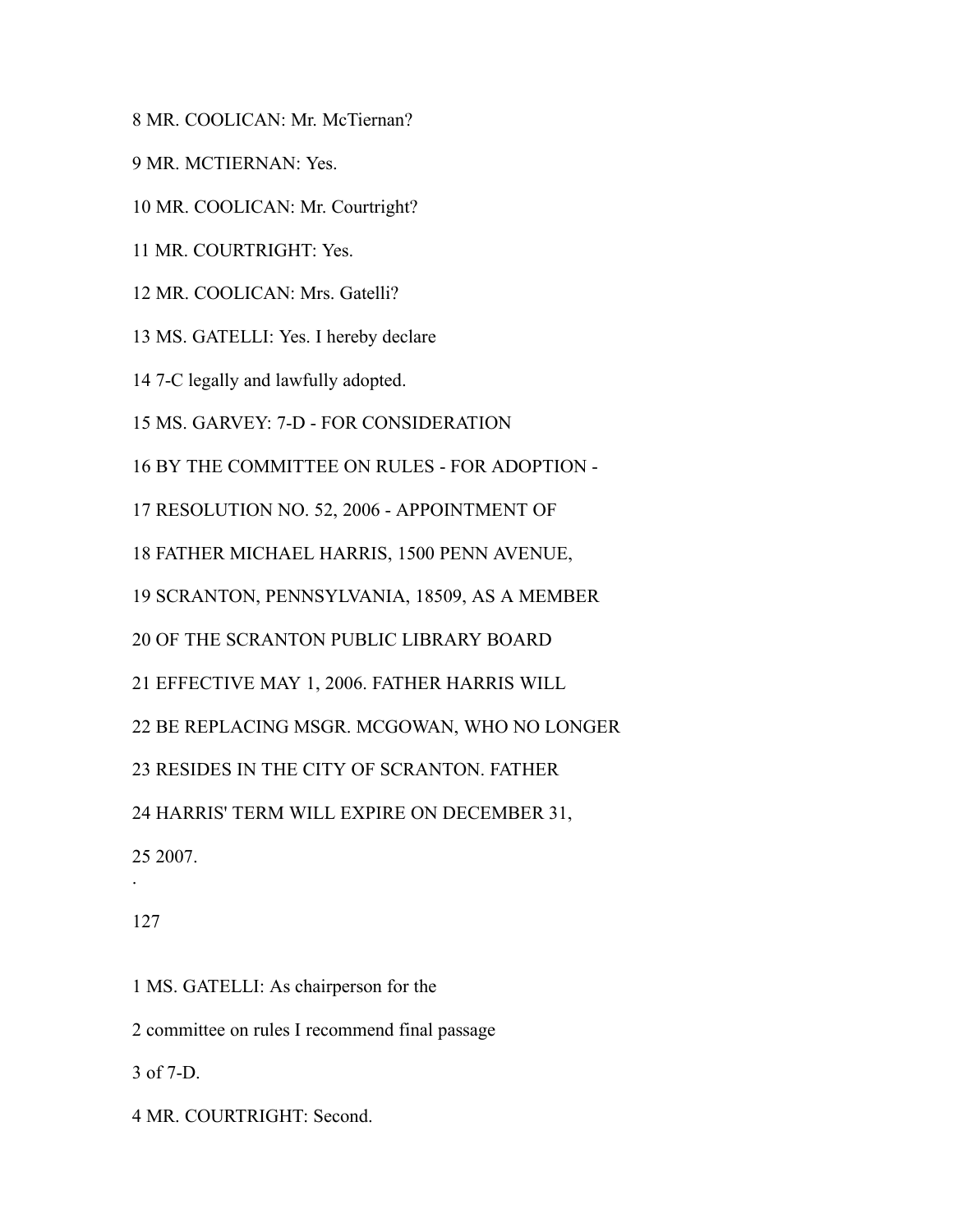MR. COOLICAN: Mr. McTiernan?

MR. MCTIERNAN: Yes.

MR. COOLICAN: Mr. Courtright?

MR. COURTRIGHT: Yes.

MR. COOLICAN: Mrs. Gatelli?

MS. GATELLI: Yes. I hereby declare

7-C legally and lawfully adopted.

MS. GARVEY: 7-D - FOR CONSIDERATION

BY THE COMMITTEE ON RULES - FOR ADOPTION -

RESOLUTION NO. 52, 2006 - APPOINTMENT OF

FATHER MICHAEL HARRIS, 1500 PENN AVENUE,

SCRANTON, PENNSYLVANIA, 18509, AS A MEMBER

OF THE SCRANTON PUBLIC LIBRARY BOARD

EFFECTIVE MAY 1, 2006. FATHER HARRIS WILL

BE REPLACING MSGR. MCGOWAN, WHO NO LONGER

RESIDES IN THE CITY OF SCRANTON. FATHER

HARRIS' TERM WILL EXPIRE ON DECEMBER 31,

2007.

#### 

.

MS. GATELLI: As chairperson for the

committee on rules I recommend final passage

of 7-D.

MR. COURTRIGHT: Second.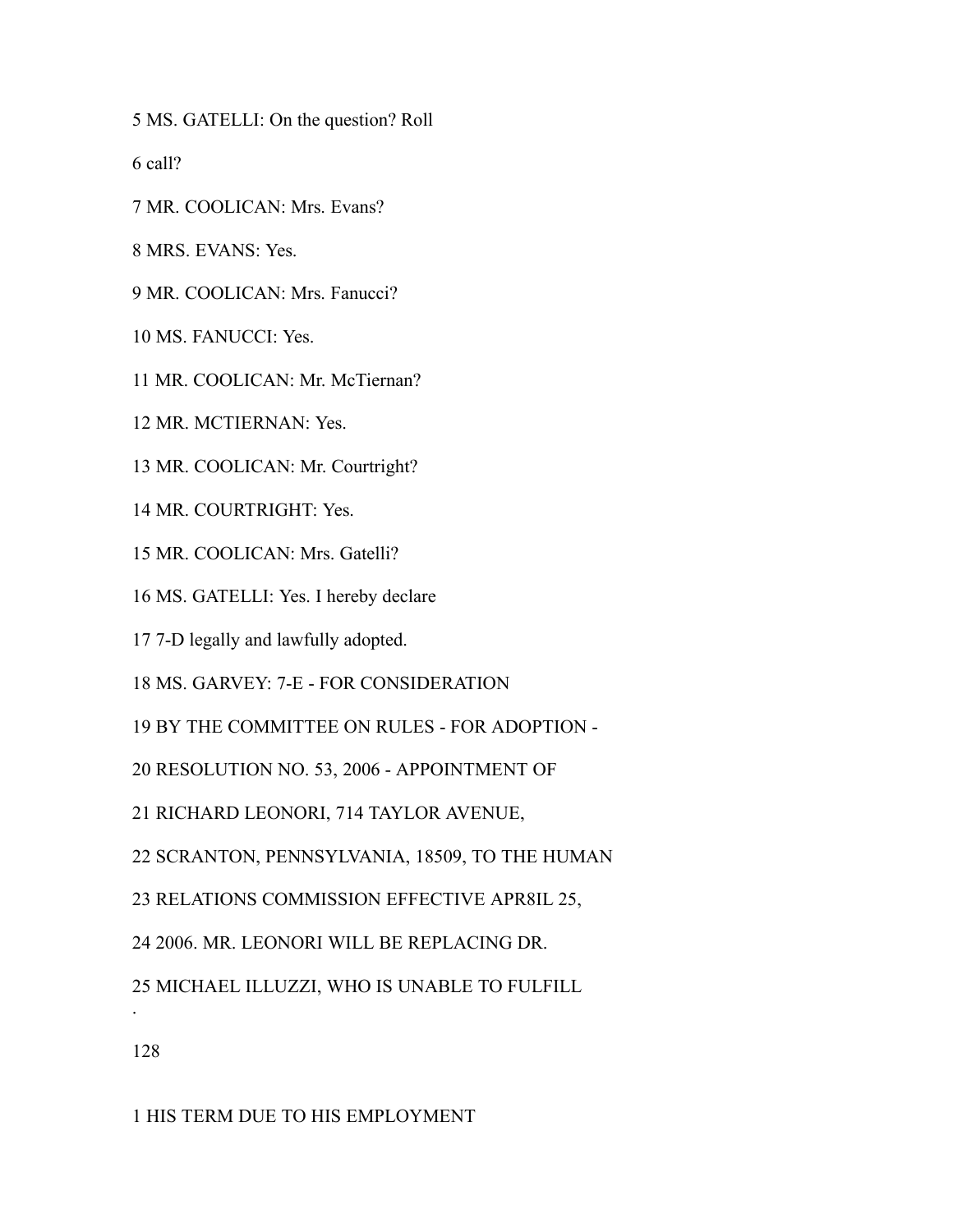MS. GATELLI: On the question? Roll

call?

MR. COOLICAN: Mrs. Evans?

MRS. EVANS: Yes.

MR. COOLICAN: Mrs. Fanucci?

MS. FANUCCI: Yes.

- MR. COOLICAN: Mr. McTiernan?
- MR. MCTIERNAN: Yes.
- MR. COOLICAN: Mr. Courtright?
- MR. COURTRIGHT: Yes.
- MR. COOLICAN: Mrs. Gatelli?
- MS. GATELLI: Yes. I hereby declare
- 7-D legally and lawfully adopted.
- MS. GARVEY: 7-E FOR CONSIDERATION
- BY THE COMMITTEE ON RULES FOR ADOPTION -
- RESOLUTION NO. 53, 2006 APPOINTMENT OF
- RICHARD LEONORI, 714 TAYLOR AVENUE,
- SCRANTON, PENNSYLVANIA, 18509, TO THE HUMAN
- RELATIONS COMMISSION EFFECTIVE APR8IL 25,
- 2006. MR. LEONORI WILL BE REPLACING DR.
- MICHAEL ILLUZZI, WHO IS UNABLE TO FULFILL

.

HIS TERM DUE TO HIS EMPLOYMENT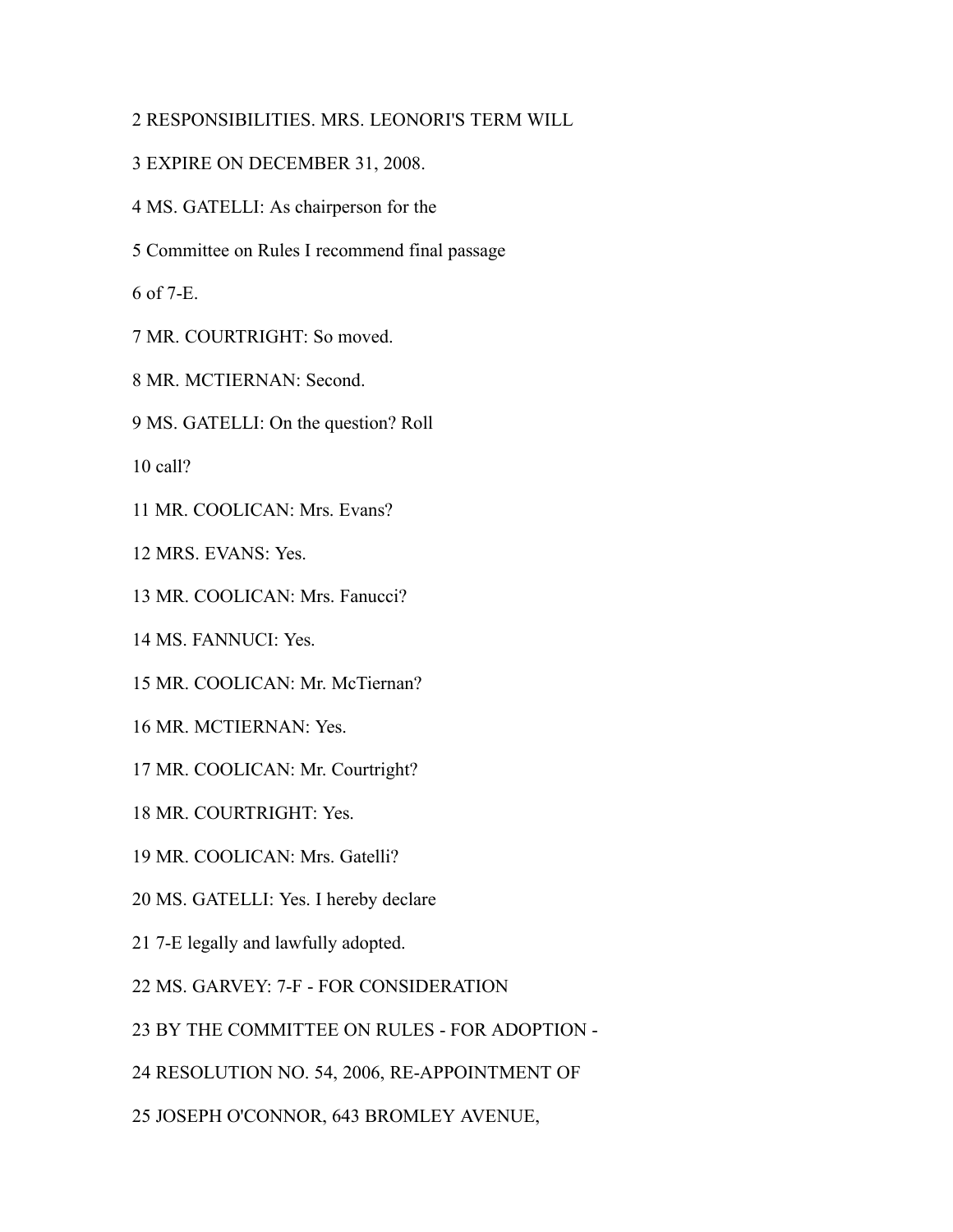# RESPONSIBILITIES. MRS. LEONORI'S TERM WILL

- EXPIRE ON DECEMBER 31, 2008.
- MS. GATELLI: As chairperson for the
- Committee on Rules I recommend final passage

of 7-E.

- MR. COURTRIGHT: So moved.
- MR. MCTIERNAN: Second.
- MS. GATELLI: On the question? Roll

call?

MR. COOLICAN: Mrs. Evans?

MRS. EVANS: Yes.

MR. COOLICAN: Mrs. Fanucci?

MS. FANNUCI: Yes.

- MR. COOLICAN: Mr. McTiernan?
- MR. MCTIERNAN: Yes.
- MR. COOLICAN: Mr. Courtright?
- MR. COURTRIGHT: Yes.
- MR. COOLICAN: Mrs. Gatelli?
- MS. GATELLI: Yes. I hereby declare
- 7-E legally and lawfully adopted.
- MS. GARVEY: 7-F FOR CONSIDERATION
- BY THE COMMITTEE ON RULES FOR ADOPTION -
- RESOLUTION NO. 54, 2006, RE-APPOINTMENT OF
- JOSEPH O'CONNOR, 643 BROMLEY AVENUE,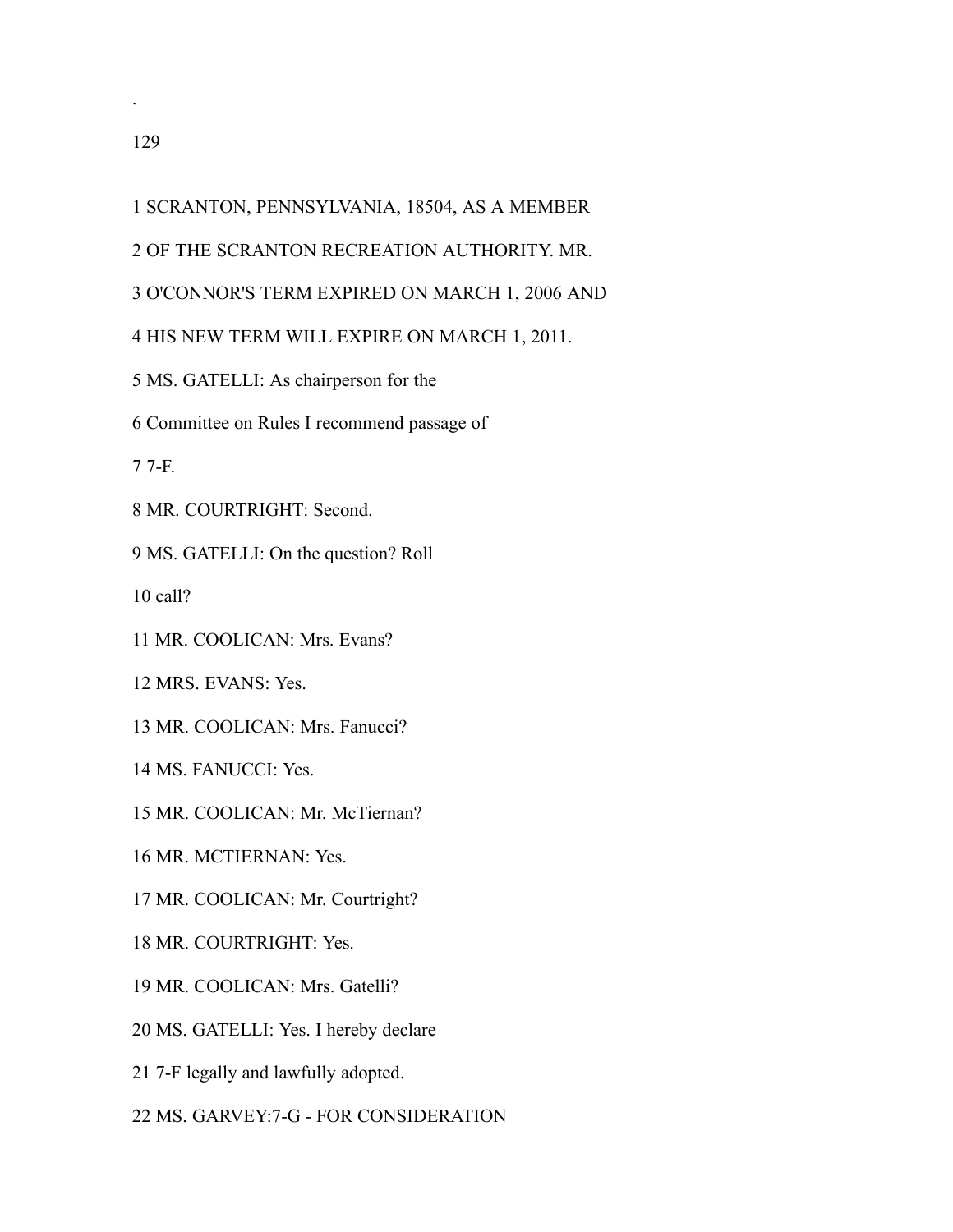.

## SCRANTON, PENNSYLVANIA, 18504, AS A MEMBER

- OF THE SCRANTON RECREATION AUTHORITY. MR.
- O'CONNOR'S TERM EXPIRED ON MARCH 1, 2006 AND

## HIS NEW TERM WILL EXPIRE ON MARCH 1, 2011.

- MS. GATELLI: As chairperson for the
- Committee on Rules I recommend passage of

7-F.

MR. COURTRIGHT: Second.

MS. GATELLI: On the question? Roll

call?

MR. COOLICAN: Mrs. Evans?

MRS. EVANS: Yes.

MR. COOLICAN: Mrs. Fanucci?

MS. FANUCCI: Yes.

- MR. COOLICAN: Mr. McTiernan?
- MR. MCTIERNAN: Yes.

MR. COOLICAN: Mr. Courtright?

- MR. COURTRIGHT: Yes.
- MR. COOLICAN: Mrs. Gatelli?
- MS. GATELLI: Yes. I hereby declare
- 7-F legally and lawfully adopted.
- MS. GARVEY:7-G FOR CONSIDERATION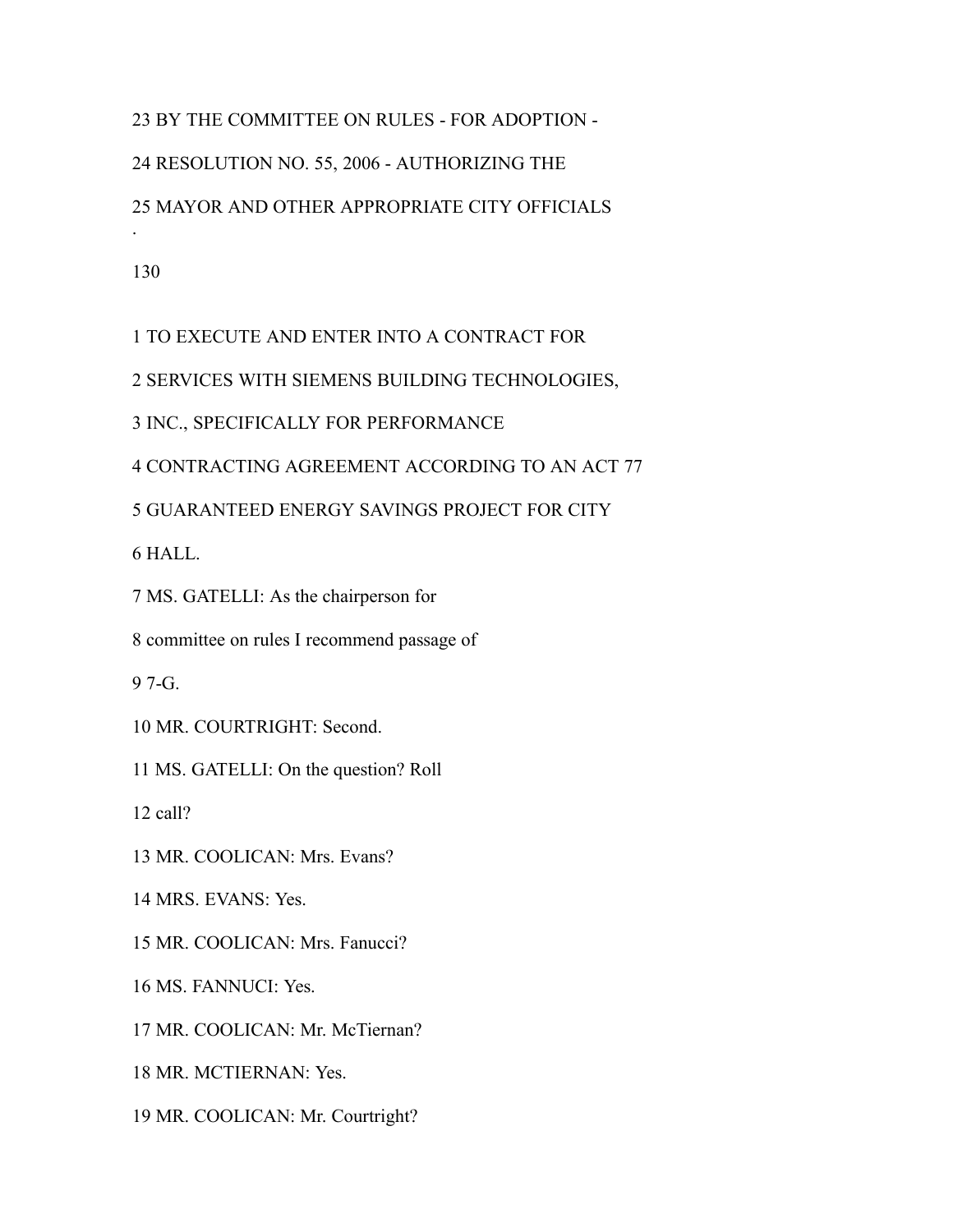BY THE COMMITTEE ON RULES - FOR ADOPTION - RESOLUTION NO. 55, 2006 - AUTHORIZING THE MAYOR AND OTHER APPROPRIATE CITY OFFICIALS .

TO EXECUTE AND ENTER INTO A CONTRACT FOR

SERVICES WITH SIEMENS BUILDING TECHNOLOGIES,

INC., SPECIFICALLY FOR PERFORMANCE

CONTRACTING AGREEMENT ACCORDING TO AN ACT 77

GUARANTEED ENERGY SAVINGS PROJECT FOR CITY

HALL.

MS. GATELLI: As the chairperson for

committee on rules I recommend passage of

7-G.

MR. COURTRIGHT: Second.

MS. GATELLI: On the question? Roll

call?

MR. COOLICAN: Mrs. Evans?

MRS. EVANS: Yes.

MR. COOLICAN: Mrs. Fanucci?

MS. FANNUCI: Yes.

MR. COOLICAN: Mr. McTiernan?

MR. MCTIERNAN: Yes.

MR. COOLICAN: Mr. Courtright?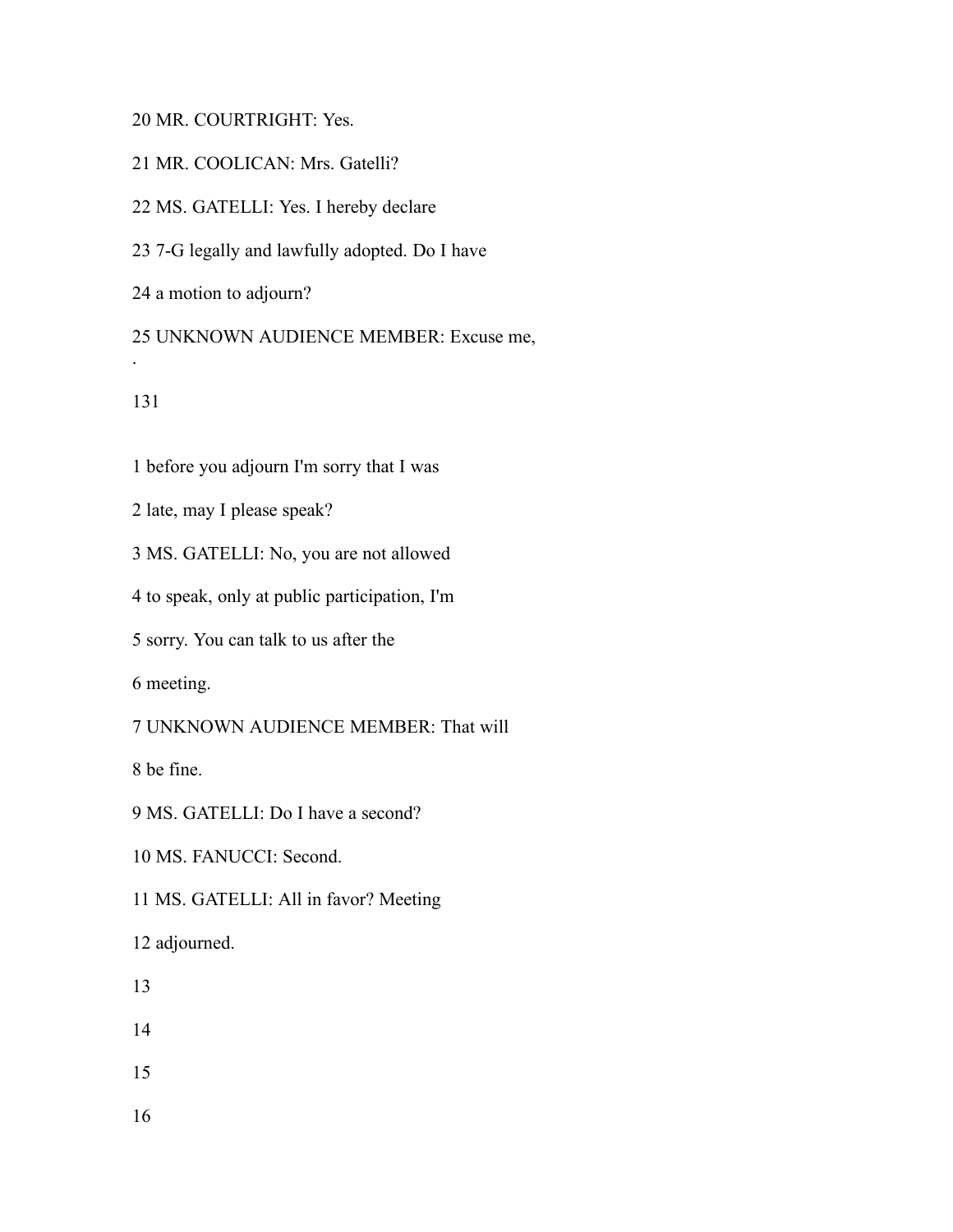## MR. COURTRIGHT: Yes.

MR. COOLICAN: Mrs. Gatelli?

MS. GATELLI: Yes. I hereby declare

7-G legally and lawfully adopted. Do I have

a motion to adjourn?

 UNKNOWN AUDIENCE MEMBER: Excuse me, .

before you adjourn I'm sorry that I was

late, may I please speak?

MS. GATELLI: No, you are not allowed

to speak, only at public participation, I'm

sorry. You can talk to us after the

meeting.

UNKNOWN AUDIENCE MEMBER: That will

be fine.

MS. GATELLI: Do I have a second?

MS. FANUCCI: Second.

MS. GATELLI: All in favor? Meeting

adjourned.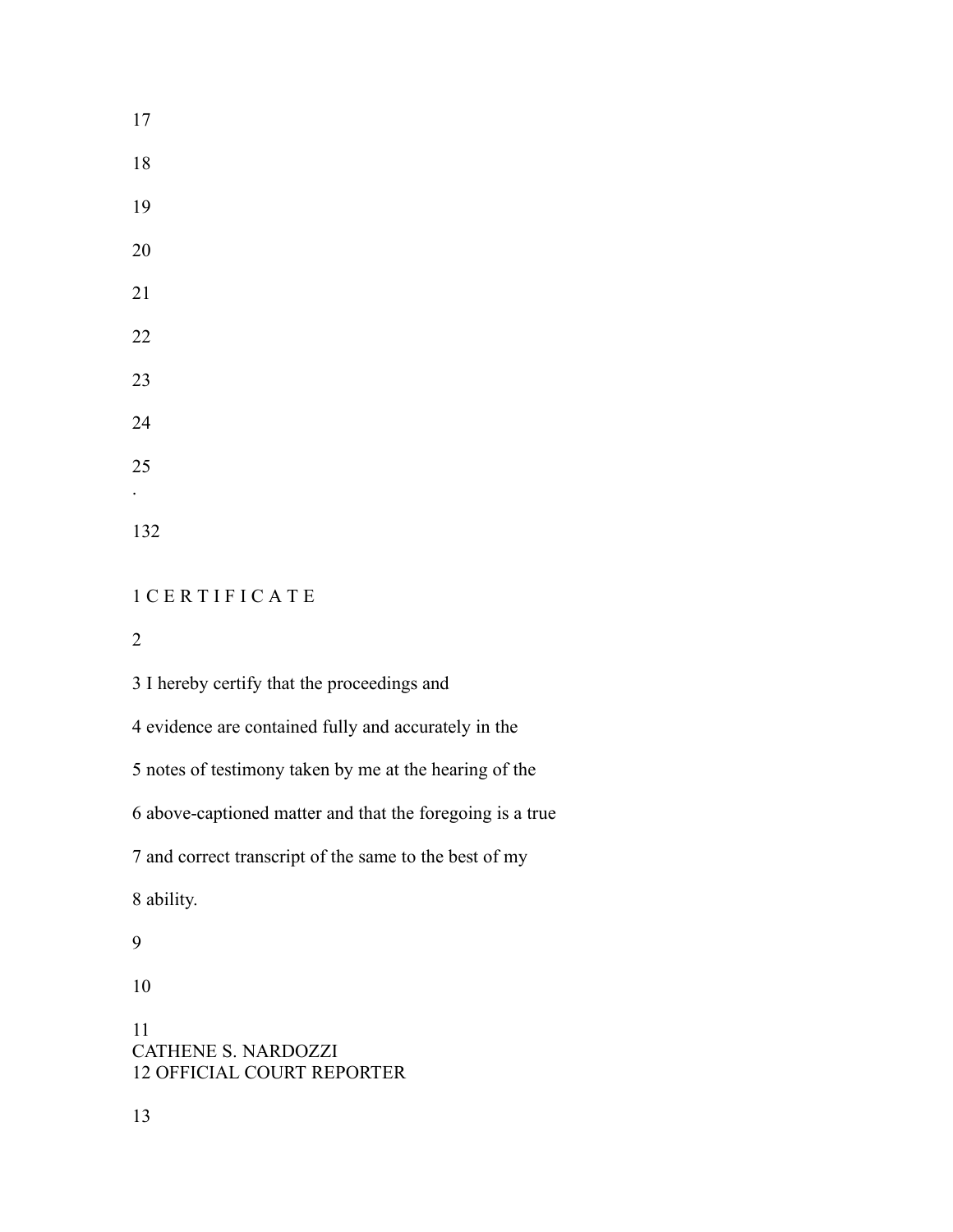C E R T I F I C A T E

I hereby certify that the proceedings and

evidence are contained fully and accurately in the

notes of testimony taken by me at the hearing of the

above-captioned matter and that the foregoing is a true

and correct transcript of the same to the best of my

ability.

 CATHENE S. NARDOZZI OFFICIAL COURT REPORTER